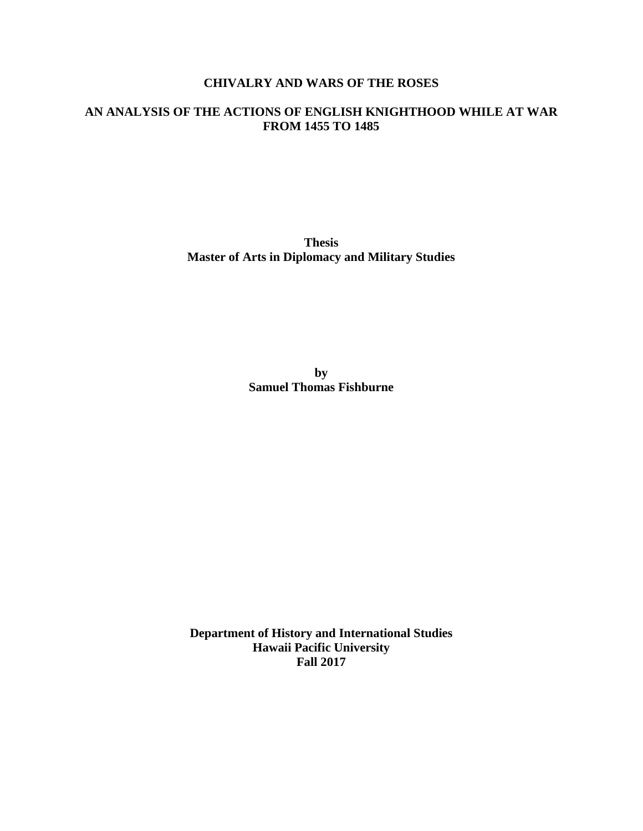# **CHIVALRY AND WARS OF THE ROSES**

# **AN ANALYSIS OF THE ACTIONS OF ENGLISH KNIGHTHOOD WHILE AT WAR FROM 1455 TO 1485**

**Thesis Master of Arts in Diplomacy and Military Studies**

> **by Samuel Thomas Fishburne**

**Department of History and International Studies Hawaii Pacific University Fall 2017**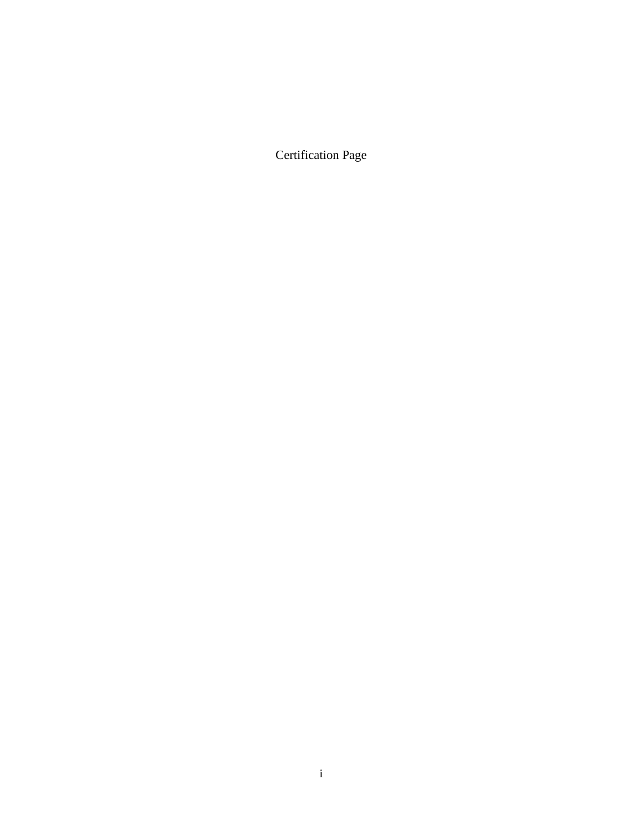Certification Page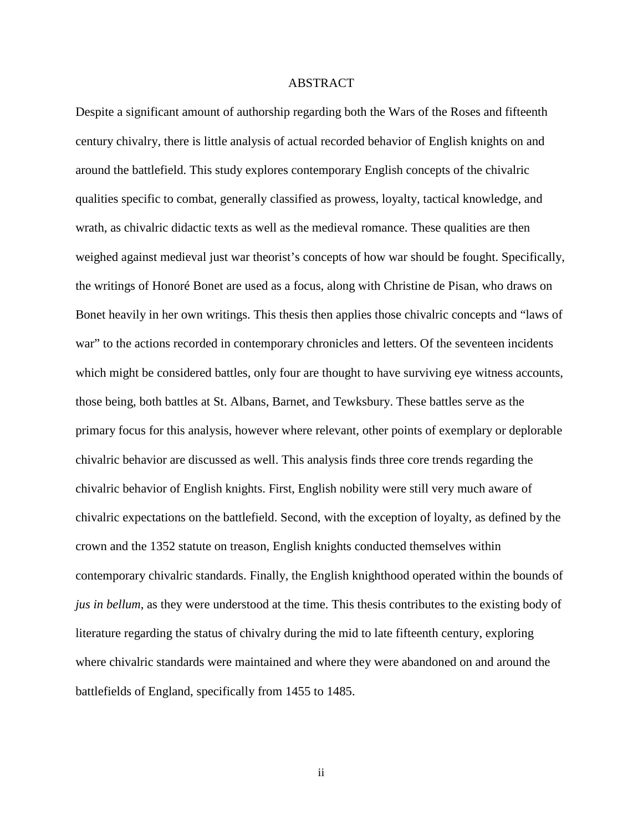#### ABSTRACT

Despite a significant amount of authorship regarding both the Wars of the Roses and fifteenth century chivalry, there is little analysis of actual recorded behavior of English knights on and around the battlefield. This study explores contemporary English concepts of the chivalric qualities specific to combat, generally classified as prowess, loyalty, tactical knowledge, and wrath, as chivalric didactic texts as well as the medieval romance. These qualities are then weighed against medieval just war theorist's concepts of how war should be fought. Specifically, the writings of Honoré Bonet are used as a focus, along with Christine de Pisan, who draws on Bonet heavily in her own writings. This thesis then applies those chivalric concepts and "laws of war" to the actions recorded in contemporary chronicles and letters. Of the seventeen incidents which might be considered battles, only four are thought to have surviving eye witness accounts, those being, both battles at St. Albans, Barnet, and Tewksbury. These battles serve as the primary focus for this analysis, however where relevant, other points of exemplary or deplorable chivalric behavior are discussed as well. This analysis finds three core trends regarding the chivalric behavior of English knights. First, English nobility were still very much aware of chivalric expectations on the battlefield. Second, with the exception of loyalty, as defined by the crown and the 1352 statute on treason, English knights conducted themselves within contemporary chivalric standards. Finally, the English knighthood operated within the bounds of *jus in bellum*, as they were understood at the time. This thesis contributes to the existing body of literature regarding the status of chivalry during the mid to late fifteenth century, exploring where chivalric standards were maintained and where they were abandoned on and around the battlefields of England, specifically from 1455 to 1485.

ii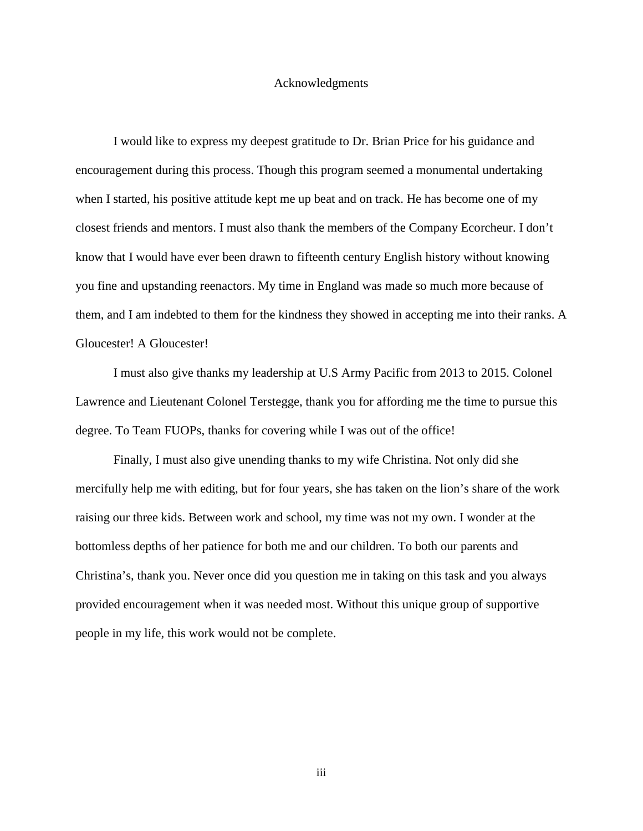#### Acknowledgments

I would like to express my deepest gratitude to Dr. Brian Price for his guidance and encouragement during this process. Though this program seemed a monumental undertaking when I started, his positive attitude kept me up beat and on track. He has become one of my closest friends and mentors. I must also thank the members of the Company Ecorcheur. I don't know that I would have ever been drawn to fifteenth century English history without knowing you fine and upstanding reenactors. My time in England was made so much more because of them, and I am indebted to them for the kindness they showed in accepting me into their ranks. A Gloucester! A Gloucester!

I must also give thanks my leadership at U.S Army Pacific from 2013 to 2015. Colonel Lawrence and Lieutenant Colonel Terstegge, thank you for affording me the time to pursue this degree. To Team FUOPs, thanks for covering while I was out of the office!

Finally, I must also give unending thanks to my wife Christina. Not only did she mercifully help me with editing, but for four years, she has taken on the lion's share of the work raising our three kids. Between work and school, my time was not my own. I wonder at the bottomless depths of her patience for both me and our children. To both our parents and Christina's, thank you. Never once did you question me in taking on this task and you always provided encouragement when it was needed most. Without this unique group of supportive people in my life, this work would not be complete.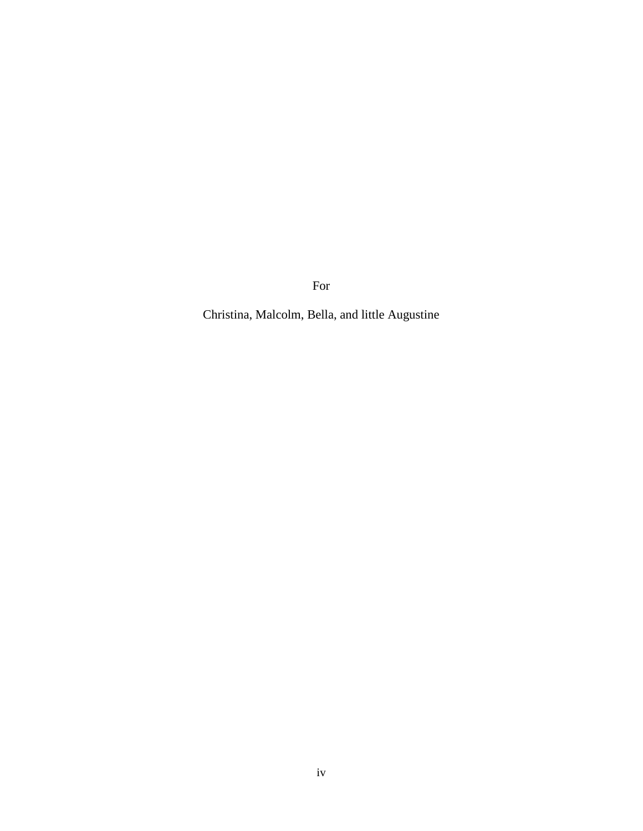For

Christina, Malcolm, Bella, and little Augustine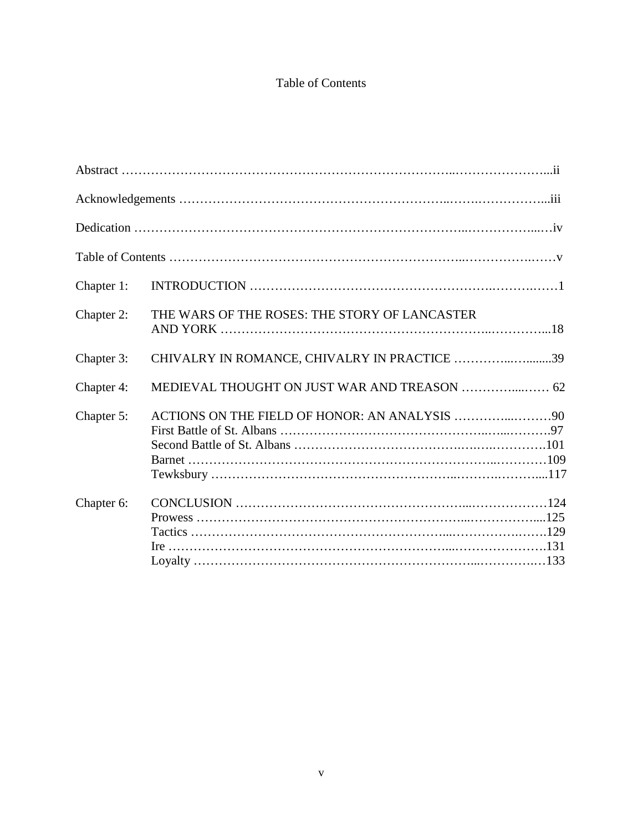# Table of Contents

| Chapter 1: |                                               |  |
|------------|-----------------------------------------------|--|
| Chapter 2: | THE WARS OF THE ROSES: THE STORY OF LANCASTER |  |
| Chapter 3: | CHIVALRY IN ROMANCE, CHIVALRY IN PRACTICE 39  |  |
| Chapter 4: |                                               |  |
| Chapter 5: |                                               |  |
| Chapter 6: |                                               |  |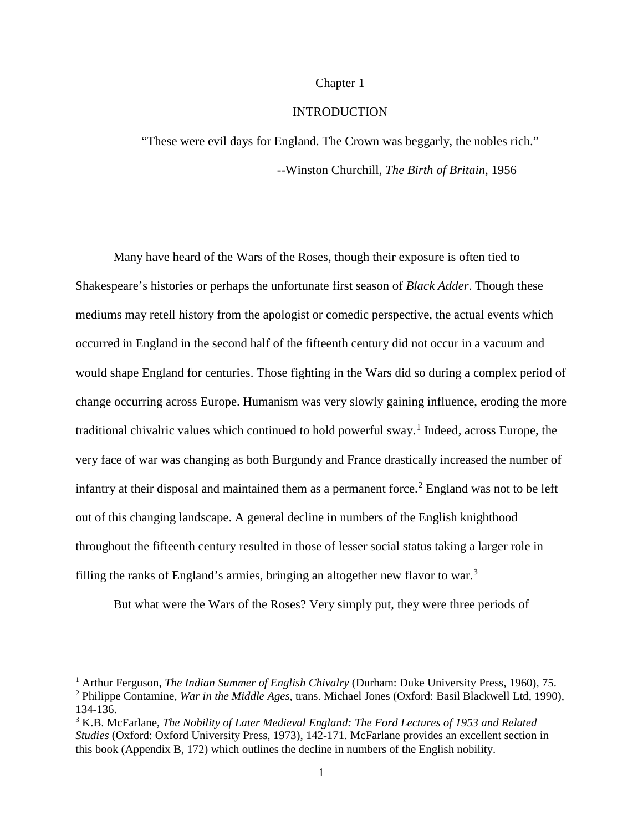### Chapter 1

# INTRODUCTION

"These were evil days for England. The Crown was beggarly, the nobles rich." --Winston Churchill, *The Birth of Britain*, 1956

Many have heard of the Wars of the Roses, though their exposure is often tied to Shakespeare's histories or perhaps the unfortunate first season of *Black Adder*. Though these mediums may retell history from the apologist or comedic perspective, the actual events which occurred in England in the second half of the fifteenth century did not occur in a vacuum and would shape England for centuries. Those fighting in the Wars did so during a complex period of change occurring across Europe. Humanism was very slowly gaining influence, eroding the more traditional chivalric values which continued to hold powerful sway.<sup>[1](#page-6-0)</sup> Indeed, across Europe, the very face of war was changing as both Burgundy and France drastically increased the number of infantry at their disposal and maintained them as a permanent force.<sup>[2](#page-6-1)</sup> England was not to be left out of this changing landscape. A general decline in numbers of the English knighthood throughout the fifteenth century resulted in those of lesser social status taking a larger role in filling the ranks of England's armies, bringing an altogether new flavor to war.<sup>[3](#page-6-2)</sup>

But what were the Wars of the Roses? Very simply put, they were three periods of

<span id="page-6-1"></span><span id="page-6-0"></span><sup>1</sup> Arthur Ferguson, *The Indian Summer of English Chivalry* (Durham: Duke University Press, 1960), 75. <sup>2</sup> Philippe Contamine, *War in the Middle Ages*, trans. Michael Jones (Oxford: Basil Blackwell Ltd, 1990),

<sup>134-136.</sup>

<span id="page-6-2"></span><sup>3</sup> K.B. McFarlane, *The Nobility of Later Medieval England: The Ford Lectures of 1953 and Related Studies* (Oxford: Oxford University Press, 1973), 142-171. McFarlane provides an excellent section in this book (Appendix B, 172) which outlines the decline in numbers of the English nobility.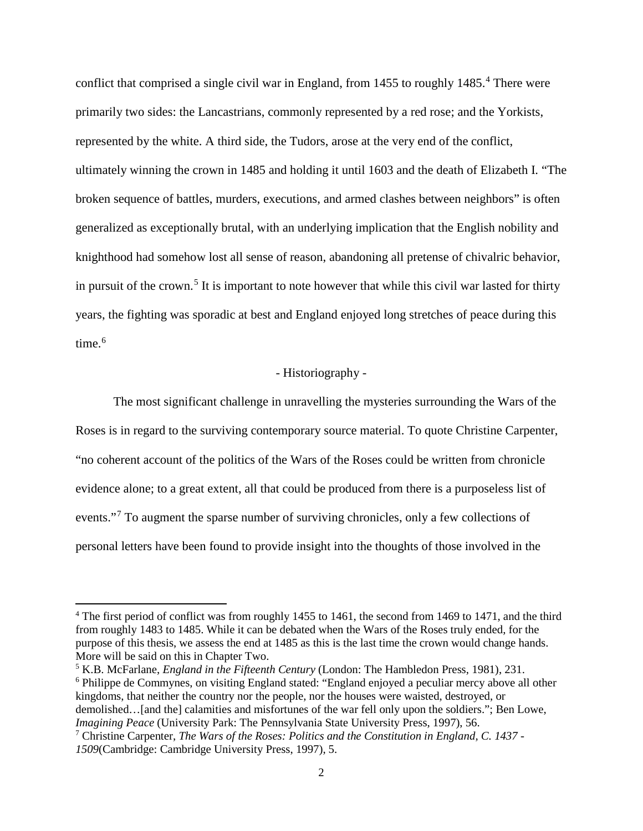conflict that comprised a single civil war in England, from 1[4](#page-7-0)55 to roughly 1485.<sup>4</sup> There were primarily two sides: the Lancastrians, commonly represented by a red rose; and the Yorkists, represented by the white. A third side, the Tudors, arose at the very end of the conflict, ultimately winning the crown in 1485 and holding it until 1603 and the death of Elizabeth I. "The broken sequence of battles, murders, executions, and armed clashes between neighbors" is often generalized as exceptionally brutal, with an underlying implication that the English nobility and knighthood had somehow lost all sense of reason, abandoning all pretense of chivalric behavior, in pursuit of the crown.<sup>[5](#page-7-1)</sup> It is important to note however that while this civil war lasted for thirty years, the fighting was sporadic at best and England enjoyed long stretches of peace during this time. $6$ 

# - Historiography -

The most significant challenge in unravelling the mysteries surrounding the Wars of the Roses is in regard to the surviving contemporary source material. To quote Christine Carpenter, "no coherent account of the politics of the Wars of the Roses could be written from chronicle evidence alone; to a great extent, all that could be produced from there is a purposeless list of events."<sup>[7](#page-7-3)</sup> To augment the sparse number of surviving chronicles, only a few collections of personal letters have been found to provide insight into the thoughts of those involved in the

 $\overline{a}$ 

<span id="page-7-2"></span><span id="page-7-1"></span><sup>5</sup> K.B. McFarlane, *England in the Fifteenth Century* (London: The Hambledon Press, 1981), 231. <sup>6</sup> Philippe de Commynes, on visiting England stated: "England enjoyed a peculiar mercy above all other kingdoms, that neither the country nor the people, nor the houses were waisted, destroyed, or demolished…[and the] calamities and misfortunes of the war fell only upon the soldiers."; Ben Lowe, *Imagining Peace* (University Park: The Pennsylvania State University Press, 1997), 56.

<span id="page-7-0"></span><sup>4</sup> The first period of conflict was from roughly 1455 to 1461, the second from 1469 to 1471, and the third from roughly 1483 to 1485. While it can be debated when the Wars of the Roses truly ended, for the purpose of this thesis, we assess the end at 1485 as this is the last time the crown would change hands. More will be said on this in Chapter Two.

<span id="page-7-3"></span><sup>7</sup> Christine Carpenter, *The Wars of the Roses: Politics and the Constitution in England, C. 1437 - 1509*(Cambridge: Cambridge University Press, 1997), 5.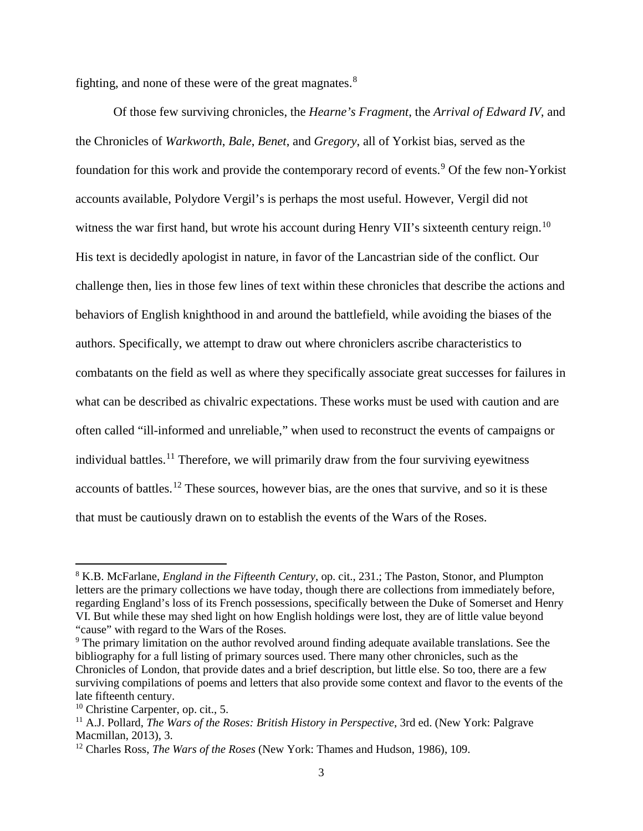fighting, and none of these were of the great magnates.<sup>[8](#page-8-0)</sup>

Of those few surviving chronicles, the *Hearne's Fragment*, the *Arrival of Edward IV*, and the Chronicles of *Warkworth*, *Bale*, *Benet*, and *Gregory*, all of Yorkist bias, served as the foundation for this work and provide the contemporary record of events.<sup>[9](#page-8-1)</sup> Of the few non-Yorkist accounts available, Polydore Vergil's is perhaps the most useful. However, Vergil did not witness the war first hand, but wrote his account during Henry VII's sixteenth century reign.<sup>[10](#page-8-2)</sup> His text is decidedly apologist in nature, in favor of the Lancastrian side of the conflict. Our challenge then, lies in those few lines of text within these chronicles that describe the actions and behaviors of English knighthood in and around the battlefield, while avoiding the biases of the authors. Specifically, we attempt to draw out where chroniclers ascribe characteristics to combatants on the field as well as where they specifically associate great successes for failures in what can be described as chivalric expectations. These works must be used with caution and are often called "ill-informed and unreliable," when used to reconstruct the events of campaigns or individual battles.<sup>[11](#page-8-3)</sup> Therefore, we will primarily draw from the four surviving eyewitness accounts of battles.<sup>[12](#page-8-4)</sup> These sources, however bias, are the ones that survive, and so it is these that must be cautiously drawn on to establish the events of the Wars of the Roses.

<span id="page-8-0"></span><sup>8</sup> K.B. McFarlane, *England in the Fifteenth Century*, op. cit., 231.; The Paston, Stonor, and Plumpton letters are the primary collections we have today, though there are collections from immediately before, regarding England's loss of its French possessions, specifically between the Duke of Somerset and Henry VI. But while these may shed light on how English holdings were lost, they are of little value beyond "cause" with regard to the Wars of the Roses.

<span id="page-8-1"></span><sup>&</sup>lt;sup>9</sup> The primary limitation on the author revolved around finding adequate available translations. See the bibliography for a full listing of primary sources used. There many other chronicles, such as the Chronicles of London, that provide dates and a brief description, but little else. So too, there are a few surviving compilations of poems and letters that also provide some context and flavor to the events of the late fifteenth century.

<span id="page-8-2"></span><sup>10</sup> Christine Carpenter, op. cit., 5.

<span id="page-8-3"></span><sup>&</sup>lt;sup>11</sup> A.J. Pollard, *The Wars of the Roses: British History in Perspective*, 3rd ed. (New York: Palgrave Macmillan, 2013), 3.

<span id="page-8-4"></span><sup>12</sup> Charles Ross, *The Wars of the Roses* (New York: Thames and Hudson, 1986), 109.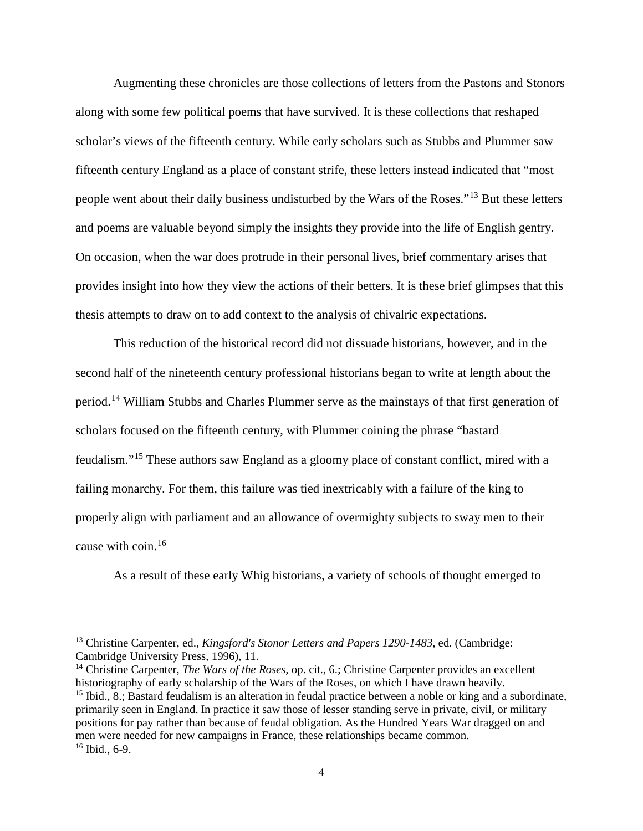Augmenting these chronicles are those collections of letters from the Pastons and Stonors along with some few political poems that have survived. It is these collections that reshaped scholar's views of the fifteenth century. While early scholars such as Stubbs and Plummer saw fifteenth century England as a place of constant strife, these letters instead indicated that "most people went about their daily business undisturbed by the Wars of the Roses."[13](#page-9-0) But these letters and poems are valuable beyond simply the insights they provide into the life of English gentry. On occasion, when the war does protrude in their personal lives, brief commentary arises that provides insight into how they view the actions of their betters. It is these brief glimpses that this thesis attempts to draw on to add context to the analysis of chivalric expectations.

This reduction of the historical record did not dissuade historians, however, and in the second half of the nineteenth century professional historians began to write at length about the period.[14](#page-9-1) William Stubbs and Charles Plummer serve as the mainstays of that first generation of scholars focused on the fifteenth century, with Plummer coining the phrase "bastard feudalism."[15](#page-9-2) These authors saw England as a gloomy place of constant conflict, mired with a failing monarchy. For them, this failure was tied inextricably with a failure of the king to properly align with parliament and an allowance of overmighty subjects to sway men to their cause with coin.[16](#page-9-3)

As a result of these early Whig historians, a variety of schools of thought emerged to

l

<span id="page-9-0"></span><sup>13</sup> Christine Carpenter, ed., *Kingsford's Stonor Letters and Papers 1290-1483*, ed. (Cambridge: Cambridge University Press, 1996), 11.

<span id="page-9-3"></span><span id="page-9-2"></span><span id="page-9-1"></span><sup>&</sup>lt;sup>14</sup> Christine Carpenter, *The Wars of the Roses*, op. cit., 6.; Christine Carpenter provides an excellent historiography of early scholarship of the Wars of the Roses, on which I have drawn heavily. <sup>15</sup> Ibid., 8.; Bastard feudalism is an alteration in feudal practice between a noble or king and a subordinate, primarily seen in England. In practice it saw those of lesser standing serve in private, civil, or military positions for pay rather than because of feudal obligation. As the Hundred Years War dragged on and men were needed for new campaigns in France, these relationships became common.  $16$  Ibid., 6-9.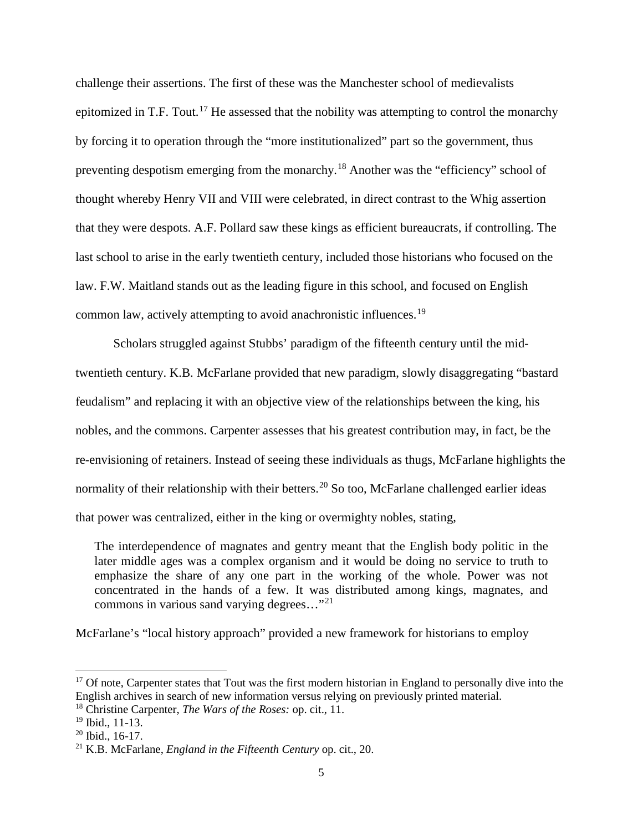challenge their assertions. The first of these was the Manchester school of medievalists epitomized in T.F. Tout.<sup>[17](#page-10-0)</sup> He assessed that the nobility was attempting to control the monarchy by forcing it to operation through the "more institutionalized" part so the government, thus preventing despotism emerging from the monarchy.[18](#page-10-1) Another was the "efficiency" school of thought whereby Henry VII and VIII were celebrated, in direct contrast to the Whig assertion that they were despots. A.F. Pollard saw these kings as efficient bureaucrats, if controlling. The last school to arise in the early twentieth century, included those historians who focused on the law. F.W. Maitland stands out as the leading figure in this school, and focused on English common law, actively attempting to avoid anachronistic influences.[19](#page-10-2)

Scholars struggled against Stubbs' paradigm of the fifteenth century until the midtwentieth century. K.B. McFarlane provided that new paradigm, slowly disaggregating "bastard feudalism" and replacing it with an objective view of the relationships between the king, his nobles, and the commons. Carpenter assesses that his greatest contribution may, in fact, be the re-envisioning of retainers. Instead of seeing these individuals as thugs, McFarlane highlights the normality of their relationship with their betters.<sup>[20](#page-10-3)</sup> So too, McFarlane challenged earlier ideas that power was centralized, either in the king or overmighty nobles, stating,

The interdependence of magnates and gentry meant that the English body politic in the later middle ages was a complex organism and it would be doing no service to truth to emphasize the share of any one part in the working of the whole. Power was not concentrated in the hands of a few. It was distributed among kings, magnates, and commons in various sand varying degrees..."<sup>[21](#page-10-4)</sup>

McFarlane's "local history approach" provided a new framework for historians to employ

<span id="page-10-0"></span><sup>&</sup>lt;sup>17</sup> Of note, Carpenter states that Tout was the first modern historian in England to personally dive into the English archives in search of new information versus relying on previously printed material.

<span id="page-10-1"></span><sup>18</sup> Christine Carpenter, *The Wars of the Roses:* op. cit., 11.

<span id="page-10-2"></span><sup>19</sup> Ibid., 11-13.

<span id="page-10-3"></span> $20$  Ibid., 16-17.

<span id="page-10-4"></span><sup>21</sup> K.B. McFarlane, *England in the Fifteenth Century* op. cit., 20.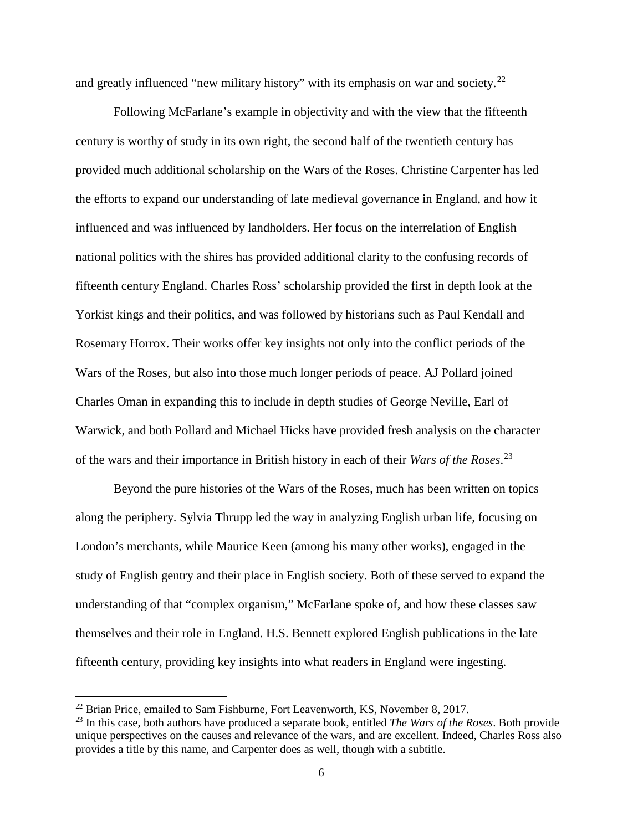and greatly influenced "new military history" with its emphasis on war and society.<sup>[22](#page-11-0)</sup>

Following McFarlane's example in objectivity and with the view that the fifteenth century is worthy of study in its own right, the second half of the twentieth century has provided much additional scholarship on the Wars of the Roses. Christine Carpenter has led the efforts to expand our understanding of late medieval governance in England, and how it influenced and was influenced by landholders. Her focus on the interrelation of English national politics with the shires has provided additional clarity to the confusing records of fifteenth century England. Charles Ross' scholarship provided the first in depth look at the Yorkist kings and their politics, and was followed by historians such as Paul Kendall and Rosemary Horrox. Their works offer key insights not only into the conflict periods of the Wars of the Roses, but also into those much longer periods of peace. AJ Pollard joined Charles Oman in expanding this to include in depth studies of George Neville, Earl of Warwick, and both Pollard and Michael Hicks have provided fresh analysis on the character of the wars and their importance in British history in each of their *Wars of the Roses*. [23](#page-11-1)

Beyond the pure histories of the Wars of the Roses, much has been written on topics along the periphery. Sylvia Thrupp led the way in analyzing English urban life, focusing on London's merchants, while Maurice Keen (among his many other works), engaged in the study of English gentry and their place in English society. Both of these served to expand the understanding of that "complex organism," McFarlane spoke of, and how these classes saw themselves and their role in England. H.S. Bennett explored English publications in the late fifteenth century, providing key insights into what readers in England were ingesting.

 $\overline{a}$ 

<span id="page-11-0"></span><sup>&</sup>lt;sup>22</sup> Brian Price, emailed to Sam Fishburne, Fort Leavenworth, KS, November 8, 2017.

<span id="page-11-1"></span><sup>23</sup> In this case, both authors have produced a separate book, entitled *The Wars of the Roses*. Both provide unique perspectives on the causes and relevance of the wars, and are excellent. Indeed, Charles Ross also provides a title by this name, and Carpenter does as well, though with a subtitle.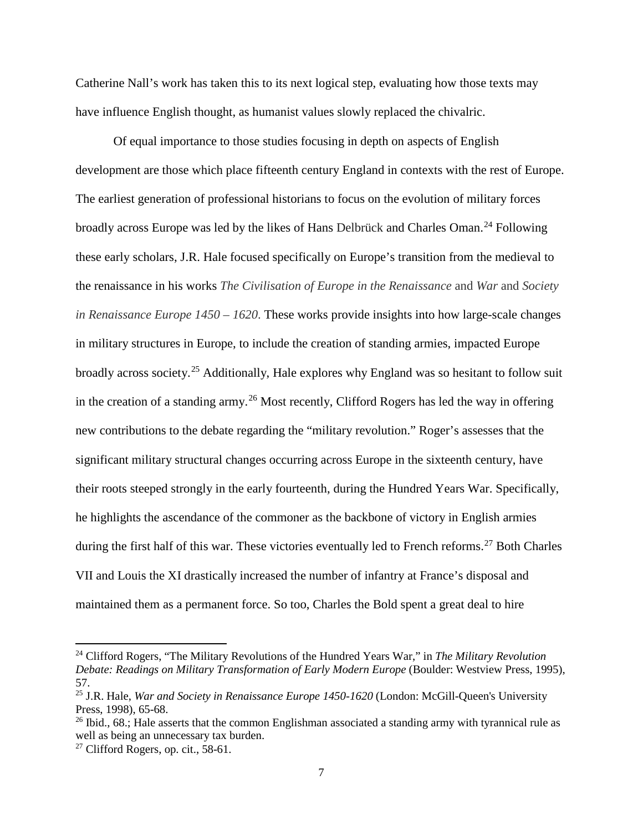Catherine Nall's work has taken this to its next logical step, evaluating how those texts may have influence English thought, as humanist values slowly replaced the chivalric.

Of equal importance to those studies focusing in depth on aspects of English development are those which place fifteenth century England in contexts with the rest of Europe. The earliest generation of professional historians to focus on the evolution of military forces broadly across Europe was led by the likes of Hans Delbrück and Charles Oman.<sup>[24](#page-12-0)</sup> Following these early scholars, J.R. Hale focused specifically on Europe's transition from the medieval to the renaissance in his works *The Civilisation of Europe in the Renaissance* and *War* and *Society in Renaissance Europe 1450 – 1620*. These works provide insights into how large-scale changes in military structures in Europe, to include the creation of standing armies, impacted Europe broadly across society.[25](#page-12-1) Additionally, Hale explores why England was so hesitant to follow suit in the creation of a standing army.<sup>[26](#page-12-2)</sup> Most recently, Clifford Rogers has led the way in offering new contributions to the debate regarding the "military revolution." Roger's assesses that the significant military structural changes occurring across Europe in the sixteenth century, have their roots steeped strongly in the early fourteenth, during the Hundred Years War. Specifically, he highlights the ascendance of the commoner as the backbone of victory in English armies during the first half of this war. These victories eventually led to French reforms.<sup>[27](#page-12-3)</sup> Both Charles VII and Louis the XI drastically increased the number of infantry at France's disposal and maintained them as a permanent force. So too, Charles the Bold spent a great deal to hire

l

<span id="page-12-0"></span><sup>24</sup> Clifford Rogers, "The Military Revolutions of the Hundred Years War," in *The Military Revolution Debate: Readings on Military Transformation of Early Modern Europe* (Boulder: Westview Press, 1995), 57.

<span id="page-12-1"></span><sup>25</sup> J.R. Hale, *War and Society in Renaissance Europe 1450-1620* (London: McGill-Queen's University Press, 1998), 65-68.

<span id="page-12-2"></span> $^{26}$  Ibid., 68.; Hale asserts that the common Englishman associated a standing army with tyrannical rule as well as being an unnecessary tax burden.

<span id="page-12-3"></span> $27$  Clifford Rogers, op. cit., 58-61.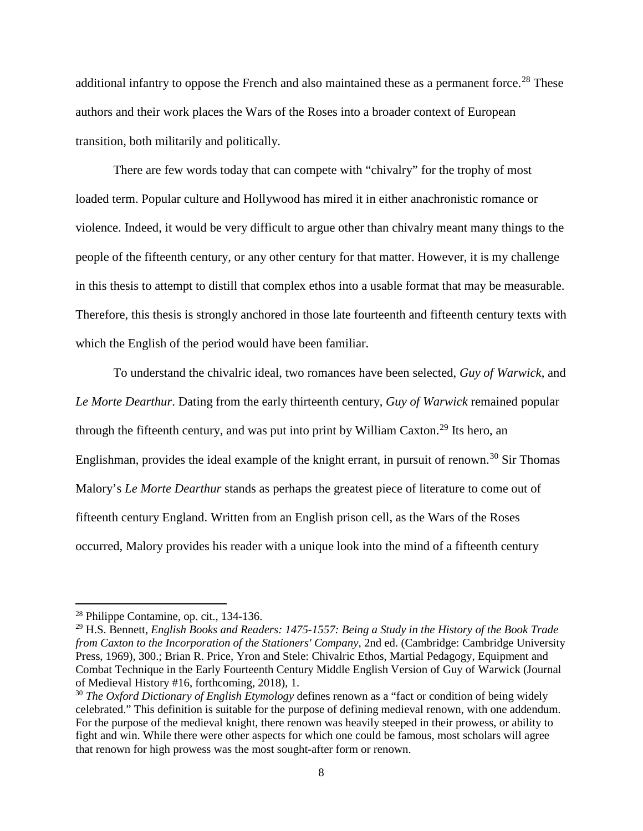additional infantry to oppose the French and also maintained these as a permanent force.<sup>[28](#page-13-0)</sup> These authors and their work places the Wars of the Roses into a broader context of European transition, both militarily and politically.

There are few words today that can compete with "chivalry" for the trophy of most loaded term. Popular culture and Hollywood has mired it in either anachronistic romance or violence. Indeed, it would be very difficult to argue other than chivalry meant many things to the people of the fifteenth century, or any other century for that matter. However, it is my challenge in this thesis to attempt to distill that complex ethos into a usable format that may be measurable. Therefore, this thesis is strongly anchored in those late fourteenth and fifteenth century texts with which the English of the period would have been familiar.

To understand the chivalric ideal, two romances have been selected, *Guy of Warwick*, and *Le Morte Dearthur*. Dating from the early thirteenth century, *Guy of Warwick* remained popular through the fifteenth century, and was put into print by William Caxton.<sup>[29](#page-13-1)</sup> Its hero, an Englishman, provides the ideal example of the knight errant, in pursuit of renown.<sup>[30](#page-13-2)</sup> Sir Thomas Malory's *Le Morte Dearthur* stands as perhaps the greatest piece of literature to come out of fifteenth century England. Written from an English prison cell, as the Wars of the Roses occurred, Malory provides his reader with a unique look into the mind of a fifteenth century

 $\overline{a}$ 

<span id="page-13-0"></span><sup>28</sup> Philippe Contamine, op. cit., 134-136.

<span id="page-13-1"></span><sup>29</sup> H.S. Bennett, *English Books and Readers: 1475-1557: Being a Study in the History of the Book Trade from Caxton to the Incorporation of the Stationers' Company*, 2nd ed. (Cambridge: Cambridge University Press, 1969), 300.; Brian R. Price, Yron and Stele: Chivalric Ethos, Martial Pedagogy, Equipment and Combat Technique in the Early Fourteenth Century Middle English Version of Guy of Warwick (Journal of Medieval History #16, forthcoming, 2018), 1.

<span id="page-13-2"></span><sup>&</sup>lt;sup>30</sup> *The Oxford Dictionary of English Etymology* defines renown as a "fact or condition of being widely celebrated." This definition is suitable for the purpose of defining medieval renown, with one addendum. For the purpose of the medieval knight, there renown was heavily steeped in their prowess, or ability to fight and win. While there were other aspects for which one could be famous, most scholars will agree that renown for high prowess was the most sought-after form or renown.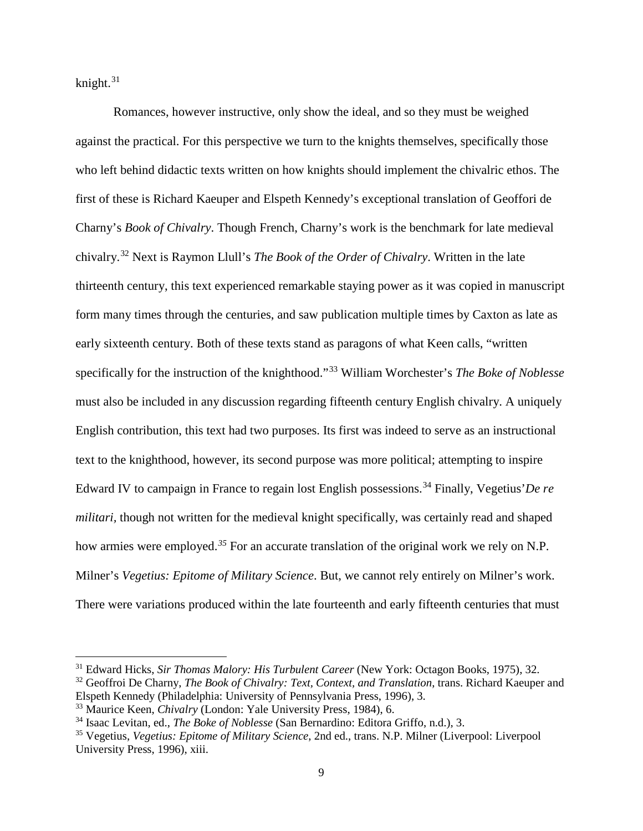knight. $31$ 

 $\overline{\phantom{a}}$ 

Romances, however instructive, only show the ideal, and so they must be weighed against the practical. For this perspective we turn to the knights themselves, specifically those who left behind didactic texts written on how knights should implement the chivalric ethos. The first of these is Richard Kaeuper and Elspeth Kennedy's exceptional translation of Geoffori de Charny's *Book of Chivalry*. Though French, Charny's work is the benchmark for late medieval chivalry.[32](#page-14-1) Next is Raymon Llull's *The Book of the Order of Chivalry*. Written in the late thirteenth century, this text experienced remarkable staying power as it was copied in manuscript form many times through the centuries, and saw publication multiple times by Caxton as late as early sixteenth century. Both of these texts stand as paragons of what Keen calls, "written specifically for the instruction of the knighthood."[33](#page-14-2) William Worchester's *The Boke of Noblesse* must also be included in any discussion regarding fifteenth century English chivalry. A uniquely English contribution, this text had two purposes. Its first was indeed to serve as an instructional text to the knighthood, however, its second purpose was more political; attempting to inspire Edward IV to campaign in France to regain lost English possessions.[34](#page-14-3) Finally, Vegetius'*De re militari,* though not written for the medieval knight specifically, was certainly read and shaped how armies were employed.*[35](#page-14-4)* For an accurate translation of the original work we rely on N.P. Milner's *Vegetius: Epitome of Military Science*. But, we cannot rely entirely on Milner's work. There were variations produced within the late fourteenth and early fifteenth centuries that must

<span id="page-14-0"></span><sup>31</sup> Edward Hicks, *Sir Thomas Malory: His Turbulent Career* (New York: Octagon Books, 1975), 32.

<span id="page-14-1"></span><sup>32</sup> Geoffroi De Charny, *The Book of Chivalry: Text, Context, and Translation*, trans. Richard Kaeuper and Elspeth Kennedy (Philadelphia: University of Pennsylvania Press, 1996), 3.

<span id="page-14-2"></span><sup>33</sup> Maurice Keen, *Chivalry* (London: Yale University Press, 1984), 6.

<span id="page-14-3"></span><sup>34</sup> Isaac Levitan, ed., *The Boke of Noblesse* (San Bernardino: Editora Griffo, n.d.), 3.

<span id="page-14-4"></span><sup>35</sup> Vegetius, *Vegetius: Epitome of Military Science*, 2nd ed., trans. N.P. Milner (Liverpool: Liverpool University Press, 1996), xiii.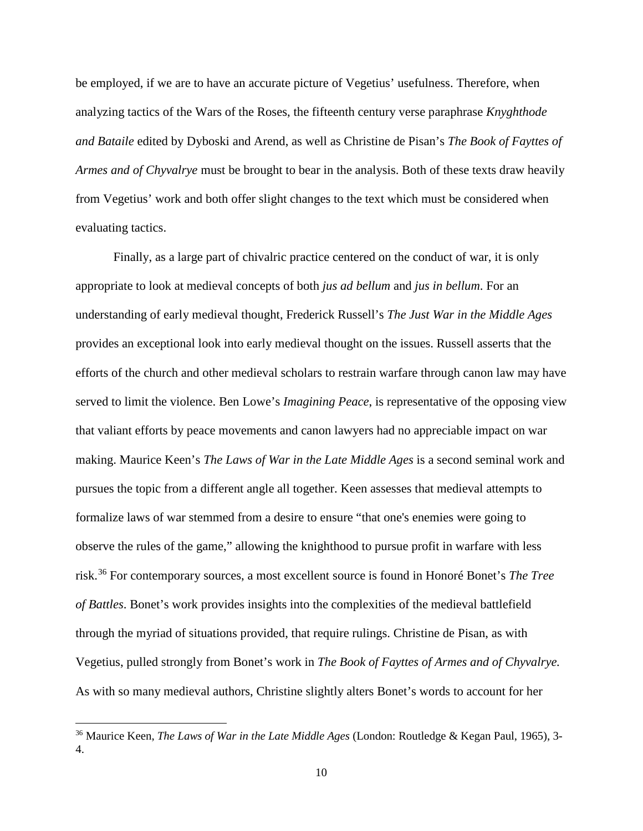be employed, if we are to have an accurate picture of Vegetius' usefulness. Therefore, when analyzing tactics of the Wars of the Roses, the fifteenth century verse paraphrase *Knyghthode and Bataile* edited by Dyboski and Arend, as well as Christine de Pisan's *The Book of Fayttes of Armes and of Chyvalrye* must be brought to bear in the analysis. Both of these texts draw heavily from Vegetius' work and both offer slight changes to the text which must be considered when evaluating tactics.

Finally, as a large part of chivalric practice centered on the conduct of war, it is only appropriate to look at medieval concepts of both *jus ad bellum* and *jus in bellum*. For an understanding of early medieval thought, Frederick Russell's *The Just War in the Middle Ages* provides an exceptional look into early medieval thought on the issues. Russell asserts that the efforts of the church and other medieval scholars to restrain warfare through canon law may have served to limit the violence. Ben Lowe's *Imagining Peace*, is representative of the opposing view that valiant efforts by peace movements and canon lawyers had no appreciable impact on war making. Maurice Keen's *The Laws of War in the Late Middle Ages* is a second seminal work and pursues the topic from a different angle all together. Keen assesses that medieval attempts to formalize laws of war stemmed from a desire to ensure "that one's enemies were going to observe the rules of the game," allowing the knighthood to pursue profit in warfare with less risk.[36](#page-15-0) For contemporary sources, a most excellent source is found in Honoré Bonet's *The Tree of Battles*. Bonet's work provides insights into the complexities of the medieval battlefield through the myriad of situations provided, that require rulings. Christine de Pisan, as with Vegetius, pulled strongly from Bonet's work in *The Book of Fayttes of Armes and of Chyvalrye.* As with so many medieval authors, Christine slightly alters Bonet's words to account for her

l

<span id="page-15-0"></span><sup>36</sup> Maurice Keen, *The Laws of War in the Late Middle Ages* (London: Routledge & Kegan Paul, 1965), 3- 4.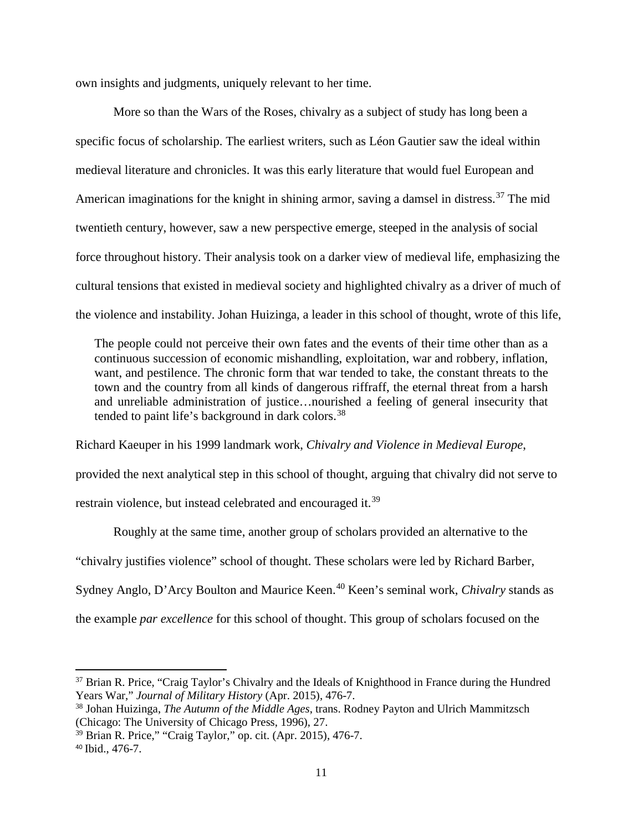own insights and judgments, uniquely relevant to her time.

More so than the Wars of the Roses, chivalry as a subject of study has long been a specific focus of scholarship. The earliest writers, such as Léon Gautier saw the ideal within medieval literature and chronicles. It was this early literature that would fuel European and American imaginations for the knight in shining armor, saving a damsel in distress.<sup>[37](#page-16-0)</sup> The mid twentieth century, however, saw a new perspective emerge, steeped in the analysis of social force throughout history. Their analysis took on a darker view of medieval life, emphasizing the cultural tensions that existed in medieval society and highlighted chivalry as a driver of much of the violence and instability. Johan Huizinga, a leader in this school of thought, wrote of this life,

The people could not perceive their own fates and the events of their time other than as a continuous succession of economic mishandling, exploitation, war and robbery, inflation, want, and pestilence. The chronic form that war tended to take, the constant threats to the town and the country from all kinds of dangerous riffraff, the eternal threat from a harsh and unreliable administration of justice…nourished a feeling of general insecurity that tended to paint life's background in dark colors.<sup>[38](#page-16-1)</sup>

Richard Kaeuper in his 1999 landmark work, *Chivalry and Violence in Medieval Europe*, provided the next analytical step in this school of thought, arguing that chivalry did not serve to restrain violence, but instead celebrated and encouraged it.<sup>[39](#page-16-2)</sup>

Roughly at the same time, another group of scholars provided an alternative to the "chivalry justifies violence" school of thought. These scholars were led by Richard Barber, Sydney Anglo, D'Arcy Boulton and Maurice Keen.<sup>[40](#page-16-3)</sup> Keen's seminal work, *Chivalry* stands as the example *par excellence* for this school of thought. This group of scholars focused on the

<span id="page-16-0"></span><sup>&</sup>lt;sup>37</sup> Brian R. Price, "Craig Taylor's Chivalry and the Ideals of Knighthood in France during the Hundred Years War," *Journal of Military History* (Apr. 2015), 476-7.

<span id="page-16-1"></span><sup>38</sup> Johan Huizinga, *The Autumn of the Middle Ages*, trans. Rodney Payton and Ulrich Mammitzsch (Chicago: The University of Chicago Press, 1996), 27.

<span id="page-16-2"></span><sup>39</sup> Brian R. Price," "Craig Taylor," op. cit. (Apr. 2015), 476-7.

<span id="page-16-3"></span><sup>40</sup> Ibid., 476-7.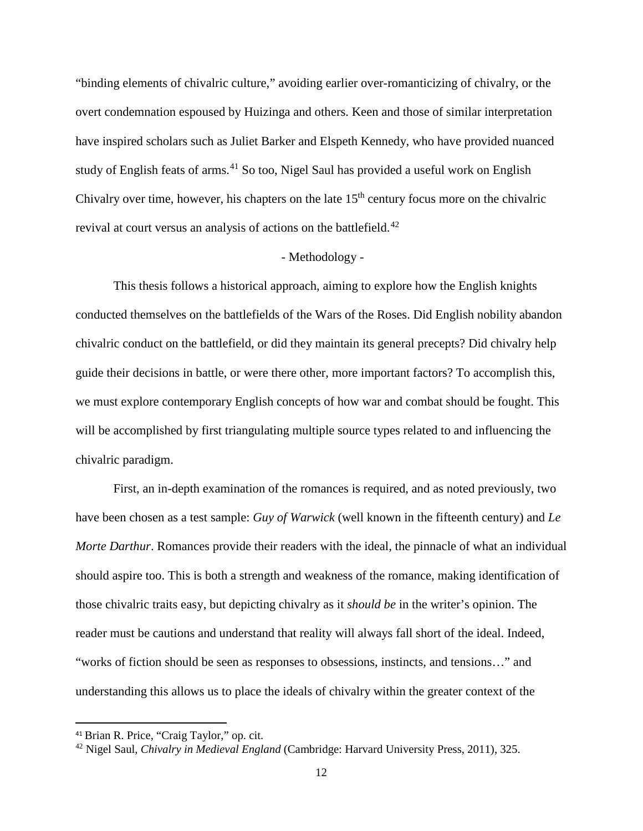"binding elements of chivalric culture," avoiding earlier over-romanticizing of chivalry, or the overt condemnation espoused by Huizinga and others. Keen and those of similar interpretation have inspired scholars such as Juliet Barker and Elspeth Kennedy, who have provided nuanced study of English feats of arms.<sup>[41](#page-17-0)</sup> So too, Nigel Saul has provided a useful work on English Chivalry over time, however, his chapters on the late  $15<sup>th</sup>$  century focus more on the chivalric revival at court versus an analysis of actions on the battlefield.<sup>[42](#page-17-1)</sup>

## - Methodology -

This thesis follows a historical approach, aiming to explore how the English knights conducted themselves on the battlefields of the Wars of the Roses. Did English nobility abandon chivalric conduct on the battlefield, or did they maintain its general precepts? Did chivalry help guide their decisions in battle, or were there other, more important factors? To accomplish this, we must explore contemporary English concepts of how war and combat should be fought. This will be accomplished by first triangulating multiple source types related to and influencing the chivalric paradigm.

First, an in-depth examination of the romances is required, and as noted previously, two have been chosen as a test sample: *Guy of Warwick* (well known in the fifteenth century) and *Le Morte Darthur*. Romances provide their readers with the ideal, the pinnacle of what an individual should aspire too. This is both a strength and weakness of the romance, making identification of those chivalric traits easy, but depicting chivalry as it *should be* in the writer's opinion. The reader must be cautions and understand that reality will always fall short of the ideal. Indeed, "works of fiction should be seen as responses to obsessions, instincts, and tensions…" and understanding this allows us to place the ideals of chivalry within the greater context of the

<span id="page-17-0"></span> <sup>41</sup> Brian R. Price, "Craig Taylor," op. cit.

<span id="page-17-1"></span><sup>42</sup> Nigel Saul, *Chivalry in Medieval England* (Cambridge: Harvard University Press, 2011), 325.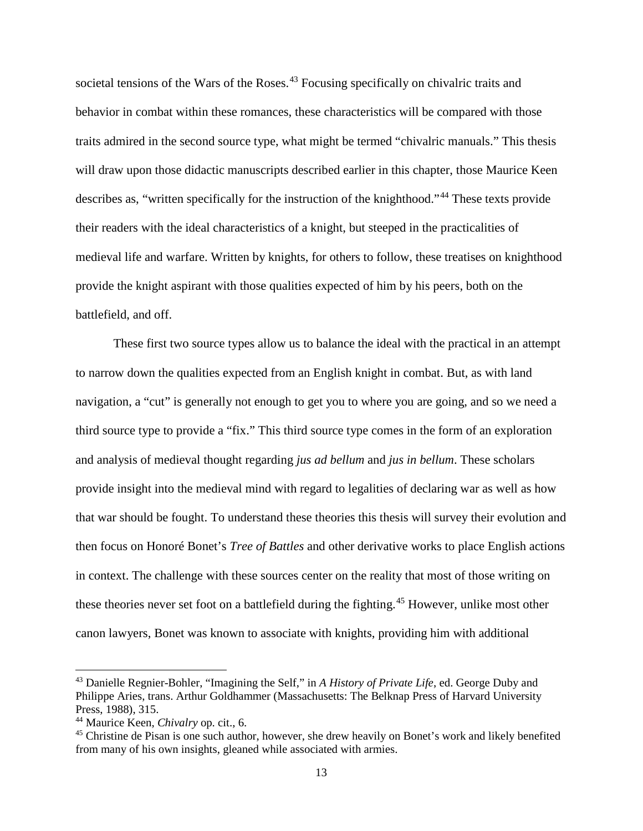societal tensions of the Wars of the Roses.<sup>[43](#page-18-0)</sup> Focusing specifically on chivalric traits and behavior in combat within these romances, these characteristics will be compared with those traits admired in the second source type, what might be termed "chivalric manuals." This thesis will draw upon those didactic manuscripts described earlier in this chapter, those Maurice Keen describes as, "written specifically for the instruction of the knighthood."[44](#page-18-1) These texts provide their readers with the ideal characteristics of a knight, but steeped in the practicalities of medieval life and warfare. Written by knights, for others to follow, these treatises on knighthood provide the knight aspirant with those qualities expected of him by his peers, both on the battlefield, and off.

These first two source types allow us to balance the ideal with the practical in an attempt to narrow down the qualities expected from an English knight in combat. But, as with land navigation, a "cut" is generally not enough to get you to where you are going, and so we need a third source type to provide a "fix." This third source type comes in the form of an exploration and analysis of medieval thought regarding *jus ad bellum* and *jus in bellum*. These scholars provide insight into the medieval mind with regard to legalities of declaring war as well as how that war should be fought. To understand these theories this thesis will survey their evolution and then focus on Honoré Bonet's *Tree of Battles* and other derivative works to place English actions in context. The challenge with these sources center on the reality that most of those writing on these theories never set foot on a battlefield during the fighting.<sup>[45](#page-18-2)</sup> However, unlike most other canon lawyers, Bonet was known to associate with knights, providing him with additional

<span id="page-18-0"></span><sup>43</sup> Danielle Regnier-Bohler, "Imagining the Self," in *A History of Private Life*, ed. George Duby and Philippe Aries, trans. Arthur Goldhammer (Massachusetts: The Belknap Press of Harvard University Press, 1988), 315.

<span id="page-18-1"></span><sup>44</sup> Maurice Keen, *Chivalry* op. cit., 6.

<span id="page-18-2"></span><sup>&</sup>lt;sup>45</sup> Christine de Pisan is one such author, however, she drew heavily on Bonet's work and likely benefited from many of his own insights, gleaned while associated with armies.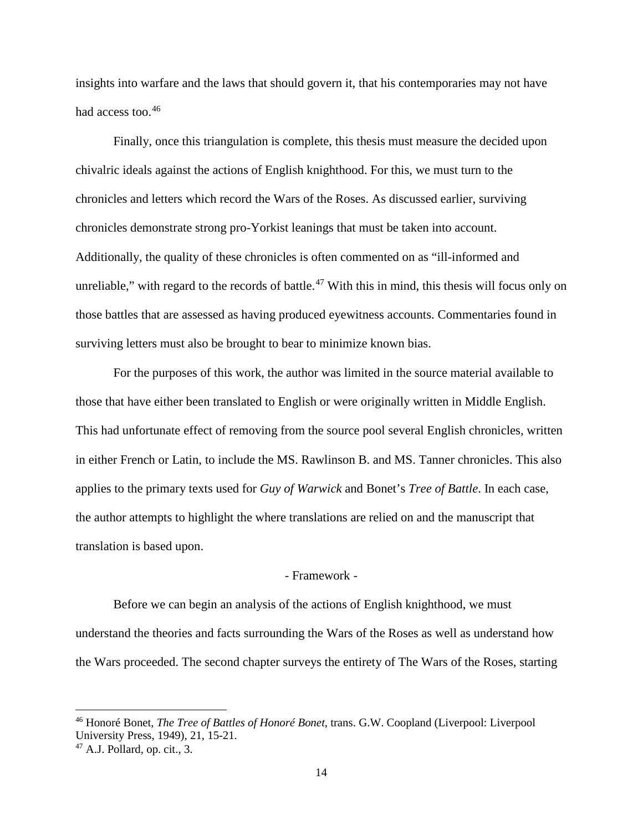insights into warfare and the laws that should govern it, that his contemporaries may not have had access too.<sup>[46](#page-19-0)</sup>

Finally, once this triangulation is complete, this thesis must measure the decided upon chivalric ideals against the actions of English knighthood. For this, we must turn to the chronicles and letters which record the Wars of the Roses. As discussed earlier, surviving chronicles demonstrate strong pro-Yorkist leanings that must be taken into account. Additionally, the quality of these chronicles is often commented on as "ill-informed and unreliable," with regard to the records of battle.<sup>[47](#page-19-1)</sup> With this in mind, this thesis will focus only on those battles that are assessed as having produced eyewitness accounts. Commentaries found in surviving letters must also be brought to bear to minimize known bias.

For the purposes of this work, the author was limited in the source material available to those that have either been translated to English or were originally written in Middle English. This had unfortunate effect of removing from the source pool several English chronicles, written in either French or Latin, to include the MS. Rawlinson B. and MS. Tanner chronicles. This also applies to the primary texts used for *Guy of Warwick* and Bonet's *Tree of Battle*. In each case, the author attempts to highlight the where translations are relied on and the manuscript that translation is based upon.

## - Framework -

Before we can begin an analysis of the actions of English knighthood, we must understand the theories and facts surrounding the Wars of the Roses as well as understand how the Wars proceeded. The second chapter surveys the entirety of The Wars of the Roses, starting

<span id="page-19-0"></span><sup>46</sup> Honoré Bonet, *The Tree of Battles of Honoré Bonet*, trans. G.W. Coopland (Liverpool: Liverpool University Press, 1949), 21, 15-21.

<span id="page-19-1"></span> $47$  A.J. Pollard, op. cit., 3.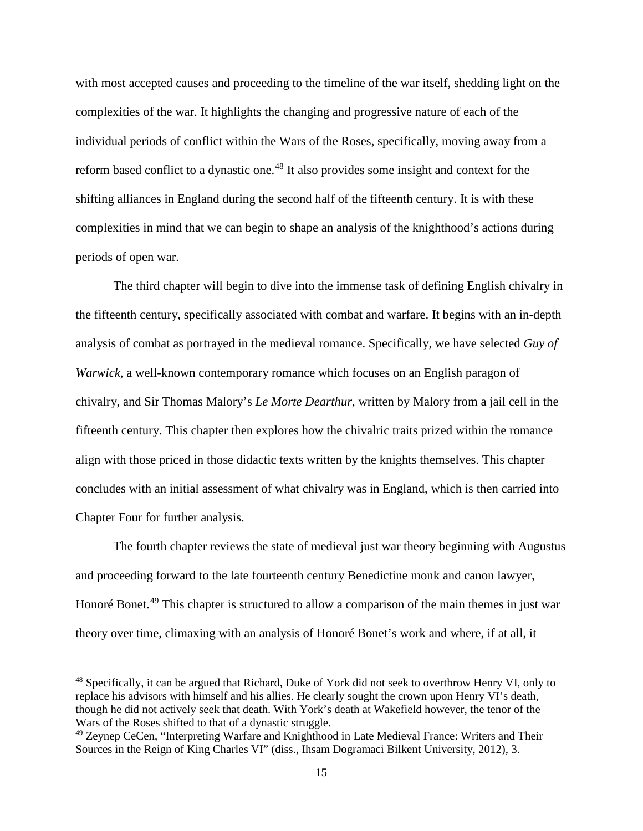with most accepted causes and proceeding to the timeline of the war itself, shedding light on the complexities of the war. It highlights the changing and progressive nature of each of the individual periods of conflict within the Wars of the Roses, specifically, moving away from a reform based conflict to a dynastic one.<sup>[48](#page-20-0)</sup> It also provides some insight and context for the shifting alliances in England during the second half of the fifteenth century. It is with these complexities in mind that we can begin to shape an analysis of the knighthood's actions during periods of open war.

The third chapter will begin to dive into the immense task of defining English chivalry in the fifteenth century, specifically associated with combat and warfare. It begins with an in-depth analysis of combat as portrayed in the medieval romance. Specifically, we have selected *Guy of Warwick*, a well-known contemporary romance which focuses on an English paragon of chivalry, and Sir Thomas Malory's *Le Morte Dearthur*, written by Malory from a jail cell in the fifteenth century. This chapter then explores how the chivalric traits prized within the romance align with those priced in those didactic texts written by the knights themselves. This chapter concludes with an initial assessment of what chivalry was in England, which is then carried into Chapter Four for further analysis.

The fourth chapter reviews the state of medieval just war theory beginning with Augustus and proceeding forward to the late fourteenth century Benedictine monk and canon lawyer, Honoré Bonet.<sup>[49](#page-20-1)</sup> This chapter is structured to allow a comparison of the main themes in just war theory over time, climaxing with an analysis of Honoré Bonet's work and where, if at all, it

<span id="page-20-0"></span><sup>48</sup> Specifically, it can be argued that Richard, Duke of York did not seek to overthrow Henry VI, only to replace his advisors with himself and his allies. He clearly sought the crown upon Henry VI's death, though he did not actively seek that death. With York's death at Wakefield however, the tenor of the

<span id="page-20-1"></span><sup>&</sup>lt;sup>49</sup> Zeynep CeCen, "Interpreting Warfare and Knighthood in Late Medieval France: Writers and Their Sources in the Reign of King Charles VI" (diss., Ihsam Dogramaci Bilkent University, 2012), 3.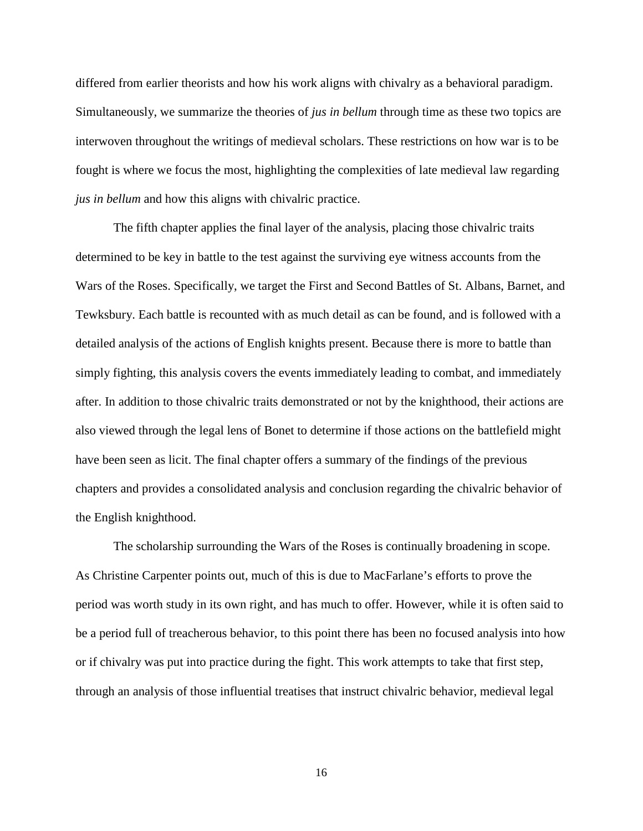differed from earlier theorists and how his work aligns with chivalry as a behavioral paradigm. Simultaneously, we summarize the theories of *jus in bellum* through time as these two topics are interwoven throughout the writings of medieval scholars. These restrictions on how war is to be fought is where we focus the most, highlighting the complexities of late medieval law regarding *jus in bellum* and how this aligns with chivalric practice.

The fifth chapter applies the final layer of the analysis, placing those chivalric traits determined to be key in battle to the test against the surviving eye witness accounts from the Wars of the Roses. Specifically, we target the First and Second Battles of St. Albans, Barnet, and Tewksbury. Each battle is recounted with as much detail as can be found, and is followed with a detailed analysis of the actions of English knights present. Because there is more to battle than simply fighting, this analysis covers the events immediately leading to combat, and immediately after. In addition to those chivalric traits demonstrated or not by the knighthood, their actions are also viewed through the legal lens of Bonet to determine if those actions on the battlefield might have been seen as licit. The final chapter offers a summary of the findings of the previous chapters and provides a consolidated analysis and conclusion regarding the chivalric behavior of the English knighthood.

The scholarship surrounding the Wars of the Roses is continually broadening in scope. As Christine Carpenter points out, much of this is due to MacFarlane's efforts to prove the period was worth study in its own right, and has much to offer. However, while it is often said to be a period full of treacherous behavior, to this point there has been no focused analysis into how or if chivalry was put into practice during the fight. This work attempts to take that first step, through an analysis of those influential treatises that instruct chivalric behavior, medieval legal

16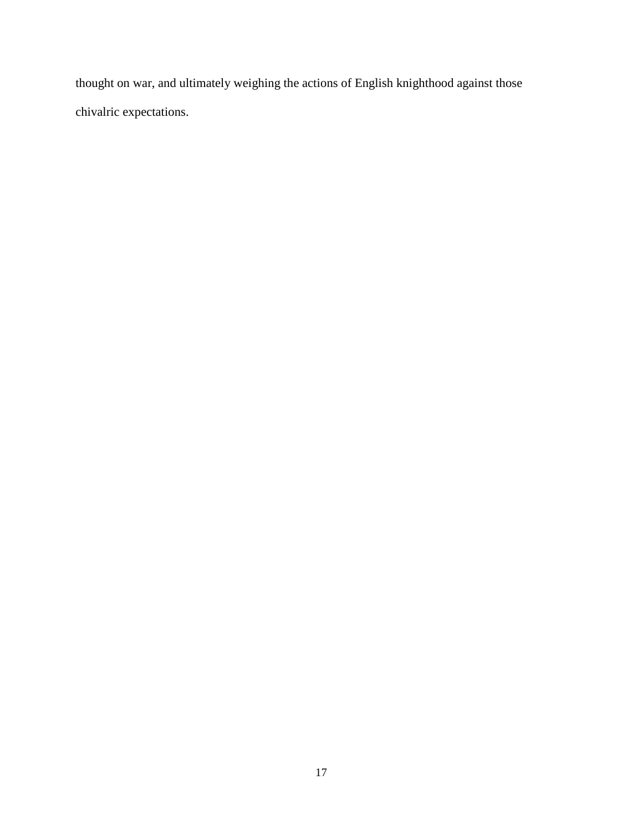thought on war, and ultimately weighing the actions of English knighthood against those chivalric expectations.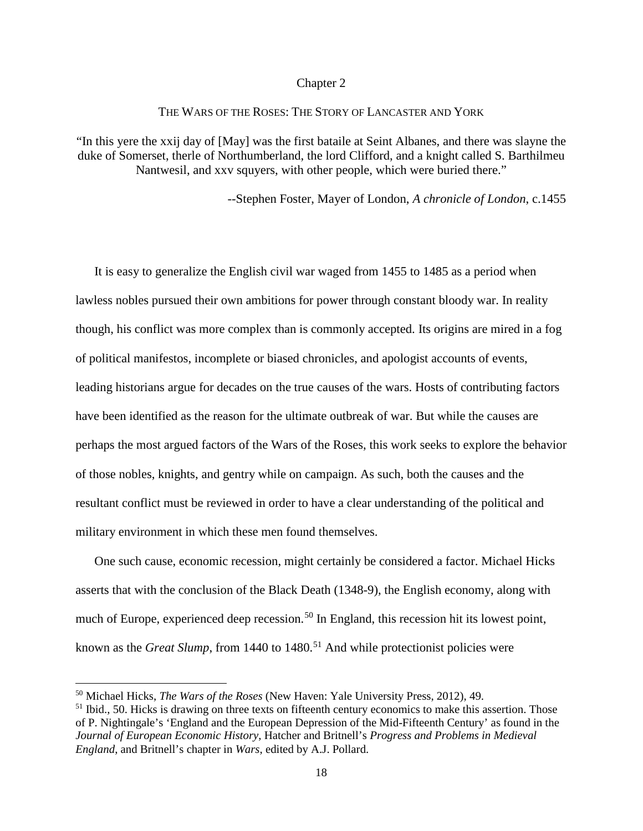#### Chapter 2

# THE WARS OF THE ROSES: THE STORY OF LANCASTER AND YORK

"In this yere the xxij day of [May] was the first bataile at Seint Albanes, and there was slayne the duke of Somerset, therle of Northumberland, the lord Clifford, and a knight called S. Barthilmeu Nantwesil, and xxv squyers, with other people, which were buried there."

--Stephen Foster, Mayer of London, *A chronicle of London*, c.1455

It is easy to generalize the English civil war waged from 1455 to 1485 as a period when lawless nobles pursued their own ambitions for power through constant bloody war. In reality though, his conflict was more complex than is commonly accepted. Its origins are mired in a fog of political manifestos, incomplete or biased chronicles, and apologist accounts of events, leading historians argue for decades on the true causes of the wars. Hosts of contributing factors have been identified as the reason for the ultimate outbreak of war. But while the causes are perhaps the most argued factors of the Wars of the Roses, this work seeks to explore the behavior of those nobles, knights, and gentry while on campaign. As such, both the causes and the resultant conflict must be reviewed in order to have a clear understanding of the political and military environment in which these men found themselves.

One such cause, economic recession, might certainly be considered a factor. Michael Hicks asserts that with the conclusion of the Black Death (1348-9), the English economy, along with much of Europe, experienced deep recession.<sup>[50](#page-23-0)</sup> In England, this recession hit its lowest point, known as the *Great Slump*, from 1440 to 1480.<sup>[51](#page-23-1)</sup> And while protectionist policies were

l

<span id="page-23-0"></span><sup>50</sup> Michael Hicks, *The Wars of the Roses* (New Haven: Yale University Press, 2012), 49.

<span id="page-23-1"></span><sup>&</sup>lt;sup>51</sup> Ibid., 50. Hicks is drawing on three texts on fifteenth century economics to make this assertion. Those of P. Nightingale's 'England and the European Depression of the Mid-Fifteenth Century' as found in the *Journal of European Economic History*, Hatcher and Britnell's *Progress and Problems in Medieval England*, and Britnell's chapter in *Wars*, edited by A.J. Pollard.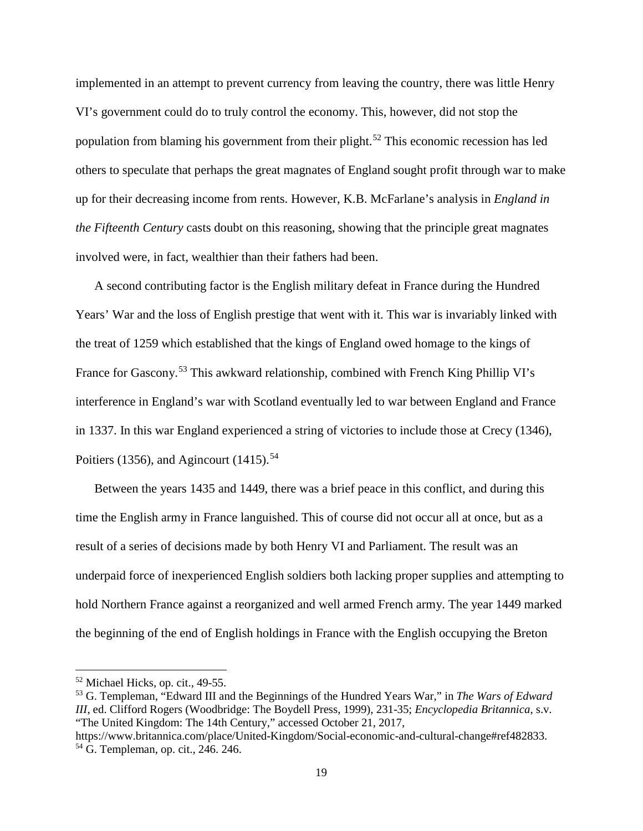implemented in an attempt to prevent currency from leaving the country, there was little Henry VI's government could do to truly control the economy. This, however, did not stop the population from blaming his government from their plight.<sup>[52](#page-24-0)</sup> This economic recession has led others to speculate that perhaps the great magnates of England sought profit through war to make up for their decreasing income from rents. However, K.B. McFarlane's analysis in *England in the Fifteenth Century* casts doubt on this reasoning, showing that the principle great magnates involved were, in fact, wealthier than their fathers had been.

A second contributing factor is the English military defeat in France during the Hundred Years' War and the loss of English prestige that went with it. This war is invariably linked with the treat of 1259 which established that the kings of England owed homage to the kings of France for Gascony.<sup>[53](#page-24-1)</sup> This awkward relationship, combined with French King Phillip VI's interference in England's war with Scotland eventually led to war between England and France in 1337. In this war England experienced a string of victories to include those at Crecy (1346), Poitiers (1356), and Agincourt (1415).<sup>[54](#page-24-2)</sup>

Between the years 1435 and 1449, there was a brief peace in this conflict, and during this time the English army in France languished. This of course did not occur all at once, but as a result of a series of decisions made by both Henry VI and Parliament. The result was an underpaid force of inexperienced English soldiers both lacking proper supplies and attempting to hold Northern France against a reorganized and well armed French army. The year 1449 marked the beginning of the end of English holdings in France with the English occupying the Breton

 $\overline{\phantom{a}}$ 

<span id="page-24-1"></span><sup>53</sup> G. Templeman, "Edward III and the Beginnings of the Hundred Years War," in *The Wars of Edward III*, ed. Clifford Rogers (Woodbridge: The Boydell Press, 1999), 231-35; *Encyclopedia Britannica*, s.v. "The United Kingdom: The 14th Century," accessed October 21, 2017,

<span id="page-24-0"></span><sup>52</sup> Michael Hicks, op. cit., 49-55.

<span id="page-24-2"></span>https://www.britannica.com/place/United-Kingdom/Social-economic-and-cultural-change#ref482833. <sup>54</sup> G. Templeman, op. cit., 246. 246.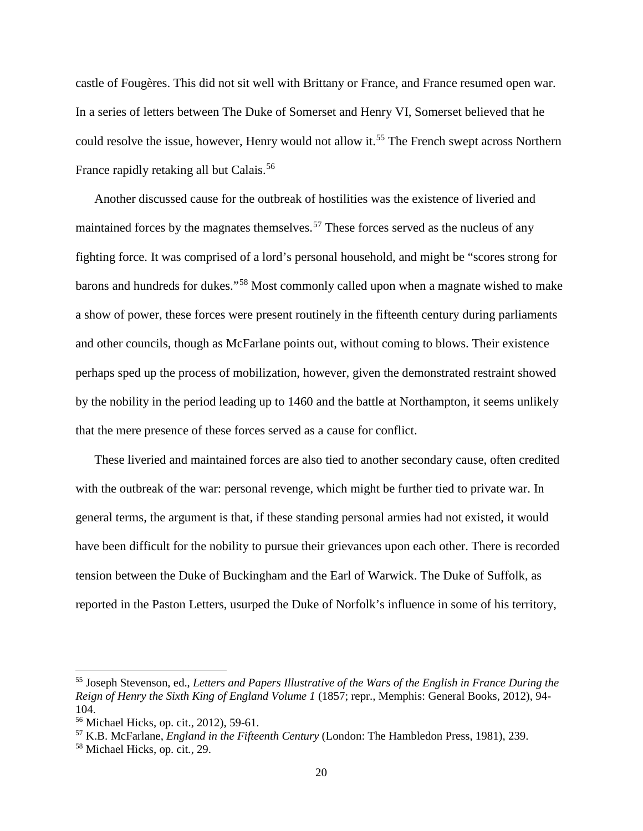castle of Fougères. This did not sit well with Brittany or France, and France resumed open war. In a series of letters between The Duke of Somerset and Henry VI, Somerset believed that he could resolve the issue, however, Henry would not allow it.<sup>[55](#page-25-0)</sup> The French swept across Northern France rapidly retaking all but Calais.<sup>[56](#page-25-1)</sup>

Another discussed cause for the outbreak of hostilities was the existence of liveried and maintained forces by the magnates themselves.<sup>[57](#page-25-2)</sup> These forces served as the nucleus of any fighting force. It was comprised of a lord's personal household, and might be "scores strong for barons and hundreds for dukes."[58](#page-25-3) Most commonly called upon when a magnate wished to make a show of power, these forces were present routinely in the fifteenth century during parliaments and other councils, though as McFarlane points out, without coming to blows. Their existence perhaps sped up the process of mobilization, however, given the demonstrated restraint showed by the nobility in the period leading up to 1460 and the battle at Northampton, it seems unlikely that the mere presence of these forces served as a cause for conflict.

These liveried and maintained forces are also tied to another secondary cause, often credited with the outbreak of the war: personal revenge, which might be further tied to private war. In general terms, the argument is that, if these standing personal armies had not existed, it would have been difficult for the nobility to pursue their grievances upon each other. There is recorded tension between the Duke of Buckingham and the Earl of Warwick. The Duke of Suffolk, as reported in the Paston Letters, usurped the Duke of Norfolk's influence in some of his territory,

<span id="page-25-0"></span><sup>55</sup> Joseph Stevenson, ed., *Letters and Papers Illustrative of the Wars of the English in France During the Reign of Henry the Sixth King of England Volume 1* (1857; repr., Memphis: General Books, 2012), 94- 104.

<span id="page-25-1"></span><sup>56</sup> Michael Hicks, op. cit., 2012), 59-61.

<span id="page-25-2"></span><sup>57</sup> K.B. McFarlane, *England in the Fifteenth Century* (London: The Hambledon Press, 1981), 239.

<span id="page-25-3"></span><sup>58</sup> Michael Hicks, op. cit*.*, 29.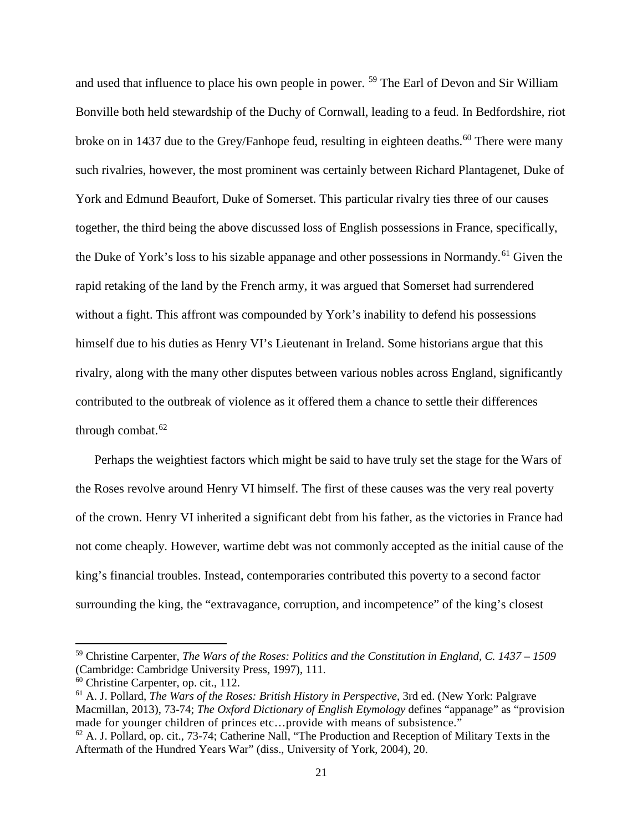and used that influence to place his own people in power. [59](#page-26-0) The Earl of Devon and Sir William Bonville both held stewardship of the Duchy of Cornwall, leading to a feud. In Bedfordshire, riot broke on in 1437 due to the Grey/Fanhope feud, resulting in eighteen deaths.<sup>[60](#page-26-1)</sup> There were many such rivalries, however, the most prominent was certainly between Richard Plantagenet, Duke of York and Edmund Beaufort, Duke of Somerset. This particular rivalry ties three of our causes together, the third being the above discussed loss of English possessions in France, specifically, the Duke of York's loss to his sizable appanage and other possessions in Normandy.<sup>[61](#page-26-2)</sup> Given the rapid retaking of the land by the French army, it was argued that Somerset had surrendered without a fight. This affront was compounded by York's inability to defend his possessions himself due to his duties as Henry VI's Lieutenant in Ireland. Some historians argue that this rivalry, along with the many other disputes between various nobles across England, significantly contributed to the outbreak of violence as it offered them a chance to settle their differences through combat. $62$ 

Perhaps the weightiest factors which might be said to have truly set the stage for the Wars of the Roses revolve around Henry VI himself. The first of these causes was the very real poverty of the crown. Henry VI inherited a significant debt from his father, as the victories in France had not come cheaply. However, wartime debt was not commonly accepted as the initial cause of the king's financial troubles. Instead, contemporaries contributed this poverty to a second factor surrounding the king, the "extravagance, corruption, and incompetence" of the king's closest

l

<span id="page-26-0"></span><sup>59</sup> Christine Carpenter, *The Wars of the Roses: Politics and the Constitution in England, C. 1437 – 1509*  (Cambridge: Cambridge University Press, 1997), 111.

<span id="page-26-1"></span><sup>60</sup> Christine Carpenter, op. cit., 112.

<span id="page-26-2"></span><sup>61</sup> A. J. Pollard, *The Wars of the Roses: British History in Perspective*, 3rd ed. (New York: Palgrave Macmillan, 2013), 73-74; *The Oxford Dictionary of English Etymology* defines "appanage" as "provision made for younger children of princes etc…provide with means of subsistence."

<span id="page-26-3"></span> $62$  A. J. Pollard, op. cit., 73-74; Catherine Nall, "The Production and Reception of Military Texts in the Aftermath of the Hundred Years War" (diss., University of York, 2004), 20.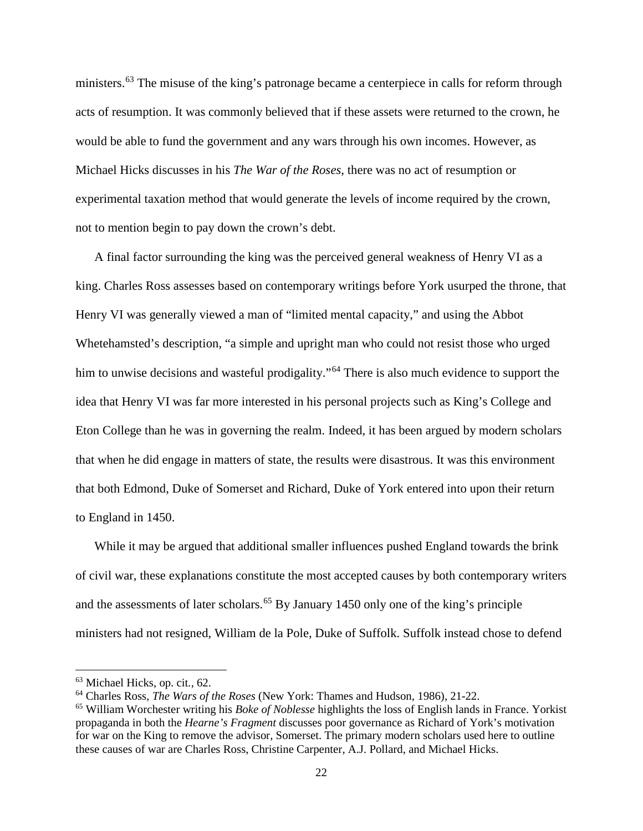ministers.<sup>[63](#page-27-0)</sup> The misuse of the king's patronage became a centerpiece in calls for reform through acts of resumption. It was commonly believed that if these assets were returned to the crown, he would be able to fund the government and any wars through his own incomes. However, as Michael Hicks discusses in his *The War of the Roses*, there was no act of resumption or experimental taxation method that would generate the levels of income required by the crown, not to mention begin to pay down the crown's debt.

A final factor surrounding the king was the perceived general weakness of Henry VI as a king. Charles Ross assesses based on contemporary writings before York usurped the throne, that Henry VI was generally viewed a man of "limited mental capacity," and using the Abbot Whetehamsted's description, "a simple and upright man who could not resist those who urged him to unwise decisions and wasteful prodigality."<sup>[64](#page-27-1)</sup> There is also much evidence to support the idea that Henry VI was far more interested in his personal projects such as King's College and Eton College than he was in governing the realm. Indeed, it has been argued by modern scholars that when he did engage in matters of state, the results were disastrous. It was this environment that both Edmond, Duke of Somerset and Richard, Duke of York entered into upon their return to England in 1450.

While it may be argued that additional smaller influences pushed England towards the brink of civil war, these explanations constitute the most accepted causes by both contemporary writers and the assessments of later scholars.<sup>[65](#page-27-2)</sup> By January 1450 only one of the king's principle ministers had not resigned, William de la Pole, Duke of Suffolk. Suffolk instead chose to defend

<span id="page-27-0"></span><sup>63</sup> Michael Hicks, op. cit*.,* 62.

<span id="page-27-1"></span><sup>64</sup> Charles Ross, *The Wars of the Roses* (New York: Thames and Hudson, 1986), 21-22.

<span id="page-27-2"></span><sup>65</sup> William Worchester writing his *Boke of Noblesse* highlights the loss of English lands in France. Yorkist propaganda in both the *Hearne's Fragment* discusses poor governance as Richard of York's motivation for war on the King to remove the advisor, Somerset. The primary modern scholars used here to outline these causes of war are Charles Ross, Christine Carpenter, A.J. Pollard, and Michael Hicks.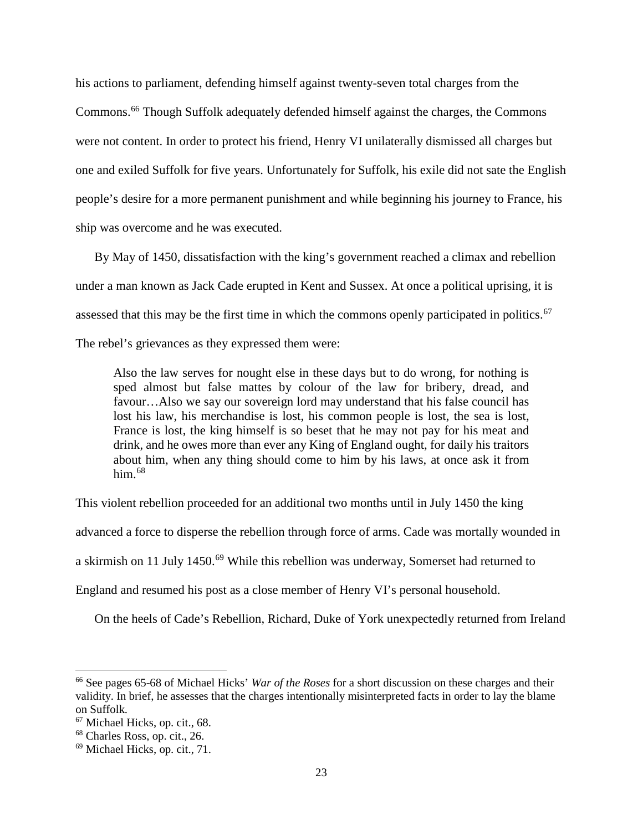his actions to parliament, defending himself against twenty-seven total charges from the Commons.[66](#page-28-0) Though Suffolk adequately defended himself against the charges, the Commons were not content. In order to protect his friend, Henry VI unilaterally dismissed all charges but one and exiled Suffolk for five years. Unfortunately for Suffolk, his exile did not sate the English people's desire for a more permanent punishment and while beginning his journey to France, his ship was overcome and he was executed.

By May of 1450, dissatisfaction with the king's government reached a climax and rebellion under a man known as Jack Cade erupted in Kent and Sussex. At once a political uprising, it is assessed that this may be the first time in which the commons openly participated in politics.<sup>[67](#page-28-1)</sup> The rebel's grievances as they expressed them were:

Also the law serves for nought else in these days but to do wrong, for nothing is sped almost but false mattes by colour of the law for bribery, dread, and favour…Also we say our sovereign lord may understand that his false council has lost his law, his merchandise is lost, his common people is lost, the sea is lost, France is lost, the king himself is so beset that he may not pay for his meat and drink, and he owes more than ever any King of England ought, for daily his traitors about him, when any thing should come to him by his laws, at once ask it from him. $68$ 

This violent rebellion proceeded for an additional two months until in July 1450 the king

advanced a force to disperse the rebellion through force of arms. Cade was mortally wounded in

a skirmish on 11 July 1450.<sup>[69](#page-28-3)</sup> While this rebellion was underway, Somerset had returned to

England and resumed his post as a close member of Henry VI's personal household.

On the heels of Cade's Rebellion, Richard, Duke of York unexpectedly returned from Ireland

<span id="page-28-0"></span><sup>66</sup> See pages 65-68 of Michael Hicks' *War of the Roses* for a short discussion on these charges and their validity. In brief, he assesses that the charges intentionally misinterpreted facts in order to lay the blame on Suffolk. 67 Michael Hicks, op. cit., 68.

<span id="page-28-1"></span>

<span id="page-28-2"></span><sup>68</sup> Charles Ross, op. cit., 26.

<span id="page-28-3"></span><sup>69</sup> Michael Hicks, op. cit., 71.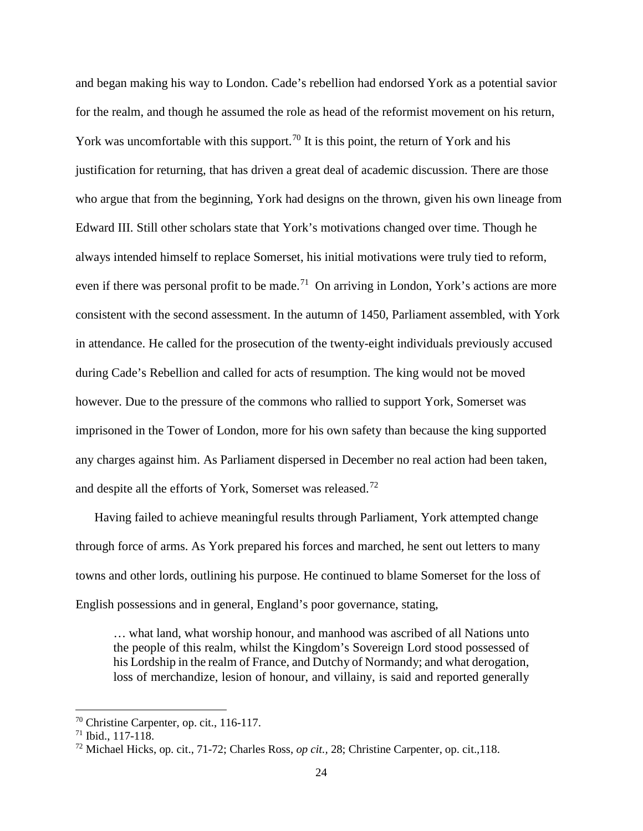and began making his way to London. Cade's rebellion had endorsed York as a potential savior for the realm, and though he assumed the role as head of the reformist movement on his return, York was uncomfortable with this support.<sup>[70](#page-29-0)</sup> It is this point, the return of York and his justification for returning, that has driven a great deal of academic discussion. There are those who argue that from the beginning, York had designs on the thrown, given his own lineage from Edward III. Still other scholars state that York's motivations changed over time. Though he always intended himself to replace Somerset, his initial motivations were truly tied to reform, even if there was personal profit to be made.<sup>[71](#page-29-1)</sup> On arriving in London, York's actions are more consistent with the second assessment. In the autumn of 1450, Parliament assembled, with York in attendance. He called for the prosecution of the twenty-eight individuals previously accused during Cade's Rebellion and called for acts of resumption. The king would not be moved however. Due to the pressure of the commons who rallied to support York, Somerset was imprisoned in the Tower of London, more for his own safety than because the king supported any charges against him. As Parliament dispersed in December no real action had been taken, and despite all the efforts of York, Somerset was released.[72](#page-29-2)

Having failed to achieve meaningful results through Parliament, York attempted change through force of arms. As York prepared his forces and marched, he sent out letters to many towns and other lords, outlining his purpose. He continued to blame Somerset for the loss of English possessions and in general, England's poor governance, stating,

… what land, what worship honour, and manhood was ascribed of all Nations unto the people of this realm, whilst the Kingdom's Sovereign Lord stood possessed of his Lordship in the realm of France, and Dutchy of Normandy; and what derogation, loss of merchandize, lesion of honour, and villainy, is said and reported generally

<span id="page-29-0"></span><sup>70</sup> Christine Carpenter, op. cit., 116-117.

<span id="page-29-1"></span><sup>71</sup> Ibid., 117-118.

<span id="page-29-2"></span><sup>72</sup> Michael Hicks, op. cit., 71-72; Charles Ross, *op cit.,* 28; Christine Carpenter, op. cit.*,*118.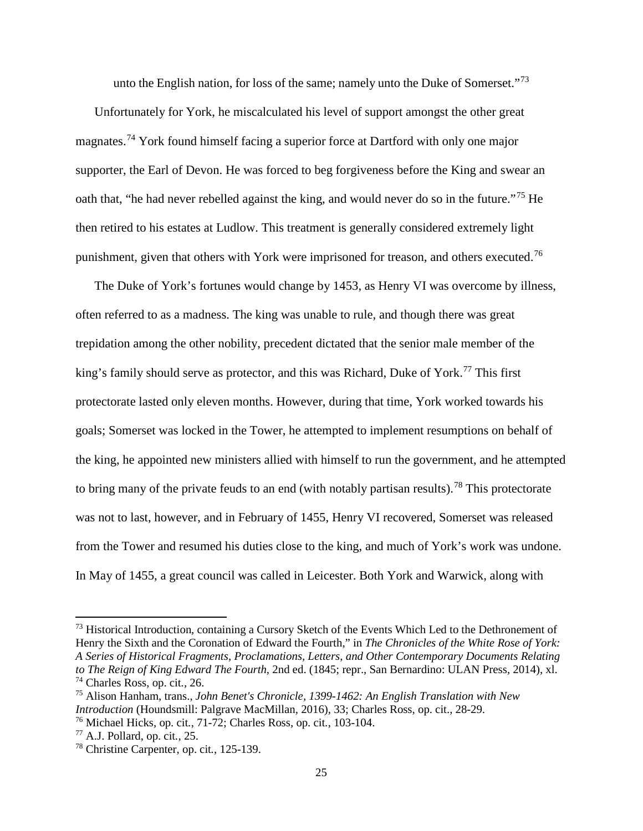unto the English nation, for loss of the same; namely unto the Duke of Somerset."<sup>[73](#page-30-0)</sup>

Unfortunately for York, he miscalculated his level of support amongst the other great magnates.<sup>[74](#page-30-1)</sup> York found himself facing a superior force at Dartford with only one major supporter, the Earl of Devon. He was forced to beg forgiveness before the King and swear an oath that, "he had never rebelled against the king, and would never do so in the future."[75](#page-30-2) He then retired to his estates at Ludlow. This treatment is generally considered extremely light punishment, given that others with York were imprisoned for treason, and others executed.<sup>[76](#page-30-3)</sup>

The Duke of York's fortunes would change by 1453, as Henry VI was overcome by illness, often referred to as a madness. The king was unable to rule, and though there was great trepidation among the other nobility, precedent dictated that the senior male member of the king's family should serve as protector, and this was Richard, Duke of York.<sup>[77](#page-30-4)</sup> This first protectorate lasted only eleven months. However, during that time, York worked towards his goals; Somerset was locked in the Tower, he attempted to implement resumptions on behalf of the king, he appointed new ministers allied with himself to run the government, and he attempted to bring many of the private feuds to an end (with notably partisan results).<sup>[78](#page-30-5)</sup> This protectorate was not to last, however, and in February of 1455, Henry VI recovered, Somerset was released from the Tower and resumed his duties close to the king, and much of York's work was undone. In May of 1455, a great council was called in Leicester. Both York and Warwick, along with

<span id="page-30-0"></span><sup>&</sup>lt;sup>73</sup> Historical Introduction, containing a Cursory Sketch of the Events Which Led to the Dethronement of Henry the Sixth and the Coronation of Edward the Fourth," in *The Chronicles of the White Rose of York: A Series of Historical Fragments, Proclamations, Letters, and Other Contemporary Documents Relating to The Reign of King Edward The Fourth*, 2nd ed. (1845; repr., San Bernardino: ULAN Press, 2014), xl. <sup>74</sup> Charles Ross, op. cit*.,* 26.

<span id="page-30-2"></span><span id="page-30-1"></span><sup>75</sup> Alison Hanham, trans., *John Benet's Chronicle, 1399-1462: An English Translation with New Introduction* (Houndsmill: Palgrave MacMillan, 2016), 33; Charles Ross, op. cit., 28-29. <sup>76</sup> Michael Hicks, op. cit*.*, 71-72; Charles Ross, op. cit*.*, 103-104.

<span id="page-30-4"></span><span id="page-30-3"></span><sup>77</sup> A.J. Pollard, op. cit*.,* 25.

<span id="page-30-5"></span><sup>78</sup> Christine Carpenter, op. cit*.*, 125-139.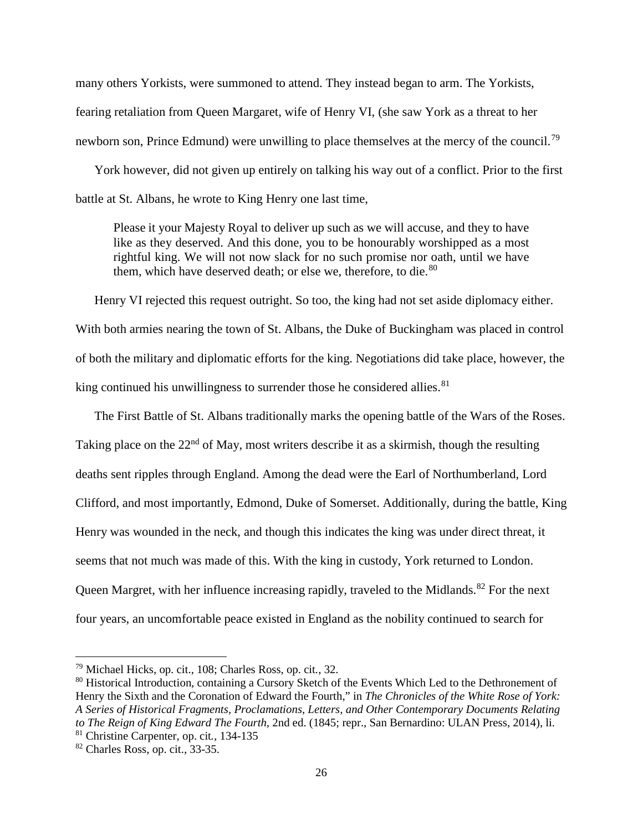many others Yorkists, were summoned to attend. They instead began to arm. The Yorkists, fearing retaliation from Queen Margaret, wife of Henry VI, (she saw York as a threat to her newborn son, Prince Edmund) were unwilling to place themselves at the mercy of the council.<sup>[79](#page-31-0)</sup>

York however, did not given up entirely on talking his way out of a conflict. Prior to the first battle at St. Albans, he wrote to King Henry one last time,

Please it your Majesty Royal to deliver up such as we will accuse, and they to have like as they deserved. And this done, you to be honourably worshipped as a most rightful king. We will not now slack for no such promise nor oath, until we have them, which have deserved death; or else we, therefore, to die. $80$ 

Henry VI rejected this request outright. So too, the king had not set aside diplomacy either. With both armies nearing the town of St. Albans, the Duke of Buckingham was placed in control of both the military and diplomatic efforts for the king. Negotiations did take place, however, the king continued his unwillingness to surrender those he considered allies. $81$ 

The First Battle of St. Albans traditionally marks the opening battle of the Wars of the Roses. Taking place on the  $22<sup>nd</sup>$  of May, most writers describe it as a skirmish, though the resulting deaths sent ripples through England. Among the dead were the Earl of Northumberland, Lord Clifford, and most importantly, Edmond, Duke of Somerset. Additionally, during the battle, King Henry was wounded in the neck, and though this indicates the king was under direct threat, it seems that not much was made of this. With the king in custody, York returned to London. Queen Margret, with her influence increasing rapidly, traveled to the Midlands.<sup>[82](#page-31-3)</sup> For the next four years, an uncomfortable peace existed in England as the nobility continued to search for

<span id="page-31-0"></span><sup>79</sup> Michael Hicks, op. cit., 108; Charles Ross, op. cit*.*, 32.

<span id="page-31-1"></span><sup>&</sup>lt;sup>80</sup> Historical Introduction, containing a Cursory Sketch of the Events Which Led to the Dethronement of Henry the Sixth and the Coronation of Edward the Fourth," in *The Chronicles of the White Rose of York: A Series of Historical Fragments, Proclamations, Letters, and Other Contemporary Documents Relating to The Reign of King Edward The Fourth*, 2nd ed. (1845; repr., San Bernardino: ULAN Press, 2014), li.

<span id="page-31-2"></span><sup>81</sup> Christine Carpenter, op. cit*.,* 134-135

<span id="page-31-3"></span><sup>82</sup> Charles Ross, op. cit., 33-35.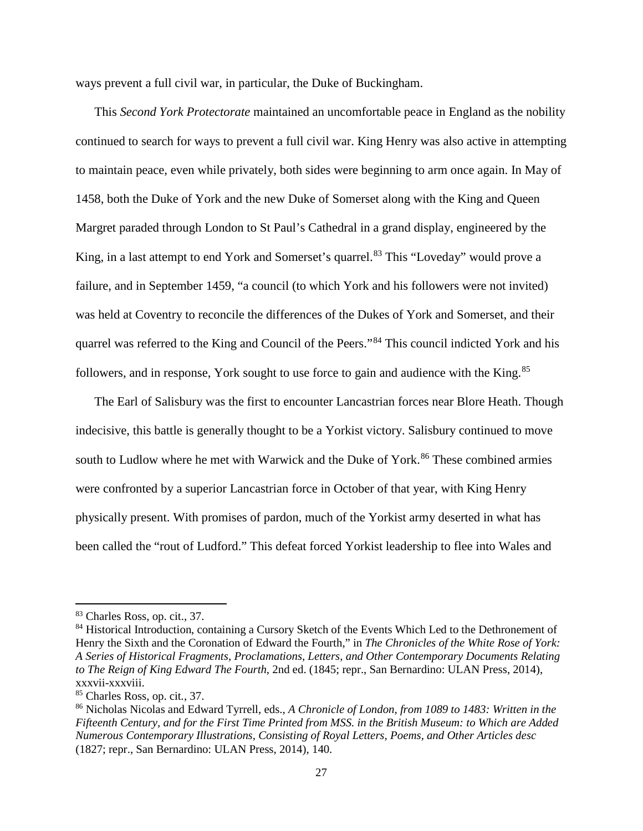ways prevent a full civil war, in particular, the Duke of Buckingham.

This *Second York Protectorate* maintained an uncomfortable peace in England as the nobility continued to search for ways to prevent a full civil war. King Henry was also active in attempting to maintain peace, even while privately, both sides were beginning to arm once again. In May of 1458, both the Duke of York and the new Duke of Somerset along with the King and Queen Margret paraded through London to St Paul's Cathedral in a grand display, engineered by the King, in a last attempt to end York and Somerset's quarrel.<sup>[83](#page-32-0)</sup> This "Loveday" would prove a failure, and in September 1459, "a council (to which York and his followers were not invited) was held at Coventry to reconcile the differences of the Dukes of York and Somerset, and their quarrel was referred to the King and Council of the Peers."[84](#page-32-1) This council indicted York and his followers, and in response, York sought to use force to gain and audience with the King.<sup>[85](#page-32-2)</sup>

The Earl of Salisbury was the first to encounter Lancastrian forces near Blore Heath. Though indecisive, this battle is generally thought to be a Yorkist victory. Salisbury continued to move south to Ludlow where he met with Warwick and the Duke of York.<sup>[86](#page-32-3)</sup> These combined armies were confronted by a superior Lancastrian force in October of that year, with King Henry physically present. With promises of pardon, much of the Yorkist army deserted in what has been called the "rout of Ludford." This defeat forced Yorkist leadership to flee into Wales and

 $\overline{a}$ 

<span id="page-32-0"></span><sup>83</sup> Charles Ross, op. cit., 37.

<span id="page-32-1"></span><sup>&</sup>lt;sup>84</sup> Historical Introduction, containing a Cursory Sketch of the Events Which Led to the Dethronement of Henry the Sixth and the Coronation of Edward the Fourth," in *The Chronicles of the White Rose of York: A Series of Historical Fragments, Proclamations, Letters, and Other Contemporary Documents Relating to The Reign of King Edward The Fourth*, 2nd ed. (1845; repr., San Bernardino: ULAN Press, 2014), xxxvii-xxxviii.

<span id="page-32-2"></span><sup>85</sup> Charles Ross, op. cit*.*, 37.

<span id="page-32-3"></span><sup>86</sup> Nicholas Nicolas and Edward Tyrrell, eds., *A Chronicle of London, from 1089 to 1483: Written in the Fifteenth Century, and for the First Time Printed from MSS. in the British Museum: to Which are Added Numerous Contemporary Illustrations, Consisting of Royal Letters, Poems, and Other Articles desc* (1827; repr., San Bernardino: ULAN Press, 2014), 140.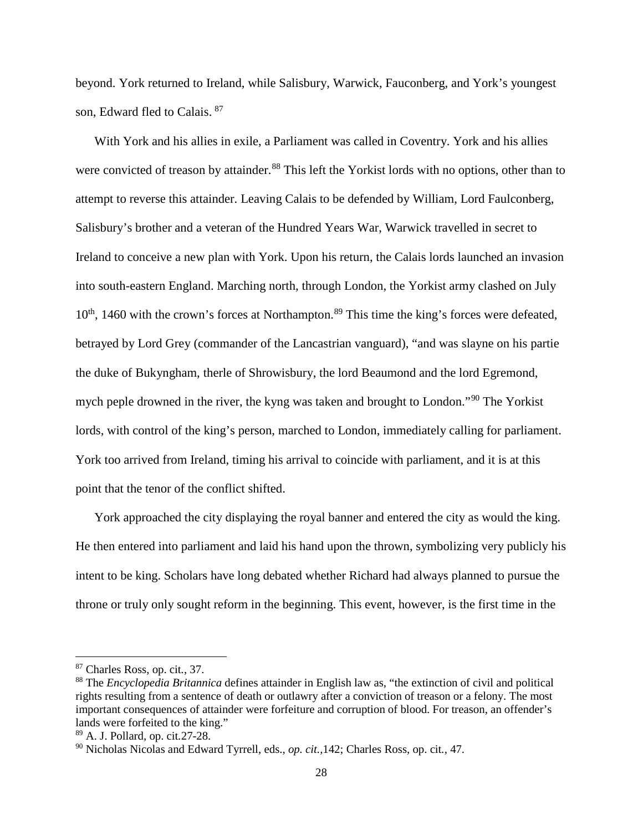beyond. York returned to Ireland, while Salisbury, Warwick, Fauconberg, and York's youngest son, Edward fled to Calais. [87](#page-33-0)

With York and his allies in exile, a Parliament was called in Coventry. York and his allies were convicted of treason by attainder.<sup>[88](#page-33-1)</sup> This left the Yorkist lords with no options, other than to attempt to reverse this attainder. Leaving Calais to be defended by William, Lord Faulconberg, Salisbury's brother and a veteran of the Hundred Years War, Warwick travelled in secret to Ireland to conceive a new plan with York. Upon his return, the Calais lords launched an invasion into south-eastern England. Marching north, through London, the Yorkist army clashed on July  $10<sup>th</sup>$ , 1460 with the crown's forces at Northampton.<sup>[89](#page-33-2)</sup> This time the king's forces were defeated, betrayed by Lord Grey (commander of the Lancastrian vanguard), "and was slayne on his partie the duke of Bukyngham, therle of Shrowisbury, the lord Beaumond and the lord Egremond, mych peple drowned in the river, the kyng was taken and brought to London."[90](#page-33-3) The Yorkist lords, with control of the king's person, marched to London, immediately calling for parliament. York too arrived from Ireland, timing his arrival to coincide with parliament, and it is at this point that the tenor of the conflict shifted.

York approached the city displaying the royal banner and entered the city as would the king. He then entered into parliament and laid his hand upon the thrown, symbolizing very publicly his intent to be king. Scholars have long debated whether Richard had always planned to pursue the throne or truly only sought reform in the beginning. This event, however, is the first time in the

<span id="page-33-0"></span><sup>87</sup> Charles Ross, op. cit*.*, 37.

<span id="page-33-1"></span><sup>88</sup> The *Encyclopedia Britannica* defines attainder in [English law](https://www.britannica.com/topic/English-law) as, "the extinction of civil and political rights resulting from a sentence of death or [outlawry](https://www.britannica.com/topic/outlawry) after a [conviction](https://www.merriam-webster.com/dictionary/conviction) of [treason](https://www.britannica.com/topic/treason) or a [felony.](https://www.britannica.com/topic/felony) The most important consequences of attainder were forfeiture and corruption of blood. For treason, an offender's lands were forfeited to the king."

<span id="page-33-2"></span><sup>89</sup> A. J. Pollard, op. cit*.*27-28.

<span id="page-33-3"></span><sup>90</sup> Nicholas Nicolas and Edward Tyrrell, eds., *op. cit.,*142; Charles Ross, op. cit*.*, 47.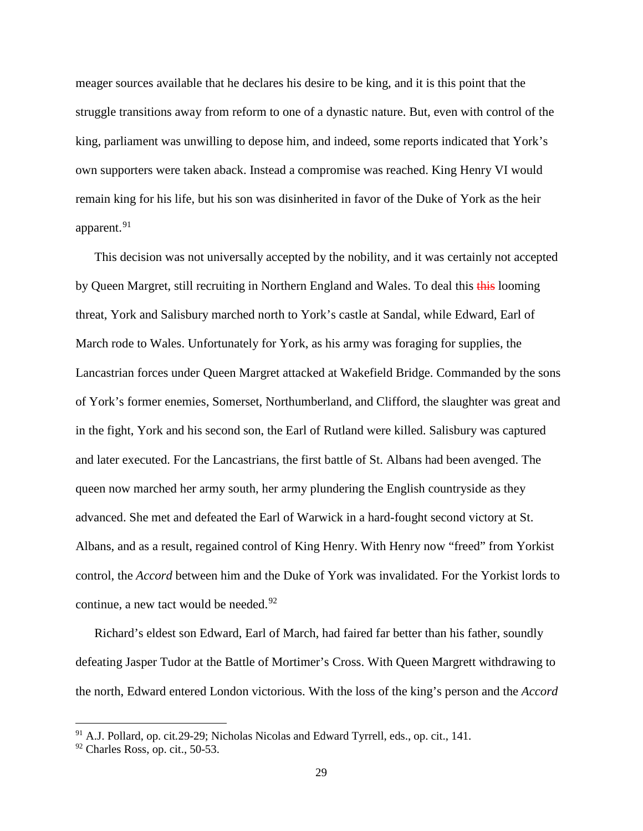meager sources available that he declares his desire to be king, and it is this point that the struggle transitions away from reform to one of a dynastic nature. But, even with control of the king, parliament was unwilling to depose him, and indeed, some reports indicated that York's own supporters were taken aback. Instead a compromise was reached. King Henry VI would remain king for his life, but his son was disinherited in favor of the Duke of York as the heir apparent.<sup>[91](#page-34-0)</sup>

This decision was not universally accepted by the nobility, and it was certainly not accepted by Queen Margret, still recruiting in Northern England and Wales. To deal this this looming threat, York and Salisbury marched north to York's castle at Sandal, while Edward, Earl of March rode to Wales. Unfortunately for York, as his army was foraging for supplies, the Lancastrian forces under Queen Margret attacked at Wakefield Bridge. Commanded by the sons of York's former enemies, Somerset, Northumberland, and Clifford, the slaughter was great and in the fight, York and his second son, the Earl of Rutland were killed. Salisbury was captured and later executed. For the Lancastrians, the first battle of St. Albans had been avenged. The queen now marched her army south, her army plundering the English countryside as they advanced. She met and defeated the Earl of Warwick in a hard-fought second victory at St. Albans, and as a result, regained control of King Henry. With Henry now "freed" from Yorkist control, the *Accord* between him and the Duke of York was invalidated. For the Yorkist lords to continue, a new tact would be needed. $92$ 

Richard's eldest son Edward, Earl of March, had faired far better than his father, soundly defeating Jasper Tudor at the Battle of Mortimer's Cross. With Queen Margrett withdrawing to the north, Edward entered London victorious. With the loss of the king's person and the *Accord*

l

<span id="page-34-0"></span><sup>91</sup> A.J. Pollard, op. cit*.*29-29; Nicholas Nicolas and Edward Tyrrell, eds., op. cit., 141.

<span id="page-34-1"></span><sup>92</sup> Charles Ross, op. cit., 50-53.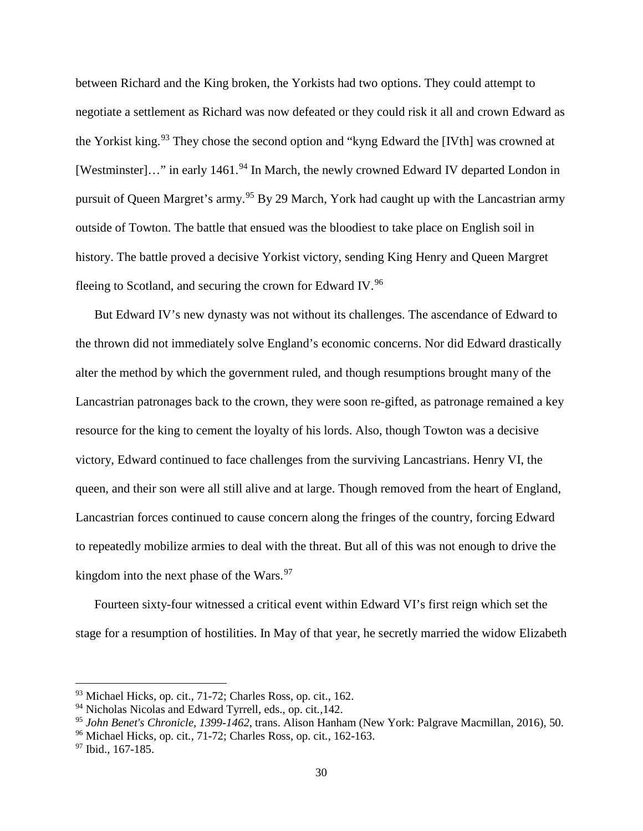between Richard and the King broken, the Yorkists had two options. They could attempt to negotiate a settlement as Richard was now defeated or they could risk it all and crown Edward as the Yorkist king.<sup>[93](#page-35-0)</sup> They chose the second option and "kyng Edward the [IVth] was crowned at [Westminster]..." in early 1461.<sup>[94](#page-35-1)</sup> In March, the newly crowned Edward IV departed London in pursuit of Queen Margret's army.<sup>[95](#page-35-2)</sup> By 29 March, York had caught up with the Lancastrian army outside of Towton. The battle that ensued was the bloodiest to take place on English soil in history. The battle proved a decisive Yorkist victory, sending King Henry and Queen Margret fleeing to Scotland, and securing the crown for Edward IV.<sup>[96](#page-35-3)</sup>

But Edward IV's new dynasty was not without its challenges. The ascendance of Edward to the thrown did not immediately solve England's economic concerns. Nor did Edward drastically alter the method by which the government ruled, and though resumptions brought many of the Lancastrian patronages back to the crown, they were soon re-gifted, as patronage remained a key resource for the king to cement the loyalty of his lords. Also, though Towton was a decisive victory, Edward continued to face challenges from the surviving Lancastrians. Henry VI, the queen, and their son were all still alive and at large. Though removed from the heart of England, Lancastrian forces continued to cause concern along the fringes of the country, forcing Edward to repeatedly mobilize armies to deal with the threat. But all of this was not enough to drive the kingdom into the next phase of the Wars. $97$ 

Fourteen sixty-four witnessed a critical event within Edward VI's first reign which set the stage for a resumption of hostilities. In May of that year, he secretly married the widow Elizabeth

l

<span id="page-35-0"></span><sup>93</sup> Michael Hicks, op. cit., 71-72; Charles Ross, op. cit., 162.

<span id="page-35-1"></span><sup>94</sup> Nicholas Nicolas and Edward Tyrrell, eds., op. cit*.,*142.

<span id="page-35-2"></span><sup>95</sup> *John Benet's Chronicle, 1399-1462*, trans. Alison Hanham (New York: Palgrave Macmillan, 2016), 50.

<span id="page-35-3"></span><sup>96</sup> Michael Hicks, op. cit*.*, 71-72; Charles Ross, op. cit*.*, 162-163.

<span id="page-35-4"></span><sup>&</sup>lt;sup>97</sup> Ibid., 167-185.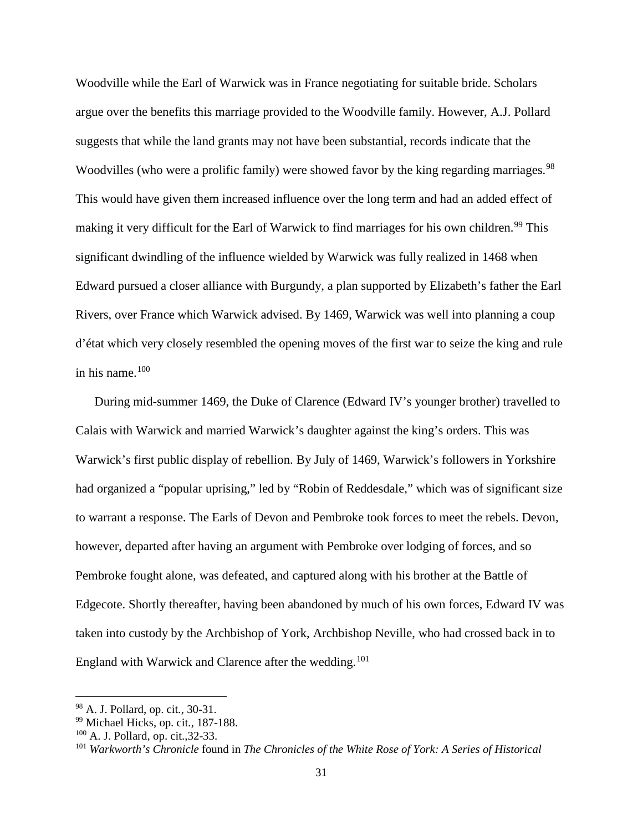Woodville while the Earl of Warwick was in France negotiating for suitable bride. Scholars argue over the benefits this marriage provided to the Woodville family. However, A.J. Pollard suggests that while the land grants may not have been substantial, records indicate that the Woodvilles (who were a prolific family) were showed favor by the king regarding marriages.<sup>[98](#page-36-0)</sup> This would have given them increased influence over the long term and had an added effect of making it very difficult for the Earl of Warwick to find marriages for his own children.<sup>[99](#page-36-1)</sup> This significant dwindling of the influence wielded by Warwick was fully realized in 1468 when Edward pursued a closer alliance with Burgundy, a plan supported by Elizabeth's father the Earl Rivers, over France which Warwick advised. By 1469, Warwick was well into planning a coup d'état which very closely resembled the opening moves of the first war to seize the king and rule in his name. $100$ 

During mid-summer 1469, the Duke of Clarence (Edward IV's younger brother) travelled to Calais with Warwick and married Warwick's daughter against the king's orders. This was Warwick's first public display of rebellion. By July of 1469, Warwick's followers in Yorkshire had organized a "popular uprising," led by "Robin of Reddesdale," which was of significant size to warrant a response. The Earls of Devon and Pembroke took forces to meet the rebels. Devon, however, departed after having an argument with Pembroke over lodging of forces, and so Pembroke fought alone, was defeated, and captured along with his brother at the Battle of Edgecote. Shortly thereafter, having been abandoned by much of his own forces, Edward IV was taken into custody by the Archbishop of York, Archbishop Neville, who had crossed back in to England with Warwick and Clarence after the wedding.<sup>[101](#page-36-3)</sup>

 $\overline{a}$ 

<span id="page-36-0"></span><sup>98</sup> A. J. Pollard, op. cit*.*, 30-31.

<span id="page-36-1"></span><sup>99</sup> Michael Hicks, op. cit*.*, 187-188.

<span id="page-36-2"></span><sup>100</sup> A. J. Pollard, op. cit.,32-33.

<span id="page-36-3"></span><sup>101</sup> *Warkworth's Chronicle* found in *The Chronicles of the White Rose of York: A Series of Historical*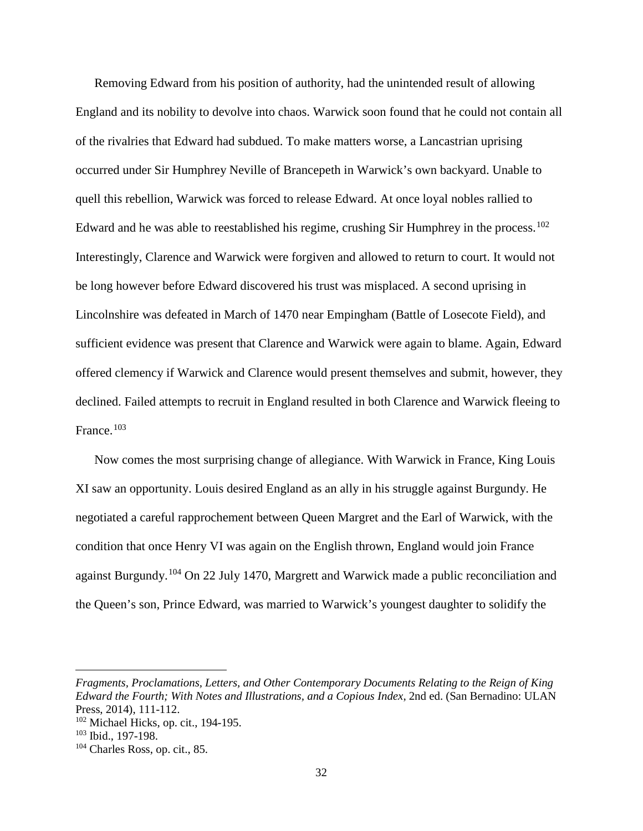Removing Edward from his position of authority, had the unintended result of allowing England and its nobility to devolve into chaos. Warwick soon found that he could not contain all of the rivalries that Edward had subdued. To make matters worse, a Lancastrian uprising occurred under Sir Humphrey Neville of Brancepeth in Warwick's own backyard. Unable to quell this rebellion, Warwick was forced to release Edward. At once loyal nobles rallied to Edward and he was able to reestablished his regime, crushing Sir Humphrey in the process.<sup>[102](#page-37-0)</sup> Interestingly, Clarence and Warwick were forgiven and allowed to return to court. It would not be long however before Edward discovered his trust was misplaced. A second uprising in Lincolnshire was defeated in March of 1470 near Empingham (Battle of Losecote Field), and sufficient evidence was present that Clarence and Warwick were again to blame. Again, Edward offered clemency if Warwick and Clarence would present themselves and submit, however, they declined. Failed attempts to recruit in England resulted in both Clarence and Warwick fleeing to France.[103](#page-37-1)

Now comes the most surprising change of allegiance. With Warwick in France, King Louis XI saw an opportunity. Louis desired England as an ally in his struggle against Burgundy. He negotiated a careful rapprochement between Queen Margret and the Earl of Warwick, with the condition that once Henry VI was again on the English thrown, England would join France against Burgundy.[104](#page-37-2) On 22 July 1470, Margrett and Warwick made a public reconciliation and the Queen's son, Prince Edward, was married to Warwick's youngest daughter to solidify the

*Fragments, Proclamations, Letters, and Other Contemporary Documents Relating to the Reign of King Edward the Fourth; With Notes and Illustrations, and a Copious Index*, 2nd ed. (San Bernadino: ULAN Press, 2014), 111-112.

<span id="page-37-0"></span><sup>102</sup> Michael Hicks, op. cit., 194-195.

<span id="page-37-1"></span><sup>103</sup> Ibid., 197-198.

<span id="page-37-2"></span><sup>104</sup> Charles Ross, op. cit., 85.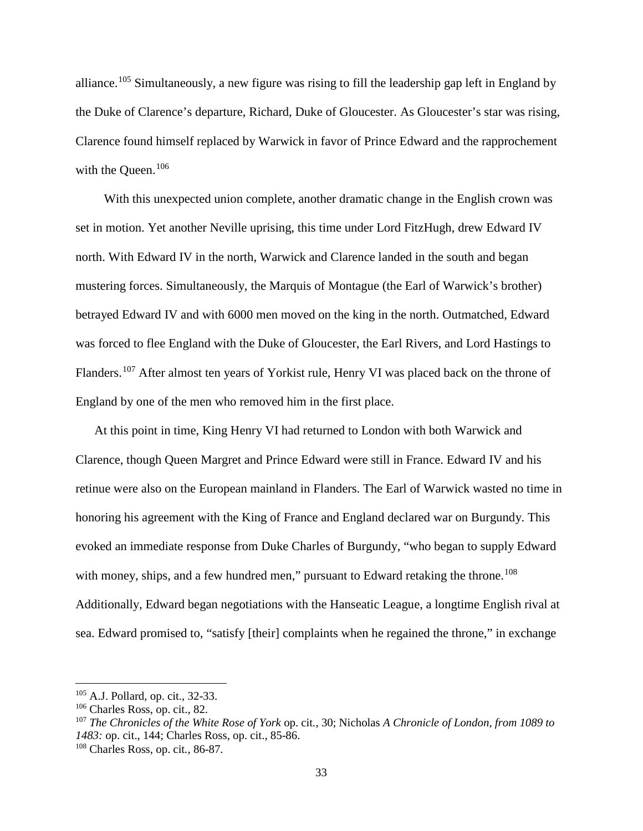alliance.<sup>[105](#page-38-0)</sup> Simultaneously, a new figure was rising to fill the leadership gap left in England by the Duke of Clarence's departure, Richard, Duke of Gloucester. As Gloucester's star was rising, Clarence found himself replaced by Warwick in favor of Prince Edward and the rapprochement with the Queen.<sup>[106](#page-38-1)</sup>

 With this unexpected union complete, another dramatic change in the English crown was set in motion. Yet another Neville uprising, this time under Lord FitzHugh, drew Edward IV north. With Edward IV in the north, Warwick and Clarence landed in the south and began mustering forces. Simultaneously, the Marquis of Montague (the Earl of Warwick's brother) betrayed Edward IV and with 6000 men moved on the king in the north. Outmatched, Edward was forced to flee England with the Duke of Gloucester, the Earl Rivers, and Lord Hastings to Flanders.<sup>[107](#page-38-2)</sup> After almost ten years of Yorkist rule, Henry VI was placed back on the throne of England by one of the men who removed him in the first place.

At this point in time, King Henry VI had returned to London with both Warwick and Clarence, though Queen Margret and Prince Edward were still in France. Edward IV and his retinue were also on the European mainland in Flanders. The Earl of Warwick wasted no time in honoring his agreement with the King of France and England declared war on Burgundy. This evoked an immediate response from Duke Charles of Burgundy, "who began to supply Edward with money, ships, and a few hundred men," pursuant to Edward retaking the throne.<sup>[108](#page-38-3)</sup> Additionally, Edward began negotiations with the Hanseatic League, a longtime English rival at sea. Edward promised to, "satisfy [their] complaints when he regained the throne," in exchange

<span id="page-38-0"></span><sup>105</sup> A.J. Pollard, op. cit., 32-33.

<span id="page-38-1"></span><sup>106</sup> Charles Ross, op. cit., 82.

<span id="page-38-2"></span><sup>107</sup> *The Chronicles of the White Rose of York* op. cit*.*, 30; Nicholas *A Chronicle of London, from 1089 to 1483:* op. cit., 144; Charles Ross, op. cit., 85-86.

<span id="page-38-3"></span><sup>108</sup> Charles Ross, op. cit*.*, 86-87.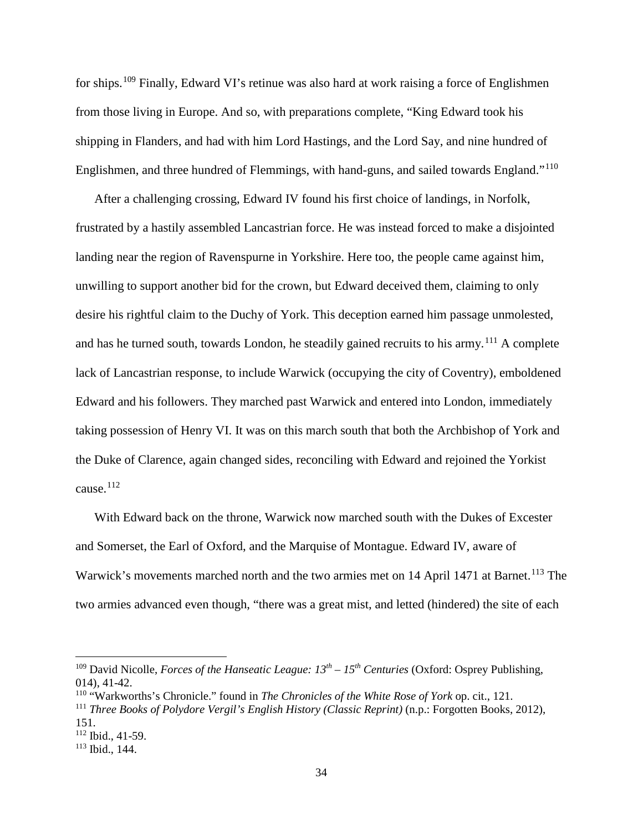for ships.[109](#page-39-0) Finally, Edward VI's retinue was also hard at work raising a force of Englishmen from those living in Europe. And so, with preparations complete, "King Edward took his shipping in Flanders, and had with him Lord Hastings, and the Lord Say, and nine hundred of Englishmen, and three hundred of Flemmings, with hand-guns, and sailed towards England."[110](#page-39-1)

After a challenging crossing, Edward IV found his first choice of landings, in Norfolk, frustrated by a hastily assembled Lancastrian force. He was instead forced to make a disjointed landing near the region of Ravenspurne in Yorkshire. Here too, the people came against him, unwilling to support another bid for the crown, but Edward deceived them, claiming to only desire his rightful claim to the Duchy of York. This deception earned him passage unmolested, and has he turned south, towards London, he steadily gained recruits to his army.<sup>[111](#page-39-2)</sup> A complete lack of Lancastrian response, to include Warwick (occupying the city of Coventry), emboldened Edward and his followers. They marched past Warwick and entered into London, immediately taking possession of Henry VI. It was on this march south that both the Archbishop of York and the Duke of Clarence, again changed sides, reconciling with Edward and rejoined the Yorkist cause. $^{112}$  $^{112}$  $^{112}$ 

With Edward back on the throne, Warwick now marched south with the Dukes of Excester and Somerset, the Earl of Oxford, and the Marquise of Montague. Edward IV, aware of Warwick's movements marched north and the two armies met on 14 April 1471 at Barnet.<sup>[113](#page-39-4)</sup> The two armies advanced even though, "there was a great mist, and letted (hindered) the site of each

<span id="page-39-0"></span><sup>109</sup> David Nicolle, *Forces of the Hanseatic League: 13th – 15th Centuries* (Oxford: Osprey Publishing, 014), 41-42.

<span id="page-39-1"></span><sup>110</sup> "Warkworths's Chronicle." found in *The Chronicles of the White Rose of York* op. cit., 121.

<span id="page-39-2"></span><sup>111</sup> *Three Books of Polydore Vergil's English History (Classic Reprint)* (n.p.: Forgotten Books, 2012), 151.

<span id="page-39-3"></span> $112$  Ibid., 41-59.

<span id="page-39-4"></span><sup>113</sup> Ibid., 144.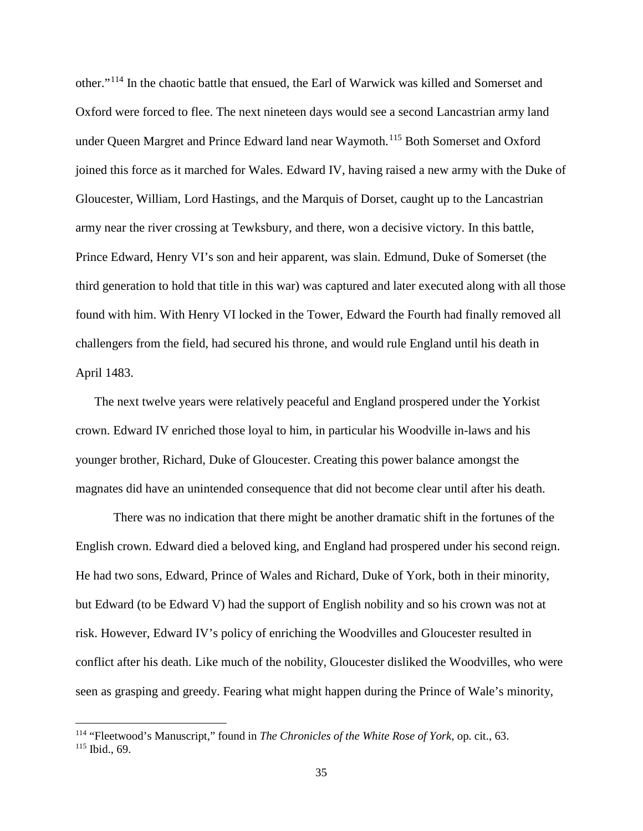other."[114](#page-40-0) In the chaotic battle that ensued, the Earl of Warwick was killed and Somerset and Oxford were forced to flee. The next nineteen days would see a second Lancastrian army land under Queen Margret and Prince Edward land near Waymoth.<sup>[115](#page-40-1)</sup> Both Somerset and Oxford joined this force as it marched for Wales. Edward IV, having raised a new army with the Duke of Gloucester, William, Lord Hastings, and the Marquis of Dorset, caught up to the Lancastrian army near the river crossing at Tewksbury, and there, won a decisive victory. In this battle, Prince Edward, Henry VI's son and heir apparent, was slain. Edmund, Duke of Somerset (the third generation to hold that title in this war) was captured and later executed along with all those found with him. With Henry VI locked in the Tower, Edward the Fourth had finally removed all challengers from the field, had secured his throne, and would rule England until his death in April 1483.

The next twelve years were relatively peaceful and England prospered under the Yorkist crown. Edward IV enriched those loyal to him, in particular his Woodville in-laws and his younger brother, Richard, Duke of Gloucester. Creating this power balance amongst the magnates did have an unintended consequence that did not become clear until after his death.

There was no indication that there might be another dramatic shift in the fortunes of the English crown. Edward died a beloved king, and England had prospered under his second reign. He had two sons, Edward, Prince of Wales and Richard, Duke of York, both in their minority, but Edward (to be Edward V) had the support of English nobility and so his crown was not at risk. However, Edward IV's policy of enriching the Woodvilles and Gloucester resulted in conflict after his death. Like much of the nobility, Gloucester disliked the Woodvilles, who were seen as grasping and greedy. Fearing what might happen during the Prince of Wale's minority,

<span id="page-40-1"></span><span id="page-40-0"></span><sup>114</sup> "Fleetwood's Manuscript," found in *The Chronicles of the White Rose of York,* op. cit., 63. <sup>115</sup> Ibid., 69.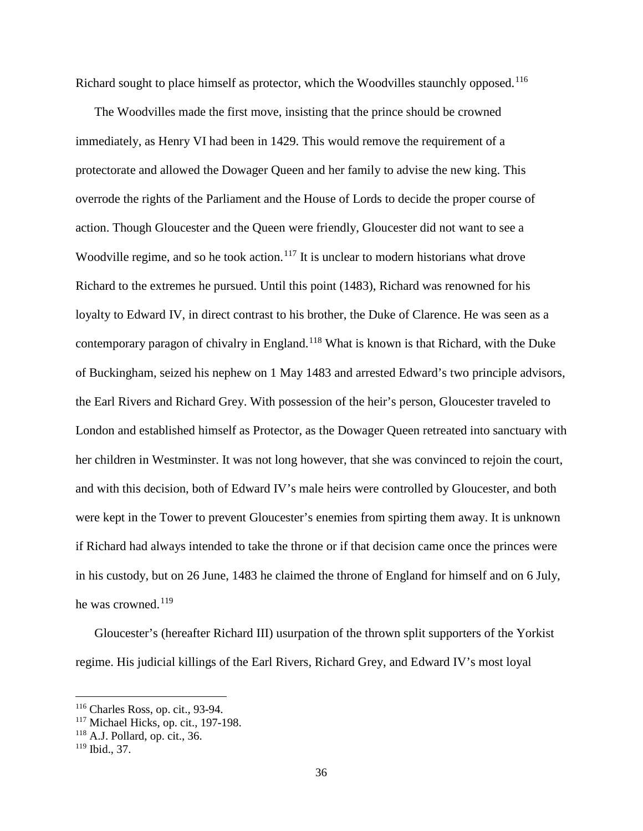Richard sought to place himself as protector, which the Woodvilles staunchly opposed.<sup>[116](#page-41-0)</sup>

The Woodvilles made the first move, insisting that the prince should be crowned immediately, as Henry VI had been in 1429. This would remove the requirement of a protectorate and allowed the Dowager Queen and her family to advise the new king. This overrode the rights of the Parliament and the House of Lords to decide the proper course of action. Though Gloucester and the Queen were friendly, Gloucester did not want to see a Woodville regime, and so he took action.<sup>[117](#page-41-1)</sup> It is unclear to modern historians what drove Richard to the extremes he pursued. Until this point (1483), Richard was renowned for his loyalty to Edward IV, in direct contrast to his brother, the Duke of Clarence. He was seen as a contemporary paragon of chivalry in England.[118](#page-41-2) What is known is that Richard, with the Duke of Buckingham, seized his nephew on 1 May 1483 and arrested Edward's two principle advisors, the Earl Rivers and Richard Grey. With possession of the heir's person, Gloucester traveled to London and established himself as Protector, as the Dowager Queen retreated into sanctuary with her children in Westminster. It was not long however, that she was convinced to rejoin the court, and with this decision, both of Edward IV's male heirs were controlled by Gloucester, and both were kept in the Tower to prevent Gloucester's enemies from spirting them away. It is unknown if Richard had always intended to take the throne or if that decision came once the princes were in his custody, but on 26 June, 1483 he claimed the throne of England for himself and on 6 July, he was crowned. $119$ 

Gloucester's (hereafter Richard III) usurpation of the thrown split supporters of the Yorkist regime. His judicial killings of the Earl Rivers, Richard Grey, and Edward IV's most loyal

 $\overline{a}$ 

<span id="page-41-0"></span><sup>116</sup> Charles Ross, op. cit., 93-94.

<span id="page-41-1"></span><sup>&</sup>lt;sup>117</sup> Michael Hicks, op. cit., 197-198.

<span id="page-41-2"></span><sup>118</sup> A.J. Pollard, op. cit., 36.

<span id="page-41-3"></span> $119$  Ibid., 37.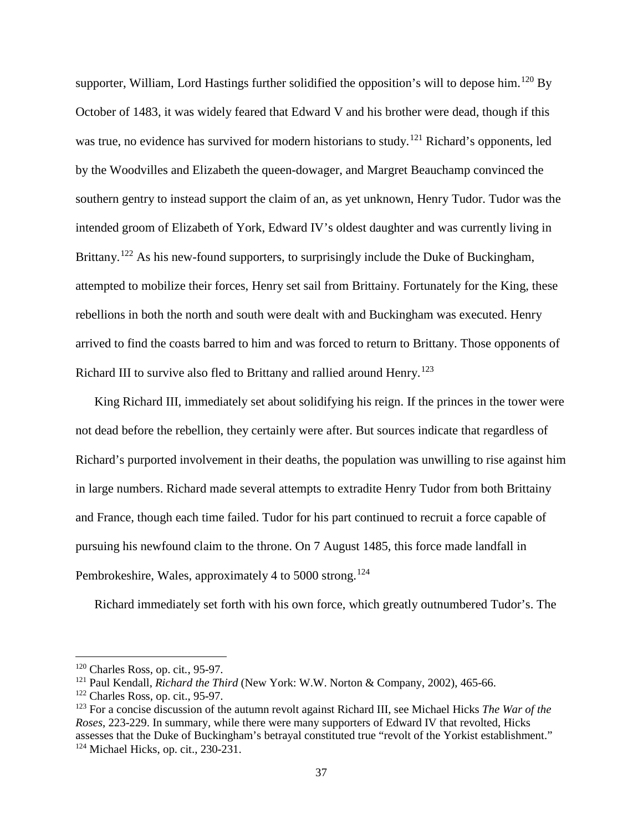supporter, William, Lord Hastings further solidified the opposition's will to depose him.<sup>[120](#page-42-0)</sup> By October of 1483, it was widely feared that Edward V and his brother were dead, though if this was true, no evidence has survived for modern historians to study.<sup>[121](#page-42-1)</sup> Richard's opponents, led by the Woodvilles and Elizabeth the queen-dowager, and Margret Beauchamp convinced the southern gentry to instead support the claim of an, as yet unknown, Henry Tudor. Tudor was the intended groom of Elizabeth of York, Edward IV's oldest daughter and was currently living in Brittany.<sup>[122](#page-42-2)</sup> As his new-found supporters, to surprisingly include the Duke of Buckingham, attempted to mobilize their forces, Henry set sail from Brittainy. Fortunately for the King, these rebellions in both the north and south were dealt with and Buckingham was executed. Henry arrived to find the coasts barred to him and was forced to return to Brittany. Those opponents of Richard III to survive also fled to Brittany and rallied around Henry.<sup>[123](#page-42-3)</sup>

King Richard III, immediately set about solidifying his reign. If the princes in the tower were not dead before the rebellion, they certainly were after. But sources indicate that regardless of Richard's purported involvement in their deaths, the population was unwilling to rise against him in large numbers. Richard made several attempts to extradite Henry Tudor from both Brittainy and France, though each time failed. Tudor for his part continued to recruit a force capable of pursuing his newfound claim to the throne. On 7 August 1485, this force made landfall in Pembrokeshire, Wales, approximately 4 to 5000 strong.<sup>[124](#page-42-4)</sup>

Richard immediately set forth with his own force, which greatly outnumbered Tudor's. The

<span id="page-42-0"></span><sup>120</sup> Charles Ross, op. cit*.*, 95-97.

<span id="page-42-1"></span><sup>121</sup> Paul Kendall, *Richard the Third* (New York: W.W. Norton & Company, 2002), 465-66.

<span id="page-42-2"></span> $122$  Charles Ross, op. cit., 95-97.

<span id="page-42-4"></span><span id="page-42-3"></span><sup>123</sup> For a concise discussion of the autumn revolt against Richard III, see Michael Hicks *The War of the Roses*, 223-229. In summary, while there were many supporters of Edward IV that revolted, Hicks assesses that the Duke of Buckingham's betrayal constituted true "revolt of the Yorkist establishment."  $124$  Michael Hicks, op. cit., 230-231.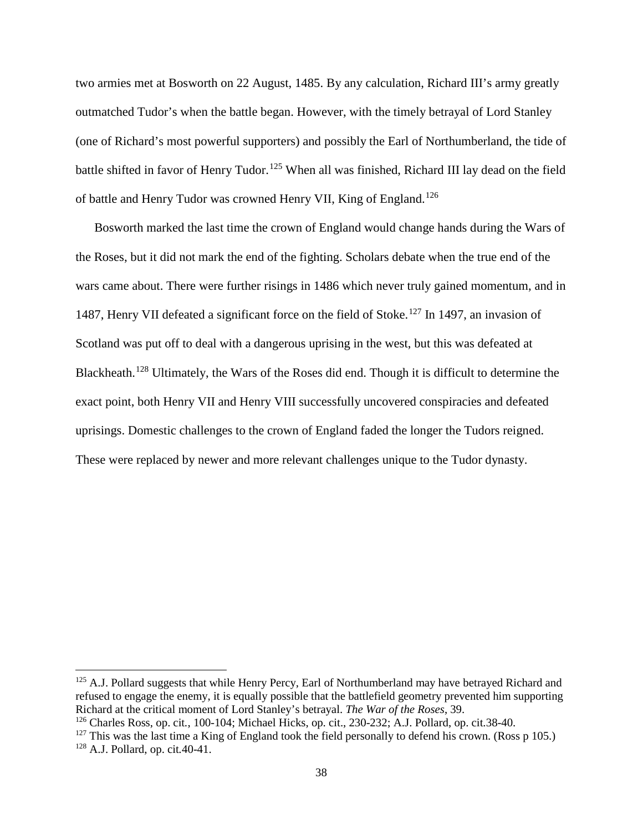two armies met at Bosworth on 22 August, 1485. By any calculation, Richard III's army greatly outmatched Tudor's when the battle began. However, with the timely betrayal of Lord Stanley (one of Richard's most powerful supporters) and possibly the Earl of Northumberland, the tide of battle shifted in favor of Henry Tudor.<sup>[125](#page-43-0)</sup> When all was finished, Richard III lay dead on the field of battle and Henry Tudor was crowned Henry VII, King of England.[126](#page-43-1)

Bosworth marked the last time the crown of England would change hands during the Wars of the Roses, but it did not mark the end of the fighting. Scholars debate when the true end of the wars came about. There were further risings in 1486 which never truly gained momentum, and in 1487, Henry VII defeated a significant force on the field of Stoke.<sup>[127](#page-43-2)</sup> In 1497, an invasion of Scotland was put off to deal with a dangerous uprising in the west, but this was defeated at Blackheath.[128](#page-43-3) Ultimately, the Wars of the Roses did end. Though it is difficult to determine the exact point, both Henry VII and Henry VIII successfully uncovered conspiracies and defeated uprisings. Domestic challenges to the crown of England faded the longer the Tudors reigned. These were replaced by newer and more relevant challenges unique to the Tudor dynasty.

<span id="page-43-0"></span><sup>&</sup>lt;sup>125</sup> A.J. Pollard suggests that while Henry Percy, Earl of Northumberland may have betrayed Richard and refused to engage the enemy, it is equally possible that the battlefield geometry prevented him supporting<br>Richard at the critical moment of Lord Stanley's betrayal. The War of the Roses, 39.

<span id="page-43-1"></span><sup>&</sup>lt;sup>126</sup> Charles Ross, op. cit., 100-104; Michael Hicks, op. cit., 230-232; A.J. Pollard, op. cit.38-40.

<span id="page-43-3"></span><span id="page-43-2"></span> $127$  This was the last time a King of England took the field personally to defend his crown. (Ross p 105.) <sup>128</sup> A.J. Pollard, op. cit*.*40-41.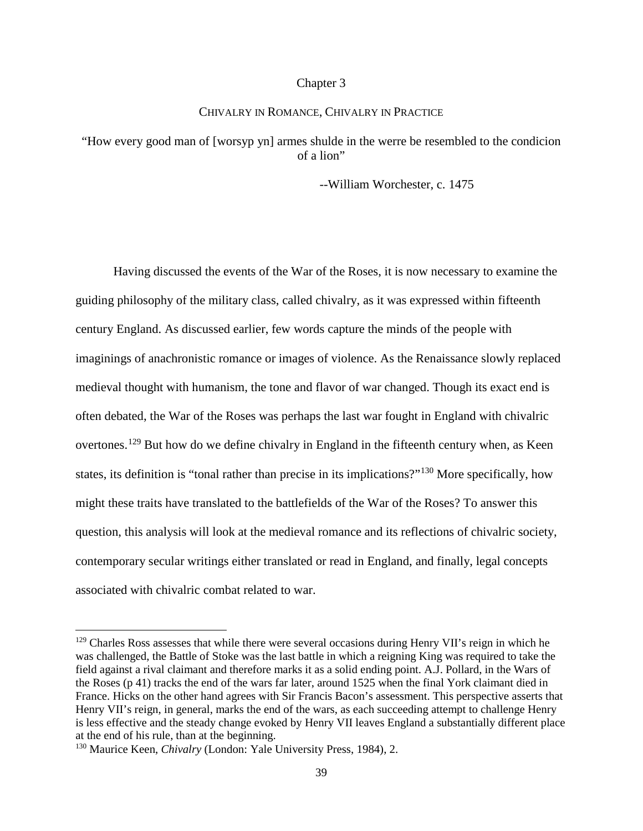## Chapter 3

# CHIVALRY IN ROMANCE, CHIVALRY IN PRACTICE

# "How every good man of [worsyp yn] armes shulde in the werre be resembled to the condicion of a lion"

--William Worchester, c. 1475

Having discussed the events of the War of the Roses, it is now necessary to examine the guiding philosophy of the military class, called chivalry, as it was expressed within fifteenth century England. As discussed earlier, few words capture the minds of the people with imaginings of anachronistic romance or images of violence. As the Renaissance slowly replaced medieval thought with humanism, the tone and flavor of war changed. Though its exact end is often debated, the War of the Roses was perhaps the last war fought in England with chivalric overtones.<sup>[129](#page-44-0)</sup> But how do we define chivalry in England in the fifteenth century when, as Keen states, its definition is "tonal rather than precise in its implications?"[130](#page-44-1) More specifically, how might these traits have translated to the battlefields of the War of the Roses? To answer this question, this analysis will look at the medieval romance and its reflections of chivalric society, contemporary secular writings either translated or read in England, and finally, legal concepts associated with chivalric combat related to war.

<span id="page-44-0"></span><sup>&</sup>lt;sup>129</sup> Charles Ross assesses that while there were several occasions during Henry VII's reign in which he was challenged, the Battle of Stoke was the last battle in which a reigning King was required to take the field against a rival claimant and therefore marks it as a solid ending point. A.J. Pollard, in the Wars of the Roses (p 41) tracks the end of the wars far later, around 1525 when the final York claimant died in France. Hicks on the other hand agrees with Sir Francis Bacon's assessment. This perspective asserts that Henry VII's reign, in general, marks the end of the wars, as each succeeding attempt to challenge Henry is less effective and the steady change evoked by Henry VII leaves England a substantially different place at the end of his rule, than at the beginning.

<span id="page-44-1"></span><sup>130</sup> Maurice Keen, *Chivalry* (London: Yale University Press, 1984), 2.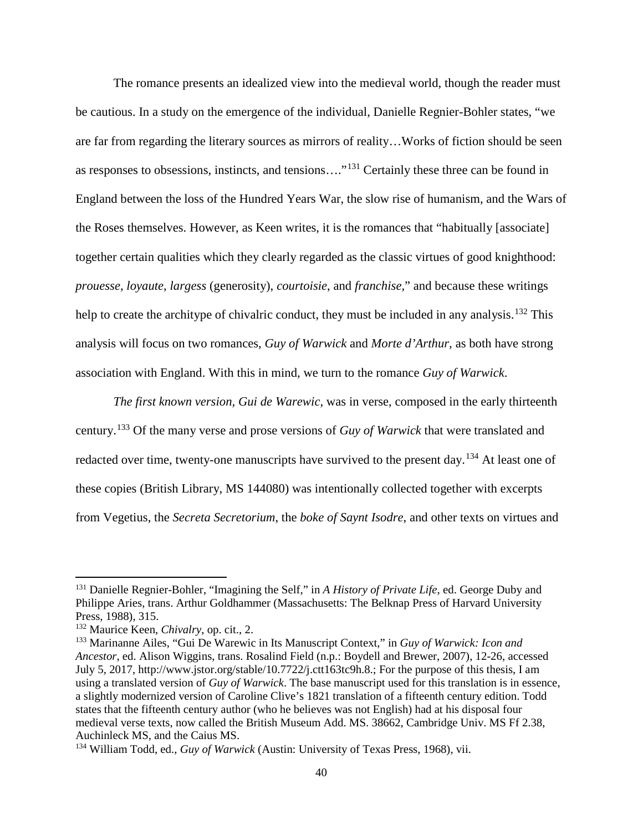The romance presents an idealized view into the medieval world, though the reader must be cautious. In a study on the emergence of the individual, Danielle Regnier-Bohler states, "we are far from regarding the literary sources as mirrors of reality…Works of fiction should be seen as responses to obsessions, instincts, and tensions…."[131](#page-45-0) Certainly these three can be found in England between the loss of the Hundred Years War, the slow rise of humanism, and the Wars of the Roses themselves. However, as Keen writes, it is the romances that "habitually [associate] together certain qualities which they clearly regarded as the classic virtues of good knighthood: *prouesse*, *loyaute*, *largess* (generosity), *courtoisie*, and *franchise*," and because these writings help to create the architype of chivalric conduct, they must be included in any analysis.<sup>[132](#page-45-1)</sup> This analysis will focus on two romances, *Guy of Warwick* and *Morte d'Arthur,* as both have strong association with England. With this in mind, we turn to the romance *Guy of Warwick*.

*The first known version, Gui de Warewic,* was in verse, composed in the early thirteenth century.[133](#page-45-2) Of the many verse and prose versions of *Guy of Warwick* that were translated and redacted over time, twenty-one manuscripts have survived to the present day.<sup>[134](#page-45-3)</sup> At least one of these copies (British Library, MS 144080) was intentionally collected together with excerpts from Vegetius, the *Secreta Secretorium*, the *boke of Saynt Isodre*, and other texts on virtues and

<span id="page-45-0"></span><sup>131</sup> Danielle Regnier-Bohler, "Imagining the Self," in *A History of Private Life*, ed. George Duby and Philippe Aries, trans. Arthur Goldhammer (Massachusetts: The Belknap Press of Harvard University Press, 1988), 315.

<span id="page-45-1"></span><sup>132</sup> Maurice Keen, *Chivalry*, op. cit., 2.

<span id="page-45-2"></span><sup>133</sup> Marinanne Ailes, "Gui De Warewic in Its Manuscript Context," in *Guy of Warwick: Icon and Ancestor*, ed. Alison Wiggins, trans. Rosalind Field (n.p.: Boydell and Brewer, 2007), 12-26, accessed July 5, 2017, [http://www.jstor.org/stable/10.7722/j.ctt163tc9h.8.](http://www.jstor.org/stable/10.7722/j.ctt163tc9h.8); For the purpose of this thesis, I am using a translated version of *Guy of Warwick*. The base manuscript used for this translation is in essence, a slightly modernized version of Caroline Clive's 1821 translation of a fifteenth century edition. Todd states that the fifteenth century author (who he believes was not English) had at his disposal four medieval verse texts, now called the British Museum Add. MS. 38662, Cambridge Univ. MS Ff 2.38, Auchinleck MS, and the Caius MS.

<span id="page-45-3"></span><sup>134</sup> William Todd, ed., *Guy of Warwick* (Austin: University of Texas Press, 1968), vii.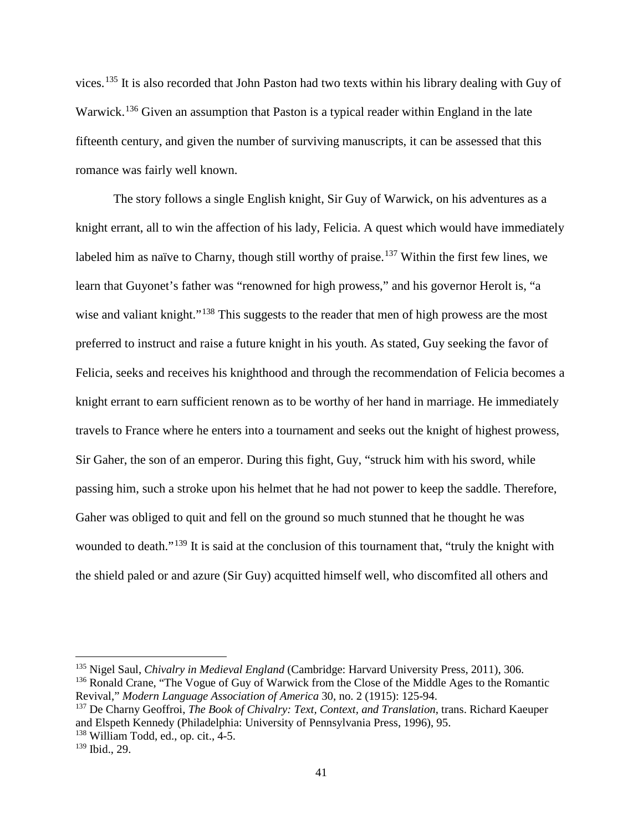vices.[135](#page-46-0) It is also recorded that John Paston had two texts within his library dealing with Guy of Warwick.<sup>[136](#page-46-1)</sup> Given an assumption that Paston is a typical reader within England in the late fifteenth century, and given the number of surviving manuscripts, it can be assessed that this romance was fairly well known.

The story follows a single English knight, Sir Guy of Warwick, on his adventures as a knight errant, all to win the affection of his lady, Felicia. A quest which would have immediately labeled him as naïve to Charny, though still worthy of praise.<sup>[137](#page-46-2)</sup> Within the first few lines, we learn that Guyonet's father was "renowned for high prowess," and his governor Herolt is, "a wise and valiant knight."<sup>[138](#page-46-3)</sup> This suggests to the reader that men of high prowess are the most preferred to instruct and raise a future knight in his youth. As stated, Guy seeking the favor of Felicia, seeks and receives his knighthood and through the recommendation of Felicia becomes a knight errant to earn sufficient renown as to be worthy of her hand in marriage. He immediately travels to France where he enters into a tournament and seeks out the knight of highest prowess, Sir Gaher, the son of an emperor. During this fight, Guy, "struck him with his sword, while passing him, such a stroke upon his helmet that he had not power to keep the saddle. Therefore, Gaher was obliged to quit and fell on the ground so much stunned that he thought he was wounded to death."<sup>[139](#page-46-4)</sup> It is said at the conclusion of this tournament that, "truly the knight with the shield paled or and azure (Sir Guy) acquitted himself well, who discomfited all others and

<span id="page-46-0"></span><sup>135</sup> Nigel Saul, *Chivalry in Medieval England* (Cambridge: Harvard University Press, 2011), 306.

<span id="page-46-1"></span><sup>&</sup>lt;sup>136</sup> Ronald Crane, "The Vogue of Guy of Warwick from the Close of the Middle Ages to the Romantic Revival," *Modern Language Association of America* 30, no. 2 (1915): 125-94.

<span id="page-46-2"></span><sup>137</sup> De Charny Geoffroi, *The Book of Chivalry: Text, Context, and Translation*, trans. Richard Kaeuper and Elspeth Kennedy (Philadelphia: University of Pennsylvania Press, 1996), 95.

<span id="page-46-3"></span><sup>138</sup> William Todd, ed., op. cit., 4-5.

<span id="page-46-4"></span> $139$  Ibid., 29.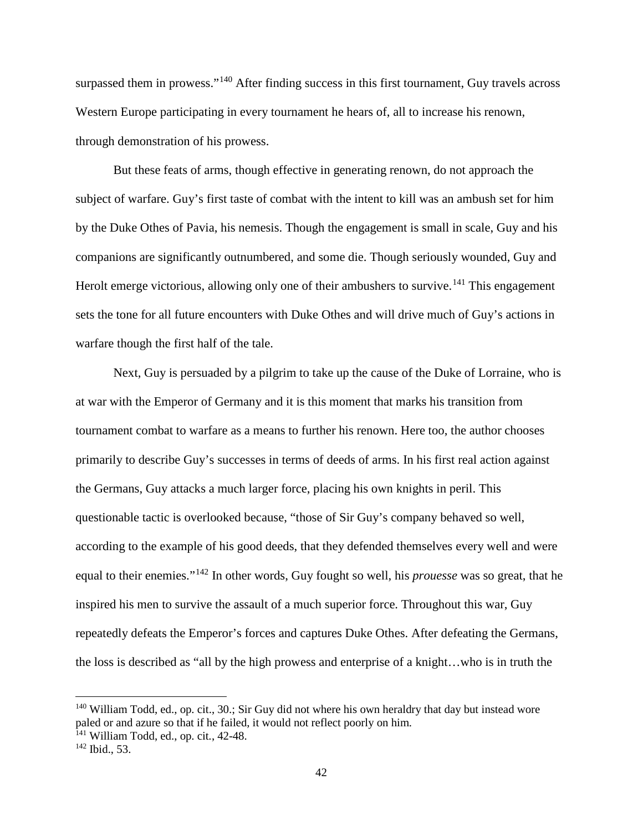surpassed them in prowess."<sup>[140](#page-47-0)</sup> After finding success in this first tournament, Guy travels across Western Europe participating in every tournament he hears of, all to increase his renown, through demonstration of his prowess.

But these feats of arms, though effective in generating renown, do not approach the subject of warfare. Guy's first taste of combat with the intent to kill was an ambush set for him by the Duke Othes of Pavia, his nemesis. Though the engagement is small in scale, Guy and his companions are significantly outnumbered, and some die. Though seriously wounded, Guy and Herolt emerge victorious, allowing only one of their ambushers to survive.<sup>[141](#page-47-1)</sup> This engagement sets the tone for all future encounters with Duke Othes and will drive much of Guy's actions in warfare though the first half of the tale.

Next, Guy is persuaded by a pilgrim to take up the cause of the Duke of Lorraine, who is at war with the Emperor of Germany and it is this moment that marks his transition from tournament combat to warfare as a means to further his renown. Here too, the author chooses primarily to describe Guy's successes in terms of deeds of arms. In his first real action against the Germans, Guy attacks a much larger force, placing his own knights in peril. This questionable tactic is overlooked because, "those of Sir Guy's company behaved so well, according to the example of his good deeds, that they defended themselves every well and were equal to their enemies."[142](#page-47-2) In other words, Guy fought so well, his *prouesse* was so great, that he inspired his men to survive the assault of a much superior force. Throughout this war, Guy repeatedly defeats the Emperor's forces and captures Duke Othes. After defeating the Germans, the loss is described as "all by the high prowess and enterprise of a knight…who is in truth the

 $\overline{a}$ 

<span id="page-47-0"></span><sup>140</sup> William Todd, ed., op. cit., 30.; Sir Guy did not where his own heraldry that day but instead wore paled or and azure so that if he failed, it would not reflect poorly on him.

<span id="page-47-1"></span><sup>141</sup> William Todd, ed., op. cit*.*, 42-48.

<span id="page-47-2"></span> $142$  Ibid., 53.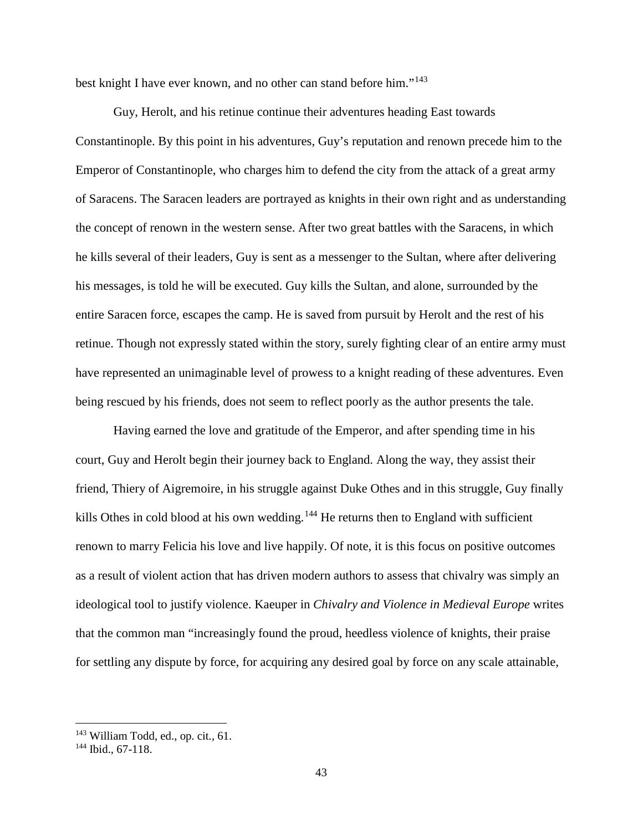best knight I have ever known, and no other can stand before him."[143](#page-48-0)

Guy, Herolt, and his retinue continue their adventures heading East towards Constantinople. By this point in his adventures, Guy's reputation and renown precede him to the Emperor of Constantinople, who charges him to defend the city from the attack of a great army of Saracens. The Saracen leaders are portrayed as knights in their own right and as understanding the concept of renown in the western sense. After two great battles with the Saracens, in which he kills several of their leaders, Guy is sent as a messenger to the Sultan, where after delivering his messages, is told he will be executed. Guy kills the Sultan, and alone, surrounded by the entire Saracen force, escapes the camp. He is saved from pursuit by Herolt and the rest of his retinue. Though not expressly stated within the story, surely fighting clear of an entire army must have represented an unimaginable level of prowess to a knight reading of these adventures. Even being rescued by his friends, does not seem to reflect poorly as the author presents the tale.

Having earned the love and gratitude of the Emperor, and after spending time in his court, Guy and Herolt begin their journey back to England. Along the way, they assist their friend, Thiery of Aigremoire, in his struggle against Duke Othes and in this struggle, Guy finally kills Othes in cold blood at his own wedding.<sup>[144](#page-48-1)</sup> He returns then to England with sufficient renown to marry Felicia his love and live happily. Of note, it is this focus on positive outcomes as a result of violent action that has driven modern authors to assess that chivalry was simply an ideological tool to justify violence. Kaeuper in *Chivalry and Violence in Medieval Europe* writes that the common man "increasingly found the proud, heedless violence of knights, their praise for settling any dispute by force, for acquiring any desired goal by force on any scale attainable,

<span id="page-48-0"></span><sup>143</sup> William Todd, ed., op. cit*.*, 61.

<span id="page-48-1"></span><sup>144</sup> Ibid., 67-118.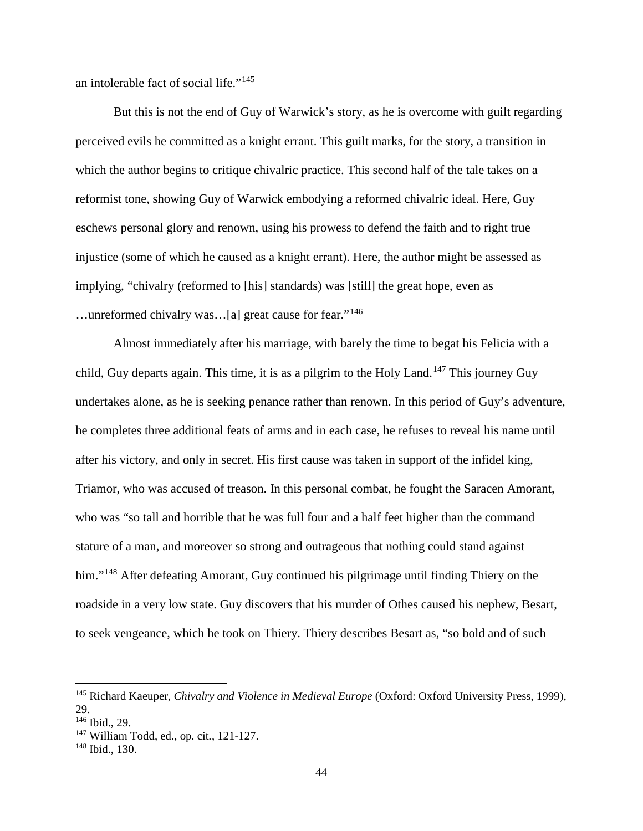an intolerable fact of social life."[145](#page-49-0)

But this is not the end of Guy of Warwick's story, as he is overcome with guilt regarding perceived evils he committed as a knight errant. This guilt marks, for the story, a transition in which the author begins to critique chivalric practice. This second half of the tale takes on a reformist tone, showing Guy of Warwick embodying a reformed chivalric ideal. Here, Guy eschews personal glory and renown, using his prowess to defend the faith and to right true injustice (some of which he caused as a knight errant). Here, the author might be assessed as implying, "chivalry (reformed to [his] standards) was [still] the great hope, even as …unreformed chivalry was…[a] great cause for fear."[146](#page-49-1)

Almost immediately after his marriage, with barely the time to begat his Felicia with a child, Guy departs again. This time, it is as a pilgrim to the Holy Land.<sup>[147](#page-49-2)</sup> This journey Guy undertakes alone, as he is seeking penance rather than renown. In this period of Guy's adventure, he completes three additional feats of arms and in each case, he refuses to reveal his name until after his victory, and only in secret. His first cause was taken in support of the infidel king, Triamor, who was accused of treason. In this personal combat, he fought the Saracen Amorant, who was "so tall and horrible that he was full four and a half feet higher than the command stature of a man, and moreover so strong and outrageous that nothing could stand against him."<sup>[148](#page-49-3)</sup> After defeating Amorant, Guy continued his pilgrimage until finding Thiery on the roadside in a very low state. Guy discovers that his murder of Othes caused his nephew, Besart, to seek vengeance, which he took on Thiery. Thiery describes Besart as, "so bold and of such

<span id="page-49-0"></span><sup>145</sup> Richard Kaeuper, *Chivalry and Violence in Medieval Europe* (Oxford: Oxford University Press, 1999), 29.

<span id="page-49-1"></span><sup>146</sup> Ibid., 29.

<span id="page-49-2"></span><sup>147</sup> William Todd, ed., op. cit*.*, 121-127.

<span id="page-49-3"></span><sup>148</sup> Ibid., 130.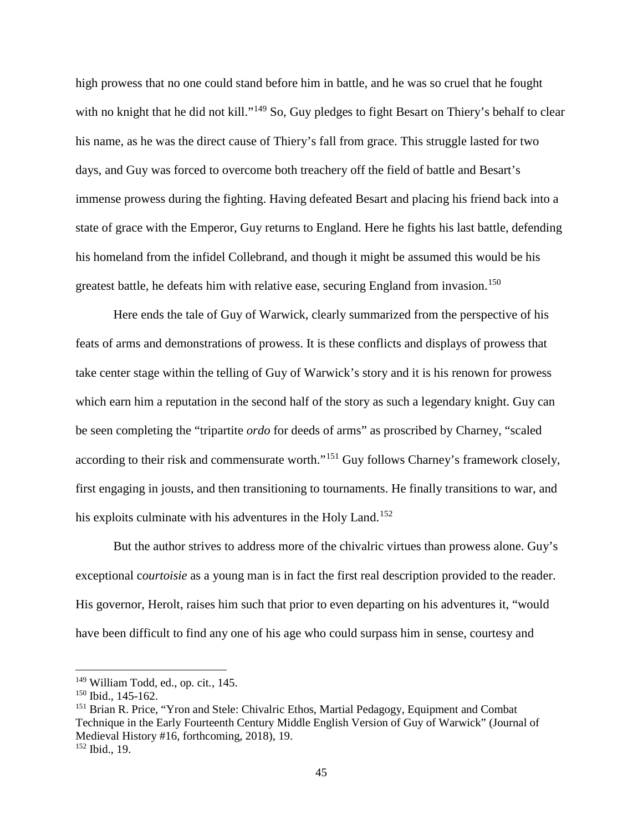high prowess that no one could stand before him in battle, and he was so cruel that he fought with no knight that he did not kill."<sup>[149](#page-50-0)</sup> So, Guy pledges to fight Besart on Thiery's behalf to clear his name, as he was the direct cause of Thiery's fall from grace. This struggle lasted for two days, and Guy was forced to overcome both treachery off the field of battle and Besart's immense prowess during the fighting. Having defeated Besart and placing his friend back into a state of grace with the Emperor, Guy returns to England. Here he fights his last battle, defending his homeland from the infidel Collebrand, and though it might be assumed this would be his greatest battle, he defeats him with relative ease, securing England from invasion.<sup>[150](#page-50-1)</sup>

Here ends the tale of Guy of Warwick, clearly summarized from the perspective of his feats of arms and demonstrations of prowess. It is these conflicts and displays of prowess that take center stage within the telling of Guy of Warwick's story and it is his renown for prowess which earn him a reputation in the second half of the story as such a legendary knight. Guy can be seen completing the "tripartite *ordo* for deeds of arms" as proscribed by Charney, "scaled according to their risk and commensurate worth."<sup>[151](#page-50-2)</sup> Guy follows Charney's framework closely, first engaging in jousts, and then transitioning to tournaments. He finally transitions to war, and his exploits culminate with his adventures in the Holy Land.<sup>[152](#page-50-3)</sup>

But the author strives to address more of the chivalric virtues than prowess alone. Guy's exceptional c*ourtoisie* as a young man is in fact the first real description provided to the reader. His governor, Herolt, raises him such that prior to even departing on his adventures it, "would have been difficult to find any one of his age who could surpass him in sense, courtesy and

<span id="page-50-0"></span><sup>149</sup> William Todd, ed., op. cit*.*, 145.

<span id="page-50-1"></span><sup>150</sup> Ibid., 145-162.

<span id="page-50-3"></span><span id="page-50-2"></span><sup>&</sup>lt;sup>151</sup> Brian R. Price, "Yron and Stele: Chivalric Ethos, Martial Pedagogy, Equipment and Combat Technique in the Early Fourteenth Century Middle English Version of Guy of Warwick" (Journal of Medieval History #16, forthcoming, 2018), 19.  $152$  Ibid., 19.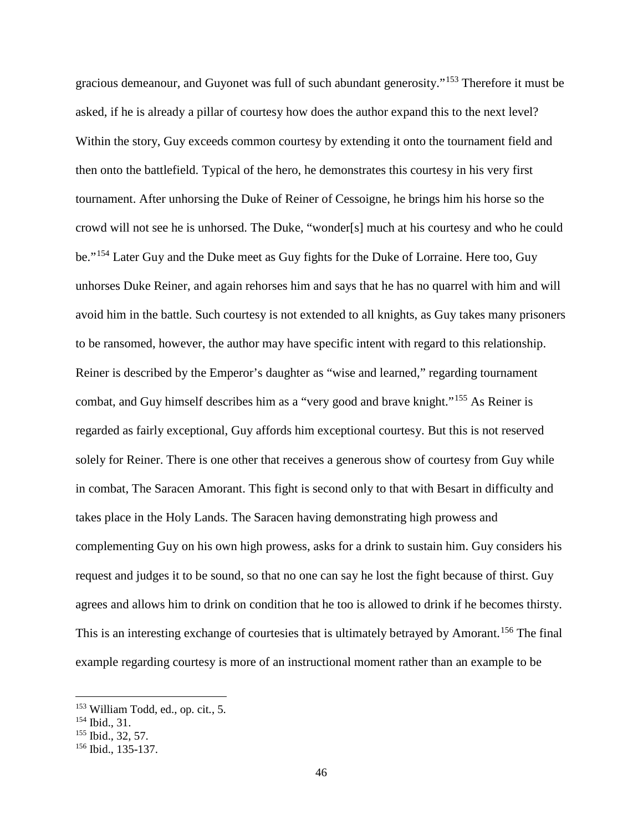gracious demeanour, and Guyonet was full of such abundant generosity."[153](#page-51-0) Therefore it must be asked, if he is already a pillar of courtesy how does the author expand this to the next level? Within the story, Guy exceeds common courtesy by extending it onto the tournament field and then onto the battlefield. Typical of the hero, he demonstrates this courtesy in his very first tournament. After unhorsing the Duke of Reiner of Cessoigne, he brings him his horse so the crowd will not see he is unhorsed. The Duke, "wonder[s] much at his courtesy and who he could be."[154](#page-51-1) Later Guy and the Duke meet as Guy fights for the Duke of Lorraine. Here too, Guy unhorses Duke Reiner, and again rehorses him and says that he has no quarrel with him and will avoid him in the battle. Such courtesy is not extended to all knights, as Guy takes many prisoners to be ransomed, however, the author may have specific intent with regard to this relationship. Reiner is described by the Emperor's daughter as "wise and learned," regarding tournament combat, and Guy himself describes him as a "very good and brave knight."[155](#page-51-2) As Reiner is regarded as fairly exceptional, Guy affords him exceptional courtesy. But this is not reserved solely for Reiner. There is one other that receives a generous show of courtesy from Guy while in combat, The Saracen Amorant. This fight is second only to that with Besart in difficulty and takes place in the Holy Lands. The Saracen having demonstrating high prowess and complementing Guy on his own high prowess, asks for a drink to sustain him. Guy considers his request and judges it to be sound, so that no one can say he lost the fight because of thirst. Guy agrees and allows him to drink on condition that he too is allowed to drink if he becomes thirsty. This is an interesting exchange of courtesies that is ultimately betrayed by Amorant.<sup>[156](#page-51-3)</sup> The final example regarding courtesy is more of an instructional moment rather than an example to be

 $\overline{a}$ 

<span id="page-51-0"></span><sup>153</sup> William Todd, ed., op. cit*.*, 5.

<span id="page-51-1"></span><sup>154</sup> Ibid., 31.

<span id="page-51-2"></span><sup>155</sup> Ibid., 32, 57.

<span id="page-51-3"></span><sup>156</sup> Ibid., 135-137.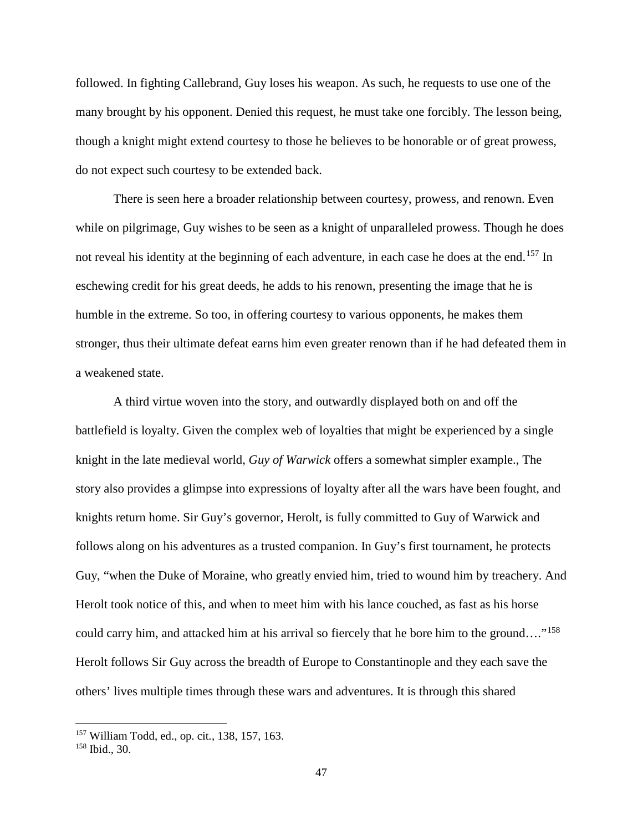followed. In fighting Callebrand, Guy loses his weapon. As such, he requests to use one of the many brought by his opponent. Denied this request, he must take one forcibly. The lesson being, though a knight might extend courtesy to those he believes to be honorable or of great prowess, do not expect such courtesy to be extended back.

There is seen here a broader relationship between courtesy, prowess, and renown. Even while on pilgrimage, Guy wishes to be seen as a knight of unparalleled prowess. Though he does not reveal his identity at the beginning of each adventure, in each case he does at the end.<sup>[157](#page-52-0)</sup> In eschewing credit for his great deeds, he adds to his renown, presenting the image that he is humble in the extreme. So too, in offering courtesy to various opponents, he makes them stronger, thus their ultimate defeat earns him even greater renown than if he had defeated them in a weakened state.

A third virtue woven into the story, and outwardly displayed both on and off the battlefield is loyalty. Given the complex web of loyalties that might be experienced by a single knight in the late medieval world, *Guy of Warwick* offers a somewhat simpler example., The story also provides a glimpse into expressions of loyalty after all the wars have been fought, and knights return home. Sir Guy's governor, Herolt, is fully committed to Guy of Warwick and follows along on his adventures as a trusted companion. In Guy's first tournament, he protects Guy, "when the Duke of Moraine, who greatly envied him, tried to wound him by treachery. And Herolt took notice of this, and when to meet him with his lance couched, as fast as his horse could carry him, and attacked him at his arrival so fiercely that he bore him to the ground…."[158](#page-52-1) Herolt follows Sir Guy across the breadth of Europe to Constantinople and they each save the others' lives multiple times through these wars and adventures. It is through this shared

<span id="page-52-0"></span><sup>157</sup> William Todd, ed., op. cit*.*, 138, 157, 163.

<span id="page-52-1"></span><sup>158</sup> Ibid., 30.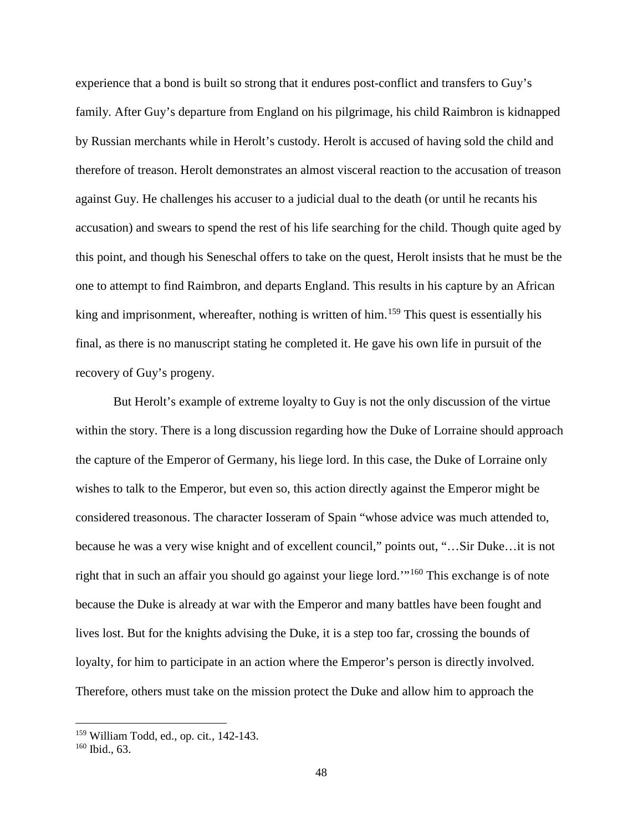experience that a bond is built so strong that it endures post-conflict and transfers to Guy's family. After Guy's departure from England on his pilgrimage, his child Raimbron is kidnapped by Russian merchants while in Herolt's custody. Herolt is accused of having sold the child and therefore of treason. Herolt demonstrates an almost visceral reaction to the accusation of treason against Guy. He challenges his accuser to a judicial dual to the death (or until he recants his accusation) and swears to spend the rest of his life searching for the child. Though quite aged by this point, and though his Seneschal offers to take on the quest, Herolt insists that he must be the one to attempt to find Raimbron, and departs England. This results in his capture by an African king and imprisonment, whereafter, nothing is written of him.<sup>[159](#page-53-0)</sup> This quest is essentially his final, as there is no manuscript stating he completed it. He gave his own life in pursuit of the recovery of Guy's progeny.

But Herolt's example of extreme loyalty to Guy is not the only discussion of the virtue within the story. There is a long discussion regarding how the Duke of Lorraine should approach the capture of the Emperor of Germany, his liege lord. In this case, the Duke of Lorraine only wishes to talk to the Emperor, but even so, this action directly against the Emperor might be considered treasonous. The character Iosseram of Spain "whose advice was much attended to, because he was a very wise knight and of excellent council," points out, "…Sir Duke…it is not right that in such an affair you should go against your liege lord.'"[160](#page-53-1) This exchange is of note because the Duke is already at war with the Emperor and many battles have been fought and lives lost. But for the knights advising the Duke, it is a step too far, crossing the bounds of loyalty, for him to participate in an action where the Emperor's person is directly involved. Therefore, others must take on the mission protect the Duke and allow him to approach the

<span id="page-53-0"></span><sup>159</sup> William Todd, ed., op. cit*.*, 142-143.

<span id="page-53-1"></span><sup>160</sup> Ibid., 63.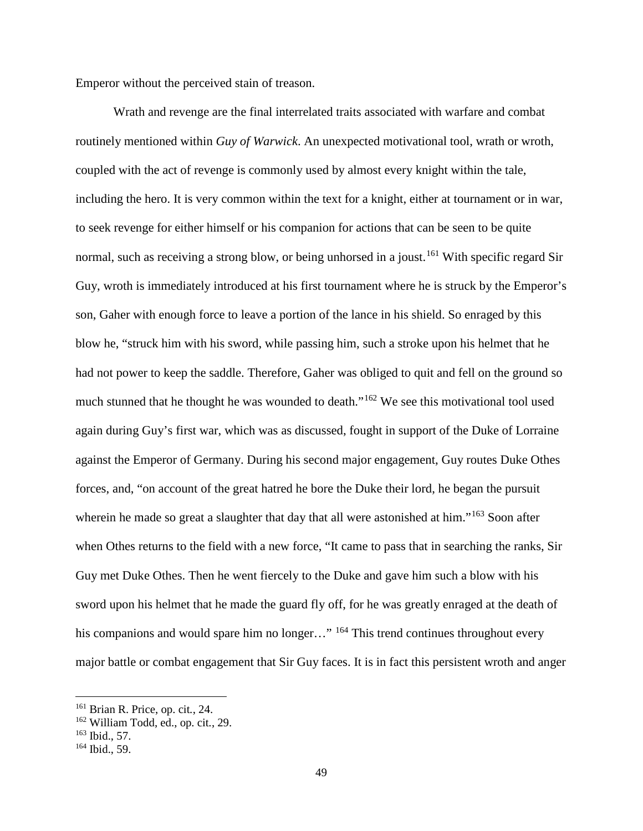Emperor without the perceived stain of treason.

Wrath and revenge are the final interrelated traits associated with warfare and combat routinely mentioned within *Guy of Warwick*. An unexpected motivational tool, wrath or wroth, coupled with the act of revenge is commonly used by almost every knight within the tale, including the hero. It is very common within the text for a knight, either at tournament or in war, to seek revenge for either himself or his companion for actions that can be seen to be quite normal, such as receiving a strong blow, or being unhorsed in a joust.<sup>[161](#page-54-0)</sup> With specific regard Sir Guy, wroth is immediately introduced at his first tournament where he is struck by the Emperor's son, Gaher with enough force to leave a portion of the lance in his shield. So enraged by this blow he, "struck him with his sword, while passing him, such a stroke upon his helmet that he had not power to keep the saddle. Therefore, Gaher was obliged to quit and fell on the ground so much stunned that he thought he was wounded to death."<sup>[162](#page-54-1)</sup> We see this motivational tool used again during Guy's first war, which was as discussed, fought in support of the Duke of Lorraine against the Emperor of Germany. During his second major engagement, Guy routes Duke Othes forces, and, "on account of the great hatred he bore the Duke their lord, he began the pursuit wherein he made so great a slaughter that day that all were astonished at him."<sup>[163](#page-54-2)</sup> Soon after when Othes returns to the field with a new force, "It came to pass that in searching the ranks, Sir Guy met Duke Othes. Then he went fiercely to the Duke and gave him such a blow with his sword upon his helmet that he made the guard fly off, for he was greatly enraged at the death of his companions and would spare him no longer..." <sup>[164](#page-54-3)</sup> This trend continues throughout every major battle or combat engagement that Sir Guy faces. It is in fact this persistent wroth and anger

 $\overline{a}$ 

<span id="page-54-0"></span><sup>161</sup> Brian R. Price, op. cit*.*, 24.

<span id="page-54-1"></span><sup>162</sup> William Todd, ed., op. cit*.*, 29.

<span id="page-54-2"></span> $163$  Ibid., 57.

<span id="page-54-3"></span> $164$  Ibid., 59.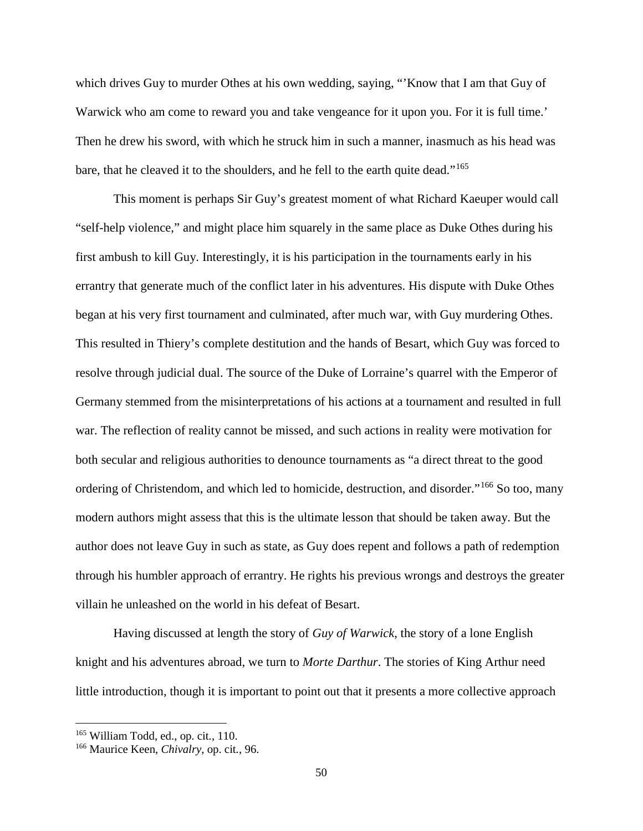which drives Guy to murder Othes at his own wedding, saying, "'Know that I am that Guy of Warwick who am come to reward you and take vengeance for it upon you. For it is full time.' Then he drew his sword, with which he struck him in such a manner, inasmuch as his head was bare, that he cleaved it to the shoulders, and he fell to the earth quite dead."<sup>[165](#page-55-0)</sup>

This moment is perhaps Sir Guy's greatest moment of what Richard Kaeuper would call "self-help violence," and might place him squarely in the same place as Duke Othes during his first ambush to kill Guy. Interestingly, it is his participation in the tournaments early in his errantry that generate much of the conflict later in his adventures. His dispute with Duke Othes began at his very first tournament and culminated, after much war, with Guy murdering Othes. This resulted in Thiery's complete destitution and the hands of Besart, which Guy was forced to resolve through judicial dual. The source of the Duke of Lorraine's quarrel with the Emperor of Germany stemmed from the misinterpretations of his actions at a tournament and resulted in full war. The reflection of reality cannot be missed, and such actions in reality were motivation for both secular and religious authorities to denounce tournaments as "a direct threat to the good ordering of Christendom, and which led to homicide, destruction, and disorder."<sup>[166](#page-55-1)</sup> So too, many modern authors might assess that this is the ultimate lesson that should be taken away. But the author does not leave Guy in such as state, as Guy does repent and follows a path of redemption through his humbler approach of errantry. He rights his previous wrongs and destroys the greater villain he unleashed on the world in his defeat of Besart.

Having discussed at length the story of *Guy of Warwick*, the story of a lone English knight and his adventures abroad, we turn to *Morte Darthur*. The stories of King Arthur need little introduction, though it is important to point out that it presents a more collective approach

<span id="page-55-0"></span><sup>165</sup> William Todd, ed., op. cit*.*, 110.

<span id="page-55-1"></span><sup>166</sup> Maurice Keen, *Chivalry*, op. cit*.*, 96.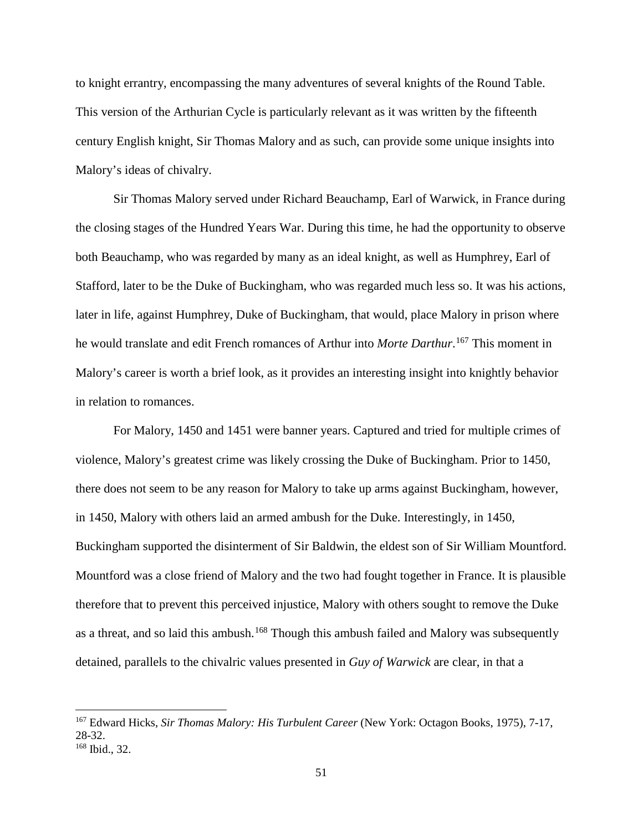to knight errantry, encompassing the many adventures of several knights of the Round Table. This version of the Arthurian Cycle is particularly relevant as it was written by the fifteenth century English knight, Sir Thomas Malory and as such, can provide some unique insights into Malory's ideas of chivalry.

Sir Thomas Malory served under Richard Beauchamp, Earl of Warwick, in France during the closing stages of the Hundred Years War. During this time, he had the opportunity to observe both Beauchamp, who was regarded by many as an ideal knight, as well as Humphrey, Earl of Stafford, later to be the Duke of Buckingham, who was regarded much less so. It was his actions, later in life, against Humphrey, Duke of Buckingham, that would, place Malory in prison where he would translate and edit French romances of Arthur into *Morte Darthur*. [167](#page-56-0) This moment in Malory's career is worth a brief look, as it provides an interesting insight into knightly behavior in relation to romances.

For Malory, 1450 and 1451 were banner years. Captured and tried for multiple crimes of violence, Malory's greatest crime was likely crossing the Duke of Buckingham. Prior to 1450, there does not seem to be any reason for Malory to take up arms against Buckingham, however, in 1450, Malory with others laid an armed ambush for the Duke. Interestingly, in 1450, Buckingham supported the disinterment of Sir Baldwin, the eldest son of Sir William Mountford. Mountford was a close friend of Malory and the two had fought together in France. It is plausible therefore that to prevent this perceived injustice, Malory with others sought to remove the Duke as a threat, and so laid this ambush.<sup>[168](#page-56-1)</sup> Though this ambush failed and Malory was subsequently detained, parallels to the chivalric values presented in *Guy of Warwick* are clear, in that a

<span id="page-56-1"></span><span id="page-56-0"></span><sup>167</sup> Edward Hicks, *Sir Thomas Malory: His Turbulent Career* (New York: Octagon Books, 1975), 7-17, 28-32. <sup>168</sup> Ibid., 32.

<sup>51</sup>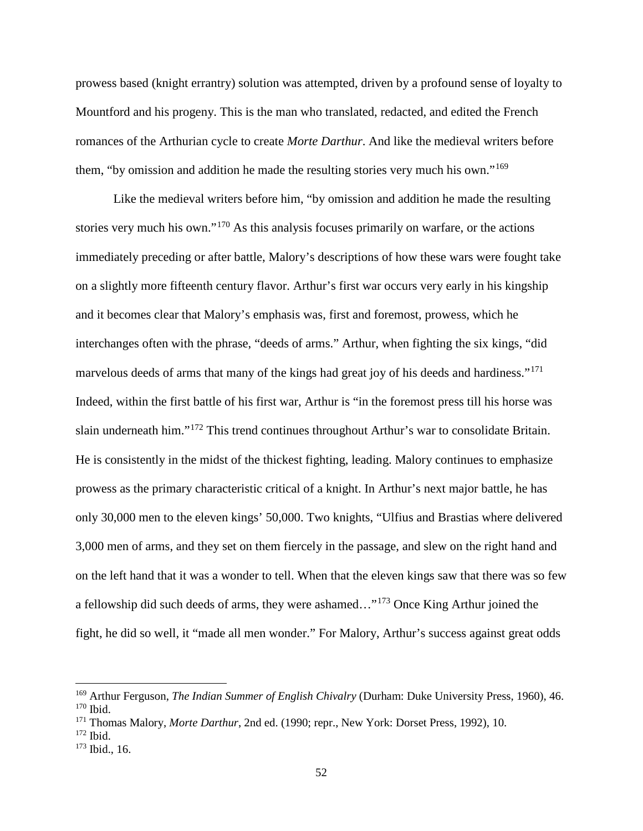prowess based (knight errantry) solution was attempted, driven by a profound sense of loyalty to Mountford and his progeny. This is the man who translated, redacted, and edited the French romances of the Arthurian cycle to create *Morte Darthur*. And like the medieval writers before them, "by omission and addition he made the resulting stories very much his own."<sup>[169](#page-57-0)</sup>

Like the medieval writers before him, "by omission and addition he made the resulting stories very much his own."[170](#page-57-1) As this analysis focuses primarily on warfare, or the actions immediately preceding or after battle, Malory's descriptions of how these wars were fought take on a slightly more fifteenth century flavor. Arthur's first war occurs very early in his kingship and it becomes clear that Malory's emphasis was, first and foremost, prowess, which he interchanges often with the phrase, "deeds of arms." Arthur, when fighting the six kings, "did marvelous deeds of arms that many of the kings had great joy of his deeds and hardiness."<sup>[171](#page-57-2)</sup> Indeed, within the first battle of his first war, Arthur is "in the foremost press till his horse was slain underneath him."[172](#page-57-3) This trend continues throughout Arthur's war to consolidate Britain. He is consistently in the midst of the thickest fighting, leading. Malory continues to emphasize prowess as the primary characteristic critical of a knight. In Arthur's next major battle, he has only 30,000 men to the eleven kings' 50,000. Two knights, "Ulfius and Brastias where delivered 3,000 men of arms, and they set on them fiercely in the passage, and slew on the right hand and on the left hand that it was a wonder to tell. When that the eleven kings saw that there was so few a fellowship did such deeds of arms, they were ashamed…"[173](#page-57-4) Once King Arthur joined the fight, he did so well, it "made all men wonder." For Malory, Arthur's success against great odds

<span id="page-57-1"></span><span id="page-57-0"></span><sup>169</sup> Arthur Ferguson, *The Indian Summer of English Chivalry* (Durham: Duke University Press, 1960), 46. <sup>170</sup> Ibid.

<span id="page-57-2"></span><sup>171</sup> Thomas Malory, *Morte Darthur*, 2nd ed. (1990; repr., New York: Dorset Press, 1992), 10.

<span id="page-57-3"></span><sup>172</sup> Ibid.

<span id="page-57-4"></span> $173$  Ibid., 16.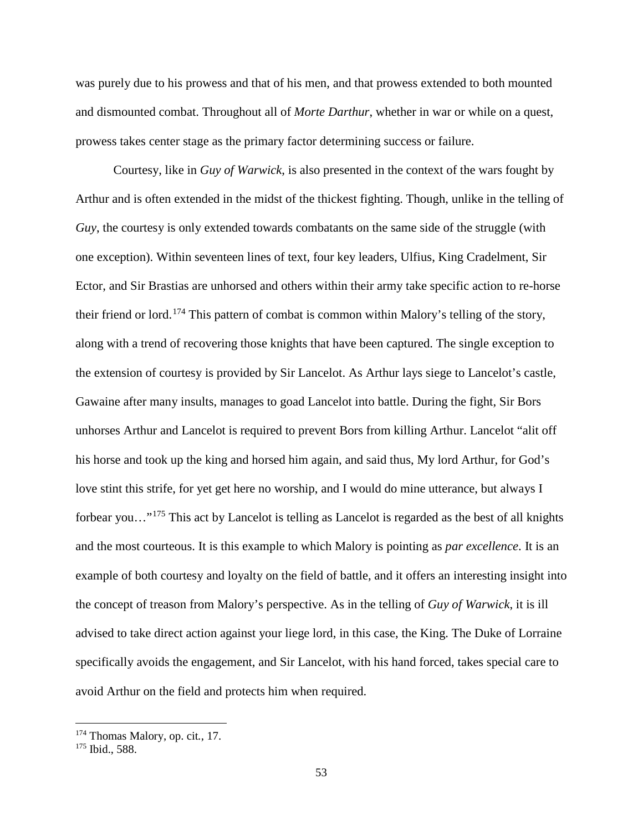was purely due to his prowess and that of his men, and that prowess extended to both mounted and dismounted combat. Throughout all of *Morte Darthur*, whether in war or while on a quest, prowess takes center stage as the primary factor determining success or failure.

Courtesy, like in *Guy of Warwick*, is also presented in the context of the wars fought by Arthur and is often extended in the midst of the thickest fighting. Though, unlike in the telling of *Guy*, the courtesy is only extended towards combatants on the same side of the struggle (with one exception). Within seventeen lines of text, four key leaders, Ulfius, King Cradelment, Sir Ector, and Sir Brastias are unhorsed and others within their army take specific action to re-horse their friend or lord.[174](#page-58-0) This pattern of combat is common within Malory's telling of the story, along with a trend of recovering those knights that have been captured. The single exception to the extension of courtesy is provided by Sir Lancelot. As Arthur lays siege to Lancelot's castle, Gawaine after many insults, manages to goad Lancelot into battle. During the fight, Sir Bors unhorses Arthur and Lancelot is required to prevent Bors from killing Arthur. Lancelot "alit off his horse and took up the king and horsed him again, and said thus, My lord Arthur, for God's love stint this strife, for yet get here no worship, and I would do mine utterance, but always I forbear you…"[175](#page-58-1) This act by Lancelot is telling as Lancelot is regarded as the best of all knights and the most courteous. It is this example to which Malory is pointing as *par excellence*. It is an example of both courtesy and loyalty on the field of battle, and it offers an interesting insight into the concept of treason from Malory's perspective. As in the telling of *Guy of Warwick*, it is ill advised to take direct action against your liege lord, in this case, the King. The Duke of Lorraine specifically avoids the engagement, and Sir Lancelot, with his hand forced, takes special care to avoid Arthur on the field and protects him when required.

<span id="page-58-0"></span><sup>174</sup> Thomas Malory, op. cit*.*, 17.

<span id="page-58-1"></span><sup>&</sup>lt;sup>175</sup> Ibid., 588.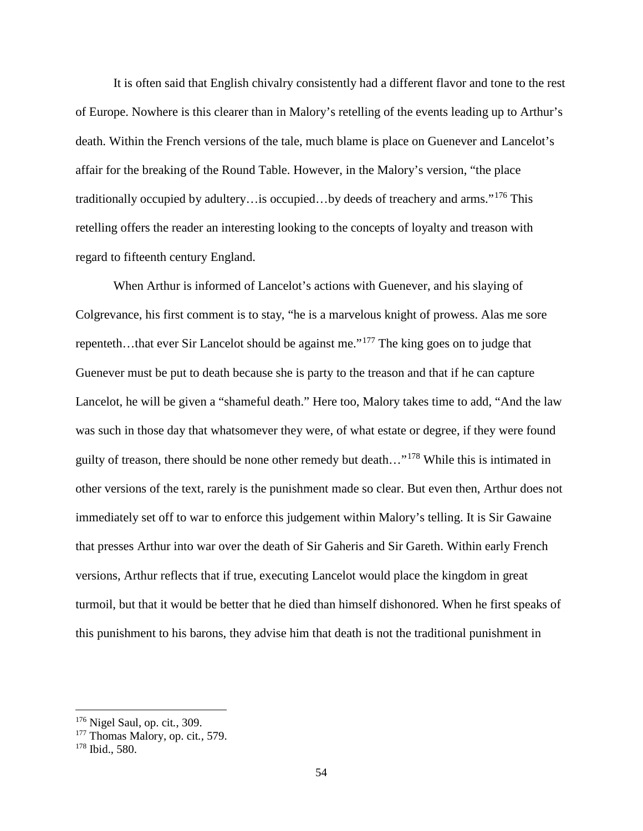It is often said that English chivalry consistently had a different flavor and tone to the rest of Europe. Nowhere is this clearer than in Malory's retelling of the events leading up to Arthur's death. Within the French versions of the tale, much blame is place on Guenever and Lancelot's affair for the breaking of the Round Table. However, in the Malory's version, "the place traditionally occupied by adultery…is occupied…by deeds of treachery and arms."[176](#page-59-0) This retelling offers the reader an interesting looking to the concepts of loyalty and treason with regard to fifteenth century England.

When Arthur is informed of Lancelot's actions with Guenever, and his slaying of Colgrevance, his first comment is to stay, "he is a marvelous knight of prowess. Alas me sore repenteth…that ever Sir Lancelot should be against me."[177](#page-59-1) The king goes on to judge that Guenever must be put to death because she is party to the treason and that if he can capture Lancelot, he will be given a "shameful death." Here too, Malory takes time to add, "And the law was such in those day that whatsomever they were, of what estate or degree, if they were found guilty of treason, there should be none other remedy but death..."<sup>[178](#page-59-2)</sup> While this is intimated in other versions of the text, rarely is the punishment made so clear. But even then, Arthur does not immediately set off to war to enforce this judgement within Malory's telling. It is Sir Gawaine that presses Arthur into war over the death of Sir Gaheris and Sir Gareth. Within early French versions, Arthur reflects that if true, executing Lancelot would place the kingdom in great turmoil, but that it would be better that he died than himself dishonored. When he first speaks of this punishment to his barons, they advise him that death is not the traditional punishment in

<span id="page-59-0"></span><sup>176</sup> Nigel Saul, op. cit*.*, 309.

<span id="page-59-1"></span><sup>177</sup> Thomas Malory, op. cit*.*, 579.

<span id="page-59-2"></span><sup>178</sup> Ibid., 580.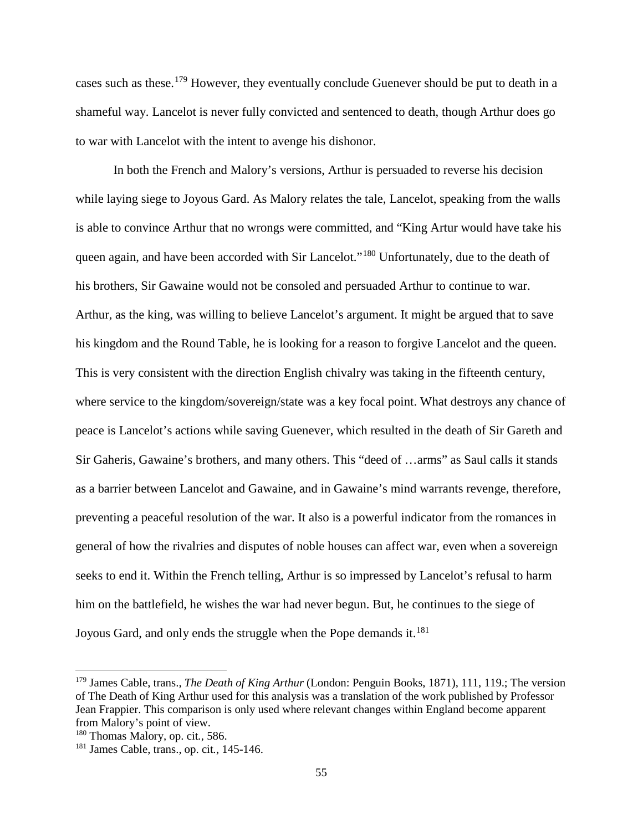cases such as these.<sup>[179](#page-60-0)</sup> However, they eventually conclude Guenever should be put to death in a shameful way. Lancelot is never fully convicted and sentenced to death, though Arthur does go to war with Lancelot with the intent to avenge his dishonor.

In both the French and Malory's versions, Arthur is persuaded to reverse his decision while laying siege to Joyous Gard. As Malory relates the tale, Lancelot, speaking from the walls is able to convince Arthur that no wrongs were committed, and "King Artur would have take his queen again, and have been accorded with Sir Lancelot."<sup>[180](#page-60-1)</sup> Unfortunately, due to the death of his brothers, Sir Gawaine would not be consoled and persuaded Arthur to continue to war. Arthur, as the king, was willing to believe Lancelot's argument. It might be argued that to save his kingdom and the Round Table, he is looking for a reason to forgive Lancelot and the queen. This is very consistent with the direction English chivalry was taking in the fifteenth century, where service to the kingdom/sovereign/state was a key focal point. What destroys any chance of peace is Lancelot's actions while saving Guenever, which resulted in the death of Sir Gareth and Sir Gaheris, Gawaine's brothers, and many others. This "deed of …arms" as Saul calls it stands as a barrier between Lancelot and Gawaine, and in Gawaine's mind warrants revenge, therefore, preventing a peaceful resolution of the war. It also is a powerful indicator from the romances in general of how the rivalries and disputes of noble houses can affect war, even when a sovereign seeks to end it. Within the French telling, Arthur is so impressed by Lancelot's refusal to harm him on the battlefield, he wishes the war had never begun. But, he continues to the siege of Joyous Gard, and only ends the struggle when the Pope demands it.<sup>[181](#page-60-2)</sup>

<span id="page-60-0"></span><sup>179</sup> James Cable, trans., *The Death of King Arthur* (London: Penguin Books, 1871), 111, 119.; The version of The Death of King Arthur used for this analysis was a translation of the work published by Professor Jean Frappier. This comparison is only used where relevant changes within England become apparent from Malory's point of view.

<span id="page-60-1"></span><sup>180</sup> Thomas Malory, op. cit*.*, 586.

<span id="page-60-2"></span><sup>181</sup> James Cable, trans., op. cit*.*, 145-146.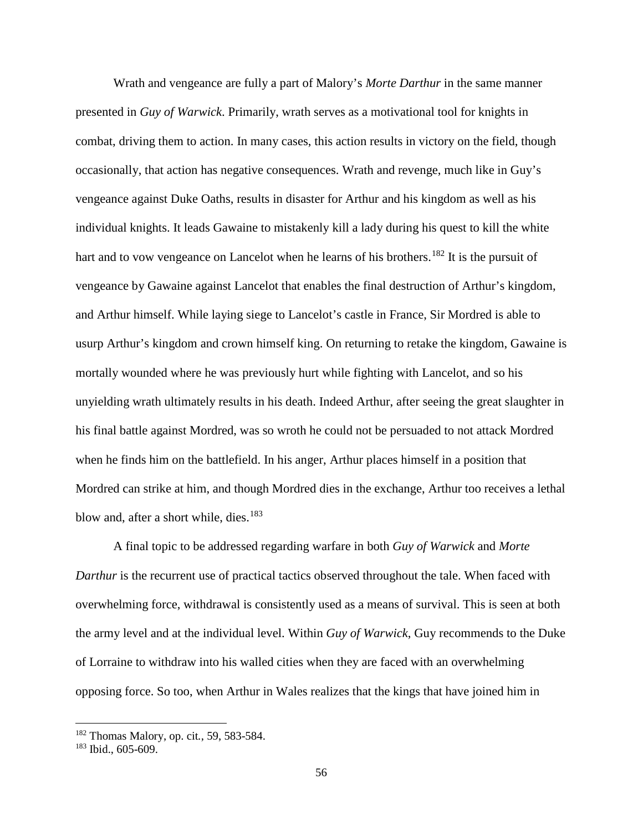Wrath and vengeance are fully a part of Malory's *Morte Darthur* in the same manner presented in *Guy of Warwick*. Primarily, wrath serves as a motivational tool for knights in combat, driving them to action. In many cases, this action results in victory on the field, though occasionally, that action has negative consequences. Wrath and revenge, much like in Guy's vengeance against Duke Oaths, results in disaster for Arthur and his kingdom as well as his individual knights. It leads Gawaine to mistakenly kill a lady during his quest to kill the white hart and to vow vengeance on Lancelot when he learns of his brothers.<sup>[182](#page-61-0)</sup> It is the pursuit of vengeance by Gawaine against Lancelot that enables the final destruction of Arthur's kingdom, and Arthur himself. While laying siege to Lancelot's castle in France, Sir Mordred is able to usurp Arthur's kingdom and crown himself king. On returning to retake the kingdom, Gawaine is mortally wounded where he was previously hurt while fighting with Lancelot, and so his unyielding wrath ultimately results in his death. Indeed Arthur, after seeing the great slaughter in his final battle against Mordred, was so wroth he could not be persuaded to not attack Mordred when he finds him on the battlefield. In his anger, Arthur places himself in a position that Mordred can strike at him, and though Mordred dies in the exchange, Arthur too receives a lethal blow and, after a short while, dies.<sup>[183](#page-61-1)</sup>

A final topic to be addressed regarding warfare in both *Guy of Warwick* and *Morte Darthur* is the recurrent use of practical tactics observed throughout the tale. When faced with overwhelming force, withdrawal is consistently used as a means of survival. This is seen at both the army level and at the individual level. Within *Guy of Warwick*, Guy recommends to the Duke of Lorraine to withdraw into his walled cities when they are faced with an overwhelming opposing force. So too, when Arthur in Wales realizes that the kings that have joined him in

<span id="page-61-0"></span><sup>182</sup> Thomas Malory, op. cit*.*, 59, 583-584.

<span id="page-61-1"></span><sup>183</sup> Ibid., 605-609.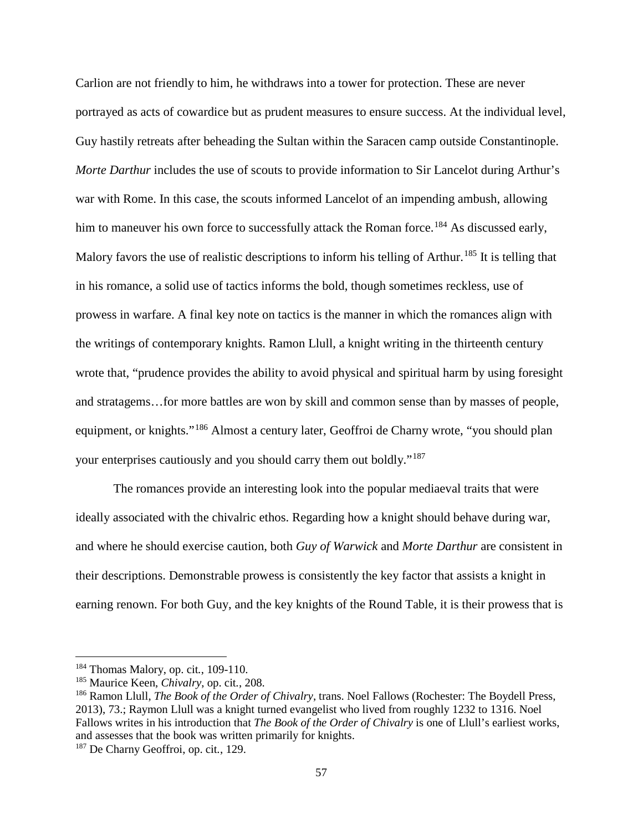Carlion are not friendly to him, he withdraws into a tower for protection. These are never portrayed as acts of cowardice but as prudent measures to ensure success. At the individual level, Guy hastily retreats after beheading the Sultan within the Saracen camp outside Constantinople. *Morte Darthur* includes the use of scouts to provide information to Sir Lancelot during Arthur's war with Rome. In this case, the scouts informed Lancelot of an impending ambush, allowing him to maneuver his own force to successfully attack the Roman force.<sup>[184](#page-62-0)</sup> As discussed early, Malory favors the use of realistic descriptions to inform his telling of Arthur.<sup>[185](#page-62-1)</sup> It is telling that in his romance, a solid use of tactics informs the bold, though sometimes reckless, use of prowess in warfare. A final key note on tactics is the manner in which the romances align with the writings of contemporary knights. Ramon Llull, a knight writing in the thirteenth century wrote that, "prudence provides the ability to avoid physical and spiritual harm by using foresight and stratagems…for more battles are won by skill and common sense than by masses of people, equipment, or knights."<sup>[186](#page-62-2)</sup> Almost a century later, Geoffroi de Charny wrote, "you should plan your enterprises cautiously and you should carry them out boldly."[187](#page-62-3)

The romances provide an interesting look into the popular mediaeval traits that were ideally associated with the chivalric ethos. Regarding how a knight should behave during war, and where he should exercise caution, both *Guy of Warwick* and *Morte Darthur* are consistent in their descriptions. Demonstrable prowess is consistently the key factor that assists a knight in earning renown. For both Guy, and the key knights of the Round Table, it is their prowess that is

<span id="page-62-0"></span><sup>184</sup> Thomas Malory, op. cit*.*, 109-110.

<span id="page-62-1"></span><sup>185</sup> Maurice Keen, *Chivalry*, op. cit*.*, 208.

<span id="page-62-2"></span><sup>186</sup> Ramon Llull, *The Book of the Order of Chivalry*, trans. Noel Fallows (Rochester: The Boydell Press, 2013), 73.; Raymon Llull was a knight turned evangelist who lived from roughly 1232 to 1316. Noel Fallows writes in his introduction that *The Book of the Order of Chivalry* is one of Llull's earliest works, and assesses that the book was written primarily for knights.

<span id="page-62-3"></span><sup>187</sup> De Charny Geoffroi, op. cit*.*, 129.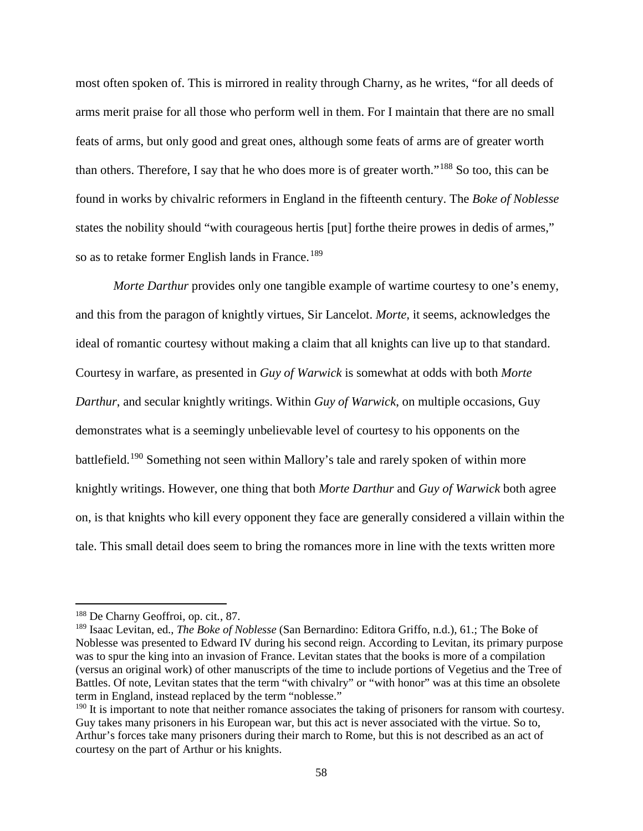most often spoken of. This is mirrored in reality through Charny, as he writes, "for all deeds of arms merit praise for all those who perform well in them. For I maintain that there are no small feats of arms, but only good and great ones, although some feats of arms are of greater worth than others. Therefore, I say that he who does more is of greater worth."[188](#page-63-0) So too, this can be found in works by chivalric reformers in England in the fifteenth century. The *Boke of Noblesse* states the nobility should "with courageous hertis [put] forthe theire prowes in dedis of armes," so as to retake former English lands in France.<sup>[189](#page-63-1)</sup>

*Morte Darthur* provides only one tangible example of wartime courtesy to one's enemy, and this from the paragon of knightly virtues, Sir Lancelot. *Morte,* it seems, acknowledges the ideal of romantic courtesy without making a claim that all knights can live up to that standard. Courtesy in warfare, as presented in *Guy of Warwick* is somewhat at odds with both *Morte Darthur*, and secular knightly writings. Within *Guy of Warwick*, on multiple occasions, Guy demonstrates what is a seemingly unbelievable level of courtesy to his opponents on the battlefield.<sup>[190](#page-63-2)</sup> Something not seen within Mallory's tale and rarely spoken of within more knightly writings. However, one thing that both *Morte Darthur* and *Guy of Warwick* both agree on, is that knights who kill every opponent they face are generally considered a villain within the tale. This small detail does seem to bring the romances more in line with the texts written more

 $\overline{a}$ 

<span id="page-63-0"></span><sup>188</sup> De Charny Geoffroi, op. cit*.*, 87.

<span id="page-63-1"></span><sup>189</sup> Isaac Levitan, ed., *The Boke of Noblesse* (San Bernardino: Editora Griffo, n.d.), 61.; The Boke of Noblesse was presented to Edward IV during his second reign. According to Levitan, its primary purpose was to spur the king into an invasion of France. Levitan states that the books is more of a compilation (versus an original work) of other manuscripts of the time to include portions of Vegetius and the Tree of Battles. Of note, Levitan states that the term "with chivalry" or "with honor" was at this time an obsolete term in England, instead replaced by the term "noblesse."

<span id="page-63-2"></span><sup>&</sup>lt;sup>190</sup> It is important to note that neither romance associates the taking of prisoners for ransom with courtesy. Guy takes many prisoners in his European war, but this act is never associated with the virtue. So to, Arthur's forces take many prisoners during their march to Rome, but this is not described as an act of courtesy on the part of Arthur or his knights.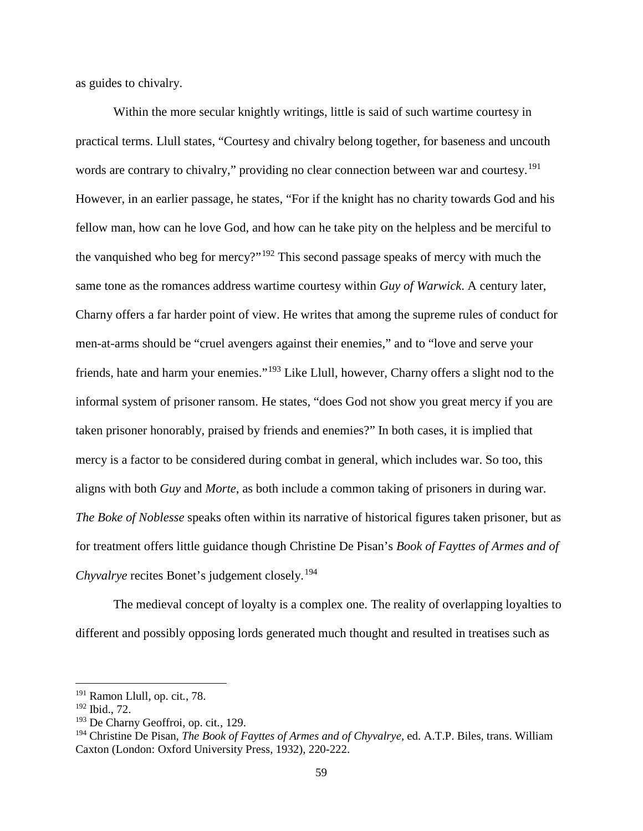as guides to chivalry.

Within the more secular knightly writings, little is said of such wartime courtesy in practical terms. Llull states, "Courtesy and chivalry belong together, for baseness and uncouth words are contrary to chivalry," providing no clear connection between war and courtesy.<sup>[191](#page-64-0)</sup> However, in an earlier passage, he states, "For if the knight has no charity towards God and his fellow man, how can he love God, and how can he take pity on the helpless and be merciful to the vanquished who beg for mercy?"[192](#page-64-1) This second passage speaks of mercy with much the same tone as the romances address wartime courtesy within *Guy of Warwick*. A century later, Charny offers a far harder point of view. He writes that among the supreme rules of conduct for men-at-arms should be "cruel avengers against their enemies," and to "love and serve your friends, hate and harm your enemies."[193](#page-64-2) Like Llull, however, Charny offers a slight nod to the informal system of prisoner ransom. He states, "does God not show you great mercy if you are taken prisoner honorably, praised by friends and enemies?" In both cases, it is implied that mercy is a factor to be considered during combat in general, which includes war. So too, this aligns with both *Guy* and *Morte*, as both include a common taking of prisoners in during war. *The Boke of Noblesse* speaks often within its narrative of historical figures taken prisoner, but as for treatment offers little guidance though Christine De Pisan's *Book of Fayttes of Armes and of Chyvalrye* recites Bonet's judgement closely.<sup>[194](#page-64-3)</sup>

The medieval concept of loyalty is a complex one. The reality of overlapping loyalties to different and possibly opposing lords generated much thought and resulted in treatises such as

<span id="page-64-0"></span><sup>191</sup> Ramon Llull, op. cit*.*, 78.

<span id="page-64-1"></span><sup>192</sup> Ibid., 72.

<span id="page-64-2"></span><sup>193</sup> De Charny Geoffroi, op. cit*.*, 129.

<span id="page-64-3"></span><sup>194</sup> Christine De Pisan, *The Book of Fayttes of Armes and of Chyvalrye*, ed. A.T.P. Biles, trans. William Caxton (London: Oxford University Press, 1932), 220-222.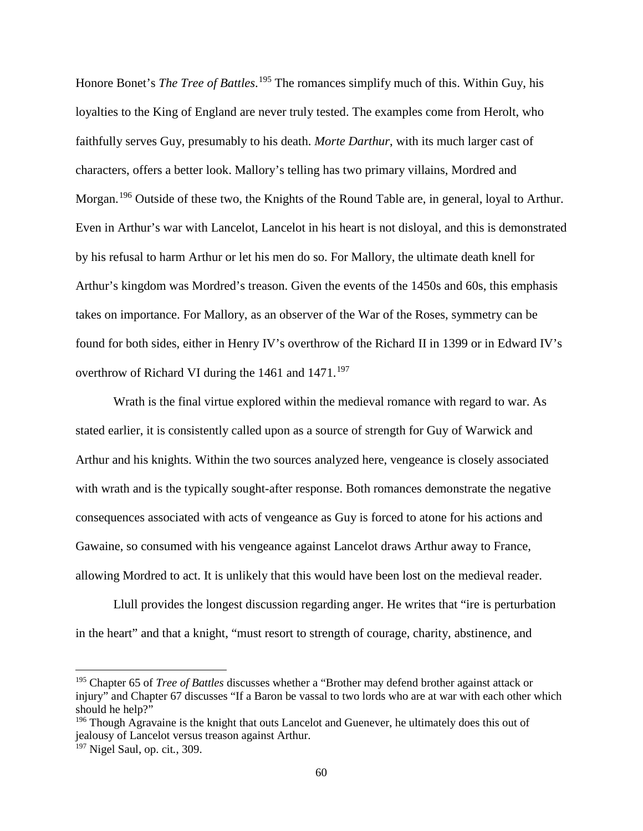Honore Bonet's *The Tree of Battles*.<sup>[195](#page-65-0)</sup> The romances simplify much of this. Within Guy, his loyalties to the King of England are never truly tested. The examples come from Herolt, who faithfully serves Guy, presumably to his death. *Morte Darthur*, with its much larger cast of characters, offers a better look. Mallory's telling has two primary villains, Mordred and Morgan.<sup>[196](#page-65-1)</sup> Outside of these two, the Knights of the Round Table are, in general, loyal to Arthur. Even in Arthur's war with Lancelot, Lancelot in his heart is not disloyal, and this is demonstrated by his refusal to harm Arthur or let his men do so. For Mallory, the ultimate death knell for Arthur's kingdom was Mordred's treason. Given the events of the 1450s and 60s, this emphasis takes on importance. For Mallory, as an observer of the War of the Roses, symmetry can be found for both sides, either in Henry IV's overthrow of the Richard II in 1399 or in Edward IV's overthrow of Richard VI during the  $1461$  and  $1471$ .<sup>[197](#page-65-2)</sup>

Wrath is the final virtue explored within the medieval romance with regard to war. As stated earlier, it is consistently called upon as a source of strength for Guy of Warwick and Arthur and his knights. Within the two sources analyzed here, vengeance is closely associated with wrath and is the typically sought-after response. Both romances demonstrate the negative consequences associated with acts of vengeance as Guy is forced to atone for his actions and Gawaine, so consumed with his vengeance against Lancelot draws Arthur away to France, allowing Mordred to act. It is unlikely that this would have been lost on the medieval reader.

Llull provides the longest discussion regarding anger. He writes that "ire is perturbation in the heart" and that a knight, "must resort to strength of courage, charity, abstinence, and

<span id="page-65-0"></span><sup>195</sup> Chapter 65 of *Tree of Battles* discusses whether a "Brother may defend brother against attack or injury" and Chapter 67 discusses "If a Baron be vassal to two lords who are at war with each other which should he help?"

<span id="page-65-1"></span><sup>&</sup>lt;sup>196</sup> Though Agravaine is the knight that outs Lancelot and Guenever, he ultimately does this out of jealousy of Lancelot versus treason against Arthur.

<span id="page-65-2"></span><sup>197</sup> Nigel Saul, op. cit*.*, 309.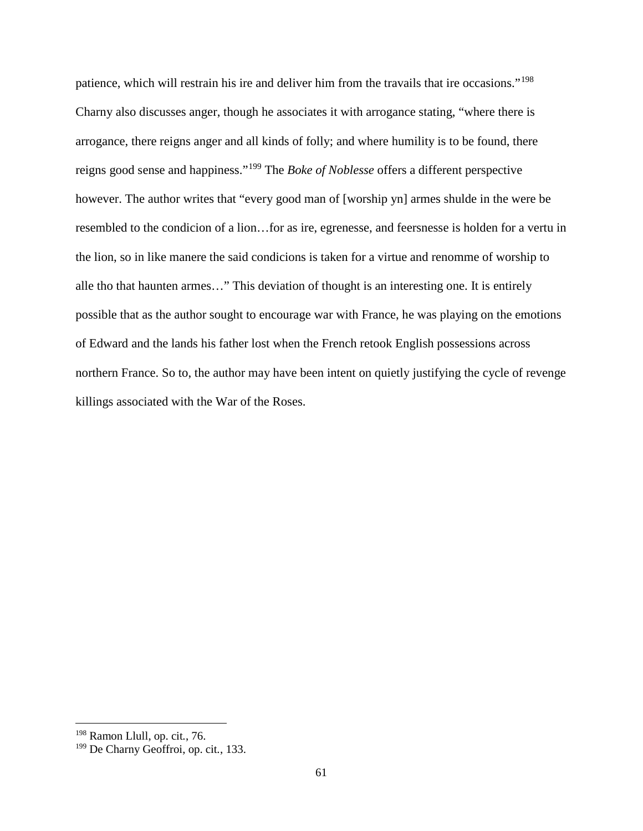patience, which will restrain his ire and deliver him from the travails that ire occasions."[198](#page-66-0) Charny also discusses anger, though he associates it with arrogance stating, "where there is arrogance, there reigns anger and all kinds of folly; and where humility is to be found, there reigns good sense and happiness."[199](#page-66-1) The *Boke of Noblesse* offers a different perspective however. The author writes that "every good man of [worship yn] armes shulde in the were be resembled to the condicion of a lion…for as ire, egrenesse, and feersnesse is holden for a vertu in the lion, so in like manere the said condicions is taken for a virtue and renomme of worship to alle tho that haunten armes…" This deviation of thought is an interesting one. It is entirely possible that as the author sought to encourage war with France, he was playing on the emotions of Edward and the lands his father lost when the French retook English possessions across northern France. So to, the author may have been intent on quietly justifying the cycle of revenge killings associated with the War of the Roses.

<span id="page-66-0"></span><sup>198</sup> Ramon Llull, op. cit*.*, 76.

<span id="page-66-1"></span><sup>199</sup> De Charny Geoffroi, op. cit*.*, 133.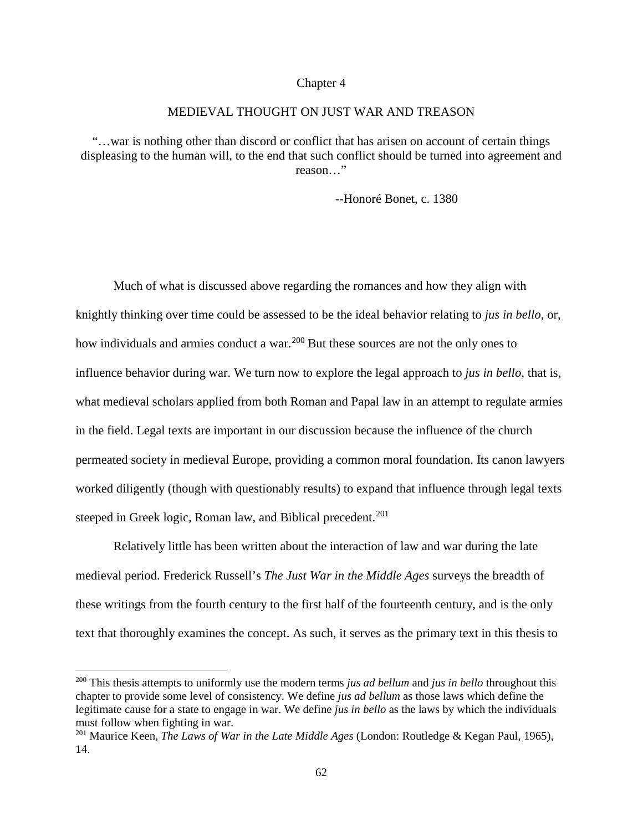#### Chapter 4

## MEDIEVAL THOUGHT ON JUST WAR AND TREASON

"…war is nothing other than discord or conflict that has arisen on account of certain things displeasing to the human will, to the end that such conflict should be turned into agreement and reason…"

--Honoré Bonet, c. 1380

Much of what is discussed above regarding the romances and how they align with knightly thinking over time could be assessed to be the ideal behavior relating to *jus in bello*, or, how individuals and armies conduct a war.<sup>[200](#page-67-0)</sup> But these sources are not the only ones to influence behavior during war. We turn now to explore the legal approach to *jus in bello*, that is, what medieval scholars applied from both Roman and Papal law in an attempt to regulate armies in the field. Legal texts are important in our discussion because the influence of the church permeated society in medieval Europe, providing a common moral foundation. Its canon lawyers worked diligently (though with questionably results) to expand that influence through legal texts steeped in Greek logic, Roman law, and Biblical precedent.<sup>[201](#page-67-1)</sup>

Relatively little has been written about the interaction of law and war during the late medieval period. Frederick Russell's *The Just War in the Middle Ages* surveys the breadth of these writings from the fourth century to the first half of the fourteenth century, and is the only text that thoroughly examines the concept. As such, it serves as the primary text in this thesis to

<span id="page-67-0"></span><sup>200</sup> This thesis attempts to uniformly use the modern terms *jus ad bellum* and *jus in bello* throughout this chapter to provide some level of consistency. We define *jus ad bellum* as those laws which define the legitimate cause for a state to engage in war. We define *jus in bello* as the laws by which the individuals must follow when fighting in war.

<span id="page-67-1"></span><sup>201</sup> Maurice Keen, *The Laws of War in the Late Middle Ages* (London: Routledge & Kegan Paul, 1965), 14.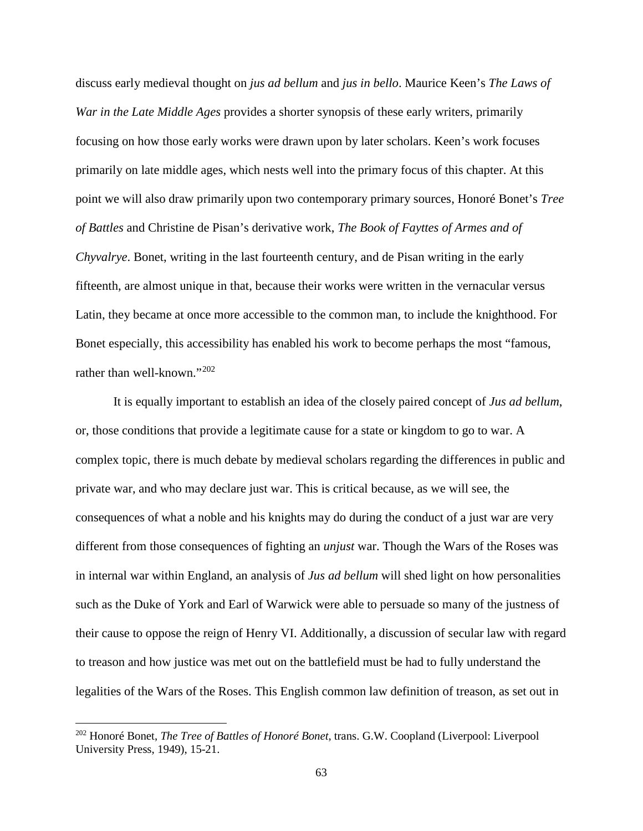discuss early medieval thought on *jus ad bellum* and *jus in bello*. Maurice Keen's *The Laws of War in the Late Middle Ages* provides a shorter synopsis of these early writers, primarily focusing on how those early works were drawn upon by later scholars. Keen's work focuses primarily on late middle ages, which nests well into the primary focus of this chapter. At this point we will also draw primarily upon two contemporary primary sources, Honoré Bonet's *Tree of Battles* and Christine de Pisan's derivative work, *The Book of Fayttes of Armes and of Chyvalrye*. Bonet, writing in the last fourteenth century, and de Pisan writing in the early fifteenth, are almost unique in that, because their works were written in the vernacular versus Latin, they became at once more accessible to the common man, to include the knighthood. For Bonet especially, this accessibility has enabled his work to become perhaps the most "famous, rather than well-known."[202](#page-68-0)

It is equally important to establish an idea of the closely paired concept of *Jus ad bellum*, or, those conditions that provide a legitimate cause for a state or kingdom to go to war. A complex topic, there is much debate by medieval scholars regarding the differences in public and private war, and who may declare just war. This is critical because, as we will see, the consequences of what a noble and his knights may do during the conduct of a just war are very different from those consequences of fighting an *unjust* war. Though the Wars of the Roses was in internal war within England, an analysis of *Jus ad bellum* will shed light on how personalities such as the Duke of York and Earl of Warwick were able to persuade so many of the justness of their cause to oppose the reign of Henry VI. Additionally, a discussion of secular law with regard to treason and how justice was met out on the battlefield must be had to fully understand the legalities of the Wars of the Roses. This English common law definition of treason, as set out in

<span id="page-68-0"></span><sup>202</sup> Honoré Bonet, *The Tree of Battles of Honoré Bonet*, trans. G.W. Coopland (Liverpool: Liverpool University Press, 1949), 15-21.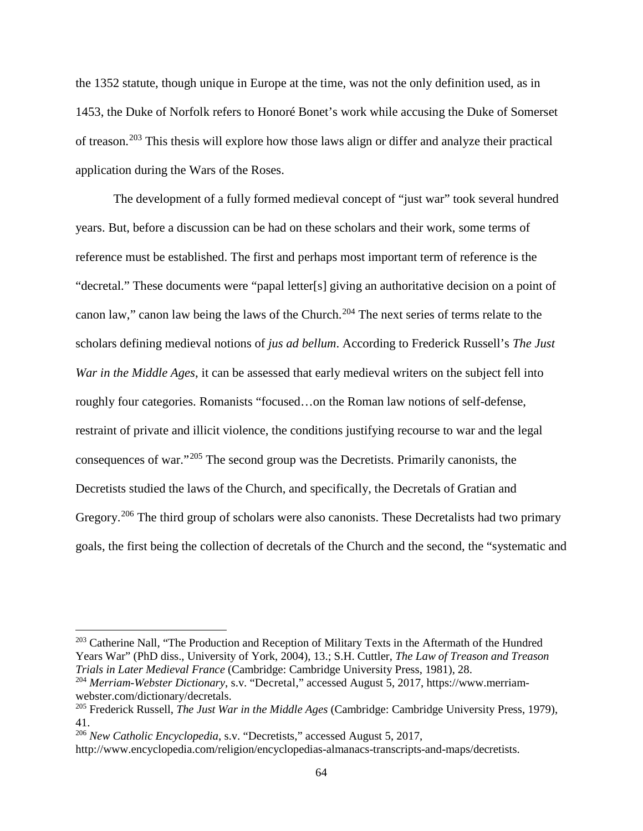the 1352 statute, though unique in Europe at the time, was not the only definition used, as in 1453, the Duke of Norfolk refers to Honoré Bonet's work while accusing the Duke of Somerset of treason.[203](#page-69-0) This thesis will explore how those laws align or differ and analyze their practical application during the Wars of the Roses.

The development of a fully formed medieval concept of "just war" took several hundred years. But, before a discussion can be had on these scholars and their work, some terms of reference must be established. The first and perhaps most important term of reference is the "decretal." These documents were "papal letter[s] giving an authoritative decision on a point of canon law," canon law being the laws of the Church.<sup>[204](#page-69-1)</sup> The next series of terms relate to the scholars defining medieval notions of *jus ad bellum*. According to Frederick Russell's *The Just War in the Middle Ages*, it can be assessed that early medieval writers on the subject fell into roughly four categories. Romanists "focused…on the Roman law notions of self-defense, restraint of private and illicit violence, the conditions justifying recourse to war and the legal consequences of war."[205](#page-69-2) The second group was the Decretists. Primarily canonists, the Decretists studied the laws of the Church, and specifically, the Decretals of Gratian and Gregory.<sup>[206](#page-69-3)</sup> The third group of scholars were also canonists. These Decretalists had two primary goals, the first being the collection of decretals of the Church and the second, the "systematic and

<span id="page-69-0"></span><sup>&</sup>lt;sup>203</sup> Catherine Nall, "The Production and Reception of Military Texts in the Aftermath of the Hundred Years War" (PhD diss., University of York, 2004), 13.; S.H. Cuttler, *The Law of Treason and Treason Trials in Later Medieval France* (Cambridge: Cambridge University Press, 1981), 28.

<span id="page-69-1"></span><sup>204</sup> *Merriam-Webster Dictionary*, s.v. "Decretal," accessed August 5, 2017, [https://www.merriam](https://www.merriam-webster.com/dictionary/decretals)[webster.com/dictionary/decretals.](https://www.merriam-webster.com/dictionary/decretals)<br><sup>205</sup> Frederick Russell, *The Just War in the Middle Ages* (Cambridge: Cambridge University Press, 1979),

<span id="page-69-2"></span><sup>41.</sup>

<span id="page-69-3"></span><sup>206</sup> *New Catholic Encyclopedia*, s.v. "Decretists," accessed August 5, 2017,

[http://www.encyclopedia.com/religion/encyclopedias-almanacs-transcripts-and-maps/decretists.](http://www.encyclopedia.com/religion/encyclopedias-almanacs-transcripts-and-maps/decretists)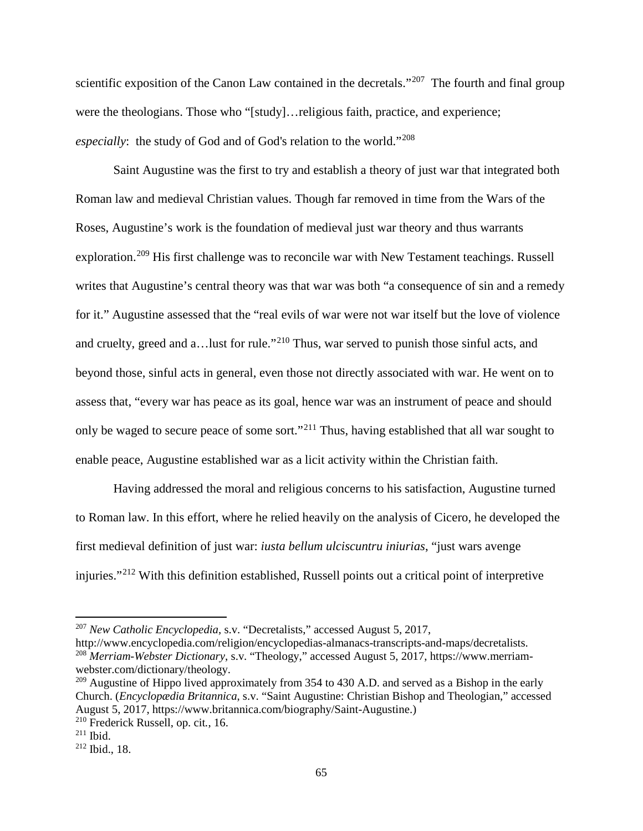scientific exposition of the Canon Law contained in the decretals."<sup>207</sup> The fourth and final group were the theologians. Those who "[study]…religious faith, practice, and experience; *especially*: the study of God and of God's relation to the world."[208](#page-70-1)

Saint Augustine was the first to try and establish a theory of just war that integrated both Roman law and medieval Christian values. Though far removed in time from the Wars of the Roses, Augustine's work is the foundation of medieval just war theory and thus warrants exploration.<sup>[209](#page-70-2)</sup> His first challenge was to reconcile war with New Testament teachings. Russell writes that Augustine's central theory was that war was both "a consequence of sin and a remedy for it." Augustine assessed that the "real evils of war were not war itself but the love of violence and cruelty, greed and a... lust for rule."<sup>[210](#page-70-3)</sup> Thus, war served to punish those sinful acts, and beyond those, sinful acts in general, even those not directly associated with war. He went on to assess that, "every war has peace as its goal, hence war was an instrument of peace and should only be waged to secure peace of some sort."[211](#page-70-4) Thus, having established that all war sought to enable peace, Augustine established war as a licit activity within the Christian faith.

Having addressed the moral and religious concerns to his satisfaction, Augustine turned to Roman law. In this effort, where he relied heavily on the analysis of Cicero, he developed the first medieval definition of just war: *iusta bellum ulciscuntru iniurias*, "just wars avenge injuries."[212](#page-70-5) With this definition established, Russell points out a critical point of interpretive

<span id="page-70-0"></span><sup>207</sup> *New Catholic Encyclopedia*, s.v. "Decretalists," accessed August 5, 2017,

<span id="page-70-1"></span>[http://www.encyclopedia.com/religion/encyclopedias-almanacs-transcripts-and-maps/decretalists.](http://www.encyclopedia.com/religion/encyclopedias-almanacs-transcripts-and-maps/decretalists) <sup>208</sup> *Merriam-Webster Dictionary*, s.v. "Theology," accessed August 5, 2017, [https://www.merriam](https://www.merriam-webster.com/dictionary/theology)[webster.com/dictionary/theology.](https://www.merriam-webster.com/dictionary/theology)

<span id="page-70-2"></span> $209$  Augustine of Hippo lived approximately from 354 to 430 A.D. and served as a Bishop in the early Church. (*Encyclopædia Britannica*, s.v. "Saint Augustine: Christian Bishop and Theologian," accessed August 5, 2017, [https://www.britannica.com/biography/Saint-Augustine.](https://www.britannica.com/biography/Saint-Augustine))

<span id="page-70-3"></span><sup>210</sup> Frederick Russell, op. cit*.*, 16.

<span id="page-70-4"></span><sup>211</sup> Ibid.

<span id="page-70-5"></span> $212$  Ibid., 18.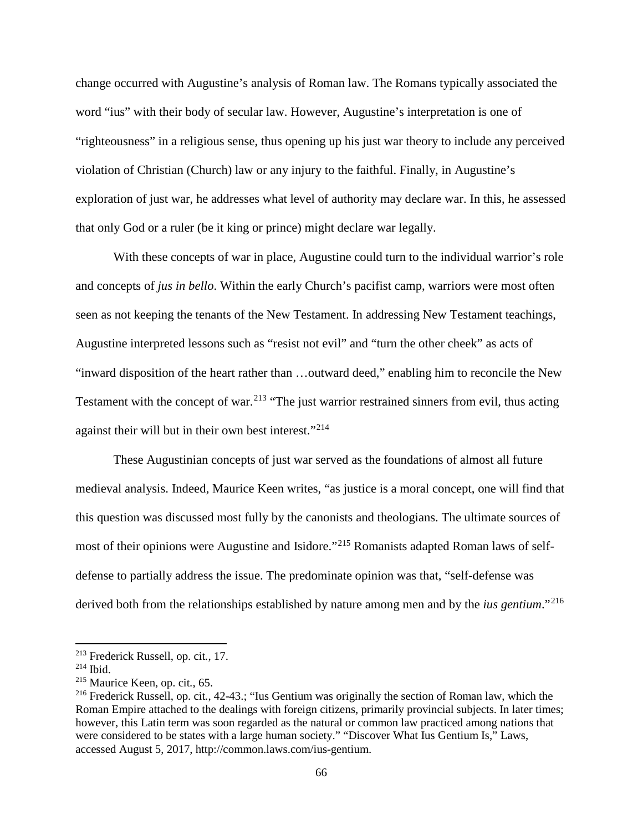change occurred with Augustine's analysis of Roman law. The Romans typically associated the word "ius" with their body of secular law. However, Augustine's interpretation is one of "righteousness" in a religious sense, thus opening up his just war theory to include any perceived violation of Christian (Church) law or any injury to the faithful. Finally, in Augustine's exploration of just war, he addresses what level of authority may declare war. In this, he assessed that only God or a ruler (be it king or prince) might declare war legally.

With these concepts of war in place, Augustine could turn to the individual warrior's role and concepts of *jus in bello*. Within the early Church's pacifist camp, warriors were most often seen as not keeping the tenants of the New Testament. In addressing New Testament teachings, Augustine interpreted lessons such as "resist not evil" and "turn the other cheek" as acts of "inward disposition of the heart rather than …outward deed," enabling him to reconcile the New Testament with the concept of war.<sup>[213](#page-71-0)</sup> "The just warrior restrained sinners from evil, thus acting against their will but in their own best interest."[214](#page-71-1)

These Augustinian concepts of just war served as the foundations of almost all future medieval analysis. Indeed, Maurice Keen writes, "as justice is a moral concept, one will find that this question was discussed most fully by the canonists and theologians. The ultimate sources of most of their opinions were Augustine and Isidore."[215](#page-71-2) Romanists adapted Roman laws of selfdefense to partially address the issue. The predominate opinion was that, "self-defense was derived both from the relationships established by nature among men and by the *ius gentium*."[216](#page-71-3)

<span id="page-71-0"></span><sup>213</sup> Frederick Russell, op. cit*.*, 17.

<span id="page-71-1"></span><sup>214</sup> Ibid.

<span id="page-71-2"></span><sup>215</sup> Maurice Keen, op. cit*.*, 65.

<span id="page-71-3"></span><sup>216</sup> Frederick Russell, op. cit*.*, 42-43.; "Ius Gentium was originally the section of Roman law, which the Roman Empire attached to the dealings with foreign citizens, primarily provincial subjects. In later times; however, this Latin term was soon regarded as the natural or common law practiced among nations that were considered to be states with a large human society." "Discover What Ius Gentium Is," Laws, accessed August 5, 2017, [http://common.laws.com/ius-gentium.](http://common.laws.com/ius-gentium)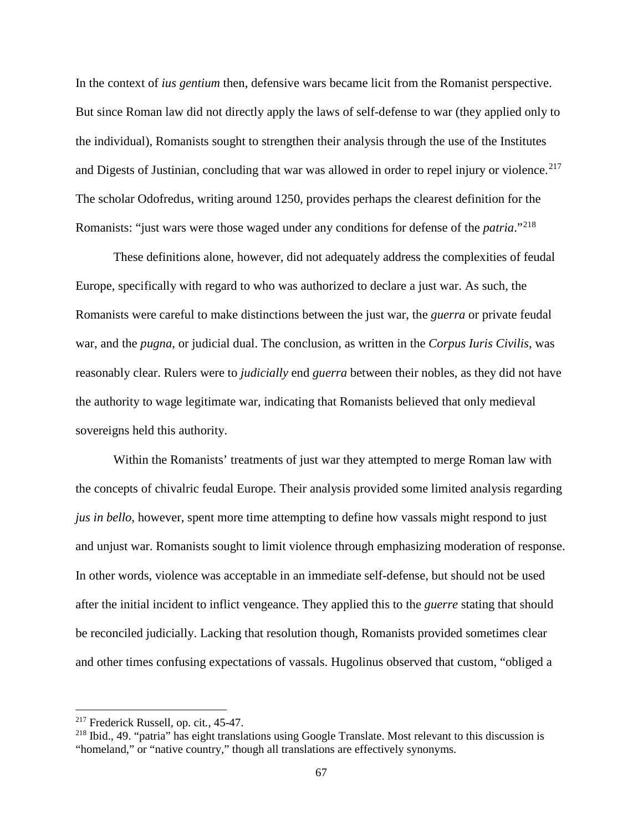In the context of *ius gentium* then, defensive wars became licit from the Romanist perspective. But since Roman law did not directly apply the laws of self-defense to war (they applied only to the individual), Romanists sought to strengthen their analysis through the use of the Institutes and Digests of Justinian, concluding that war was allowed in order to repel injury or violence.<sup>[217](#page-72-0)</sup> The scholar Odofredus, writing around 1250, provides perhaps the clearest definition for the Romanists: "just wars were those waged under any conditions for defense of the *patria*."[218](#page-72-1)

These definitions alone, however, did not adequately address the complexities of feudal Europe, specifically with regard to who was authorized to declare a just war. As such, the Romanists were careful to make distinctions between the just war, the *guerra* or private feudal war, and the *pugna*, or judicial dual. The conclusion, as written in the *Corpus Iuris Civilis*, was reasonably clear. Rulers were to *judicially* end *guerra* between their nobles, as they did not have the authority to wage legitimate war, indicating that Romanists believed that only medieval sovereigns held this authority.

Within the Romanists' treatments of just war they attempted to merge Roman law with the concepts of chivalric feudal Europe. Their analysis provided some limited analysis regarding *jus in bello*, however, spent more time attempting to define how vassals might respond to just and unjust war. Romanists sought to limit violence through emphasizing moderation of response. In other words, violence was acceptable in an immediate self-defense, but should not be used after the initial incident to inflict vengeance. They applied this to the *guerre* stating that should be reconciled judicially. Lacking that resolution though, Romanists provided sometimes clear and other times confusing expectations of vassals. Hugolinus observed that custom, "obliged a

<span id="page-72-0"></span><sup>217</sup> Frederick Russell, op. cit*.*, 45-47.

<span id="page-72-1"></span><sup>218</sup> Ibid., 49. "patria" has eight translations using Google Translate. Most relevant to this discussion is "homeland," or "native country," though all translations are effectively synonyms.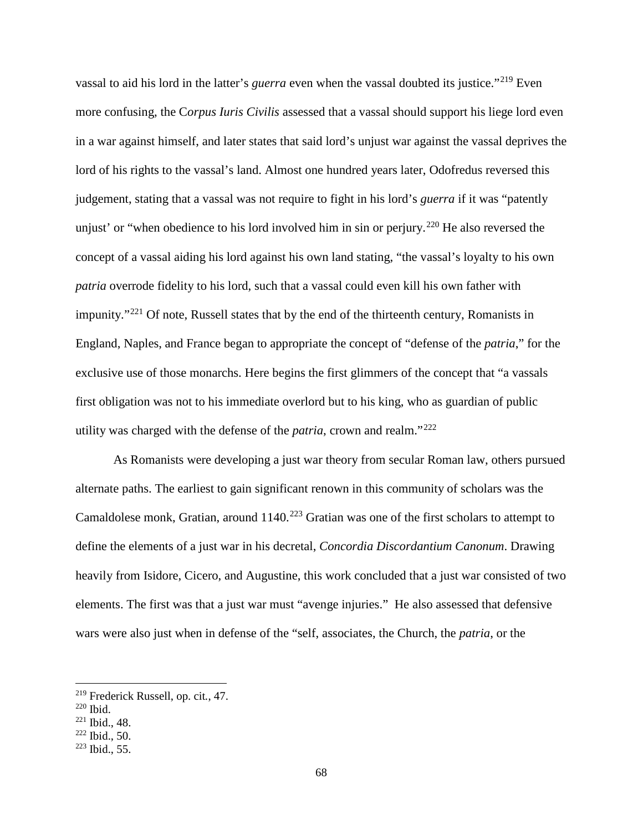vassal to aid his lord in the latter's *guerra* even when the vassal doubted its justice."<sup>[219](#page-73-0)</sup> Even more confusing, the C*orpus Iuris Civilis* assessed that a vassal should support his liege lord even in a war against himself, and later states that said lord's unjust war against the vassal deprives the lord of his rights to the vassal's land. Almost one hundred years later, Odofredus reversed this judgement, stating that a vassal was not require to fight in his lord's *guerra* if it was "patently unjust' or "when obedience to his lord involved him in sin or perjury.<sup>[220](#page-73-1)</sup> He also reversed the concept of a vassal aiding his lord against his own land stating, "the vassal's loyalty to his own *patria* overrode fidelity to his lord, such that a vassal could even kill his own father with impunity."<sup>[221](#page-73-2)</sup> Of note, Russell states that by the end of the thirteenth century, Romanists in England, Naples, and France began to appropriate the concept of "defense of the *patria*," for the exclusive use of those monarchs. Here begins the first glimmers of the concept that "a vassals first obligation was not to his immediate overlord but to his king, who as guardian of public utility was charged with the defense of the *patria*, crown and realm."[222](#page-73-3)

As Romanists were developing a just war theory from secular Roman law, others pursued alternate paths. The earliest to gain significant renown in this community of scholars was the Camaldolese monk, Gratian, around 1140.<sup>[223](#page-73-4)</sup> Gratian was one of the first scholars to attempt to define the elements of a just war in his decretal, *Concordia Discordantium Canonum*. Drawing heavily from Isidore, Cicero, and Augustine, this work concluded that a just war consisted of two elements. The first was that a just war must "avenge injuries." He also assessed that defensive wars were also just when in defense of the "self, associates, the Church, the *patria*, or the

<span id="page-73-0"></span><sup>219</sup> Frederick Russell, op. cit*.*, 47.

<span id="page-73-1"></span><sup>220</sup> Ibid.

<span id="page-73-2"></span><sup>221</sup> Ibid., 48.

<span id="page-73-3"></span><sup>222</sup> Ibid., 50.

<span id="page-73-4"></span> $223$  Ibid., 55.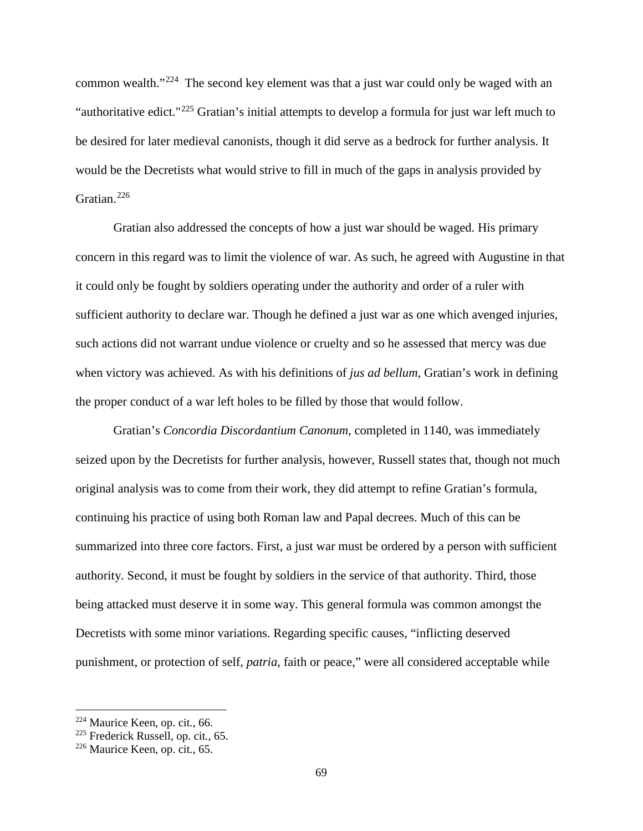common wealth."[224](#page-74-0) The second key element was that a just war could only be waged with an "authoritative edict."[225](#page-74-1) Gratian's initial attempts to develop a formula for just war left much to be desired for later medieval canonists, though it did serve as a bedrock for further analysis. It would be the Decretists what would strive to fill in much of the gaps in analysis provided by Gratian.[226](#page-74-2) 

Gratian also addressed the concepts of how a just war should be waged. His primary concern in this regard was to limit the violence of war. As such, he agreed with Augustine in that it could only be fought by soldiers operating under the authority and order of a ruler with sufficient authority to declare war. Though he defined a just war as one which avenged injuries, such actions did not warrant undue violence or cruelty and so he assessed that mercy was due when victory was achieved. As with his definitions of *jus ad bellum*, Gratian's work in defining the proper conduct of a war left holes to be filled by those that would follow.

Gratian's *Concordia Discordantium Canonum*, completed in 1140, was immediately seized upon by the Decretists for further analysis, however, Russell states that, though not much original analysis was to come from their work, they did attempt to refine Gratian's formula, continuing his practice of using both Roman law and Papal decrees. Much of this can be summarized into three core factors. First, a just war must be ordered by a person with sufficient authority. Second, it must be fought by soldiers in the service of that authority. Third, those being attacked must deserve it in some way. This general formula was common amongst the Decretists with some minor variations. Regarding specific causes, "inflicting deserved punishment, or protection of self, *patria*, faith or peace," were all considered acceptable while

<span id="page-74-0"></span><sup>224</sup> Maurice Keen, op. cit*.*, 66.

<span id="page-74-1"></span><sup>225</sup> Frederick Russell, op. cit*.*, 65.

<span id="page-74-2"></span><sup>226</sup> Maurice Keen, op. cit*.*, 65.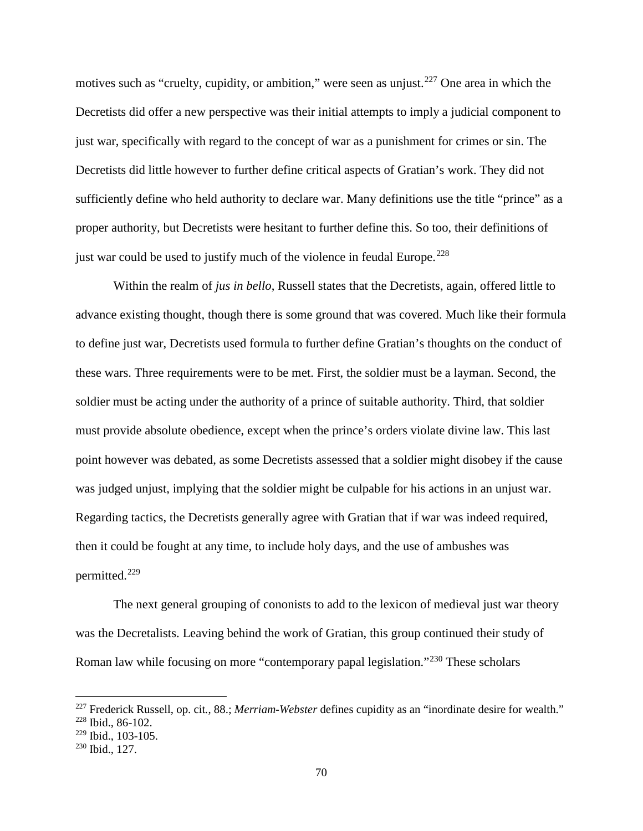motives such as "cruelty, cupidity, or ambition," were seen as unjust.<sup>[227](#page-75-0)</sup> One area in which the Decretists did offer a new perspective was their initial attempts to imply a judicial component to just war, specifically with regard to the concept of war as a punishment for crimes or sin. The Decretists did little however to further define critical aspects of Gratian's work. They did not sufficiently define who held authority to declare war. Many definitions use the title "prince" as a proper authority, but Decretists were hesitant to further define this. So too, their definitions of just war could be used to justify much of the violence in feudal Europe.<sup>[228](#page-75-1)</sup>

Within the realm of *jus in bello*, Russell states that the Decretists, again, offered little to advance existing thought, though there is some ground that was covered. Much like their formula to define just war, Decretists used formula to further define Gratian's thoughts on the conduct of these wars. Three requirements were to be met. First, the soldier must be a layman. Second, the soldier must be acting under the authority of a prince of suitable authority. Third, that soldier must provide absolute obedience, except when the prince's orders violate divine law. This last point however was debated, as some Decretists assessed that a soldier might disobey if the cause was judged unjust, implying that the soldier might be culpable for his actions in an unjust war. Regarding tactics, the Decretists generally agree with Gratian that if war was indeed required, then it could be fought at any time, to include holy days, and the use of ambushes was permitted.[229](#page-75-2)

The next general grouping of cononists to add to the lexicon of medieval just war theory was the Decretalists. Leaving behind the work of Gratian, this group continued their study of Roman law while focusing on more "contemporary papal legislation."<sup>[230](#page-75-3)</sup> These scholars

 $\overline{a}$ 

<span id="page-75-0"></span><sup>227</sup> Frederick Russell, op. cit*.*, 88.; *Merriam-Webster* defines cupidity as an "inordinate desire for wealth."

<span id="page-75-1"></span><sup>228</sup> Ibid., 86-102.

<span id="page-75-2"></span> $229$  Ibid., 103-105.

<span id="page-75-3"></span><sup>230</sup> Ibid., 127.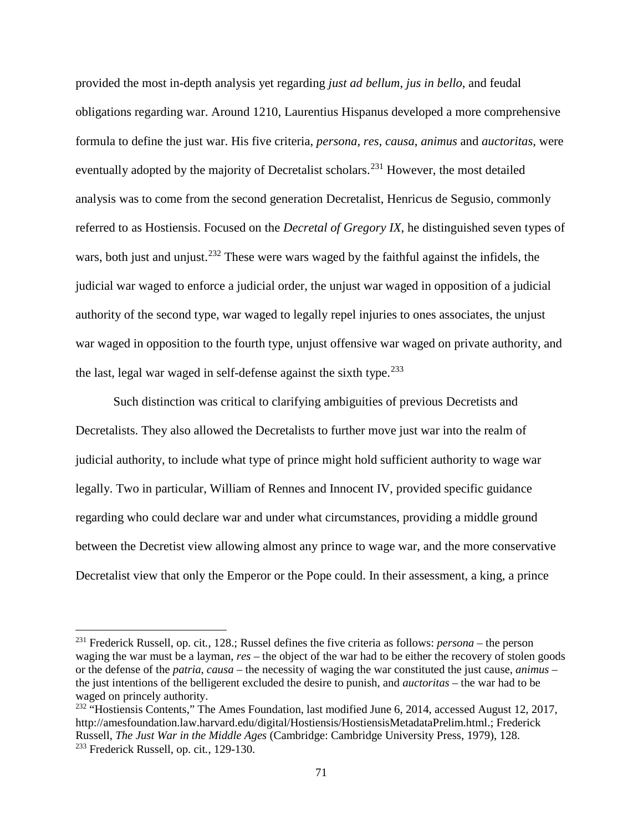provided the most in-depth analysis yet regarding *just ad bellum*, *jus in bello*, and feudal obligations regarding war. Around 1210, Laurentius Hispanus developed a more comprehensive formula to define the just war. His five criteria, *persona*, *res*, *causa*, *animus* and *auctoritas*, were eventually adopted by the majority of Decretalist scholars.<sup>[231](#page-76-0)</sup> However, the most detailed analysis was to come from the second generation Decretalist, Henricus de Segusio, commonly referred to as Hostiensis. Focused on the *Decretal of Gregory IX*, he distinguished seven types of wars, both just and unjust.<sup>[232](#page-76-1)</sup> These were wars waged by the faithful against the infidels, the judicial war waged to enforce a judicial order, the unjust war waged in opposition of a judicial authority of the second type, war waged to legally repel injuries to ones associates, the unjust war waged in opposition to the fourth type, unjust offensive war waged on private authority, and the last, legal war waged in self-defense against the sixth type.  $233$ 

Such distinction was critical to clarifying ambiguities of previous Decretists and Decretalists. They also allowed the Decretalists to further move just war into the realm of judicial authority, to include what type of prince might hold sufficient authority to wage war legally. Two in particular, William of Rennes and Innocent IV, provided specific guidance regarding who could declare war and under what circumstances, providing a middle ground between the Decretist view allowing almost any prince to wage war, and the more conservative Decretalist view that only the Emperor or the Pope could. In their assessment, a king, a prince

<span id="page-76-0"></span><sup>231</sup> Frederick Russell, op. cit*.*, 128.; Russel defines the five criteria as follows: *persona* – the person waging the war must be a layman, *res* – the object of the war had to be either the recovery of stolen goods or the defense of the *patria*, *causa* – the necessity of waging the war constituted the just cause, *animus* – the just intentions of the belligerent excluded the desire to punish, and *auctoritas* – the war had to be waged on princely authority.

<span id="page-76-2"></span><span id="page-76-1"></span><sup>232</sup> "Hostiensis Contents," The Ames Foundation, last modified June 6, 2014, accessed August 12, 2017, [http://amesfoundation.law.harvard.edu/digital/Hostiensis/HostiensisMetadataPrelim.html.](http://amesfoundation.law.harvard.edu/digital/Hostiensis/HostiensisMetadataPrelim.html); Frederick Russell, *The Just War in the Middle Ages* (Cambridge: Cambridge University Press, 1979), 128. <sup>233</sup> Frederick Russell, op. cit*.*, 129-130.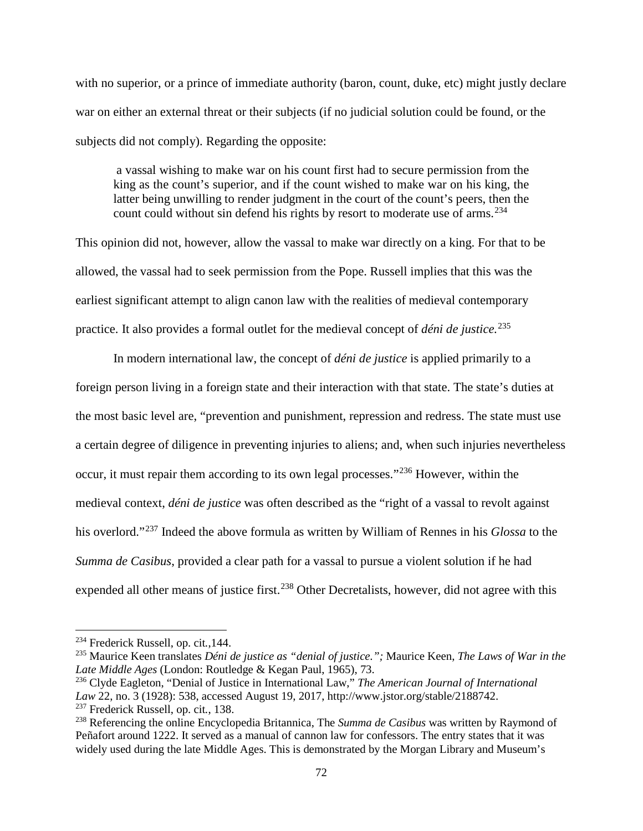with no superior, or a prince of immediate authority (baron, count, duke, etc) might justly declare war on either an external threat or their subjects (if no judicial solution could be found, or the subjects did not comply). Regarding the opposite:

a vassal wishing to make war on his count first had to secure permission from the king as the count's superior, and if the count wished to make war on his king, the latter being unwilling to render judgment in the court of the count's peers, then the count could without sin defend his rights by resort to moderate use of arms.<sup>[234](#page-77-0)</sup>

This opinion did not, however, allow the vassal to make war directly on a king. For that to be allowed, the vassal had to seek permission from the Pope. Russell implies that this was the earliest significant attempt to align canon law with the realities of medieval contemporary practice. It also provides a formal outlet for the medieval concept of *déni de justice.*[235](#page-77-1)

In modern international law, the concept of *déni de justice* is applied primarily to a foreign person living in a foreign state and their interaction with that state. The state's duties at the most basic level are, "prevention and punishment, repression and redress. The state must use a certain degree of diligence in preventing injuries to aliens; and, when such injuries nevertheless occur, it must repair them according to its own legal processes."[236](#page-77-2) However, within the medieval context, *déni de justice* was often described as the "right of a vassal to revolt against his overlord."[237](#page-77-3) Indeed the above formula as written by William of Rennes in his *Glossa* to the *Summa de Casibus*, provided a clear path for a vassal to pursue a violent solution if he had expended all other means of justice first.<sup>[238](#page-77-4)</sup> Other Decretalists, however, did not agree with this

<span id="page-77-0"></span><sup>234</sup> Frederick Russell, op. cit*.*,144.

<span id="page-77-1"></span><sup>235</sup> Maurice Keen translates *Déni de justice as "denial of justice.";* Maurice Keen, *The Laws of War in the Late Middle Ages* (London: Routledge & Kegan Paul, 1965), 73.

<span id="page-77-2"></span><sup>236</sup> Clyde Eagleton, "Denial of Justice in International Law," *The American Journal of International Law* 22, no. 3 (1928): 538, accessed August 19, 2017, [http://www.jstor.org/stable/2188742.](http://www.jstor.org/stable/2188742) <sup>237</sup> Frederick Russell, op. cit*.*, 138.

<span id="page-77-4"></span><span id="page-77-3"></span><sup>238</sup> Referencing the online Encyclopedia Britannica, The *Summa de Casibus* was written by Raymond of Peñafort around 1222. It served as a manual of cannon law for confessors. The entry states that it was widely used during the late Middle Ages. This is demonstrated by the Morgan Library and Museum's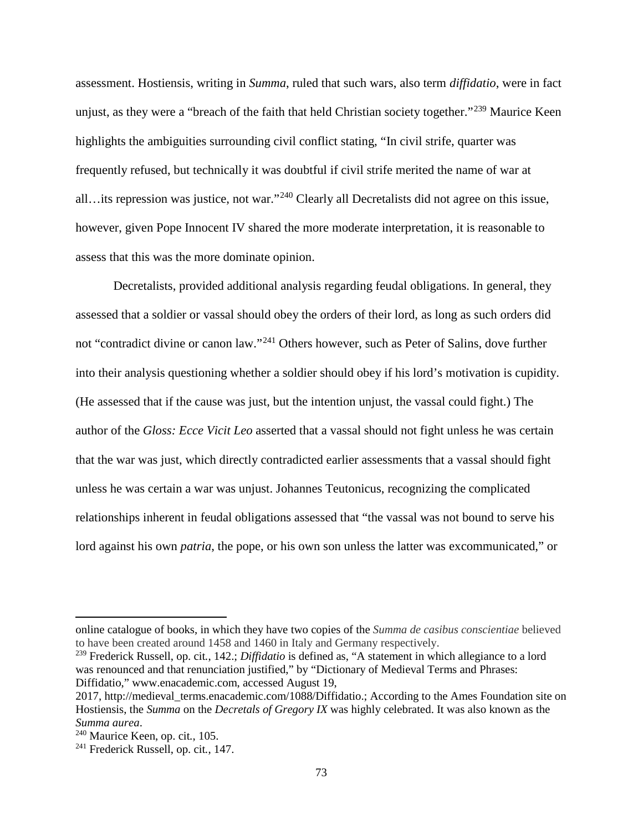assessment. Hostiensis, writing in *Summa*, ruled that such wars, also term *diffidatio*, were in fact unjust, as they were a "breach of the faith that held Christian society together."<sup>[239](#page-78-0)</sup> Maurice Keen highlights the ambiguities surrounding civil conflict stating, "In civil strife, quarter was frequently refused, but technically it was doubtful if civil strife merited the name of war at all…its repression was justice, not war."[240](#page-78-1) Clearly all Decretalists did not agree on this issue, however, given Pope Innocent IV shared the more moderate interpretation, it is reasonable to assess that this was the more dominate opinion.

Decretalists, provided additional analysis regarding feudal obligations. In general, they assessed that a soldier or vassal should obey the orders of their lord, as long as such orders did not "contradict divine or canon law."[241](#page-78-2) Others however, such as Peter of Salins, dove further into their analysis questioning whether a soldier should obey if his lord's motivation is cupidity. (He assessed that if the cause was just, but the intention unjust, the vassal could fight.) The author of the *Gloss: Ecce Vicit Leo* asserted that a vassal should not fight unless he was certain that the war was just, which directly contradicted earlier assessments that a vassal should fight unless he was certain a war was unjust. Johannes Teutonicus, recognizing the complicated relationships inherent in feudal obligations assessed that "the vassal was not bound to serve his lord against his own *patria*, the pope, or his own son unless the latter was excommunicated," or

online catalogue of books, in which they have two copies of the *Summa de casibus conscientiae* believed to have been created around 1458 and 1460 in Italy and Germany respectively.

<span id="page-78-0"></span><sup>239</sup> Frederick Russell, op. cit*.*, 142.; *Diffidatio* is defined as, "A statement in which allegiance to a lord was renounced and that renunciation justified," by "Dictionary of Medieval Terms and Phrases: Diffidatio," www.enacademic.com, accessed August 19,

<sup>2017,</sup> [http://medieval\\_terms.enacademic.com/1088/Diffidatio.](http://medieval_terms.enacademic.com/1088/Diffidatio); According to the Ames Foundation site on Hostiensis, the *Summa* on the *Decretals of Gregory IX* was highly celebrated. It was also known as the *Summa aurea*.

<span id="page-78-1"></span><sup>240</sup> Maurice Keen, op. cit*.*, 105.

<span id="page-78-2"></span><sup>241</sup> Frederick Russell, op. cit*.*, 147.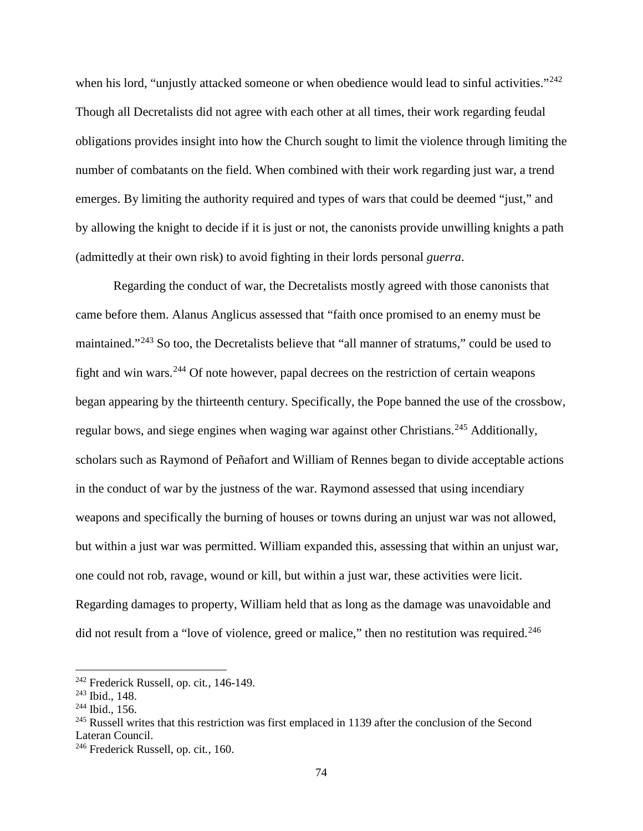when his lord, "unjustly attacked someone or when obedience would lead to sinful activities."<sup>[242](#page-79-0)</sup> Though all Decretalists did not agree with each other at all times, their work regarding feudal obligations provides insight into how the Church sought to limit the violence through limiting the number of combatants on the field. When combined with their work regarding just war, a trend emerges. By limiting the authority required and types of wars that could be deemed "just," and by allowing the knight to decide if it is just or not, the canonists provide unwilling knights a path (admittedly at their own risk) to avoid fighting in their lords personal *guerra*.

Regarding the conduct of war, the Decretalists mostly agreed with those canonists that came before them. Alanus Anglicus assessed that "faith once promised to an enemy must be maintained."[243](#page-79-1) So too, the Decretalists believe that "all manner of stratums," could be used to fight and win wars.[244](#page-79-2) Of note however, papal decrees on the restriction of certain weapons began appearing by the thirteenth century. Specifically, the Pope banned the use of the crossbow, regular bows, and siege engines when waging war against other Christians.<sup>[245](#page-79-3)</sup> Additionally, scholars such as Raymond of Peñafort and William of Rennes began to divide acceptable actions in the conduct of war by the justness of the war. Raymond assessed that using incendiary weapons and specifically the burning of houses or towns during an unjust war was not allowed, but within a just war was permitted. William expanded this, assessing that within an unjust war, one could not rob, ravage, wound or kill, but within a just war, these activities were licit. Regarding damages to property, William held that as long as the damage was unavoidable and did not result from a "love of violence, greed or malice," then no restitution was required.<sup>[246](#page-79-4)</sup>

<span id="page-79-0"></span><sup>242</sup> Frederick Russell, op. cit*.*, 146-149.

<span id="page-79-1"></span><sup>243</sup> Ibid., 148.

<span id="page-79-2"></span><sup>244</sup> Ibid., 156.

<span id="page-79-3"></span><sup>&</sup>lt;sup>245</sup> Russell writes that this restriction was first emplaced in 1139 after the conclusion of the Second Lateran Council.

<span id="page-79-4"></span><sup>246</sup> Frederick Russell, op. cit*.*, 160.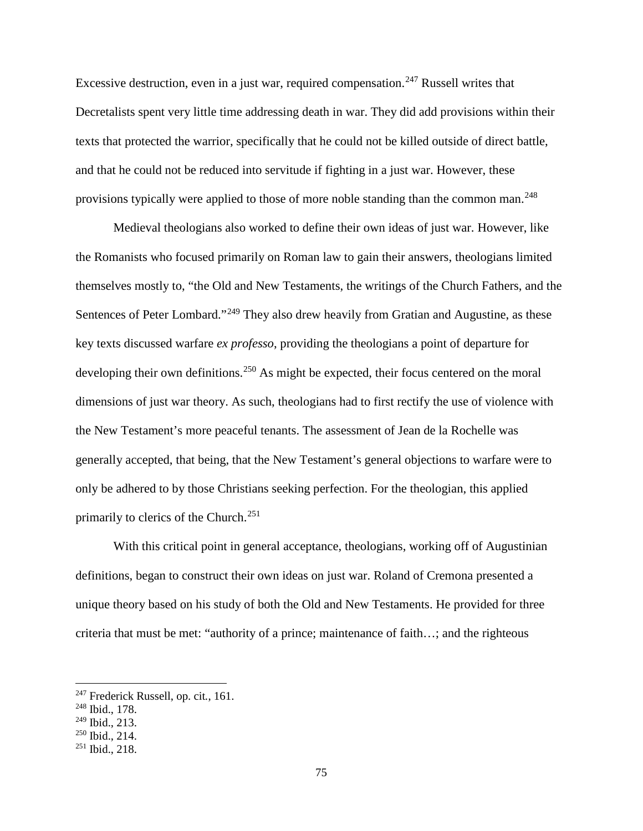Excessive destruction, even in a just war, required compensation.<sup>[247](#page-80-0)</sup> Russell writes that Decretalists spent very little time addressing death in war. They did add provisions within their texts that protected the warrior, specifically that he could not be killed outside of direct battle, and that he could not be reduced into servitude if fighting in a just war. However, these provisions typically were applied to those of more noble standing than the common man.<sup>[248](#page-80-1)</sup>

Medieval theologians also worked to define their own ideas of just war. However, like the Romanists who focused primarily on Roman law to gain their answers, theologians limited themselves mostly to, "the Old and New Testaments, the writings of the Church Fathers, and the Sentences of Peter Lombard."<sup>[249](#page-80-2)</sup> They also drew heavily from Gratian and Augustine, as these key texts discussed warfare *ex professo*, providing the theologians a point of departure for developing their own definitions.<sup>[250](#page-80-3)</sup> As might be expected, their focus centered on the moral dimensions of just war theory. As such, theologians had to first rectify the use of violence with the New Testament's more peaceful tenants. The assessment of Jean de la Rochelle was generally accepted, that being, that the New Testament's general objections to warfare were to only be adhered to by those Christians seeking perfection. For the theologian, this applied primarily to clerics of the Church.[251](#page-80-4)

With this critical point in general acceptance, theologians, working off of Augustinian definitions, began to construct their own ideas on just war. Roland of Cremona presented a unique theory based on his study of both the Old and New Testaments. He provided for three criteria that must be met: "authority of a prince; maintenance of faith…; and the righteous

<span id="page-80-0"></span><sup>247</sup> Frederick Russell, op. cit*.*, 161.

<span id="page-80-1"></span><sup>248</sup> Ibid., 178.

<span id="page-80-2"></span><sup>249</sup> Ibid., 213.

<span id="page-80-3"></span><sup>250</sup> Ibid., 214.

<span id="page-80-4"></span><sup>251</sup> Ibid., 218.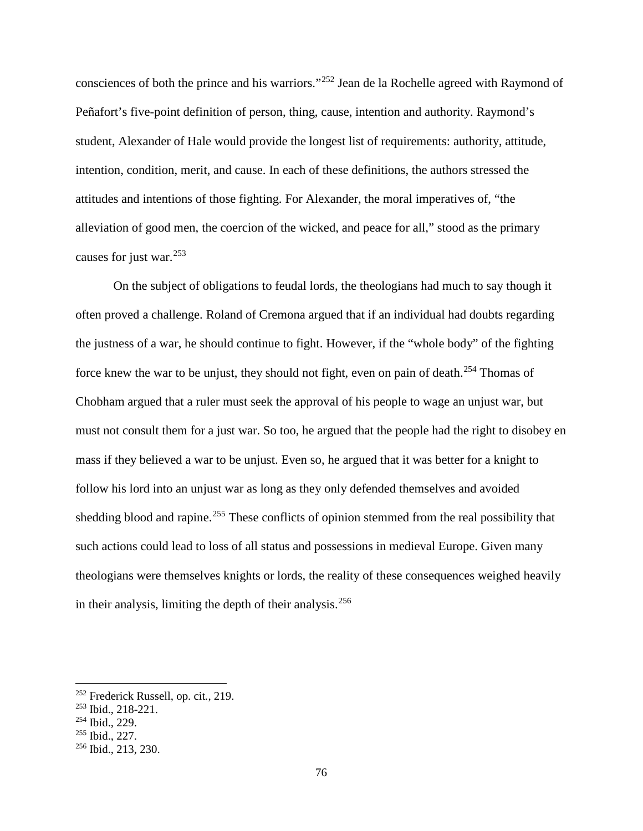consciences of both the prince and his warriors."[252](#page-81-0) Jean de la Rochelle agreed with Raymond of Peñafort's five-point definition of person, thing, cause, intention and authority. Raymond's student, Alexander of Hale would provide the longest list of requirements: authority, attitude, intention, condition, merit, and cause. In each of these definitions, the authors stressed the attitudes and intentions of those fighting. For Alexander, the moral imperatives of, "the alleviation of good men, the coercion of the wicked, and peace for all," stood as the primary causes for just war.[253](#page-81-1)

On the subject of obligations to feudal lords, the theologians had much to say though it often proved a challenge. Roland of Cremona argued that if an individual had doubts regarding the justness of a war, he should continue to fight. However, if the "whole body" of the fighting force knew the war to be unjust, they should not fight, even on pain of death.[254](#page-81-2) Thomas of Chobham argued that a ruler must seek the approval of his people to wage an unjust war, but must not consult them for a just war. So too, he argued that the people had the right to disobey en mass if they believed a war to be unjust. Even so, he argued that it was better for a knight to follow his lord into an unjust war as long as they only defended themselves and avoided shedding blood and rapine.<sup>[255](#page-81-3)</sup> These conflicts of opinion stemmed from the real possibility that such actions could lead to loss of all status and possessions in medieval Europe. Given many theologians were themselves knights or lords, the reality of these consequences weighed heavily in their analysis, limiting the depth of their analysis.<sup>[256](#page-81-4)</sup>

<span id="page-81-0"></span><sup>252</sup> Frederick Russell, op. cit*.*, 219.

<span id="page-81-1"></span><sup>253</sup> Ibid., 218-221.

<span id="page-81-2"></span><sup>254</sup> Ibid., 229.

<span id="page-81-3"></span><sup>255</sup> Ibid., 227.

<span id="page-81-4"></span><sup>256</sup> Ibid., 213, 230.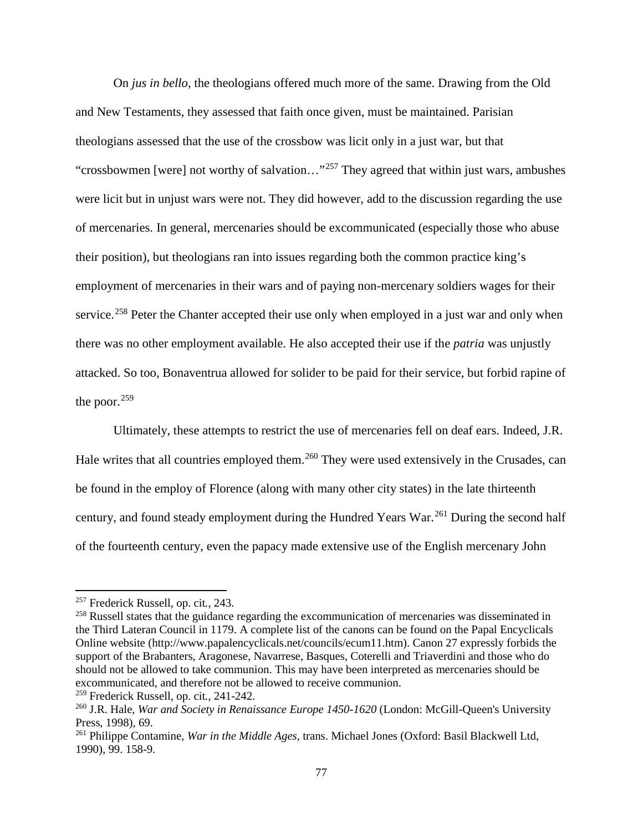On *jus in bello*, the theologians offered much more of the same. Drawing from the Old and New Testaments, they assessed that faith once given, must be maintained. Parisian theologians assessed that the use of the crossbow was licit only in a just war, but that "crossbowmen [were] not worthy of salvation..."<sup>[257](#page-82-0)</sup> They agreed that within just wars, ambushes were licit but in unjust wars were not. They did however, add to the discussion regarding the use of mercenaries. In general, mercenaries should be excommunicated (especially those who abuse their position), but theologians ran into issues regarding both the common practice king's employment of mercenaries in their wars and of paying non-mercenary soldiers wages for their service.<sup>[258](#page-82-1)</sup> Peter the Chanter accepted their use only when employed in a just war and only when there was no other employment available. He also accepted their use if the *patria* was unjustly attacked. So too, Bonaventrua allowed for solider to be paid for their service, but forbid rapine of the poor. $259$ 

Ultimately, these attempts to restrict the use of mercenaries fell on deaf ears. Indeed, J.R. Hale writes that all countries employed them.<sup>[260](#page-82-3)</sup> They were used extensively in the Crusades, can be found in the employ of Florence (along with many other city states) in the late thirteenth century, and found steady employment during the Hundred Years War.<sup>[261](#page-82-4)</sup> During the second half of the fourteenth century, even the papacy made extensive use of the English mercenary John

l

<span id="page-82-2"></span><sup>259</sup> Frederick Russell, op. cit*.*, 241-242.

<span id="page-82-0"></span><sup>257</sup> Frederick Russell, op. cit*.*, 243.

<span id="page-82-1"></span><sup>&</sup>lt;sup>258</sup> Russell states that the guidance regarding the excommunication of mercenaries was disseminated in the Third Lateran Council in 1179. A complete list of the canons can be found on the Papal Encyclicals Online website (http://www.papalencyclicals.net/councils/ecum11.htm). Canon 27 expressly forbids the support of the Brabanters, Aragonese, Navarrese, Basques, Coterelli and Triaverdini and those who do should not be allowed to take communion. This may have been interpreted as mercenaries should be excommunicated, and therefore not be allowed to receive communion.

<span id="page-82-3"></span><sup>260</sup> J.R. Hale, *War and Society in Renaissance Europe 1450-1620* (London: McGill-Queen's University Press, 1998), 69.

<span id="page-82-4"></span><sup>261</sup> Philippe Contamine, *War in the Middle Ages*, trans. Michael Jones (Oxford: Basil Blackwell Ltd, 1990), 99. 158-9.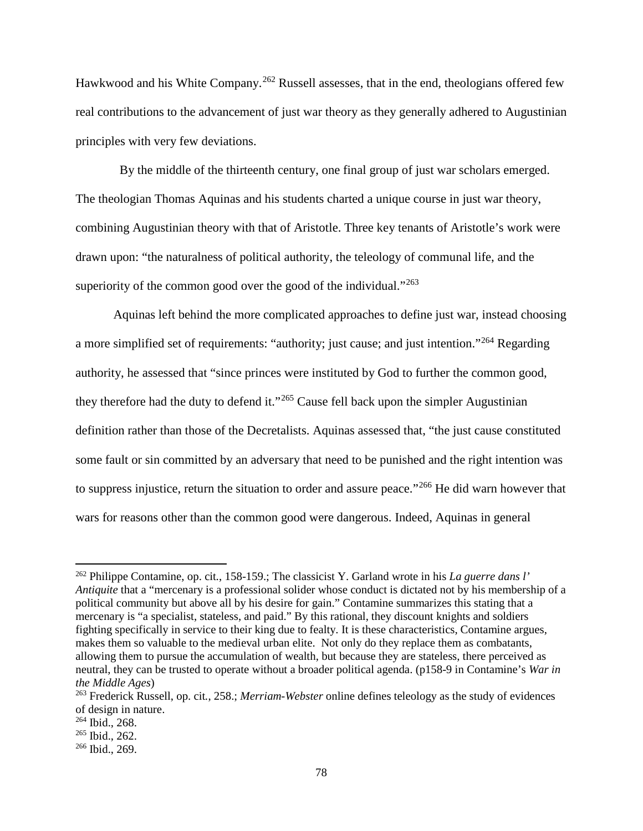Hawkwood and his White Company.<sup>[262](#page-83-0)</sup> Russell assesses, that in the end, theologians offered few real contributions to the advancement of just war theory as they generally adhered to Augustinian principles with very few deviations.

 By the middle of the thirteenth century, one final group of just war scholars emerged. The theologian Thomas Aquinas and his students charted a unique course in just war theory, combining Augustinian theory with that of Aristotle. Three key tenants of Aristotle's work were drawn upon: "the naturalness of political authority, the teleology of communal life, and the superiority of the common good over the good of the individual."<sup>[263](#page-83-1)</sup>

Aquinas left behind the more complicated approaches to define just war, instead choosing a more simplified set of requirements: "authority; just cause; and just intention."[264](#page-83-2) Regarding authority, he assessed that "since princes were instituted by God to further the common good, they therefore had the duty to defend it."<sup>[265](#page-83-3)</sup> Cause fell back upon the simpler Augustinian definition rather than those of the Decretalists. Aquinas assessed that, "the just cause constituted some fault or sin committed by an adversary that need to be punished and the right intention was to suppress injustice, return the situation to order and assure peace."[266](#page-83-4) He did warn however that wars for reasons other than the common good were dangerous. Indeed, Aquinas in general

<span id="page-83-0"></span><sup>262</sup> Philippe Contamine, op. cit*.*, 158-159.; The classicist Y. Garland wrote in his *La guerre dans l' Antiquite* that a "mercenary is a professional solider whose conduct is dictated not by his membership of a political community but above all by his desire for gain." Contamine summarizes this stating that a mercenary is "a specialist, stateless, and paid." By this rational, they discount knights and soldiers fighting specifically in service to their king due to fealty. It is these characteristics, Contamine argues, makes them so valuable to the medieval urban elite. Not only do they replace them as combatants, allowing them to pursue the accumulation of wealth, but because they are stateless, there perceived as neutral, they can be trusted to operate without a broader political agenda. (p158-9 in Contamine's *War in the Middle Ages*)

<span id="page-83-1"></span><sup>263</sup> Frederick Russell, op. cit*.*, 258.; *Merriam-Webster* online defines teleology as the study of evidences of design in nature.

<span id="page-83-2"></span><sup>264</sup> Ibid., 268.

<span id="page-83-3"></span><sup>265</sup> Ibid., 262.

<span id="page-83-4"></span><sup>266</sup> Ibid., 269.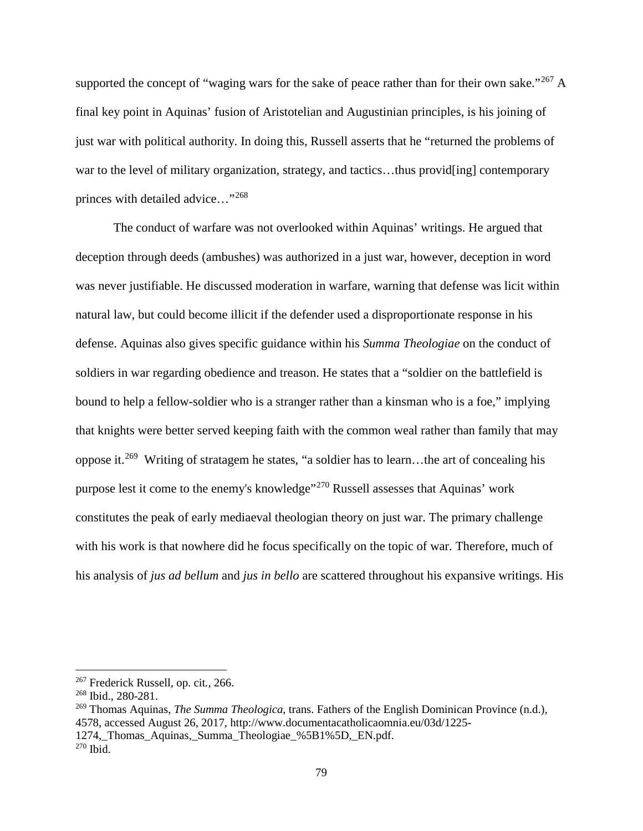supported the concept of "waging wars for the sake of peace rather than for their own sake."<sup>[267](#page-84-0)</sup> A final key point in Aquinas' fusion of Aristotelian and Augustinian principles, is his joining of just war with political authority. In doing this, Russell asserts that he "returned the problems of war to the level of military organization, strategy, and tactics...thus provides contemporary princes with detailed advice…"[268](#page-84-1)

The conduct of warfare was not overlooked within Aquinas' writings. He argued that deception through deeds (ambushes) was authorized in a just war, however, deception in word was never justifiable. He discussed moderation in warfare, warning that defense was licit within natural law, but could become illicit if the defender used a disproportionate response in his defense. Aquinas also gives specific guidance within his *Summa Theologiae* on the conduct of soldiers in war regarding obedience and treason. He states that a "soldier on the battlefield is bound to help a fellow-soldier who is a stranger rather than a kinsman who is a foe," implying that knights were better served keeping faith with the common weal rather than family that may oppose it.[269](#page-84-2) Writing of stratagem he states, "a soldier has to learn…the art of concealing his purpose lest it come to the enemy's knowledge"[270](#page-84-3) Russell assesses that Aquinas' work constitutes the peak of early mediaeval theologian theory on just war. The primary challenge with his work is that nowhere did he focus specifically on the topic of war. Therefore, much of his analysis of *jus ad bellum* and *jus in bello* are scattered throughout his expansive writings. His

<span id="page-84-0"></span><sup>267</sup> Frederick Russell, op. cit*.*, 266.

<span id="page-84-1"></span><sup>268</sup> Ibid., 280-281.

<span id="page-84-3"></span><span id="page-84-2"></span><sup>269</sup> Thomas Aquinas, *The Summa Theologica*, trans. Fathers of the English Dominican Province (n.d.), 4578, accessed August 26, 2017, [http://www.documentacatholicaomnia.eu/03d/1225-](http://www.documentacatholicaomnia.eu/03d/1225-1274,_Thomas_Aquinas,_Summa_Theologiae_%5B1%5D,_EN.pd) 1274, Thomas Aquinas, Summa Theologiae %5B1%5D, EN.pdf.  $270$  Ibid.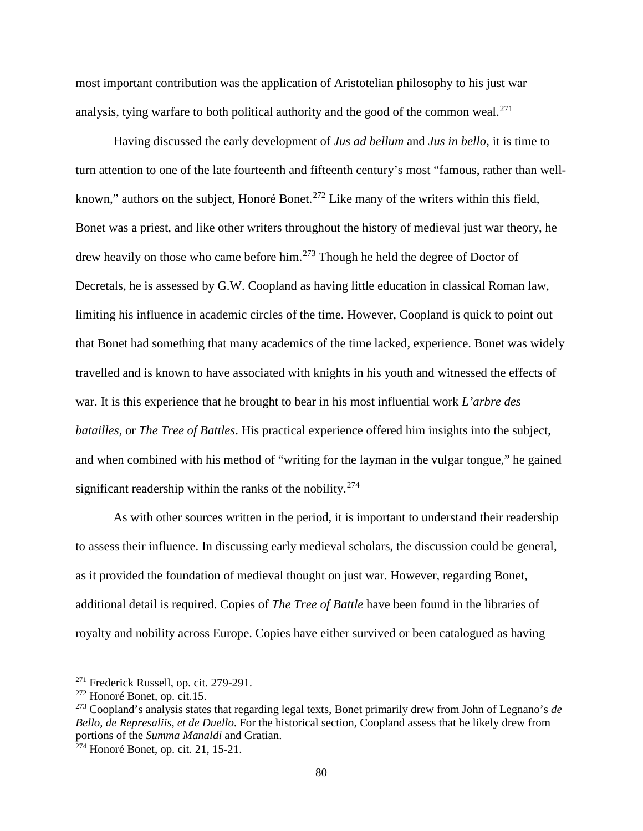most important contribution was the application of Aristotelian philosophy to his just war analysis, tying warfare to both political authority and the good of the common weal.<sup>[271](#page-85-0)</sup>

Having discussed the early development of *Jus ad bellum* and *Jus in bello*, it is time to turn attention to one of the late fourteenth and fifteenth century's most "famous, rather than well-known," authors on the subject, Honoré Bonet.<sup>[272](#page-85-1)</sup> Like many of the writers within this field, Bonet was a priest, and like other writers throughout the history of medieval just war theory, he drew heavily on those who came before him.<sup>[273](#page-85-2)</sup> Though he held the degree of Doctor of Decretals, he is assessed by G.W. Coopland as having little education in classical Roman law, limiting his influence in academic circles of the time. However, Coopland is quick to point out that Bonet had something that many academics of the time lacked, experience. Bonet was widely travelled and is known to have associated with knights in his youth and witnessed the effects of war. It is this experience that he brought to bear in his most influential work *L'arbre des batailles*, or *The Tree of Battles*. His practical experience offered him insights into the subject, and when combined with his method of "writing for the layman in the vulgar tongue," he gained significant readership within the ranks of the nobility.<sup>[274](#page-85-3)</sup>

As with other sources written in the period, it is important to understand their readership to assess their influence. In discussing early medieval scholars, the discussion could be general, as it provided the foundation of medieval thought on just war. However, regarding Bonet, additional detail is required. Copies of *The Tree of Battle* have been found in the libraries of royalty and nobility across Europe. Copies have either survived or been catalogued as having

<span id="page-85-0"></span><sup>271</sup> Frederick Russell, op. cit*.* 279-291.

<span id="page-85-1"></span><sup>272</sup> Honoré Bonet, op. cit*.*15.

<span id="page-85-2"></span><sup>273</sup> Coopland's analysis states that regarding legal texts, Bonet primarily drew from John of Legnano's *de Bello, de Represaliis, et de Duello*. For the historical section, Coopland assess that he likely drew from portions of the *Summa Manaldi* and Gratian.

<span id="page-85-3"></span><sup>274</sup> Honoré Bonet, op. cit*.* 21, 15-21.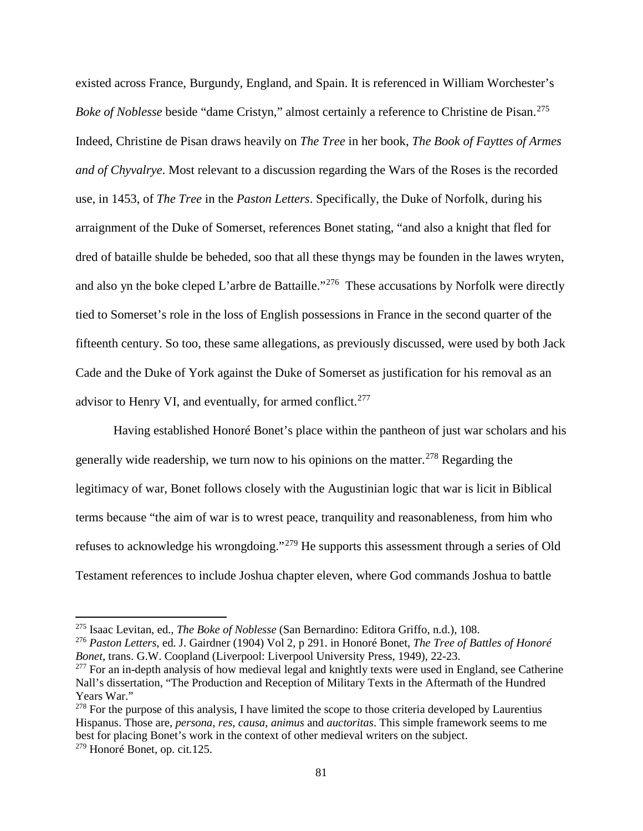existed across France, Burgundy, England, and Spain. It is referenced in William Worchester's *Boke of Noblesse* beside "dame Cristyn," almost certainly a reference to Christine de Pisan.<sup>[275](#page-86-0)</sup> Indeed, Christine de Pisan draws heavily on *The Tree* in her book, *The Book of Fayttes of Armes and of Chyvalrye*. Most relevant to a discussion regarding the Wars of the Roses is the recorded use, in 1453, of *The Tree* in the *Paston Letters*. Specifically, the Duke of Norfolk, during his arraignment of the Duke of Somerset, references Bonet stating, "and also a knight that fled for dred of bataille shulde be beheded, soo that all these thyngs may be founden in the lawes wryten, and also yn the boke cleped L'arbre de Battaille."<sup>[276](#page-86-1)</sup> These accusations by Norfolk were directly tied to Somerset's role in the loss of English possessions in France in the second quarter of the fifteenth century. So too, these same allegations, as previously discussed, were used by both Jack Cade and the Duke of York against the Duke of Somerset as justification for his removal as an advisor to Henry VI, and eventually, for armed conflict.<sup>[277](#page-86-2)</sup>

Having established Honoré Bonet's place within the pantheon of just war scholars and his generally wide readership, we turn now to his opinions on the matter.<sup>[278](#page-86-3)</sup> Regarding the legitimacy of war, Bonet follows closely with the Augustinian logic that war is licit in Biblical terms because "the aim of war is to wrest peace, tranquility and reasonableness, from him who refuses to acknowledge his wrongdoing."[279](#page-86-4) He supports this assessment through a series of Old Testament references to include Joshua chapter eleven, where God commands Joshua to battle

<span id="page-86-0"></span><sup>275</sup> Isaac Levitan, ed., *The Boke of Noblesse* (San Bernardino: Editora Griffo, n.d.), 108.

<span id="page-86-1"></span><sup>276</sup> *Paston Letters*, ed. J. Gairdner (1904) Vol 2, p 291. in Honoré Bonet, *The Tree of Battles of Honoré Bonet*, trans. G.W. Coopland (Liverpool: Liverpool University Press, 1949), 22-23.

<span id="page-86-2"></span><sup>&</sup>lt;sup>277</sup> For an in-depth analysis of how medieval legal and knightly texts were used in England, see Catherine Nall's dissertation, "The Production and Reception of Military Texts in the Aftermath of the Hundred Years War."

<span id="page-86-4"></span><span id="page-86-3"></span><sup>&</sup>lt;sup>278</sup> For the purpose of this analysis, I have limited the scope to those criteria developed by Laurentius Hispanus. Those are, *persona*, *res*, *causa*, *animus* and *auctoritas*. This simple framework seems to me best for placing Bonet's work in the context of other medieval writers on the subject. <sup>279</sup> Honoré Bonet, op. cit*.*125.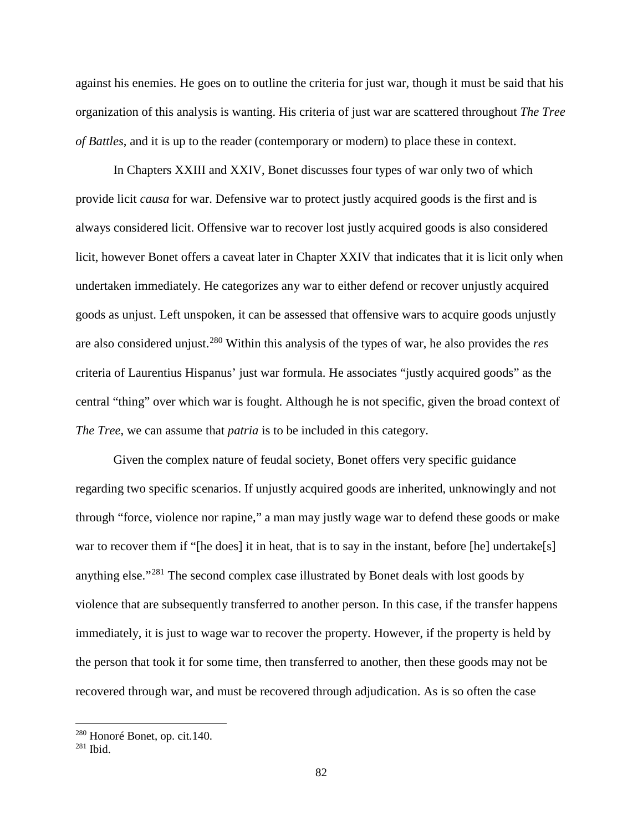against his enemies. He goes on to outline the criteria for just war, though it must be said that his organization of this analysis is wanting. His criteria of just war are scattered throughout *The Tree of Battles*, and it is up to the reader (contemporary or modern) to place these in context.

In Chapters XXIII and XXIV, Bonet discusses four types of war only two of which provide licit *causa* for war. Defensive war to protect justly acquired goods is the first and is always considered licit. Offensive war to recover lost justly acquired goods is also considered licit, however Bonet offers a caveat later in Chapter XXIV that indicates that it is licit only when undertaken immediately. He categorizes any war to either defend or recover unjustly acquired goods as unjust. Left unspoken, it can be assessed that offensive wars to acquire goods unjustly are also considered unjust.[280](#page-87-0) Within this analysis of the types of war, he also provides the *res* criteria of Laurentius Hispanus' just war formula. He associates "justly acquired goods" as the central "thing" over which war is fought. Although he is not specific, given the broad context of *The Tree*, we can assume that *patria* is to be included in this category.

Given the complex nature of feudal society, Bonet offers very specific guidance regarding two specific scenarios. If unjustly acquired goods are inherited, unknowingly and not through "force, violence nor rapine," a man may justly wage war to defend these goods or make war to recover them if "[he does] it in heat, that is to say in the instant, before [he] undertake[s] anything else."[281](#page-87-1) The second complex case illustrated by Bonet deals with lost goods by violence that are subsequently transferred to another person. In this case, if the transfer happens immediately, it is just to wage war to recover the property. However, if the property is held by the person that took it for some time, then transferred to another, then these goods may not be recovered through war, and must be recovered through adjudication. As is so often the case

<span id="page-87-0"></span><sup>280</sup> Honoré Bonet, op. cit*.*140.

<span id="page-87-1"></span><sup>281</sup> Ibid.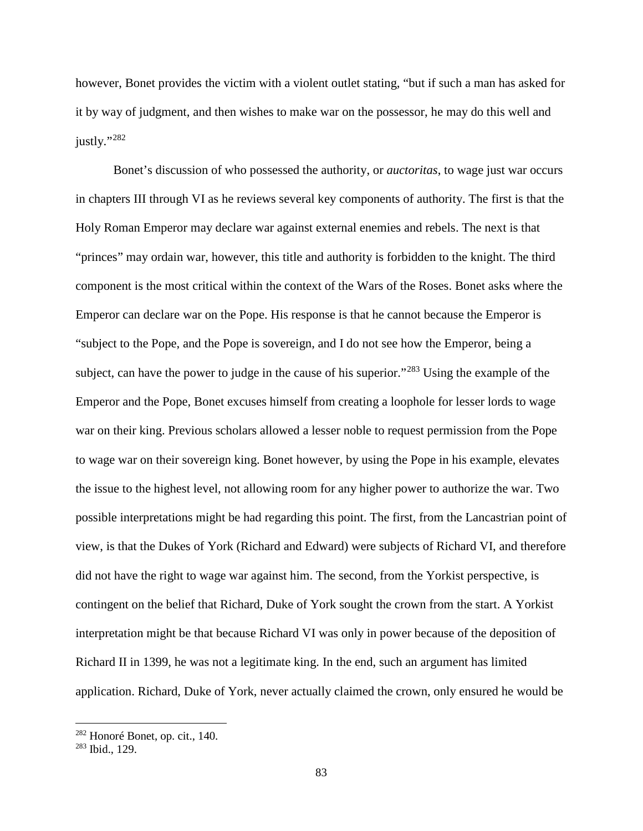however, Bonet provides the victim with a violent outlet stating, "but if such a man has asked for it by way of judgment, and then wishes to make war on the possessor, he may do this well and justly."<sup>[282](#page-88-0)</sup>

Bonet's discussion of who possessed the authority, or *auctoritas*, to wage just war occurs in chapters III through VI as he reviews several key components of authority. The first is that the Holy Roman Emperor may declare war against external enemies and rebels. The next is that "princes" may ordain war, however, this title and authority is forbidden to the knight. The third component is the most critical within the context of the Wars of the Roses. Bonet asks where the Emperor can declare war on the Pope. His response is that he cannot because the Emperor is "subject to the Pope, and the Pope is sovereign, and I do not see how the Emperor, being a subject, can have the power to judge in the cause of his superior."<sup>[283](#page-88-1)</sup> Using the example of the Emperor and the Pope, Bonet excuses himself from creating a loophole for lesser lords to wage war on their king. Previous scholars allowed a lesser noble to request permission from the Pope to wage war on their sovereign king. Bonet however, by using the Pope in his example, elevates the issue to the highest level, not allowing room for any higher power to authorize the war. Two possible interpretations might be had regarding this point. The first, from the Lancastrian point of view, is that the Dukes of York (Richard and Edward) were subjects of Richard VI, and therefore did not have the right to wage war against him. The second, from the Yorkist perspective, is contingent on the belief that Richard, Duke of York sought the crown from the start. A Yorkist interpretation might be that because Richard VI was only in power because of the deposition of Richard II in 1399, he was not a legitimate king. In the end, such an argument has limited application. Richard, Duke of York, never actually claimed the crown, only ensured he would be

<span id="page-88-0"></span><sup>282</sup> Honoré Bonet, op. cit., 140.

<span id="page-88-1"></span><sup>283</sup> Ibid., 129.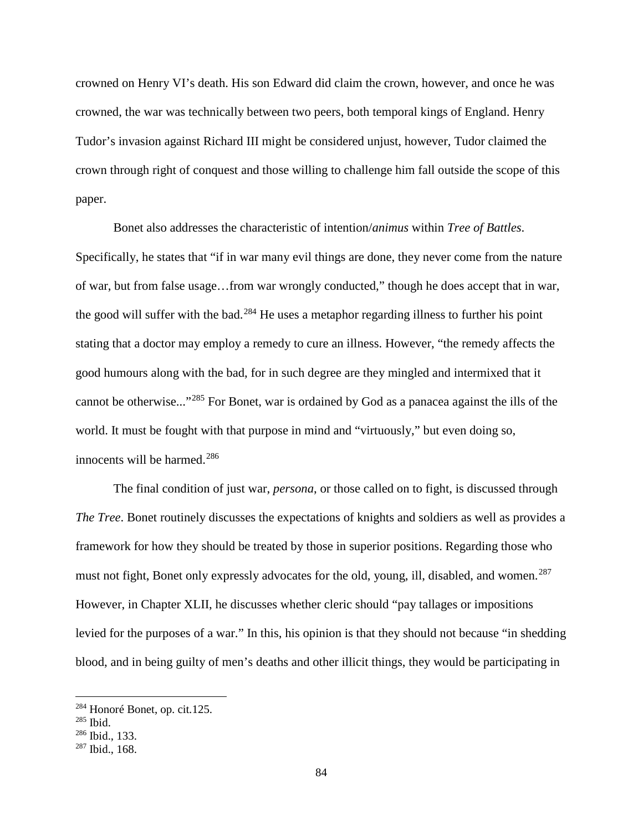crowned on Henry VI's death. His son Edward did claim the crown, however, and once he was crowned, the war was technically between two peers, both temporal kings of England. Henry Tudor's invasion against Richard III might be considered unjust, however, Tudor claimed the crown through right of conquest and those willing to challenge him fall outside the scope of this paper.

Bonet also addresses the characteristic of intention/*animus* within *Tree of Battles*. Specifically, he states that "if in war many evil things are done, they never come from the nature of war, but from false usage…from war wrongly conducted," though he does accept that in war, the good will suffer with the bad.<sup>[284](#page-89-0)</sup> He uses a metaphor regarding illness to further his point stating that a doctor may employ a remedy to cure an illness. However, "the remedy affects the good humours along with the bad, for in such degree are they mingled and intermixed that it cannot be otherwise..."[285](#page-89-1) For Bonet, war is ordained by God as a panacea against the ills of the world. It must be fought with that purpose in mind and "virtuously," but even doing so, innocents will be harmed.<sup>[286](#page-89-2)</sup>

The final condition of just war, *persona*, or those called on to fight, is discussed through *The Tree*. Bonet routinely discusses the expectations of knights and soldiers as well as provides a framework for how they should be treated by those in superior positions. Regarding those who must not fight, Bonet only expressly advocates for the old, young, ill, disabled, and women.<sup>[287](#page-89-3)</sup> However, in Chapter XLII, he discusses whether cleric should "pay tallages or impositions levied for the purposes of a war." In this, his opinion is that they should not because "in shedding blood, and in being guilty of men's deaths and other illicit things, they would be participating in

 $\overline{a}$ 

<span id="page-89-0"></span><sup>284</sup> Honoré Bonet, op. cit*.*125.

<span id="page-89-1"></span><sup>285</sup> Ibid.

<span id="page-89-2"></span><sup>286</sup> Ibid., 133.

<span id="page-89-3"></span><sup>287</sup> Ibid., 168.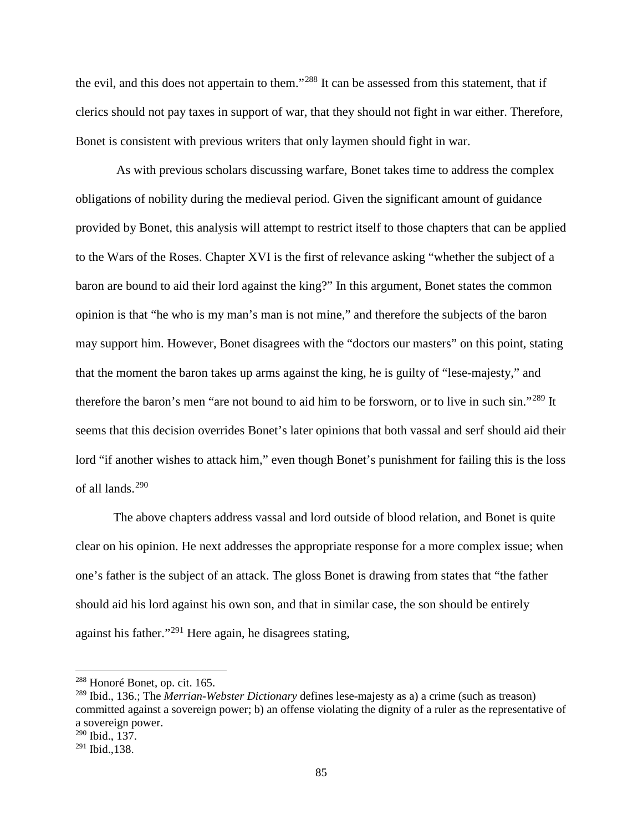the evil, and this does not appertain to them."[288](#page-90-0) It can be assessed from this statement, that if clerics should not pay taxes in support of war, that they should not fight in war either. Therefore, Bonet is consistent with previous writers that only laymen should fight in war.

As with previous scholars discussing warfare, Bonet takes time to address the complex obligations of nobility during the medieval period. Given the significant amount of guidance provided by Bonet, this analysis will attempt to restrict itself to those chapters that can be applied to the Wars of the Roses. Chapter XVI is the first of relevance asking "whether the subject of a baron are bound to aid their lord against the king?" In this argument, Bonet states the common opinion is that "he who is my man's man is not mine," and therefore the subjects of the baron may support him. However, Bonet disagrees with the "doctors our masters" on this point, stating that the moment the baron takes up arms against the king, he is guilty of "lese-majesty," and therefore the baron's men "are not bound to aid him to be forsworn, or to live in such sin."[289](#page-90-1) It seems that this decision overrides Bonet's later opinions that both vassal and serf should aid their lord "if another wishes to attack him," even though Bonet's punishment for failing this is the loss of all lands.[290](#page-90-2)

The above chapters address vassal and lord outside of blood relation, and Bonet is quite clear on his opinion. He next addresses the appropriate response for a more complex issue; when one's father is the subject of an attack. The gloss Bonet is drawing from states that "the father should aid his lord against his own son, and that in similar case, the son should be entirely against his father."[291](#page-90-3) Here again, he disagrees stating,

<span id="page-90-0"></span><sup>288</sup> Honoré Bonet, op. cit. 165.

<span id="page-90-1"></span><sup>289</sup> Ibid., 136.; The *Merrian-Webster Dictionary* defines lese-majesty as a) a crime (such as treason) committed against a sovereign power; b) an offense violating the dignity of a ruler as the representative of a sovereign power.

<span id="page-90-2"></span><sup>290</sup> Ibid., 137.

<span id="page-90-3"></span> $291$  Ibid., 138.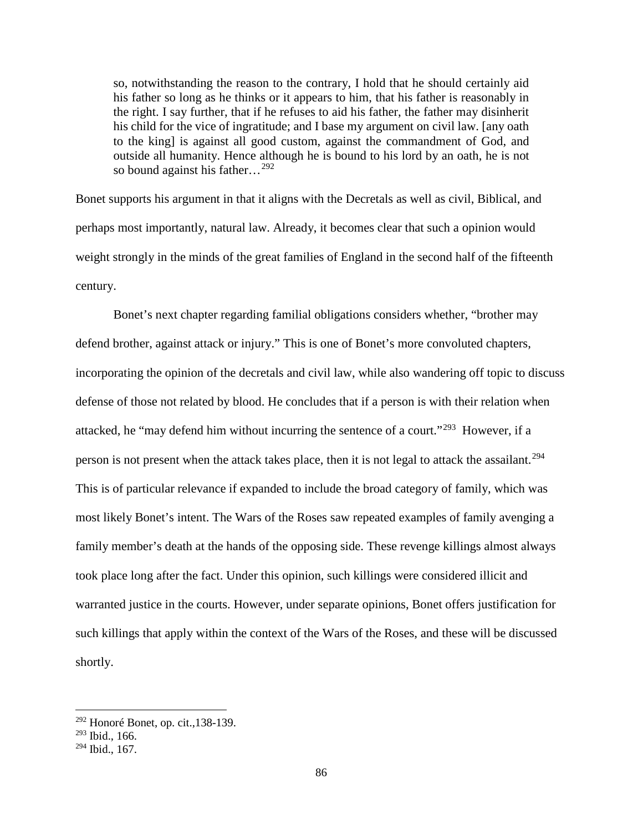so, notwithstanding the reason to the contrary, I hold that he should certainly aid his father so long as he thinks or it appears to him, that his father is reasonably in the right. I say further, that if he refuses to aid his father, the father may disinherit his child for the vice of ingratitude; and I base my argument on civil law. [any oath to the king] is against all good custom, against the commandment of God, and outside all humanity. Hence although he is bound to his lord by an oath, he is not so bound against his father...<sup>[292](#page-91-0)</sup>

Bonet supports his argument in that it aligns with the Decretals as well as civil, Biblical, and perhaps most importantly, natural law. Already, it becomes clear that such a opinion would weight strongly in the minds of the great families of England in the second half of the fifteenth century.

Bonet's next chapter regarding familial obligations considers whether, "brother may defend brother, against attack or injury." This is one of Bonet's more convoluted chapters, incorporating the opinion of the decretals and civil law, while also wandering off topic to discuss defense of those not related by blood. He concludes that if a person is with their relation when attacked, he "may defend him without incurring the sentence of a court."[293](#page-91-1) However, if a person is not present when the attack takes place, then it is not legal to attack the assailant.<sup>[294](#page-91-2)</sup> This is of particular relevance if expanded to include the broad category of family, which was most likely Bonet's intent. The Wars of the Roses saw repeated examples of family avenging a family member's death at the hands of the opposing side. These revenge killings almost always took place long after the fact. Under this opinion, such killings were considered illicit and warranted justice in the courts. However, under separate opinions, Bonet offers justification for such killings that apply within the context of the Wars of the Roses, and these will be discussed shortly.

<span id="page-91-0"></span><sup>292</sup> Honoré Bonet, op. cit.,138-139.

<span id="page-91-1"></span><sup>293</sup> Ibid., 166.

<span id="page-91-2"></span><sup>294</sup> Ibid., 167.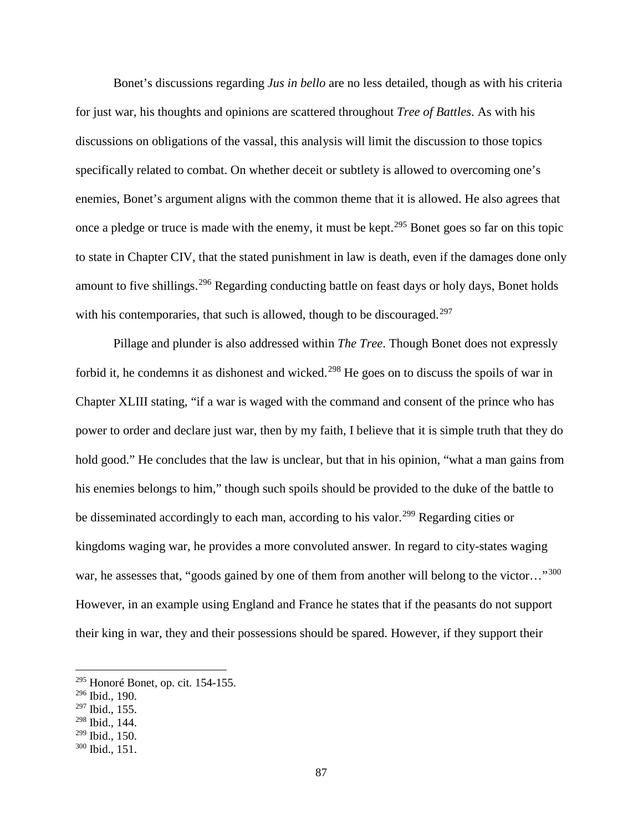Bonet's discussions regarding *Jus in bello* are no less detailed, though as with his criteria for just war, his thoughts and opinions are scattered throughout *Tree of Battles*. As with his discussions on obligations of the vassal, this analysis will limit the discussion to those topics specifically related to combat. On whether deceit or subtlety is allowed to overcoming one's enemies, Bonet's argument aligns with the common theme that it is allowed. He also agrees that once a pledge or truce is made with the enemy, it must be kept.<sup>[295](#page-92-0)</sup> Bonet goes so far on this topic to state in Chapter CIV, that the stated punishment in law is death, even if the damages done only amount to five shillings.<sup>[296](#page-92-1)</sup> Regarding conducting battle on feast days or holy days, Bonet holds with his contemporaries, that such is allowed, though to be discouraged.<sup>[297](#page-92-2)</sup>

Pillage and plunder is also addressed within *The Tree*. Though Bonet does not expressly forbid it, he condemns it as dishonest and wicked.<sup>[298](#page-92-3)</sup> He goes on to discuss the spoils of war in Chapter XLIII stating, "if a war is waged with the command and consent of the prince who has power to order and declare just war, then by my faith, I believe that it is simple truth that they do hold good." He concludes that the law is unclear, but that in his opinion, "what a man gains from his enemies belongs to him," though such spoils should be provided to the duke of the battle to be disseminated accordingly to each man, according to his valor.<sup>[299](#page-92-4)</sup> Regarding cities or kingdoms waging war, he provides a more convoluted answer. In regard to city-states waging war, he assesses that, "goods gained by one of them from another will belong to the victor..."<sup>[300](#page-92-5)</sup> However, in an example using England and France he states that if the peasants do not support their king in war, they and their possessions should be spared. However, if they support their

<span id="page-92-0"></span><sup>295</sup> Honoré Bonet, op. cit*.* 154-155.

<span id="page-92-1"></span><sup>296</sup> Ibid., 190.

<span id="page-92-2"></span><sup>297</sup> Ibid., 155.

<span id="page-92-3"></span><sup>298</sup> Ibid., 144.

<span id="page-92-4"></span><sup>299</sup> Ibid., 150.

<span id="page-92-5"></span><sup>300</sup> Ibid., 151.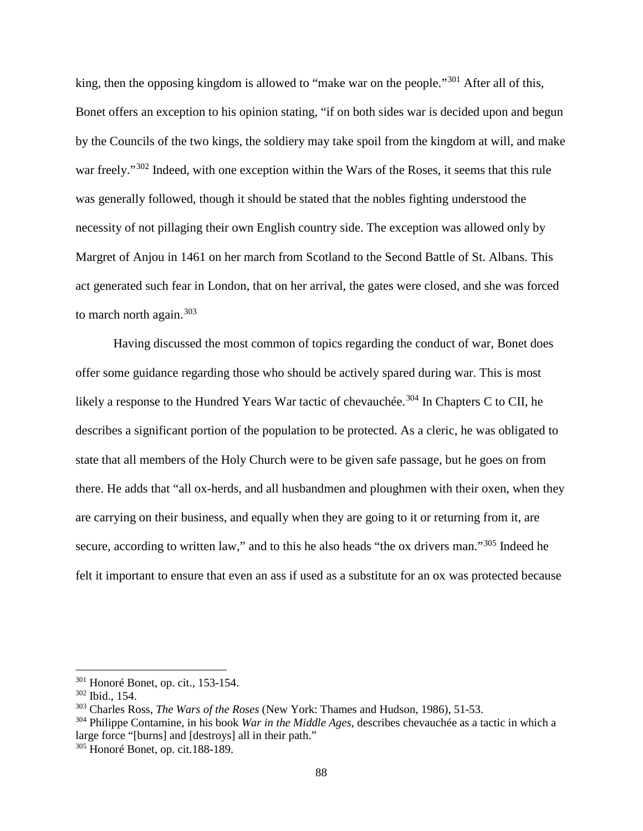king, then the opposing kingdom is allowed to "make war on the people."<sup>[301](#page-93-0)</sup> After all of this, Bonet offers an exception to his opinion stating, "if on both sides war is decided upon and begun by the Councils of the two kings, the soldiery may take spoil from the kingdom at will, and make war freely."<sup>[302](#page-93-1)</sup> Indeed, with one exception within the Wars of the Roses, it seems that this rule was generally followed, though it should be stated that the nobles fighting understood the necessity of not pillaging their own English country side. The exception was allowed only by Margret of Anjou in 1461 on her march from Scotland to the Second Battle of St. Albans. This act generated such fear in London, that on her arrival, the gates were closed, and she was forced to march north again. $303$ 

Having discussed the most common of topics regarding the conduct of war, Bonet does offer some guidance regarding those who should be actively spared during war. This is most likely a response to the Hundred Years War tactic of chevauchée.<sup>[304](#page-93-3)</sup> In Chapters C to CII, he describes a significant portion of the population to be protected. As a cleric, he was obligated to state that all members of the Holy Church were to be given safe passage, but he goes on from there. He adds that "all ox-herds, and all husbandmen and ploughmen with their oxen, when they are carrying on their business, and equally when they are going to it or returning from it, are secure, according to written law," and to this he also heads "the ox drivers man."<sup>[305](#page-93-4)</sup> Indeed he felt it important to ensure that even an ass if used as a substitute for an ox was protected because

<span id="page-93-0"></span><sup>301</sup> Honoré Bonet, op. cit., 153-154.

<span id="page-93-1"></span><sup>302</sup> Ibid., 154.

<span id="page-93-2"></span><sup>303</sup> Charles Ross, *The Wars of the Roses* (New York: Thames and Hudson, 1986), 51-53.

<span id="page-93-3"></span><sup>304</sup> Philippe Contamine, in his book *War in the Middle Ages*, describes chevauchée as a tactic in which a large force "[burns] and [destroys] all in their path."

<span id="page-93-4"></span><sup>305</sup> Honoré Bonet, op. cit*.*188-189.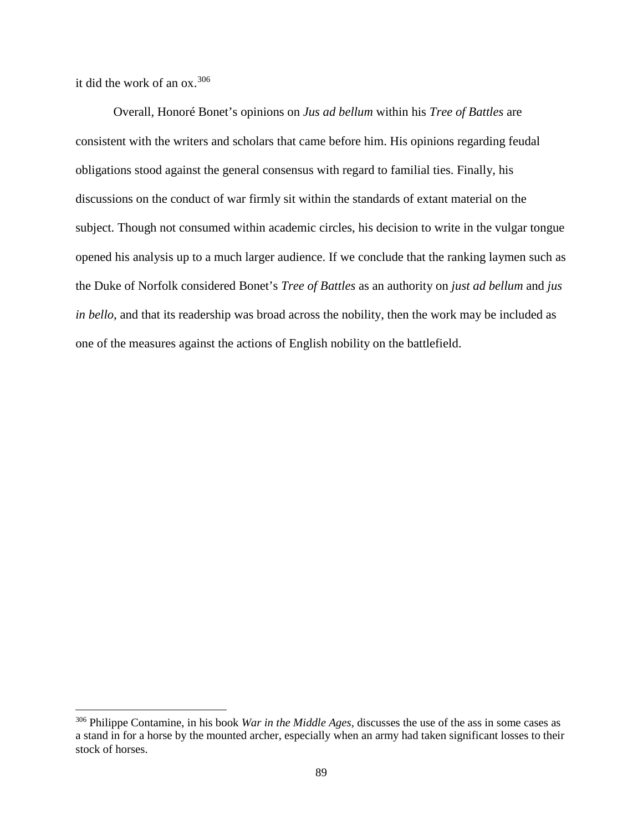it did the work of an ox.[306](#page-94-0)

 $\overline{\phantom{a}}$ 

Overall, Honoré Bonet's opinions on *Jus ad bellum* within his *Tree of Battles* are consistent with the writers and scholars that came before him. His opinions regarding feudal obligations stood against the general consensus with regard to familial ties. Finally, his discussions on the conduct of war firmly sit within the standards of extant material on the subject. Though not consumed within academic circles, his decision to write in the vulgar tongue opened his analysis up to a much larger audience. If we conclude that the ranking laymen such as the Duke of Norfolk considered Bonet's *Tree of Battles* as an authority on *just ad bellum* and *jus in bello*, and that its readership was broad across the nobility, then the work may be included as one of the measures against the actions of English nobility on the battlefield.

<span id="page-94-0"></span><sup>306</sup> Philippe Contamine, in his book *War in the Middle Ages,* discusses the use of the ass in some cases as a stand in for a horse by the mounted archer, especially when an army had taken significant losses to their stock of horses.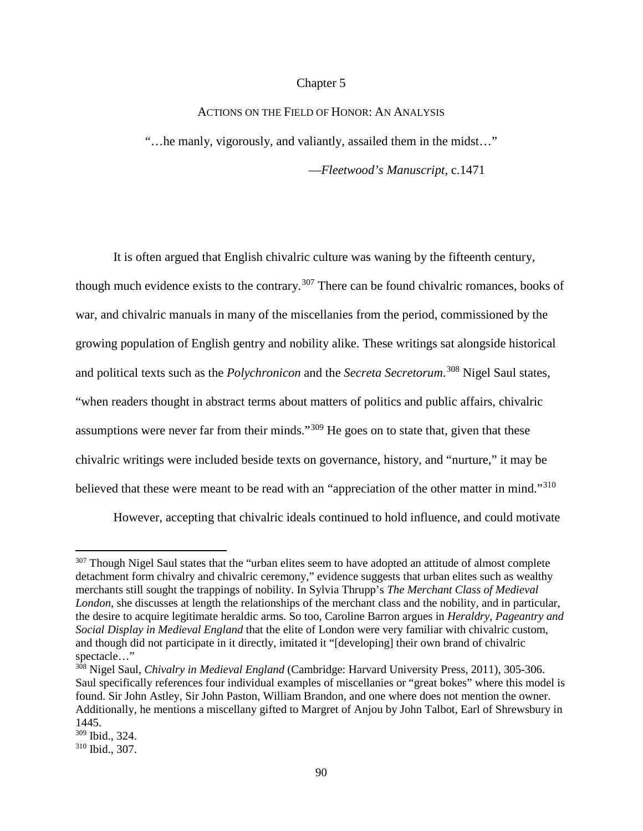## Chapter 5

## ACTIONS ON THE FIELD OF HONOR: AN ANALYSIS

"…he manly, vigorously, and valiantly, assailed them in the midst…"

—*Fleetwood's Manuscript*, c.1471

It is often argued that English chivalric culture was waning by the fifteenth century, though much evidence exists to the contrary.<sup>[307](#page-95-0)</sup> There can be found chivalric romances, books of war, and chivalric manuals in many of the miscellanies from the period, commissioned by the growing population of English gentry and nobility alike. These writings sat alongside historical and political texts such as the *Polychronicon* and the *Secreta Secretorum*. [308](#page-95-1) Nigel Saul states, "when readers thought in abstract terms about matters of politics and public affairs, chivalric assumptions were never far from their minds."[309](#page-95-2) He goes on to state that, given that these chivalric writings were included beside texts on governance, history, and "nurture," it may be believed that these were meant to be read with an "appreciation of the other matter in mind."<sup>[310](#page-95-3)</sup>

However, accepting that chivalric ideals continued to hold influence, and could motivate

 $\overline{a}$ 

<span id="page-95-0"></span><sup>&</sup>lt;sup>307</sup> Though Nigel Saul states that the "urban elites seem to have adopted an attitude of almost complete detachment form chivalry and chivalric ceremony," evidence suggests that urban elites such as wealthy merchants still sought the trappings of nobility. In Sylvia Thrupp's *The Merchant Class of Medieval London*, she discusses at length the relationships of the merchant class and the nobility, and in particular, the desire to acquire legitimate heraldic arms. So too, Caroline Barron argues in *Heraldry, Pageantry and Social Display in Medieval England* that the elite of London were very familiar with chivalric custom, and though did not participate in it directly, imitated it "[developing] their own brand of chivalric spectacle…"

<span id="page-95-1"></span><sup>308</sup> Nigel Saul, *Chivalry in Medieval England* (Cambridge: Harvard University Press, 2011), 305-306. Saul specifically references four individual examples of miscellanies or "great bokes" where this model is found. Sir John Astley, Sir John Paston, William Brandon, and one where does not mention the owner. Additionally, he mentions a miscellany gifted to Margret of Anjou by John Talbot, Earl of Shrewsbury in 1445.

<span id="page-95-2"></span><sup>309</sup> Ibid., 324.

<span id="page-95-3"></span><sup>310</sup> Ibid., 307.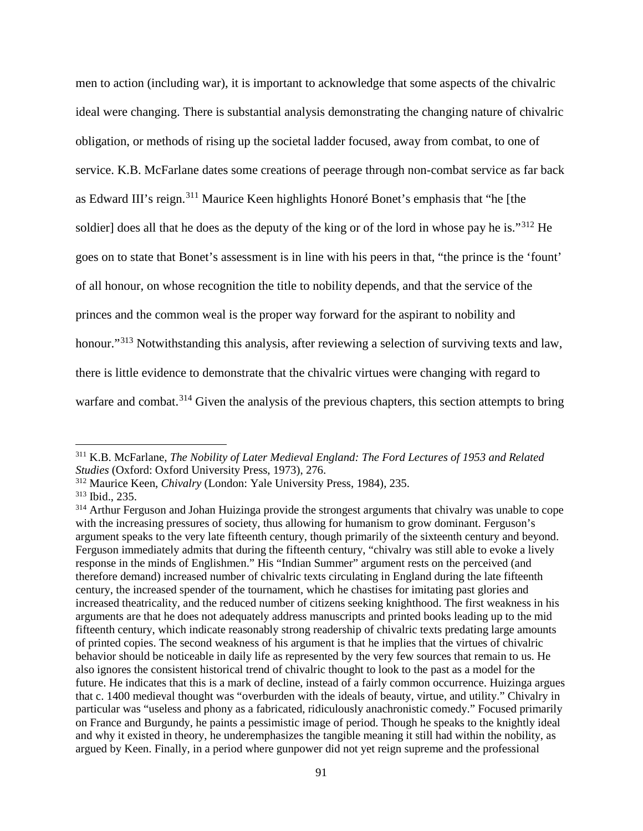men to action (including war), it is important to acknowledge that some aspects of the chivalric ideal were changing. There is substantial analysis demonstrating the changing nature of chivalric obligation, or methods of rising up the societal ladder focused, away from combat, to one of service. K.B. McFarlane dates some creations of peerage through non-combat service as far back as Edward III's reign.[311](#page-96-0) Maurice Keen highlights Honoré Bonet's emphasis that "he [the soldier] does all that he does as the deputy of the king or of the lord in whose pay he is."<sup>[312](#page-96-1)</sup> He goes on to state that Bonet's assessment is in line with his peers in that, "the prince is the 'fount' of all honour, on whose recognition the title to nobility depends, and that the service of the princes and the common weal is the proper way forward for the aspirant to nobility and honour."<sup>[313](#page-96-2)</sup> Notwithstanding this analysis, after reviewing a selection of surviving texts and law, there is little evidence to demonstrate that the chivalric virtues were changing with regard to warfare and combat.<sup>[314](#page-96-3)</sup> Given the analysis of the previous chapters, this section attempts to bring

<span id="page-96-0"></span><sup>311</sup> K.B. McFarlane, *The Nobility of Later Medieval England: The Ford Lectures of 1953 and Related Studies* (Oxford: Oxford University Press, 1973), 276.

<span id="page-96-1"></span><sup>312</sup> Maurice Keen, *Chivalry* (London: Yale University Press, 1984), 235.

<span id="page-96-2"></span><sup>313</sup> Ibid., 235.

<span id="page-96-3"></span><sup>&</sup>lt;sup>314</sup> Arthur Ferguson and Johan Huizinga provide the strongest arguments that chivalry was unable to cope with the increasing pressures of society, thus allowing for humanism to grow dominant. Ferguson's argument speaks to the very late fifteenth century, though primarily of the sixteenth century and beyond. Ferguson immediately admits that during the fifteenth century, "chivalry was still able to evoke a lively response in the minds of Englishmen." His "Indian Summer" argument rests on the perceived (and therefore demand) increased number of chivalric texts circulating in England during the late fifteenth century, the increased spender of the tournament, which he chastises for imitating past glories and increased theatricality, and the reduced number of citizens seeking knighthood. The first weakness in his arguments are that he does not adequately address manuscripts and printed books leading up to the mid fifteenth century, which indicate reasonably strong readership of chivalric texts predating large amounts of printed copies. The second weakness of his argument is that he implies that the virtues of chivalric behavior should be noticeable in daily life as represented by the very few sources that remain to us. He also ignores the consistent historical trend of chivalric thought to look to the past as a model for the future. He indicates that this is a mark of decline, instead of a fairly common occurrence. Huizinga argues that c. 1400 medieval thought was "overburden with the ideals of beauty, virtue, and utility." Chivalry in particular was "useless and phony as a fabricated, ridiculously anachronistic comedy." Focused primarily on France and Burgundy, he paints a pessimistic image of period. Though he speaks to the knightly ideal and why it existed in theory, he underemphasizes the tangible meaning it still had within the nobility, as argued by Keen. Finally, in a period where gunpower did not yet reign supreme and the professional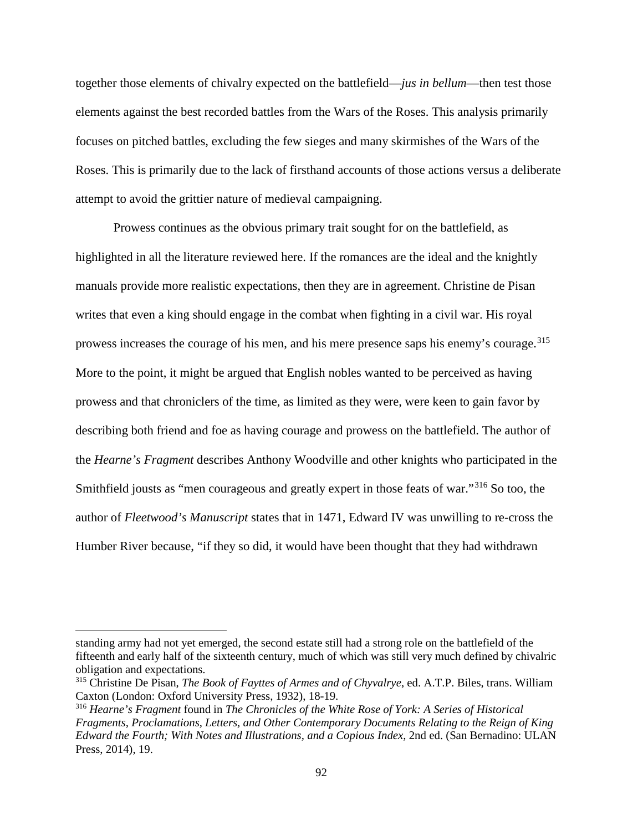together those elements of chivalry expected on the battlefield—*jus in bellum*—then test those elements against the best recorded battles from the Wars of the Roses. This analysis primarily focuses on pitched battles, excluding the few sieges and many skirmishes of the Wars of the Roses. This is primarily due to the lack of firsthand accounts of those actions versus a deliberate attempt to avoid the grittier nature of medieval campaigning.

Prowess continues as the obvious primary trait sought for on the battlefield, as highlighted in all the literature reviewed here. If the romances are the ideal and the knightly manuals provide more realistic expectations, then they are in agreement. Christine de Pisan writes that even a king should engage in the combat when fighting in a civil war. His royal prowess increases the courage of his men, and his mere presence saps his enemy's courage.<sup>[315](#page-97-0)</sup> More to the point, it might be argued that English nobles wanted to be perceived as having prowess and that chroniclers of the time, as limited as they were, were keen to gain favor by describing both friend and foe as having courage and prowess on the battlefield. The author of the *Hearne's Fragment* describes Anthony Woodville and other knights who participated in the Smithfield jousts as "men courageous and greatly expert in those feats of war."[316](#page-97-1) So too, the author of *Fleetwood's Manuscript* states that in 1471, Edward IV was unwilling to re-cross the Humber River because, "if they so did, it would have been thought that they had withdrawn

standing army had not yet emerged, the second estate still had a strong role on the battlefield of the fifteenth and early half of the sixteenth century, much of which was still very much defined by chivalric obligation and expectations.

<span id="page-97-0"></span><sup>315</sup> Christine De Pisan, *The Book of Fayttes of Armes and of Chyvalrye*, ed. A.T.P. Biles, trans. William Caxton (London: Oxford University Press, 1932), 18-19.

<span id="page-97-1"></span><sup>316</sup> *Hearne's Fragment* found in *The Chronicles of the White Rose of York: A Series of Historical Fragments, Proclamations, Letters, and Other Contemporary Documents Relating to the Reign of King Edward the Fourth; With Notes and Illustrations, and a Copious Index*, 2nd ed. (San Bernadino: ULAN Press, 2014), 19.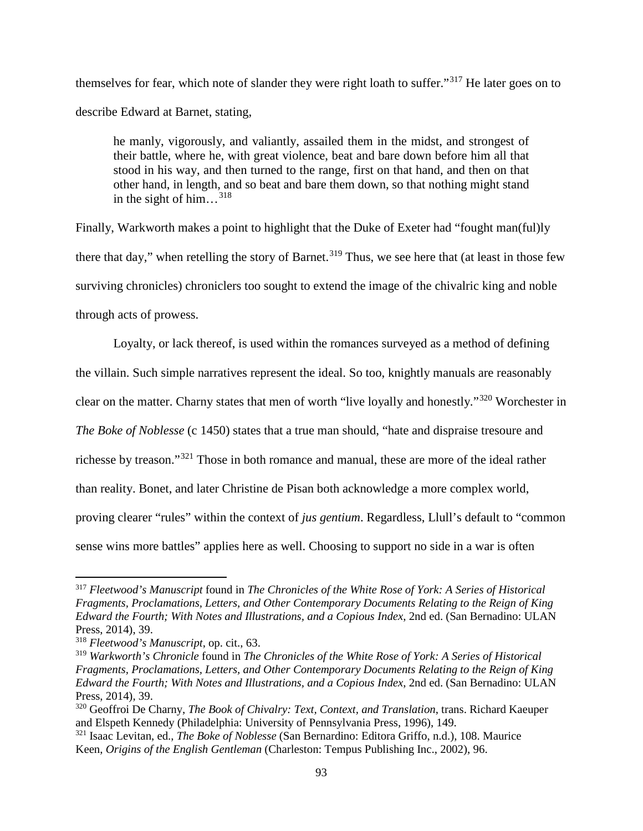themselves for fear, which note of slander they were right loath to suffer."[317](#page-98-0) He later goes on to describe Edward at Barnet, stating,

he manly, vigorously, and valiantly, assailed them in the midst, and strongest of their battle, where he, with great violence, beat and bare down before him all that stood in his way, and then turned to the range, first on that hand, and then on that other hand, in length, and so beat and bare them down, so that nothing might stand in the sight of him... $^{318}$  $^{318}$  $^{318}$ 

Finally, Warkworth makes a point to highlight that the Duke of Exeter had "fought man(ful)ly there that day," when retelling the story of Barnet.<sup>[319](#page-98-2)</sup> Thus, we see here that (at least in those few surviving chronicles) chroniclers too sought to extend the image of the chivalric king and noble through acts of prowess.

Loyalty, or lack thereof, is used within the romances surveyed as a method of defining the villain. Such simple narratives represent the ideal. So too, knightly manuals are reasonably clear on the matter. Charny states that men of worth "live loyally and honestly."[320](#page-98-3) Worchester in *The Boke of Noblesse* (c 1450) states that a true man should, "hate and dispraise tresoure and richesse by treason."[321](#page-98-4) Those in both romance and manual, these are more of the ideal rather than reality. Bonet, and later Christine de Pisan both acknowledge a more complex world, proving clearer "rules" within the context of *jus gentium*. Regardless, Llull's default to "common sense wins more battles" applies here as well. Choosing to support no side in a war is often

<span id="page-98-0"></span><sup>317</sup> *Fleetwood's Manuscript* found in *The Chronicles of the White Rose of York: A Series of Historical Fragments, Proclamations, Letters, and Other Contemporary Documents Relating to the Reign of King Edward the Fourth; With Notes and Illustrations, and a Copious Index*, 2nd ed. (San Bernadino: ULAN Press, 2014), 39.

<span id="page-98-1"></span><sup>318</sup> *Fleetwood's Manuscript*, op. cit., 63.

<span id="page-98-2"></span><sup>319</sup> *Warkworth's Chronicle* found in *The Chronicles of the White Rose of York: A Series of Historical Fragments, Proclamations, Letters, and Other Contemporary Documents Relating to the Reign of King Edward the Fourth; With Notes and Illustrations, and a Copious Index*, 2nd ed. (San Bernadino: ULAN Press, 2014), 39.

<span id="page-98-3"></span><sup>320</sup> Geoffroi De Charny, *The Book of Chivalry: Text, Context, and Translation*, trans. Richard Kaeuper and Elspeth Kennedy (Philadelphia: University of Pennsylvania Press, 1996), 149.

<span id="page-98-4"></span><sup>321</sup> Isaac Levitan, ed., *The Boke of Noblesse* (San Bernardino: Editora Griffo, n.d.), 108. Maurice Keen, *Origins of the English Gentleman* (Charleston: Tempus Publishing Inc., 2002), 96.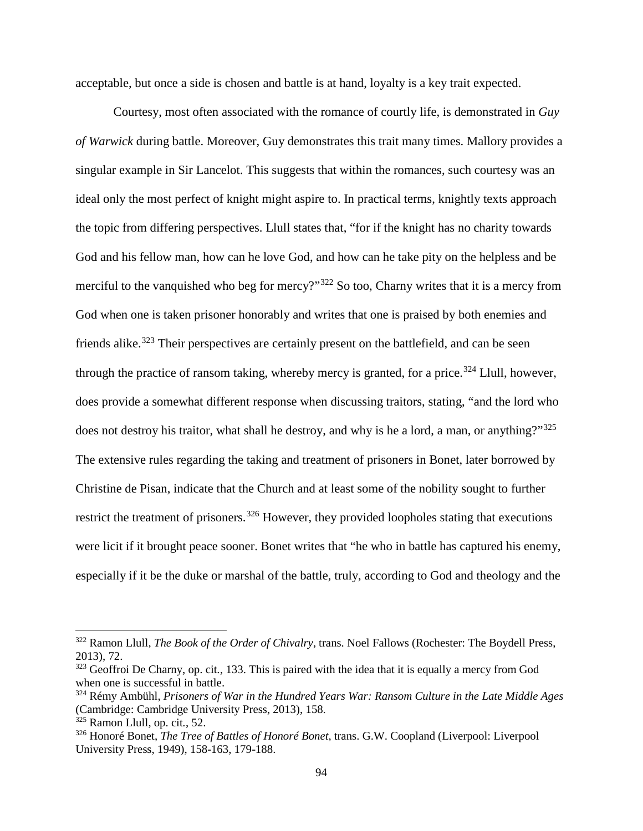acceptable, but once a side is chosen and battle is at hand, loyalty is a key trait expected.

Courtesy, most often associated with the romance of courtly life, is demonstrated in *Guy of Warwick* during battle. Moreover, Guy demonstrates this trait many times. Mallory provides a singular example in Sir Lancelot. This suggests that within the romances, such courtesy was an ideal only the most perfect of knight might aspire to. In practical terms, knightly texts approach the topic from differing perspectives. Llull states that, "for if the knight has no charity towards God and his fellow man, how can he love God, and how can he take pity on the helpless and be merciful to the vanquished who beg for mercy?"<sup>[322](#page-99-0)</sup> So too, Charny writes that it is a mercy from God when one is taken prisoner honorably and writes that one is praised by both enemies and friends alike.<sup>[323](#page-99-1)</sup> Their perspectives are certainly present on the battlefield, and can be seen through the practice of ransom taking, whereby mercy is granted, for a price.<sup>[324](#page-99-2)</sup> Llull, however, does provide a somewhat different response when discussing traitors, stating, "and the lord who does not destroy his traitor, what shall he destroy, and why is he a lord, a man, or anything?"<sup>[325](#page-99-3)</sup> The extensive rules regarding the taking and treatment of prisoners in Bonet, later borrowed by Christine de Pisan, indicate that the Church and at least some of the nobility sought to further restrict the treatment of prisoners.<sup>[326](#page-99-4)</sup> However, they provided loopholes stating that executions were licit if it brought peace sooner. Bonet writes that "he who in battle has captured his enemy, especially if it be the duke or marshal of the battle, truly, according to God and theology and the

<span id="page-99-0"></span><sup>322</sup> Ramon Llull, *The Book of the Order of Chivalry*, trans. Noel Fallows (Rochester: The Boydell Press, 2013), 72.

<span id="page-99-1"></span><sup>323</sup> Geoffroi De Charny, op. cit*.*, 133. This is paired with the idea that it is equally a mercy from God when one is successful in battle.

<span id="page-99-2"></span><sup>324</sup> Rémy Ambühl, *Prisoners of War in the Hundred Years War: Ransom Culture in the Late Middle Ages* (Cambridge: Cambridge University Press, 2013), 158.

<span id="page-99-3"></span><sup>325</sup> Ramon Llull, op. cit*.*, 52.

<span id="page-99-4"></span><sup>326</sup> Honoré Bonet, *The Tree of Battles of Honoré Bonet*, trans. G.W. Coopland (Liverpool: Liverpool University Press, 1949), 158-163, 179-188.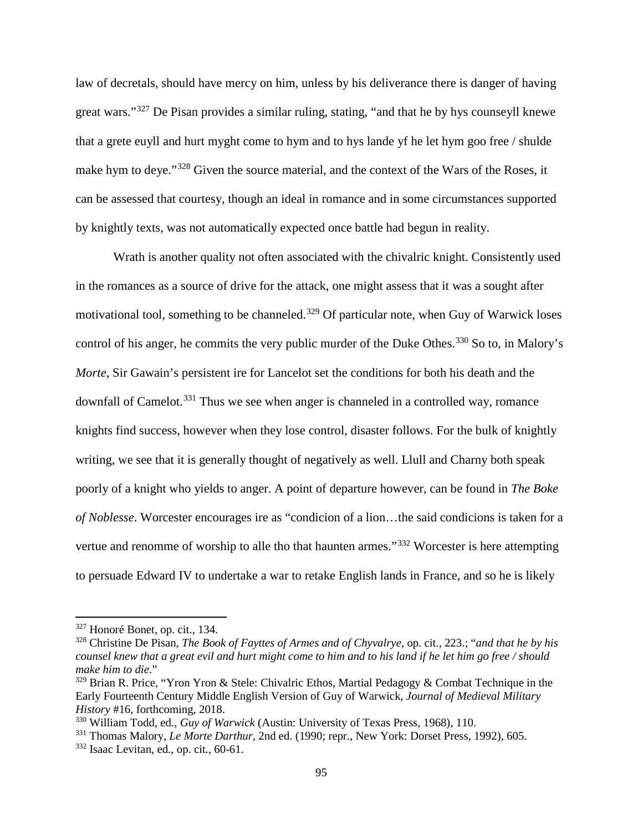law of decretals, should have mercy on him, unless by his deliverance there is danger of having great wars."[327](#page-100-0) De Pisan provides a similar ruling, stating, "and that he by hys counseyll knewe that a grete euyll and hurt myght come to hym and to hys lande yf he let hym goo free / shulde make hym to deye."<sup>[328](#page-100-1)</sup> Given the source material, and the context of the Wars of the Roses, it can be assessed that courtesy, though an ideal in romance and in some circumstances supported by knightly texts, was not automatically expected once battle had begun in reality.

Wrath is another quality not often associated with the chivalric knight. Consistently used in the romances as a source of drive for the attack, one might assess that it was a sought after motivational tool, something to be channeled.<sup>[329](#page-100-2)</sup> Of particular note, when Guy of Warwick loses control of his anger, he commits the very public murder of the Duke Othes.<sup>[330](#page-100-3)</sup> So to, in Malory's *Morte*, Sir Gawain's persistent ire for Lancelot set the conditions for both his death and the downfall of Camelot.<sup>[331](#page-100-4)</sup> Thus we see when anger is channeled in a controlled way, romance knights find success, however when they lose control, disaster follows. For the bulk of knightly writing, we see that it is generally thought of negatively as well. Llull and Charny both speak poorly of a knight who yields to anger. A point of departure however, can be found in *The Boke of Noblesse*. Worcester encourages ire as "condicion of a lion…the said condicions is taken for a vertue and renomme of worship to alle tho that haunten armes."<sup>[332](#page-100-5)</sup> Worcester is here attempting to persuade Edward IV to undertake a war to retake English lands in France, and so he is likely

<span id="page-100-0"></span><sup>327</sup> Honoré Bonet*,* op. cit., 134.

<span id="page-100-1"></span><sup>328</sup> Christine De Pisan, *The Book of Fayttes of Armes and of Chyvalrye*, op. cit*.*, 223.; "*and that he by his counsel knew that a great evil and hurt might come to him and to his land if he let him go free / should make him to die*."

<span id="page-100-2"></span> $329$  Brian R. Price, "Yron Yron & Stele: Chivalric Ethos, Martial Pedagogy & Combat Technique in the Early Fourteenth Century Middle English Version of Guy of Warwick, *Journal of Medieval Military History* #16, forthcoming, 2018.

<span id="page-100-3"></span><sup>330</sup> William Todd, ed., *Guy of Warwick* (Austin: University of Texas Press, 1968), 110.

<span id="page-100-4"></span><sup>331</sup> Thomas Malory, *Le Morte Darthur*, 2nd ed. (1990; repr., New York: Dorset Press, 1992), 605.

<span id="page-100-5"></span><sup>332</sup> Isaac Levitan, ed., op. cit*.*, 60-61.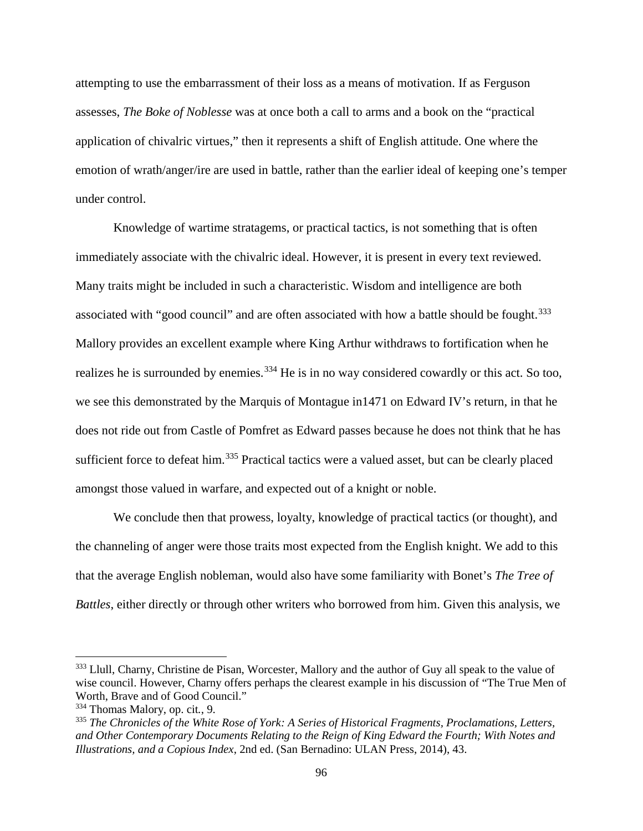attempting to use the embarrassment of their loss as a means of motivation. If as Ferguson assesses, *The Boke of Noblesse* was at once both a call to arms and a book on the "practical application of chivalric virtues," then it represents a shift of English attitude. One where the emotion of wrath/anger/ire are used in battle, rather than the earlier ideal of keeping one's temper under control.

Knowledge of wartime stratagems, or practical tactics, is not something that is often immediately associate with the chivalric ideal. However, it is present in every text reviewed. Many traits might be included in such a characteristic. Wisdom and intelligence are both associated with "good council" and are often associated with how a battle should be fought.<sup>[333](#page-101-0)</sup> Mallory provides an excellent example where King Arthur withdraws to fortification when he realizes he is surrounded by enemies.<sup>[334](#page-101-1)</sup> He is in no way considered cowardly or this act. So too, we see this demonstrated by the Marquis of Montague in1471 on Edward IV's return, in that he does not ride out from Castle of Pomfret as Edward passes because he does not think that he has sufficient force to defeat him.<sup>[335](#page-101-2)</sup> Practical tactics were a valued asset, but can be clearly placed amongst those valued in warfare, and expected out of a knight or noble.

We conclude then that prowess, loyalty, knowledge of practical tactics (or thought), and the channeling of anger were those traits most expected from the English knight. We add to this that the average English nobleman, would also have some familiarity with Bonet's *The Tree of Battles*, either directly or through other writers who borrowed from him. Given this analysis, we

<span id="page-101-0"></span><sup>&</sup>lt;sup>333</sup> Llull, Charny, Christine de Pisan, Worcester, Mallory and the author of Guy all speak to the value of wise council. However, Charny offers perhaps the clearest example in his discussion of "The True Men of Worth, Brave and of Good Council."

<span id="page-101-1"></span><sup>334</sup> Thomas Malory, op. cit*.*, 9.

<span id="page-101-2"></span><sup>335</sup> *The Chronicles of the White Rose of York: A Series of Historical Fragments, Proclamations, Letters, and Other Contemporary Documents Relating to the Reign of King Edward the Fourth; With Notes and Illustrations, and a Copious Index*, 2nd ed. (San Bernadino: ULAN Press, 2014), 43.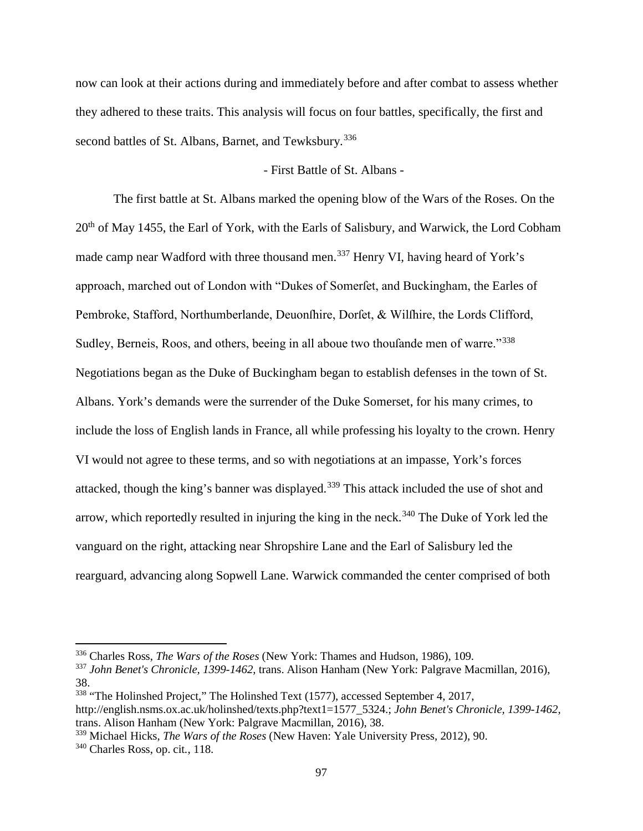now can look at their actions during and immediately before and after combat to assess whether they adhered to these traits. This analysis will focus on four battles, specifically, the first and second battles of St. Albans, Barnet, and Tewksbury.<sup>[336](#page-102-0)</sup>

## - First Battle of St. Albans -

The first battle at St. Albans marked the opening blow of the Wars of the Roses. On the 20<sup>th</sup> of May 1455, the Earl of York, with the Earls of Salisbury, and Warwick, the Lord Cobham made camp near Wadford with three thousand men.<sup>[337](#page-102-1)</sup> Henry VI, having heard of York's approach, marched out of London with "Dukes of Somerfet, and Buckingham, the Earles of Pembroke, Stafford, Northumberlande, Deuonfhire, Dorfet, & Wilfhire, the Lords Clifford, Sudley, Berneis, Roos, and others, beeing in all aboue two thoufande men of warre."<sup>[338](#page-102-2)</sup> Negotiations began as the Duke of Buckingham began to establish defenses in the town of St. Albans. York's demands were the surrender of the Duke Somerset, for his many crimes, to include the loss of English lands in France, all while professing his loyalty to the crown. Henry VI would not agree to these terms, and so with negotiations at an impasse, York's forces attacked, though the king's banner was displayed.<sup>[339](#page-102-3)</sup> This attack included the use of shot and arrow, which reportedly resulted in injuring the king in the neck.<sup>[340](#page-102-4)</sup> The Duke of York led the vanguard on the right, attacking near Shropshire Lane and the Earl of Salisbury led the rearguard, advancing along Sopwell Lane. Warwick commanded the center comprised of both

<span id="page-102-0"></span><sup>336</sup> Charles Ross, *The Wars of the Roses* (New York: Thames and Hudson, 1986), 109.

<span id="page-102-1"></span><sup>337</sup> *John Benet's Chronicle, 1399-1462*, trans. Alison Hanham (New York: Palgrave Macmillan, 2016), 38.

<span id="page-102-2"></span><sup>338</sup> "The Holinshed Project," The Holinshed Text (1577), accessed September 4, 2017, [http://english.nsms.ox.ac.uk/holinshed/texts.php?text1=1577\\_5324.](http://english.nsms.ox.ac.uk/holinshed/texts.php?text1=1577_5324); *John Benet's Chronicle, 1399-1462*, trans. Alison Hanham (New York: Palgrave Macmillan, 2016), 38.

<span id="page-102-4"></span><span id="page-102-3"></span><sup>339</sup> Michael Hicks, *The Wars of the Roses* (New Haven: Yale University Press, 2012), 90. <sup>340</sup> Charles Ross, op. cit*.*, 118.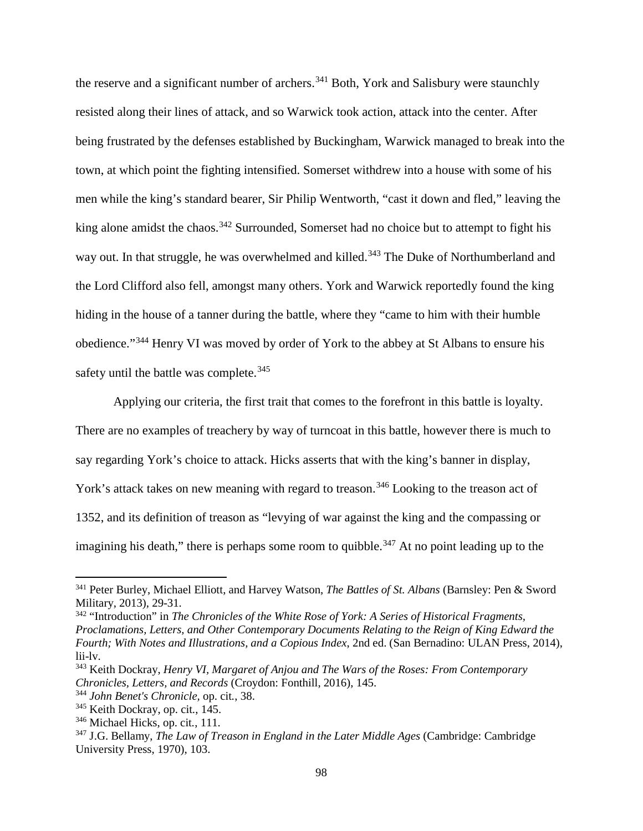the reserve and a significant number of archers.<sup>[341](#page-103-0)</sup> Both, York and Salisbury were staunchly resisted along their lines of attack, and so Warwick took action, attack into the center. After being frustrated by the defenses established by Buckingham, Warwick managed to break into the town, at which point the fighting intensified. Somerset withdrew into a house with some of his men while the king's standard bearer, Sir Philip Wentworth, "cast it down and fled," leaving the king alone amidst the chaos.<sup>[342](#page-103-1)</sup> Surrounded, Somerset had no choice but to attempt to fight his way out. In that struggle, he was overwhelmed and killed.<sup>[343](#page-103-2)</sup> The Duke of Northumberland and the Lord Clifford also fell, amongst many others. York and Warwick reportedly found the king hiding in the house of a tanner during the battle, where they "came to him with their humble obedience."[344](#page-103-3) Henry VI was moved by order of York to the abbey at St Albans to ensure his safety until the battle was complete.<sup>[345](#page-103-4)</sup>

Applying our criteria, the first trait that comes to the forefront in this battle is loyalty. There are no examples of treachery by way of turncoat in this battle, however there is much to say regarding York's choice to attack. Hicks asserts that with the king's banner in display, York's attack takes on new meaning with regard to treason.<sup>[346](#page-103-5)</sup> Looking to the treason act of 1352, and its definition of treason as "levying of war against the king and the compassing or imagining his death," there is perhaps some room to quibble.<sup>[347](#page-103-6)</sup> At no point leading up to the

<span id="page-103-2"></span><sup>343</sup> Keith Dockray, *Henry VI, Margaret of Anjou and The Wars of the Roses: From Contemporary Chronicles, Letters, and Records* (Croydon: Fonthill, 2016), 145.

<span id="page-103-0"></span><sup>341</sup> Peter Burley, Michael Elliott, and Harvey Watson, *The Battles of St. Albans* (Barnsley: Pen & Sword Military, 2013), 29-31.

<span id="page-103-1"></span><sup>342</sup> "Introduction" in *The Chronicles of the White Rose of York: A Series of Historical Fragments, Proclamations, Letters, and Other Contemporary Documents Relating to the Reign of King Edward the Fourth; With Notes and Illustrations, and a Copious Index*, 2nd ed. (San Bernadino: ULAN Press, 2014), lii-lv.

<span id="page-103-3"></span><sup>344</sup> *John Benet's Chronicle,* op. cit*.*, 38.

<span id="page-103-4"></span><sup>345</sup> Keith Dockray, op. cit*.*, 145.

<span id="page-103-5"></span><sup>346</sup> Michael Hicks, op. cit*.*, 111.

<span id="page-103-6"></span><sup>347</sup> J.G. Bellamy, *The Law of Treason in England in the Later Middle Ages* (Cambridge: Cambridge University Press, 1970), 103.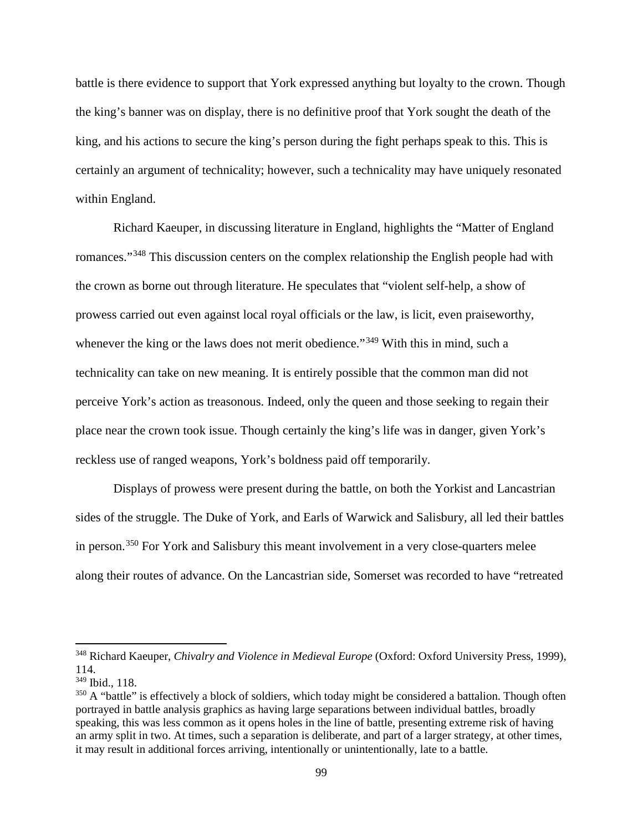battle is there evidence to support that York expressed anything but loyalty to the crown. Though the king's banner was on display, there is no definitive proof that York sought the death of the king, and his actions to secure the king's person during the fight perhaps speak to this. This is certainly an argument of technicality; however, such a technicality may have uniquely resonated within England.

Richard Kaeuper, in discussing literature in England, highlights the "Matter of England romances."[348](#page-104-0) This discussion centers on the complex relationship the English people had with the crown as borne out through literature. He speculates that "violent self-help, a show of prowess carried out even against local royal officials or the law, is licit, even praiseworthy, whenever the king or the laws does not merit obedience."<sup>[349](#page-104-1)</sup> With this in mind, such a technicality can take on new meaning. It is entirely possible that the common man did not perceive York's action as treasonous. Indeed, only the queen and those seeking to regain their place near the crown took issue. Though certainly the king's life was in danger, given York's reckless use of ranged weapons, York's boldness paid off temporarily.

Displays of prowess were present during the battle, on both the Yorkist and Lancastrian sides of the struggle. The Duke of York, and Earls of Warwick and Salisbury, all led their battles in person.[350](#page-104-2) For York and Salisbury this meant involvement in a very close-quarters melee along their routes of advance. On the Lancastrian side, Somerset was recorded to have "retreated

<span id="page-104-0"></span><sup>348</sup> Richard Kaeuper, *Chivalry and Violence in Medieval Europe* (Oxford: Oxford University Press, 1999), 114.

<span id="page-104-1"></span><sup>349</sup> Ibid., 118.

<span id="page-104-2"></span><sup>&</sup>lt;sup>350</sup> A "battle" is effectively a block of soldiers, which today might be considered a battalion. Though often portrayed in battle analysis graphics as having large separations between individual battles, broadly speaking, this was less common as it opens holes in the line of battle, presenting extreme risk of having an army split in two. At times, such a separation is deliberate, and part of a larger strategy, at other times, it may result in additional forces arriving, intentionally or unintentionally, late to a battle.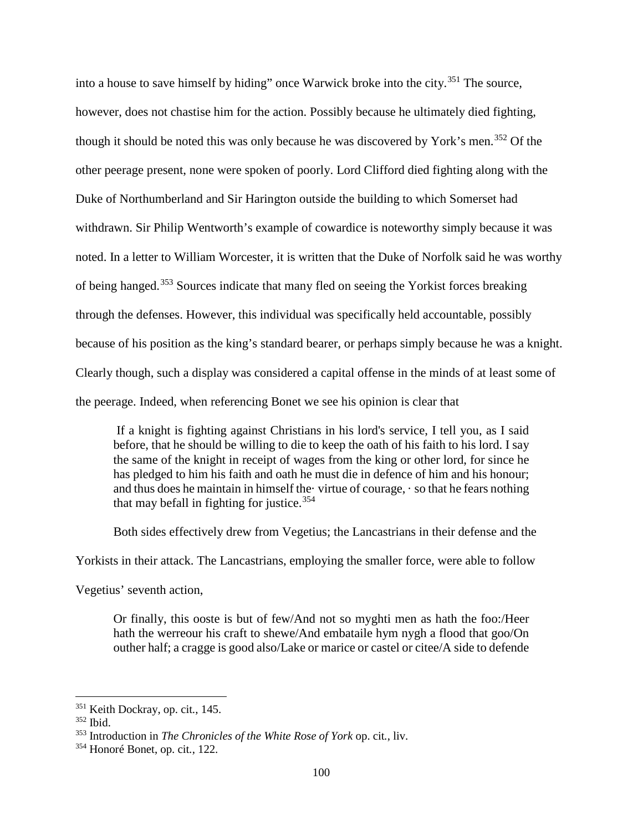into a house to save himself by hiding" once Warwick broke into the city.[351](#page-105-0) The source, however, does not chastise him for the action. Possibly because he ultimately died fighting, though it should be noted this was only because he was discovered by York's men.<sup>[352](#page-105-1)</sup> Of the other peerage present, none were spoken of poorly. Lord Clifford died fighting along with the Duke of Northumberland and Sir Harington outside the building to which Somerset had withdrawn. Sir Philip Wentworth's example of cowardice is noteworthy simply because it was noted. In a letter to William Worcester, it is written that the Duke of Norfolk said he was worthy of being hanged.[353](#page-105-2) Sources indicate that many fled on seeing the Yorkist forces breaking through the defenses. However, this individual was specifically held accountable, possibly because of his position as the king's standard bearer, or perhaps simply because he was a knight. Clearly though, such a display was considered a capital offense in the minds of at least some of the peerage. Indeed, when referencing Bonet we see his opinion is clear that

If a knight is fighting against Christians in his lord's service, I tell you, as I said before, that he should be willing to die to keep the oath of his faith to his lord. I say the same of the knight in receipt of wages from the king or other lord, for since he has pledged to him his faith and oath he must die in defence of him and his honour; and thus does he maintain in himself the· virtue of courage, · so that he fears nothing that may befall in fighting for justice.<sup>[354](#page-105-3)</sup>

Both sides effectively drew from Vegetius; the Lancastrians in their defense and the

Yorkists in their attack. The Lancastrians, employing the smaller force, were able to follow

Vegetius' seventh action,

Or finally, this ooste is but of few/And not so myghti men as hath the foo:/Heer hath the werreour his craft to shewe/And embataile hym nygh a flood that goo/On outher half; a cragge is good also/Lake or marice or castel or citee/A side to defende

 $\overline{a}$ 

<span id="page-105-0"></span><sup>351</sup> Keith Dockray, op. cit*.*, 145.

<span id="page-105-1"></span><sup>352</sup> Ibid.

<span id="page-105-2"></span><sup>353</sup> Introduction in *The Chronicles of the White Rose of York* op. cit*.*, liv.

<span id="page-105-3"></span><sup>354</sup> Honoré Bonet, op. cit*.*, 122.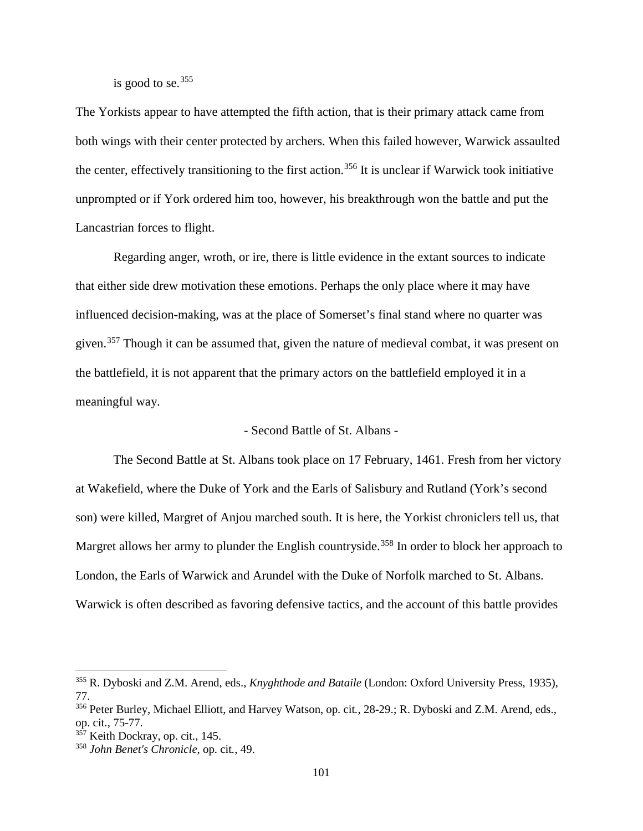is good to se.  $355$ 

The Yorkists appear to have attempted the fifth action, that is their primary attack came from both wings with their center protected by archers. When this failed however, Warwick assaulted the center, effectively transitioning to the first action.<sup>[356](#page-106-1)</sup> It is unclear if Warwick took initiative unprompted or if York ordered him too, however, his breakthrough won the battle and put the Lancastrian forces to flight.

Regarding anger, wroth, or ire, there is little evidence in the extant sources to indicate that either side drew motivation these emotions. Perhaps the only place where it may have influenced decision-making, was at the place of Somerset's final stand where no quarter was given.<sup>[357](#page-106-2)</sup> Though it can be assumed that, given the nature of medieval combat, it was present on the battlefield, it is not apparent that the primary actors on the battlefield employed it in a meaningful way.

## - Second Battle of St. Albans -

The Second Battle at St. Albans took place on 17 February, 1461. Fresh from her victory at Wakefield, where the Duke of York and the Earls of Salisbury and Rutland (York's second son) were killed, Margret of Anjou marched south. It is here, the Yorkist chroniclers tell us, that Margret allows her army to plunder the English countryside.<sup>[358](#page-106-3)</sup> In order to block her approach to London, the Earls of Warwick and Arundel with the Duke of Norfolk marched to St. Albans. Warwick is often described as favoring defensive tactics, and the account of this battle provides

<span id="page-106-0"></span><sup>355</sup> R. Dyboski and Z.M. Arend, eds., *Knyghthode and Bataile* (London: Oxford University Press, 1935), 77.

<span id="page-106-1"></span><sup>356</sup> Peter Burley, Michael Elliott, and Harvey Watson, op. cit*.*, 28-29.; R. Dyboski and Z.M. Arend, eds., op. cit*.*, 75-77.

<span id="page-106-2"></span><sup>357</sup> Keith Dockray, op. cit*.*, 145.

<span id="page-106-3"></span><sup>358</sup> *John Benet's Chronicle,* op. cit*.*, 49.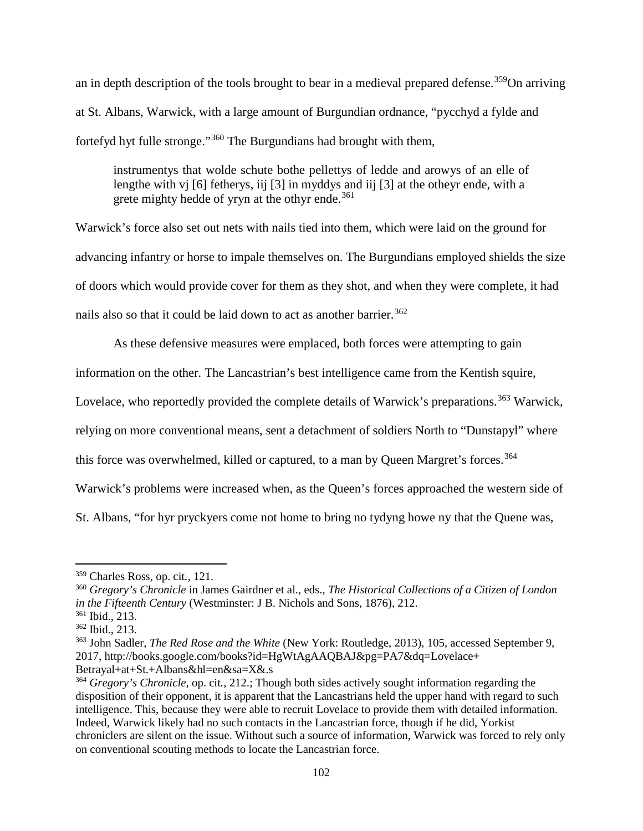an in depth description of the tools brought to bear in a medieval prepared defense.<sup>[359](#page-107-0)</sup>On arriving at St. Albans, Warwick, with a large amount of Burgundian ordnance, "pycchyd a fylde and fortefyd hyt fulle stronge."[360](#page-107-1) The Burgundians had brought with them,

instrumentys that wolde schute bothe pellettys of ledde and arowys of an elle of lengthe with vj [6] fetherys, iij [3] in myddys and iij [3] at the otheyr ende, with a grete mighty hedde of yryn at the othyr ende.<sup>[361](#page-107-2)</sup>

Warwick's force also set out nets with nails tied into them, which were laid on the ground for advancing infantry or horse to impale themselves on. The Burgundians employed shields the size of doors which would provide cover for them as they shot, and when they were complete, it had nails also so that it could be laid down to act as another barrier.<sup>[362](#page-107-3)</sup>

As these defensive measures were emplaced, both forces were attempting to gain

information on the other. The Lancastrian's best intelligence came from the Kentish squire,

Lovelace, who reportedly provided the complete details of Warwick's preparations.<sup>[363](#page-107-4)</sup> Warwick,

relying on more conventional means, sent a detachment of soldiers North to "Dunstapyl" where

this force was overwhelmed, killed or captured, to a man by Queen Margret's forces.<sup>[364](#page-107-5)</sup>

Warwick's problems were increased when, as the Queen's forces approached the western side of

St. Albans, "for hyr pryckyers come not home to bring no tydyng howe ny that the Quene was,

<span id="page-107-0"></span><sup>359</sup> Charles Ross, op. cit*.*, 121.

<span id="page-107-1"></span><sup>360</sup> *Gregory's Chronicle* in James Gairdner et al., eds., *The Historical Collections of a Citizen of London in the Fifteenth Century* (Westminster: J B. Nichols and Sons, 1876), 212.

<span id="page-107-2"></span><sup>361</sup> Ibid., 213.

<span id="page-107-3"></span><sup>362</sup> Ibid., 213.

<span id="page-107-4"></span><sup>363</sup> John Sadler, *The Red Rose and the White* (New York: Routledge, 2013), 105, accessed September 9, 2017, http://books.google.com/books?id=HgWtAgAAQBAJ&pg=PA7&dq=Lovelace+ Betrayal+at+St.+Albans&hl=en&sa=X&.s

<span id="page-107-5"></span><sup>364</sup> *Gregory's Chronicle,* op. cit*.*, 212.; Though both sides actively sought information regarding the disposition of their opponent, it is apparent that the Lancastrians held the upper hand with regard to such intelligence. This, because they were able to recruit Lovelace to provide them with detailed information. Indeed, Warwick likely had no such contacts in the Lancastrian force, though if he did, Yorkist chroniclers are silent on the issue. Without such a source of information, Warwick was forced to rely only on conventional scouting methods to locate the Lancastrian force.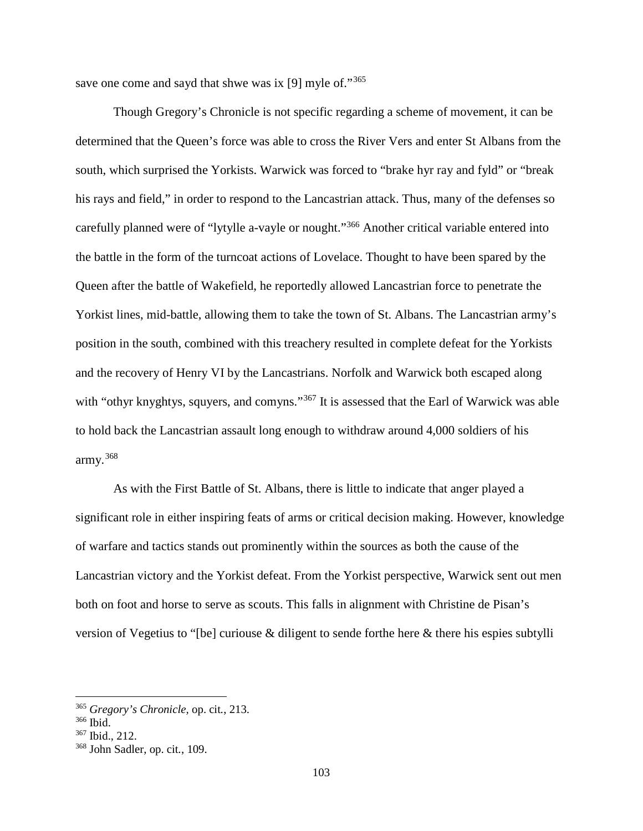save one come and sayd that shwe was ix [9] myle of."<sup>[365](#page-108-0)</sup>

Though Gregory's Chronicle is not specific regarding a scheme of movement, it can be determined that the Queen's force was able to cross the River Vers and enter St Albans from the south, which surprised the Yorkists. Warwick was forced to "brake hyr ray and fyld" or "break his rays and field," in order to respond to the Lancastrian attack. Thus, many of the defenses so carefully planned were of "lytylle a-vayle or nought."[366](#page-108-1) Another critical variable entered into the battle in the form of the turncoat actions of Lovelace. Thought to have been spared by the Queen after the battle of Wakefield, he reportedly allowed Lancastrian force to penetrate the Yorkist lines, mid-battle, allowing them to take the town of St. Albans. The Lancastrian army's position in the south, combined with this treachery resulted in complete defeat for the Yorkists and the recovery of Henry VI by the Lancastrians. Norfolk and Warwick both escaped along with "othyr knyghtys, squyers, and comyns."<sup>[367](#page-108-2)</sup> It is assessed that the Earl of Warwick was able to hold back the Lancastrian assault long enough to withdraw around 4,000 soldiers of his army.[368](#page-108-3)

As with the First Battle of St. Albans, there is little to indicate that anger played a significant role in either inspiring feats of arms or critical decision making. However, knowledge of warfare and tactics stands out prominently within the sources as both the cause of the Lancastrian victory and the Yorkist defeat. From the Yorkist perspective, Warwick sent out men both on foot and horse to serve as scouts. This falls in alignment with Christine de Pisan's version of Vegetius to "[be] curiouse & diligent to sende forthe here & there his espies subtylli

<span id="page-108-0"></span> $\overline{a}$ 

<span id="page-108-1"></span><sup>365</sup> *Gregory's Chronicle,* op. cit*.*, 213.

<sup>366</sup> Ibid.

<span id="page-108-2"></span><sup>367</sup> Ibid., 212.

<span id="page-108-3"></span><sup>368</sup> John Sadler, op. cit*.*, 109.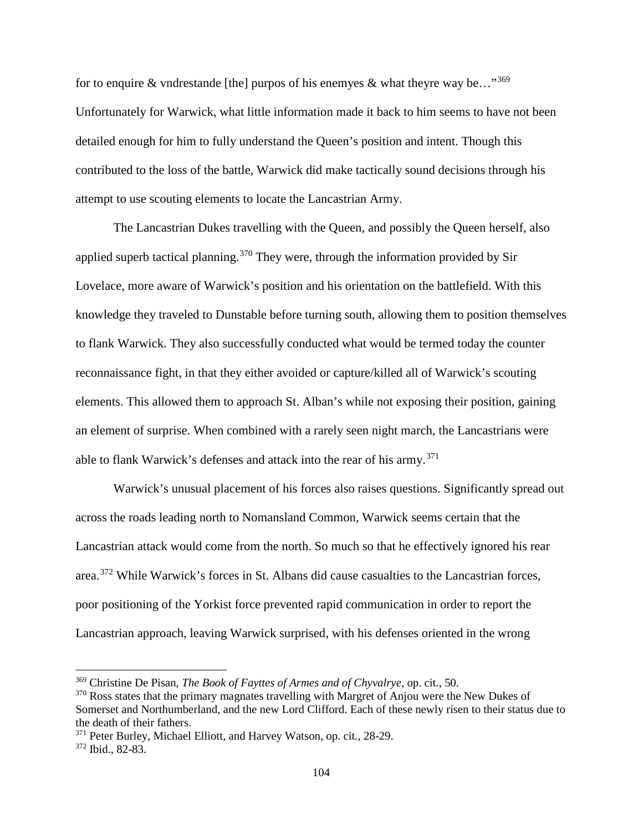for to enquire & vndrestande [the] purpos of his enemyes & what theyre way be…"<sup>[369](#page-109-0)</sup> Unfortunately for Warwick, what little information made it back to him seems to have not been detailed enough for him to fully understand the Queen's position and intent. Though this contributed to the loss of the battle, Warwick did make tactically sound decisions through his attempt to use scouting elements to locate the Lancastrian Army.

The Lancastrian Dukes travelling with the Queen, and possibly the Queen herself, also applied superb tactical planning.<sup>[370](#page-109-1)</sup> They were, through the information provided by Sir Lovelace, more aware of Warwick's position and his orientation on the battlefield. With this knowledge they traveled to Dunstable before turning south, allowing them to position themselves to flank Warwick. They also successfully conducted what would be termed today the counter reconnaissance fight, in that they either avoided or capture/killed all of Warwick's scouting elements. This allowed them to approach St. Alban's while not exposing their position, gaining an element of surprise. When combined with a rarely seen night march, the Lancastrians were able to flank Warwick's defenses and attack into the rear of his army.<sup>[371](#page-109-2)</sup>

Warwick's unusual placement of his forces also raises questions. Significantly spread out across the roads leading north to Nomansland Common, Warwick seems certain that the Lancastrian attack would come from the north. So much so that he effectively ignored his rear area.[372](#page-109-3) While Warwick's forces in St. Albans did cause casualties to the Lancastrian forces, poor positioning of the Yorkist force prevented rapid communication in order to report the Lancastrian approach, leaving Warwick surprised, with his defenses oriented in the wrong

<span id="page-109-0"></span><sup>369</sup> Christine De Pisan, *The Book of Fayttes of Armes and of Chyvalrye*, op. cit*.*, 50.

<span id="page-109-1"></span><sup>&</sup>lt;sup>370</sup> Ross states that the primary magnates travelling with Margret of Anjou were the New Dukes of Somerset and Northumberland, and the new Lord Clifford. Each of these newly risen to their status due to the death of their fathers.

<span id="page-109-2"></span><sup>371</sup> Peter Burley, Michael Elliott, and Harvey Watson, op. cit*.*, 28-29.

<span id="page-109-3"></span><sup>372</sup> Ibid., 82-83.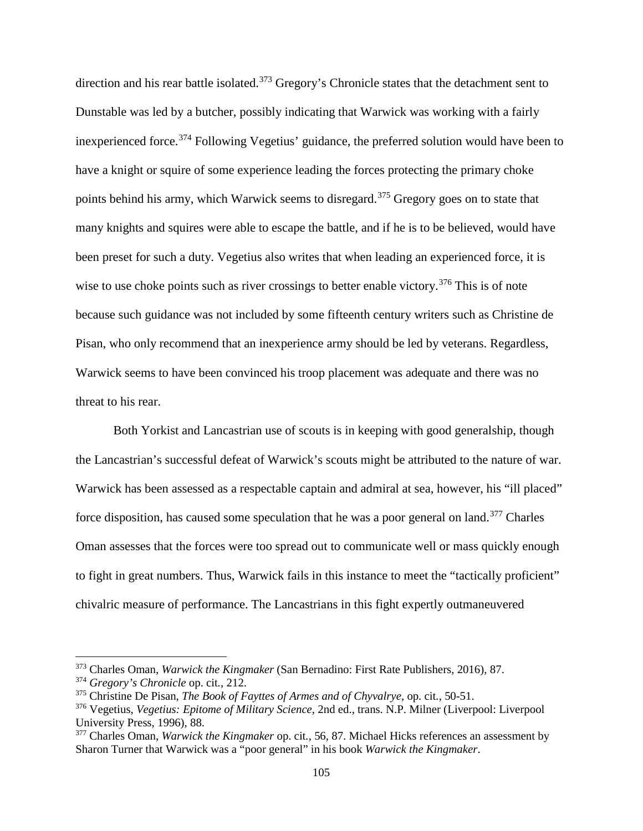direction and his rear battle isolated.<sup>[373](#page-110-0)</sup> Gregory's Chronicle states that the detachment sent to Dunstable was led by a butcher, possibly indicating that Warwick was working with a fairly inexperienced force.[374](#page-110-1) Following Vegetius' guidance, the preferred solution would have been to have a knight or squire of some experience leading the forces protecting the primary choke points behind his army, which Warwick seems to disregard.<sup>[375](#page-110-2)</sup> Gregory goes on to state that many knights and squires were able to escape the battle, and if he is to be believed, would have been preset for such a duty. Vegetius also writes that when leading an experienced force, it is wise to use choke points such as river crossings to better enable victory.<sup>[376](#page-110-3)</sup> This is of note because such guidance was not included by some fifteenth century writers such as Christine de Pisan, who only recommend that an inexperience army should be led by veterans. Regardless, Warwick seems to have been convinced his troop placement was adequate and there was no threat to his rear.

Both Yorkist and Lancastrian use of scouts is in keeping with good generalship, though the Lancastrian's successful defeat of Warwick's scouts might be attributed to the nature of war. Warwick has been assessed as a respectable captain and admiral at sea, however, his "ill placed" force disposition, has caused some speculation that he was a poor general on land.<sup>[377](#page-110-4)</sup> Charles Oman assesses that the forces were too spread out to communicate well or mass quickly enough to fight in great numbers. Thus, Warwick fails in this instance to meet the "tactically proficient" chivalric measure of performance. The Lancastrians in this fight expertly outmaneuvered

<span id="page-110-0"></span><sup>373</sup> Charles Oman, *Warwick the Kingmaker* (San Bernadino: First Rate Publishers, 2016), 87.

<span id="page-110-1"></span><sup>374</sup> *Gregory's Chronicle* op. cit*.*, 212.

<span id="page-110-2"></span><sup>375</sup> Christine De Pisan, *The Book of Fayttes of Armes and of Chyvalrye*, op. cit*.*, 50-51.

<span id="page-110-3"></span><sup>376</sup> Vegetius, *Vegetius: Epitome of Military Science*, 2nd ed., trans. N.P. Milner (Liverpool: Liverpool University Press, 1996), 88.

<span id="page-110-4"></span><sup>377</sup> Charles Oman, *Warwick the Kingmaker* op. cit*.*, 56, 87. Michael Hicks references an assessment by Sharon Turner that Warwick was a "poor general" in his book *Warwick the Kingmaker*.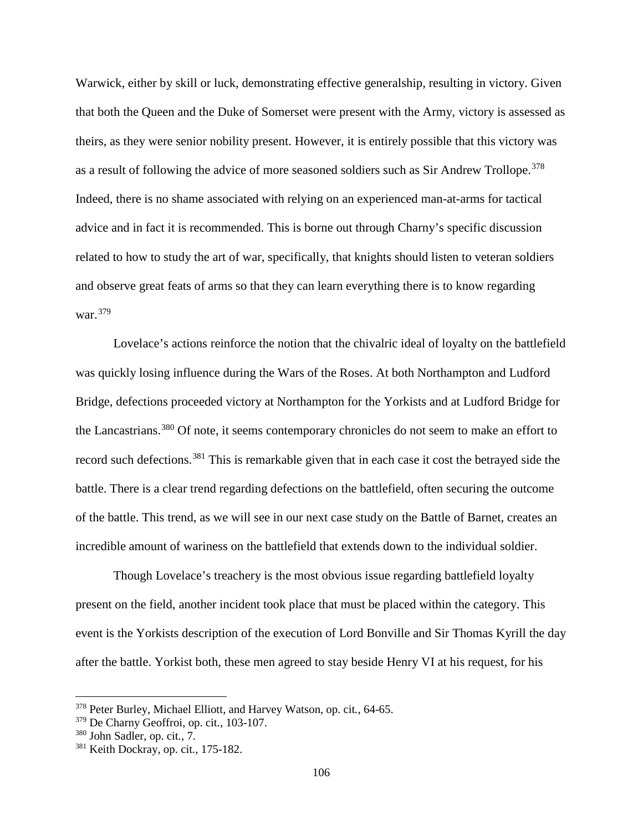Warwick, either by skill or luck, demonstrating effective generalship, resulting in victory. Given that both the Queen and the Duke of Somerset were present with the Army, victory is assessed as theirs, as they were senior nobility present. However, it is entirely possible that this victory was as a result of following the advice of more seasoned soldiers such as Sir Andrew Trollope.<sup>[378](#page-111-0)</sup> Indeed, there is no shame associated with relying on an experienced man-at-arms for tactical advice and in fact it is recommended. This is borne out through Charny's specific discussion related to how to study the art of war, specifically, that knights should listen to veteran soldiers and observe great feats of arms so that they can learn everything there is to know regarding war.[379](#page-111-1)

Lovelace's actions reinforce the notion that the chivalric ideal of loyalty on the battlefield was quickly losing influence during the Wars of the Roses. At both Northampton and Ludford Bridge, defections proceeded victory at Northampton for the Yorkists and at Ludford Bridge for the Lancastrians.<sup>[380](#page-111-2)</sup> Of note, it seems contemporary chronicles do not seem to make an effort to record such defections.<sup>[381](#page-111-3)</sup> This is remarkable given that in each case it cost the betrayed side the battle. There is a clear trend regarding defections on the battlefield, often securing the outcome of the battle. This trend, as we will see in our next case study on the Battle of Barnet, creates an incredible amount of wariness on the battlefield that extends down to the individual soldier.

Though Lovelace's treachery is the most obvious issue regarding battlefield loyalty present on the field, another incident took place that must be placed within the category. This event is the Yorkists description of the execution of Lord Bonville and Sir Thomas Kyrill the day after the battle. Yorkist both, these men agreed to stay beside Henry VI at his request, for his

 $\overline{a}$ 

<span id="page-111-0"></span><sup>378</sup> Peter Burley, Michael Elliott, and Harvey Watson, op. cit*.*, 64-65.

<span id="page-111-1"></span><sup>379</sup> De Charny Geoffroi, op. cit*.*, 103-107.

<span id="page-111-2"></span><sup>380</sup> John Sadler, op. cit*.*, 7.

<span id="page-111-3"></span><sup>381</sup> Keith Dockray, op. cit*.*, 175-182.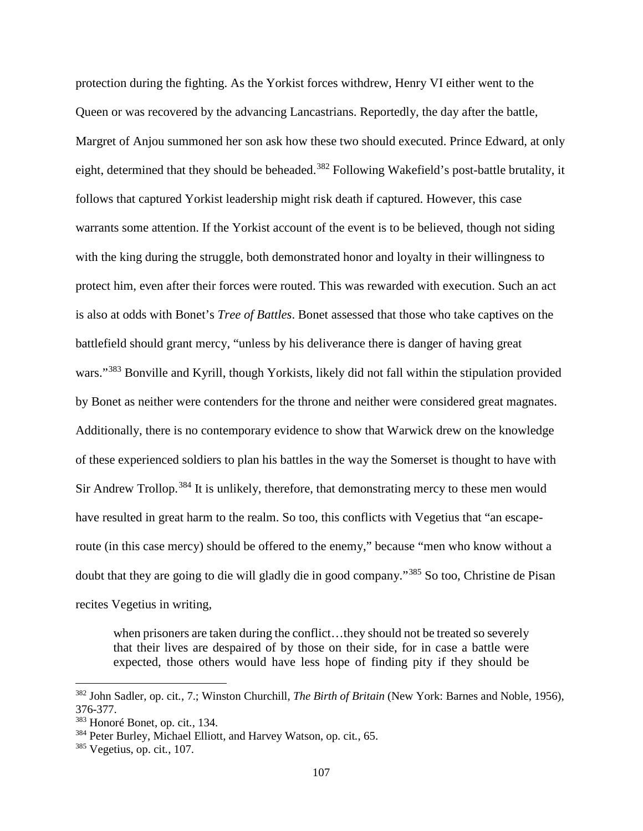protection during the fighting. As the Yorkist forces withdrew, Henry VI either went to the Queen or was recovered by the advancing Lancastrians. Reportedly, the day after the battle, Margret of Anjou summoned her son ask how these two should executed. Prince Edward, at only eight, determined that they should be beheaded.<sup>[382](#page-112-0)</sup> Following Wakefield's post-battle brutality, it follows that captured Yorkist leadership might risk death if captured. However, this case warrants some attention. If the Yorkist account of the event is to be believed, though not siding with the king during the struggle, both demonstrated honor and loyalty in their willingness to protect him, even after their forces were routed. This was rewarded with execution. Such an act is also at odds with Bonet's *Tree of Battles*. Bonet assessed that those who take captives on the battlefield should grant mercy, "unless by his deliverance there is danger of having great wars."<sup>[383](#page-112-1)</sup> Bonville and Kyrill, though Yorkists, likely did not fall within the stipulation provided by Bonet as neither were contenders for the throne and neither were considered great magnates. Additionally, there is no contemporary evidence to show that Warwick drew on the knowledge of these experienced soldiers to plan his battles in the way the Somerset is thought to have with Sir Andrew Trollop.<sup>[384](#page-112-2)</sup> It is unlikely, therefore, that demonstrating mercy to these men would have resulted in great harm to the realm. So too, this conflicts with Vegetius that "an escaperoute (in this case mercy) should be offered to the enemy," because "men who know without a doubt that they are going to die will gladly die in good company."[385](#page-112-3) So too, Christine de Pisan recites Vegetius in writing,

when prisoners are taken during the conflict...they should not be treated so severely that their lives are despaired of by those on their side, for in case a battle were expected, those others would have less hope of finding pity if they should be

<span id="page-112-0"></span><sup>382</sup> John Sadler, op. cit*.*, 7.; Winston Churchill, *The Birth of Britain* (New York: Barnes and Noble, 1956), 376-377.

<span id="page-112-1"></span><sup>383</sup> Honoré Bonet, op. cit*.*, 134.

<span id="page-112-2"></span><sup>384</sup> Peter Burley, Michael Elliott, and Harvey Watson, op. cit*.*, 65.

<span id="page-112-3"></span><sup>385</sup> Vegetius, op. cit*.*, 107.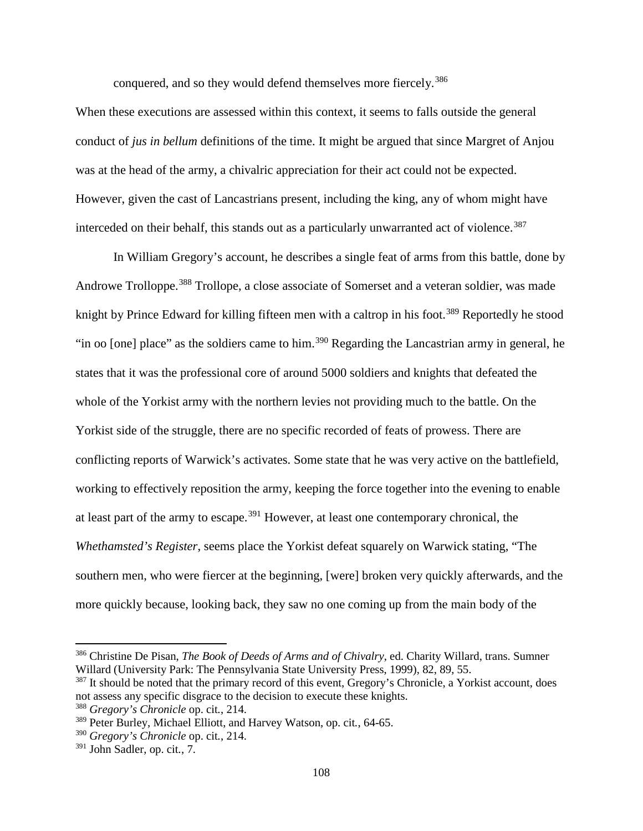conquered, and so they would defend themselves more fiercely.<sup>[386](#page-113-0)</sup>

When these executions are assessed within this context, it seems to falls outside the general conduct of *jus in bellum* definitions of the time. It might be argued that since Margret of Anjou was at the head of the army, a chivalric appreciation for their act could not be expected. However, given the cast of Lancastrians present, including the king, any of whom might have interceded on their behalf, this stands out as a particularly unwarranted act of violence.<sup>[387](#page-113-1)</sup>

In William Gregory's account, he describes a single feat of arms from this battle, done by Androwe Trolloppe.<sup>[388](#page-113-2)</sup> Trollope, a close associate of Somerset and a veteran soldier, was made knight by Prince Edward for killing fifteen men with a caltrop in his foot.<sup>[389](#page-113-3)</sup> Reportedly he stood "in oo [one] place" as the soldiers came to him.<sup>[390](#page-113-4)</sup> Regarding the Lancastrian army in general, he states that it was the professional core of around 5000 soldiers and knights that defeated the whole of the Yorkist army with the northern levies not providing much to the battle. On the Yorkist side of the struggle, there are no specific recorded of feats of prowess. There are conflicting reports of Warwick's activates. Some state that he was very active on the battlefield, working to effectively reposition the army, keeping the force together into the evening to enable at least part of the army to escape.  $391$  However, at least one contemporary chronical, the *Whethamsted's Register*, seems place the Yorkist defeat squarely on Warwick stating, "The southern men, who were fiercer at the beginning, [were] broken very quickly afterwards, and the more quickly because, looking back, they saw no one coming up from the main body of the

<span id="page-113-0"></span><sup>386</sup> Christine De Pisan, *The Book of Deeds of Arms and of Chivalry*, ed. Charity Willard, trans. Sumner Willard (University Park: The Pennsylvania State University Press, 1999), 82, 89, 55.

<span id="page-113-1"></span><sup>&</sup>lt;sup>387</sup> It should be noted that the primary record of this event, Gregory's Chronicle, a Yorkist account, does not assess any specific disgrace to the decision to execute these knights.

<span id="page-113-2"></span><sup>388</sup> *Gregory's Chronicle* op. cit*.*, 214.

<span id="page-113-3"></span><sup>389</sup> Peter Burley, Michael Elliott, and Harvey Watson, op. cit*.*, 64-65.

<span id="page-113-4"></span><sup>390</sup> *Gregory's Chronicle* op. cit*.*, 214.

<span id="page-113-5"></span><sup>391</sup> John Sadler, op. cit*.*, 7.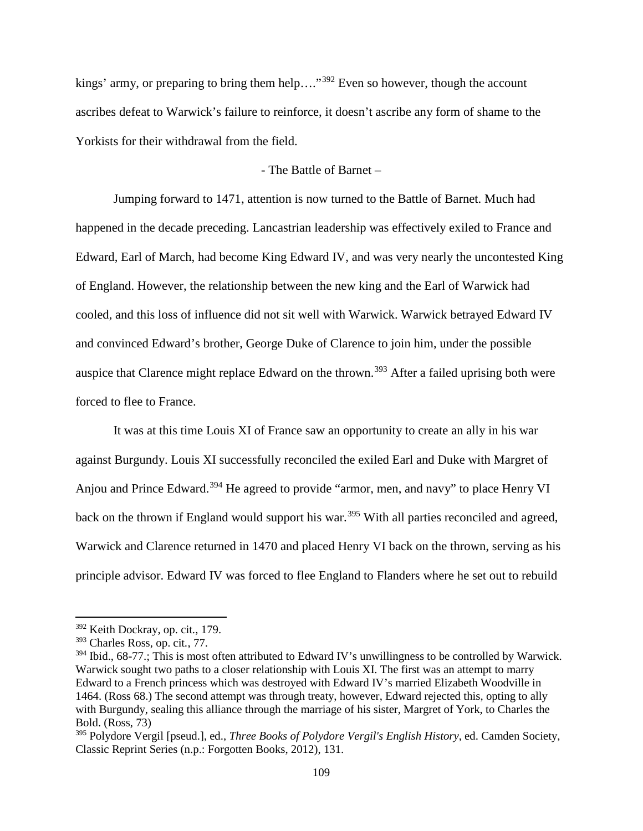kings' army, or preparing to bring them help...."<sup>[392](#page-114-0)</sup> Even so however, though the account ascribes defeat to Warwick's failure to reinforce, it doesn't ascribe any form of shame to the Yorkists for their withdrawal from the field.

# - The Battle of Barnet –

Jumping forward to 1471, attention is now turned to the Battle of Barnet. Much had happened in the decade preceding. Lancastrian leadership was effectively exiled to France and Edward, Earl of March, had become King Edward IV, and was very nearly the uncontested King of England. However, the relationship between the new king and the Earl of Warwick had cooled, and this loss of influence did not sit well with Warwick. Warwick betrayed Edward IV and convinced Edward's brother, George Duke of Clarence to join him, under the possible auspice that Clarence might replace Edward on the thrown.<sup>[393](#page-114-1)</sup> After a failed uprising both were forced to flee to France.

It was at this time Louis XI of France saw an opportunity to create an ally in his war against Burgundy. Louis XI successfully reconciled the exiled Earl and Duke with Margret of Anjou and Prince Edward.<sup>[394](#page-114-2)</sup> He agreed to provide "armor, men, and navy" to place Henry VI back on the thrown if England would support his war.<sup>[395](#page-114-3)</sup> With all parties reconciled and agreed, Warwick and Clarence returned in 1470 and placed Henry VI back on the thrown, serving as his principle advisor. Edward IV was forced to flee England to Flanders where he set out to rebuild

<span id="page-114-0"></span><sup>392</sup> Keith Dockray, op. cit*.*, 179.

<span id="page-114-1"></span><sup>393</sup> Charles Ross, op. cit*.*, 77.

<span id="page-114-2"></span><sup>&</sup>lt;sup>394</sup> Ibid., 68-77.; This is most often attributed to Edward IV's unwillingness to be controlled by Warwick. Warwick sought two paths to a closer relationship with Louis XI. The first was an attempt to marry Edward to a French princess which was destroyed with Edward IV's married Elizabeth Woodville in 1464. (Ross 68.) The second attempt was through treaty, however, Edward rejected this, opting to ally with Burgundy, sealing this alliance through the marriage of his sister, Margret of York, to Charles the Bold. (Ross, 73)

<span id="page-114-3"></span><sup>395</sup> Polydore Vergil [pseud.], ed., *Three Books of Polydore Vergil's English History*, ed. Camden Society, Classic Reprint Series (n.p.: Forgotten Books, 2012), 131.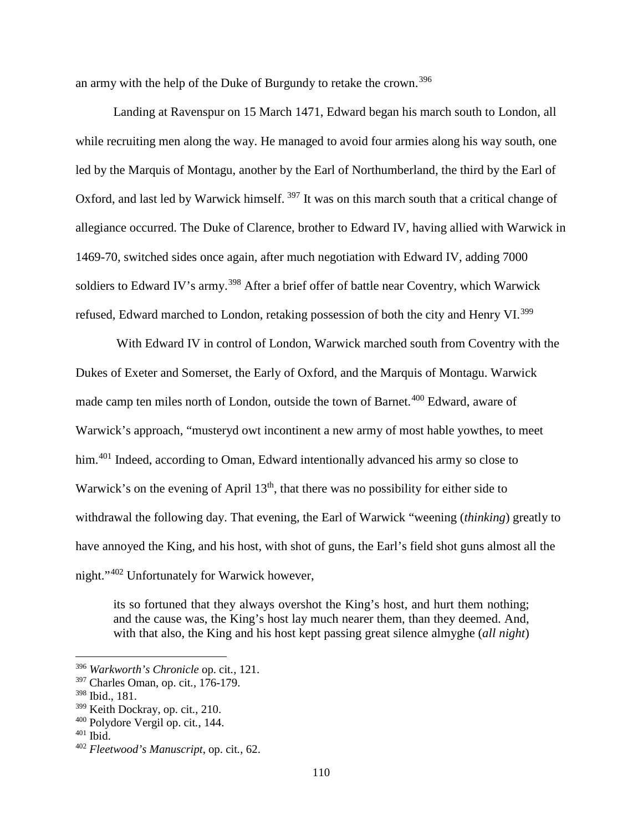an army with the help of the Duke of Burgundy to retake the crown.[396](#page-115-0)

Landing at Ravenspur on 15 March 1471, Edward began his march south to London, all while recruiting men along the way. He managed to avoid four armies along his way south, one led by the Marquis of Montagu, another by the Earl of Northumberland, the third by the Earl of Oxford, and last led by Warwick himself. <sup>[397](#page-115-1)</sup> It was on this march south that a critical change of allegiance occurred. The Duke of Clarence, brother to Edward IV, having allied with Warwick in 1469-70, switched sides once again, after much negotiation with Edward IV, adding 7000 soldiers to Edward IV's army.<sup>[398](#page-115-2)</sup> After a brief offer of battle near Coventry, which Warwick refused, Edward marched to London, retaking possession of both the city and Henry VI.<sup>[399](#page-115-3)</sup>

With Edward IV in control of London, Warwick marched south from Coventry with the Dukes of Exeter and Somerset, the Early of Oxford, and the Marquis of Montagu. Warwick made camp ten miles north of London, outside the town of Barnet.<sup>[400](#page-115-4)</sup> Edward, aware of Warwick's approach, "musteryd owt incontinent a new army of most hable yowthes, to meet him.<sup>[401](#page-115-5)</sup> Indeed, according to Oman, Edward intentionally advanced his army so close to Warwick's on the evening of April  $13<sup>th</sup>$ , that there was no possibility for either side to withdrawal the following day. That evening, the Earl of Warwick "weening (*thinking*) greatly to have annoyed the King, and his host, with shot of guns, the Earl's field shot guns almost all the night."[402](#page-115-6) Unfortunately for Warwick however,

its so fortuned that they always overshot the King's host, and hurt them nothing; and the cause was, the King's host lay much nearer them, than they deemed. And, with that also, the King and his host kept passing great silence almyghe (*all night*)

<span id="page-115-0"></span><sup>396</sup> *Warkworth's Chronicle* op. cit*.*, 121.

<span id="page-115-1"></span><sup>397</sup> Charles Oman, op. cit*.*, 176-179.

<span id="page-115-2"></span><sup>398</sup> Ibid., 181.

<span id="page-115-3"></span><sup>399</sup> Keith Dockray, op. cit*.*, 210.

<span id="page-115-4"></span><sup>400</sup> Polydore Vergil op. cit*.*, 144.

<span id="page-115-5"></span> $401$  Ibid.

<span id="page-115-6"></span><sup>402</sup> *Fleetwood's Manuscript*, op. cit*.*, 62.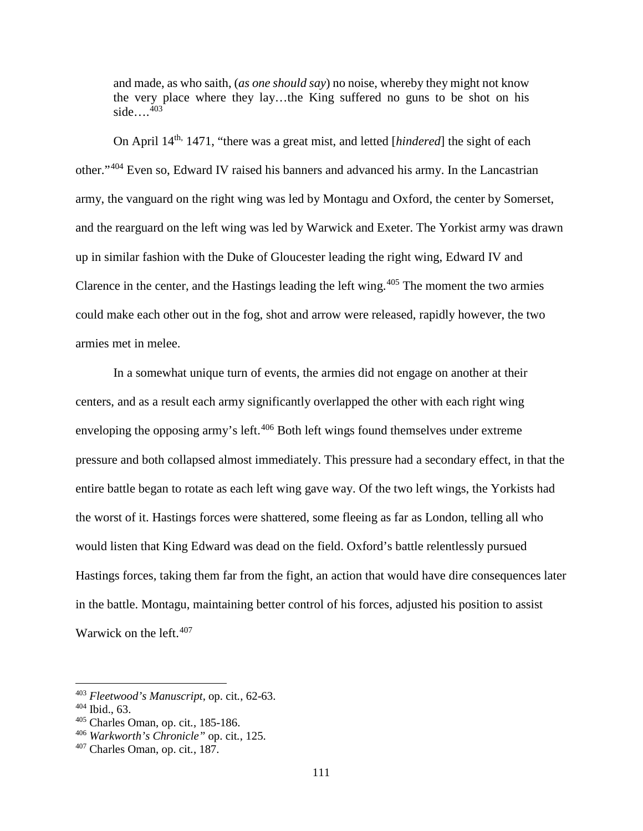and made, as who saith, (*as one should say*) no noise, whereby they might not know the very place where they lay…the King suffered no guns to be shot on his side… $\frac{403}{ }$  $\frac{403}{ }$  $\frac{403}{ }$ 

On April 14th, 1471, "there was a great mist, and letted [*hindered*] the sight of each other."[404](#page-116-1) Even so, Edward IV raised his banners and advanced his army. In the Lancastrian army, the vanguard on the right wing was led by Montagu and Oxford, the center by Somerset, and the rearguard on the left wing was led by Warwick and Exeter. The Yorkist army was drawn up in similar fashion with the Duke of Gloucester leading the right wing, Edward IV and Clarence in the center, and the Hastings leading the left wing.<sup> $405$ </sup> The moment the two armies could make each other out in the fog, shot and arrow were released, rapidly however, the two armies met in melee.

In a somewhat unique turn of events, the armies did not engage on another at their centers, and as a result each army significantly overlapped the other with each right wing enveloping the opposing army's left.<sup>[406](#page-116-3)</sup> Both left wings found themselves under extreme pressure and both collapsed almost immediately. This pressure had a secondary effect, in that the entire battle began to rotate as each left wing gave way. Of the two left wings, the Yorkists had the worst of it. Hastings forces were shattered, some fleeing as far as London, telling all who would listen that King Edward was dead on the field. Oxford's battle relentlessly pursued Hastings forces, taking them far from the fight, an action that would have dire consequences later in the battle. Montagu, maintaining better control of his forces, adjusted his position to assist Warwick on the left.<sup>[407](#page-116-4)</sup>

<span id="page-116-0"></span><sup>403</sup> *Fleetwood's Manuscript*, op. cit*.*, 62-63.

<span id="page-116-1"></span><sup>404</sup> Ibid., 63.

<span id="page-116-2"></span><sup>405</sup> Charles Oman, op. cit*.*, 185-186.

<span id="page-116-3"></span><sup>406</sup> *Warkworth's Chronicle"* op. cit*.*, 125.

<span id="page-116-4"></span><sup>407</sup> Charles Oman, op. cit*.*, 187.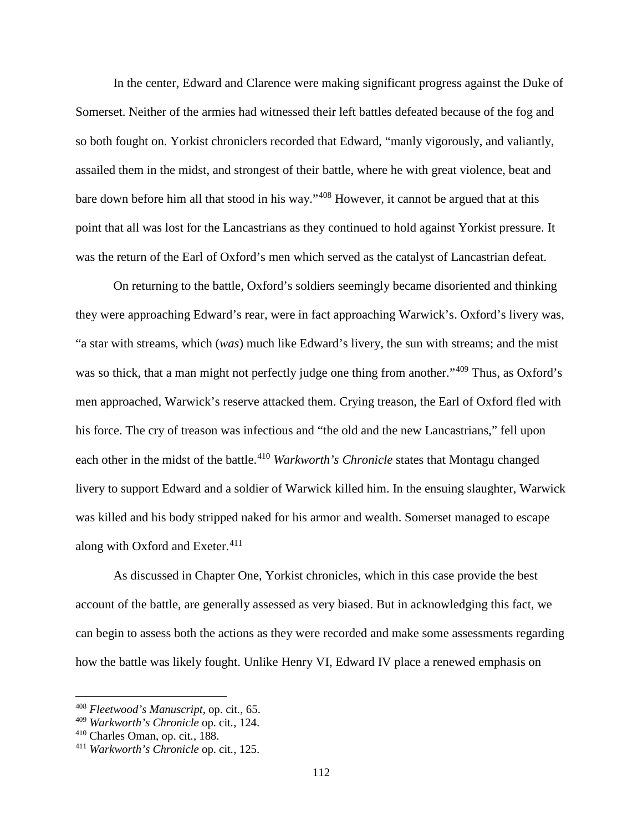In the center, Edward and Clarence were making significant progress against the Duke of Somerset. Neither of the armies had witnessed their left battles defeated because of the fog and so both fought on. Yorkist chroniclers recorded that Edward, "manly vigorously, and valiantly, assailed them in the midst, and strongest of their battle, where he with great violence, beat and bare down before him all that stood in his way."[408](#page-117-0) However, it cannot be argued that at this point that all was lost for the Lancastrians as they continued to hold against Yorkist pressure. It was the return of the Earl of Oxford's men which served as the catalyst of Lancastrian defeat.

On returning to the battle, Oxford's soldiers seemingly became disoriented and thinking they were approaching Edward's rear, were in fact approaching Warwick's. Oxford's livery was, "a star with streams, which (*was*) much like Edward's livery, the sun with streams; and the mist was so thick, that a man might not perfectly judge one thing from another."<sup>[409](#page-117-1)</sup> Thus, as Oxford's men approached, Warwick's reserve attacked them. Crying treason, the Earl of Oxford fled with his force. The cry of treason was infectious and "the old and the new Lancastrians," fell upon each other in the midst of the battle.<sup>[410](#page-117-2)</sup> *Warkworth's Chronicle* states that Montagu changed livery to support Edward and a soldier of Warwick killed him. In the ensuing slaughter, Warwick was killed and his body stripped naked for his armor and wealth. Somerset managed to escape along with Oxford and Exeter. $411$ 

As discussed in Chapter One, Yorkist chronicles, which in this case provide the best account of the battle, are generally assessed as very biased. But in acknowledging this fact, we can begin to assess both the actions as they were recorded and make some assessments regarding how the battle was likely fought. Unlike Henry VI, Edward IV place a renewed emphasis on

 $\overline{a}$ 

<span id="page-117-0"></span><sup>408</sup> *Fleetwood's Manuscript*, op. cit*.*, 65.

<span id="page-117-1"></span><sup>409</sup> *Warkworth's Chronicle* op. cit*.*, 124.

<span id="page-117-2"></span><sup>410</sup> Charles Oman, op. cit*.*, 188.

<span id="page-117-3"></span><sup>411</sup> *Warkworth's Chronicle* op. cit*.*, 125.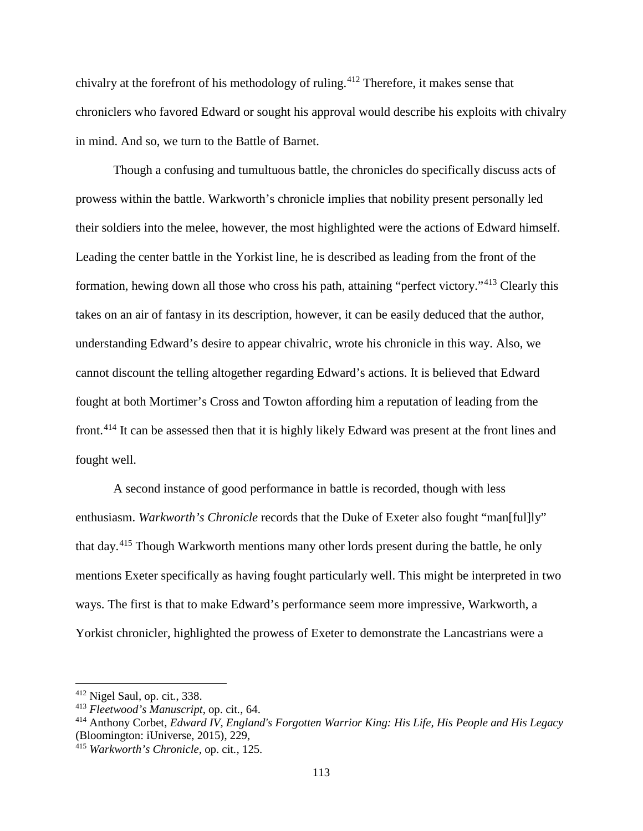chivalry at the forefront of his methodology of ruling.<sup>[412](#page-118-0)</sup> Therefore, it makes sense that chroniclers who favored Edward or sought his approval would describe his exploits with chivalry in mind. And so, we turn to the Battle of Barnet.

Though a confusing and tumultuous battle, the chronicles do specifically discuss acts of prowess within the battle. Warkworth's chronicle implies that nobility present personally led their soldiers into the melee, however, the most highlighted were the actions of Edward himself. Leading the center battle in the Yorkist line, he is described as leading from the front of the formation, hewing down all those who cross his path, attaining "perfect victory."[413](#page-118-1) Clearly this takes on an air of fantasy in its description, however, it can be easily deduced that the author, understanding Edward's desire to appear chivalric, wrote his chronicle in this way. Also, we cannot discount the telling altogether regarding Edward's actions. It is believed that Edward fought at both Mortimer's Cross and Towton affording him a reputation of leading from the front.[414](#page-118-2) It can be assessed then that it is highly likely Edward was present at the front lines and fought well.

A second instance of good performance in battle is recorded, though with less enthusiasm. *Warkworth's Chronicle* records that the Duke of Exeter also fought "man[ful]ly" that day.[415](#page-118-3) Though Warkworth mentions many other lords present during the battle, he only mentions Exeter specifically as having fought particularly well. This might be interpreted in two ways. The first is that to make Edward's performance seem more impressive, Warkworth, a Yorkist chronicler, highlighted the prowess of Exeter to demonstrate the Lancastrians were a

<span id="page-118-0"></span><sup>412</sup> Nigel Saul, op. cit*.*, 338.

<span id="page-118-1"></span><sup>413</sup> *Fleetwood's Manuscript*, op. cit*.*, 64.

<span id="page-118-2"></span><sup>414</sup> Anthony Corbet, *Edward IV, England's Forgotten Warrior King: His Life, His People and His Legacy* (Bloomington: iUniverse, 2015), 229,

<span id="page-118-3"></span><sup>415</sup> *Warkworth's Chronicle,* op. cit*.*, 125.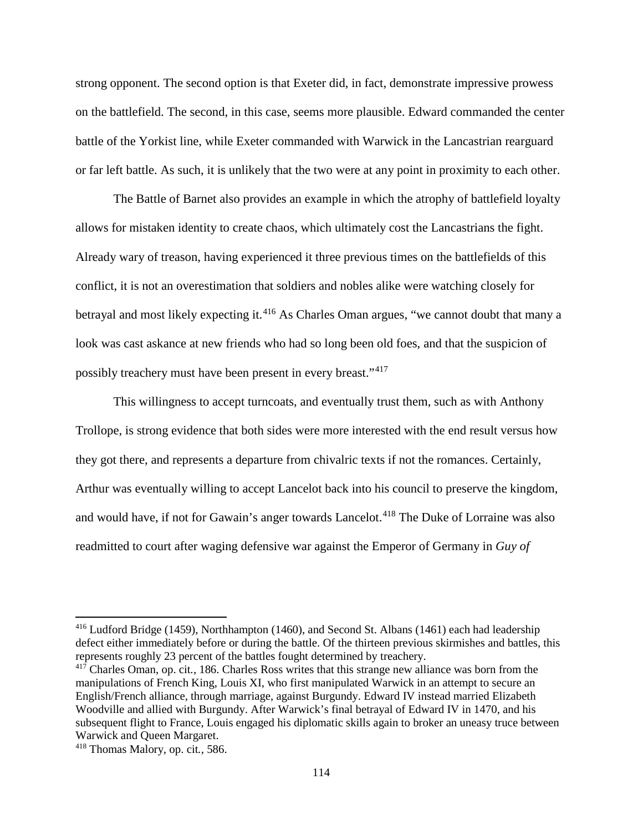strong opponent. The second option is that Exeter did, in fact, demonstrate impressive prowess on the battlefield. The second, in this case, seems more plausible. Edward commanded the center battle of the Yorkist line, while Exeter commanded with Warwick in the Lancastrian rearguard or far left battle. As such, it is unlikely that the two were at any point in proximity to each other.

The Battle of Barnet also provides an example in which the atrophy of battlefield loyalty allows for mistaken identity to create chaos, which ultimately cost the Lancastrians the fight. Already wary of treason, having experienced it three previous times on the battlefields of this conflict, it is not an overestimation that soldiers and nobles alike were watching closely for betrayal and most likely expecting it.<sup>[416](#page-119-0)</sup> As Charles Oman argues, "we cannot doubt that many a look was cast askance at new friends who had so long been old foes, and that the suspicion of possibly treachery must have been present in every breast."[417](#page-119-1)

This willingness to accept turncoats, and eventually trust them, such as with Anthony Trollope, is strong evidence that both sides were more interested with the end result versus how they got there, and represents a departure from chivalric texts if not the romances. Certainly, Arthur was eventually willing to accept Lancelot back into his council to preserve the kingdom, and would have, if not for Gawain's anger towards Lancelot.<sup>[418](#page-119-2)</sup> The Duke of Lorraine was also readmitted to court after waging defensive war against the Emperor of Germany in *Guy of* 

<span id="page-119-0"></span><sup>416</sup> Ludford Bridge (1459), Northhampton (1460), and Second St. Albans (1461) each had leadership defect either immediately before or during the battle. Of the thirteen previous skirmishes and battles, this represents roughly 23 percent of the battles fought determined by treachery.

<span id="page-119-1"></span><sup>417</sup> Charles Oman, op. cit*.*, 186. Charles Ross writes that this strange new alliance was born from the manipulations of French King, Louis XI, who first manipulated Warwick in an attempt to secure an English/French alliance, through marriage, against Burgundy. Edward IV instead married Elizabeth Woodville and allied with Burgundy. After Warwick's final betrayal of Edward IV in 1470, and his subsequent flight to France, Louis engaged his diplomatic skills again to broker an uneasy truce between Warwick and Queen Margaret.

<span id="page-119-2"></span><sup>418</sup> Thomas Malory, op. cit*.*, 586.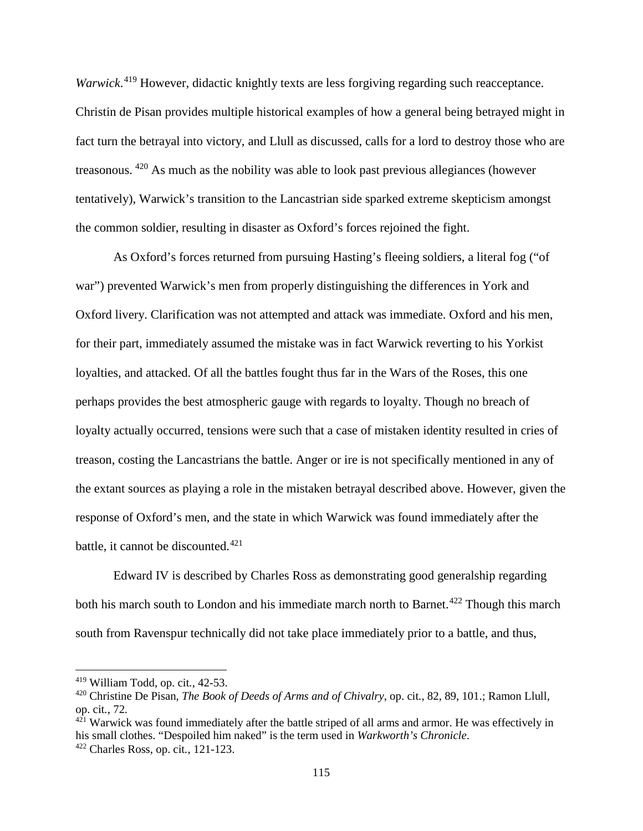Warwick.<sup>[419](#page-120-0)</sup> However, didactic knightly texts are less forgiving regarding such reacceptance. Christin de Pisan provides multiple historical examples of how a general being betrayed might in fact turn the betrayal into victory, and Llull as discussed, calls for a lord to destroy those who are treasonous. [420](#page-120-1) As much as the nobility was able to look past previous allegiances (however tentatively), Warwick's transition to the Lancastrian side sparked extreme skepticism amongst the common soldier, resulting in disaster as Oxford's forces rejoined the fight.

As Oxford's forces returned from pursuing Hasting's fleeing soldiers, a literal fog ("of war") prevented Warwick's men from properly distinguishing the differences in York and Oxford livery. Clarification was not attempted and attack was immediate. Oxford and his men, for their part, immediately assumed the mistake was in fact Warwick reverting to his Yorkist loyalties, and attacked. Of all the battles fought thus far in the Wars of the Roses, this one perhaps provides the best atmospheric gauge with regards to loyalty. Though no breach of loyalty actually occurred, tensions were such that a case of mistaken identity resulted in cries of treason, costing the Lancastrians the battle. Anger or ire is not specifically mentioned in any of the extant sources as playing a role in the mistaken betrayal described above. However, given the response of Oxford's men, and the state in which Warwick was found immediately after the battle, it cannot be discounted. $421$ 

Edward IV is described by Charles Ross as demonstrating good generalship regarding both his march south to London and his immediate march north to Barnet.<sup>[422](#page-120-3)</sup> Though this march south from Ravenspur technically did not take place immediately prior to a battle, and thus,

<span id="page-120-0"></span><sup>419</sup> William Todd, op. cit*.*, 42-53.

<span id="page-120-1"></span><sup>420</sup> Christine De Pisan, *The Book of Deeds of Arms and of Chivalry*, op. cit*.*, 82, 89, 101.; Ramon Llull, op. cit*.*, 72.

<span id="page-120-2"></span> $421$  Warwick was found immediately after the battle striped of all arms and armor. He was effectively in his small clothes. "Despoiled him naked" is the term used in *Warkworth's Chronicle*.

<span id="page-120-3"></span><sup>422</sup> Charles Ross, op. cit*.*, 121-123.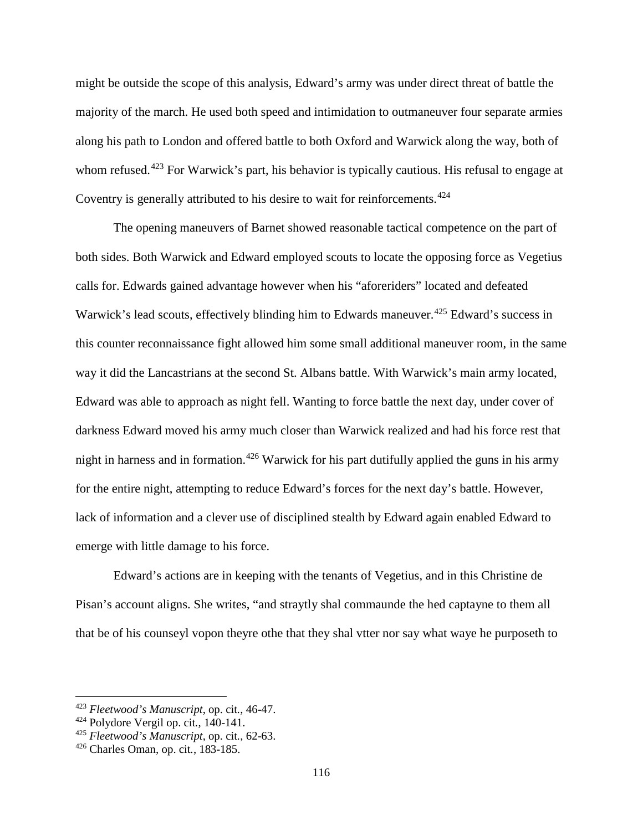might be outside the scope of this analysis, Edward's army was under direct threat of battle the majority of the march. He used both speed and intimidation to outmaneuver four separate armies along his path to London and offered battle to both Oxford and Warwick along the way, both of whom refused.<sup>[423](#page-121-0)</sup> For Warwick's part, his behavior is typically cautious. His refusal to engage at Coventry is generally attributed to his desire to wait for reinforcements.<sup>[424](#page-121-1)</sup>

The opening maneuvers of Barnet showed reasonable tactical competence on the part of both sides. Both Warwick and Edward employed scouts to locate the opposing force as Vegetius calls for. Edwards gained advantage however when his "aforeriders" located and defeated Warwick's lead scouts, effectively blinding him to Edwards maneuver.<sup>[425](#page-121-2)</sup> Edward's success in this counter reconnaissance fight allowed him some small additional maneuver room, in the same way it did the Lancastrians at the second St. Albans battle. With Warwick's main army located, Edward was able to approach as night fell. Wanting to force battle the next day, under cover of darkness Edward moved his army much closer than Warwick realized and had his force rest that night in harness and in formation.<sup>[426](#page-121-3)</sup> Warwick for his part dutifully applied the guns in his army for the entire night, attempting to reduce Edward's forces for the next day's battle. However, lack of information and a clever use of disciplined stealth by Edward again enabled Edward to emerge with little damage to his force.

Edward's actions are in keeping with the tenants of Vegetius, and in this Christine de Pisan's account aligns. She writes, "and straytly shal commaunde the hed captayne to them all that be of his counseyl vopon theyre othe that they shal vtter nor say what waye he purposeth to

 $\overline{a}$ 

<span id="page-121-0"></span><sup>423</sup> *Fleetwood's Manuscript*, op. cit*.*, 46-47.

<span id="page-121-1"></span><sup>424</sup> Polydore Vergil op. cit*.*, 140-141.

<span id="page-121-2"></span><sup>425</sup> *Fleetwood's Manuscript*, op. cit*.*, 62-63.

<span id="page-121-3"></span><sup>426</sup> Charles Oman, op. cit*.*, 183-185.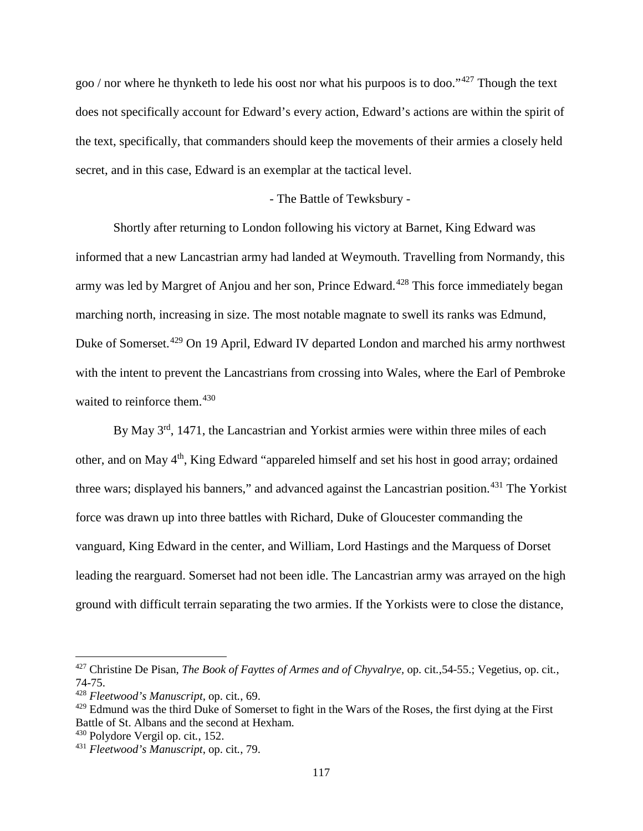goo / nor where he thynketh to lede his oost nor what his purpoos is to doo."[427](#page-122-0) Though the text does not specifically account for Edward's every action, Edward's actions are within the spirit of the text, specifically, that commanders should keep the movements of their armies a closely held secret, and in this case, Edward is an exemplar at the tactical level.

## - The Battle of Tewksbury -

Shortly after returning to London following his victory at Barnet, King Edward was informed that a new Lancastrian army had landed at Weymouth. Travelling from Normandy, this army was led by Margret of Anjou and her son, Prince Edward.<sup>[428](#page-122-1)</sup> This force immediately began marching north, increasing in size. The most notable magnate to swell its ranks was Edmund, Duke of Somerset.<sup>[429](#page-122-2)</sup> On 19 April, Edward IV departed London and marched his army northwest with the intent to prevent the Lancastrians from crossing into Wales, where the Earl of Pembroke waited to reinforce them.<sup>[430](#page-122-3)</sup>

By May 3<sup>rd</sup>, 1471, the Lancastrian and Yorkist armies were within three miles of each other, and on May 4<sup>th</sup>, King Edward "appareled himself and set his host in good array; ordained three wars; displayed his banners," and advanced against the Lancastrian position.<sup>[431](#page-122-4)</sup> The Yorkist force was drawn up into three battles with Richard, Duke of Gloucester commanding the vanguard, King Edward in the center, and William, Lord Hastings and the Marquess of Dorset leading the rearguard. Somerset had not been idle. The Lancastrian army was arrayed on the high ground with difficult terrain separating the two armies. If the Yorkists were to close the distance,

<span id="page-122-0"></span><sup>427</sup> Christine De Pisan, *The Book of Fayttes of Armes and of Chyvalrye,* op. cit*.*,54-55.; Vegetius, op. cit*.*, 74-75.

<span id="page-122-1"></span><sup>428</sup> *Fleetwood's Manuscript*, op. cit*.*, 69.

<span id="page-122-2"></span><sup>&</sup>lt;sup>429</sup> Edmund was the third Duke of Somerset to fight in the Wars of the Roses, the first dying at the First Battle of St. Albans and the second at Hexham.

<span id="page-122-3"></span><sup>430</sup> Polydore Vergil op. cit*.*, 152.

<span id="page-122-4"></span><sup>431</sup> *Fleetwood's Manuscript*, op. cit*.*, 79.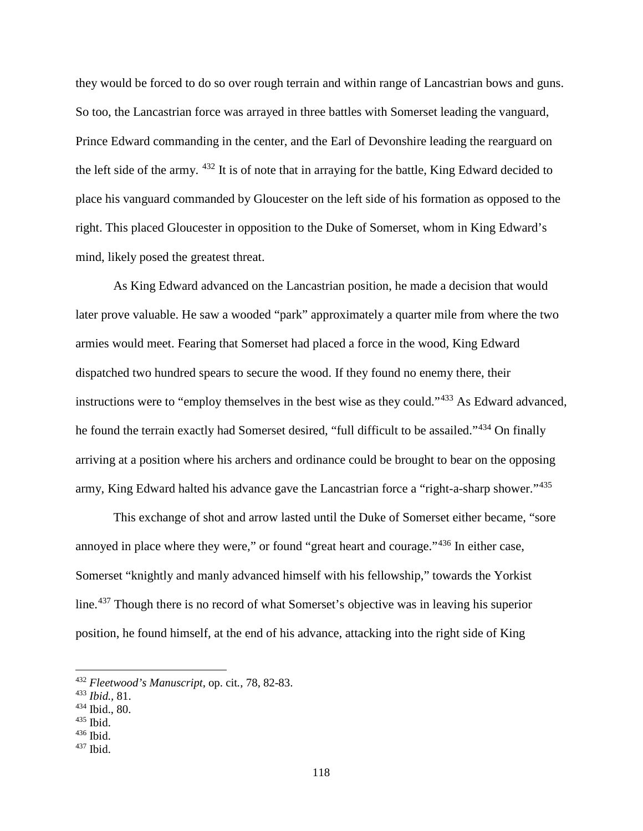they would be forced to do so over rough terrain and within range of Lancastrian bows and guns. So too, the Lancastrian force was arrayed in three battles with Somerset leading the vanguard, Prince Edward commanding in the center, and the Earl of Devonshire leading the rearguard on the left side of the army. [432](#page-123-0) It is of note that in arraying for the battle, King Edward decided to place his vanguard commanded by Gloucester on the left side of his formation as opposed to the right. This placed Gloucester in opposition to the Duke of Somerset, whom in King Edward's mind, likely posed the greatest threat.

As King Edward advanced on the Lancastrian position, he made a decision that would later prove valuable. He saw a wooded "park" approximately a quarter mile from where the two armies would meet. Fearing that Somerset had placed a force in the wood, King Edward dispatched two hundred spears to secure the wood. If they found no enemy there, their instructions were to "employ themselves in the best wise as they could."[433](#page-123-1) As Edward advanced, he found the terrain exactly had Somerset desired, "full difficult to be assailed."[434](#page-123-2) On finally arriving at a position where his archers and ordinance could be brought to bear on the opposing army, King Edward halted his advance gave the Lancastrian force a "right-a-sharp shower."[435](#page-123-3)

This exchange of shot and arrow lasted until the Duke of Somerset either became, "sore annoyed in place where they were," or found "great heart and courage."[436](#page-123-4) In either case, Somerset "knightly and manly advanced himself with his fellowship," towards the Yorkist line.<sup>[437](#page-123-5)</sup> Though there is no record of what Somerset's objective was in leaving his superior position, he found himself, at the end of his advance, attacking into the right side of King

<span id="page-123-0"></span><sup>432</sup> *Fleetwood's Manuscript*, op. cit*.*, 78, 82-83.

<span id="page-123-1"></span><sup>433</sup> *Ibid.,* 81.

<span id="page-123-2"></span><sup>434</sup> Ibid., 80.

<span id="page-123-3"></span><sup>435</sup> Ibid.

<span id="page-123-4"></span> $436$  Ibid.

<span id="page-123-5"></span> $437$  Ibid.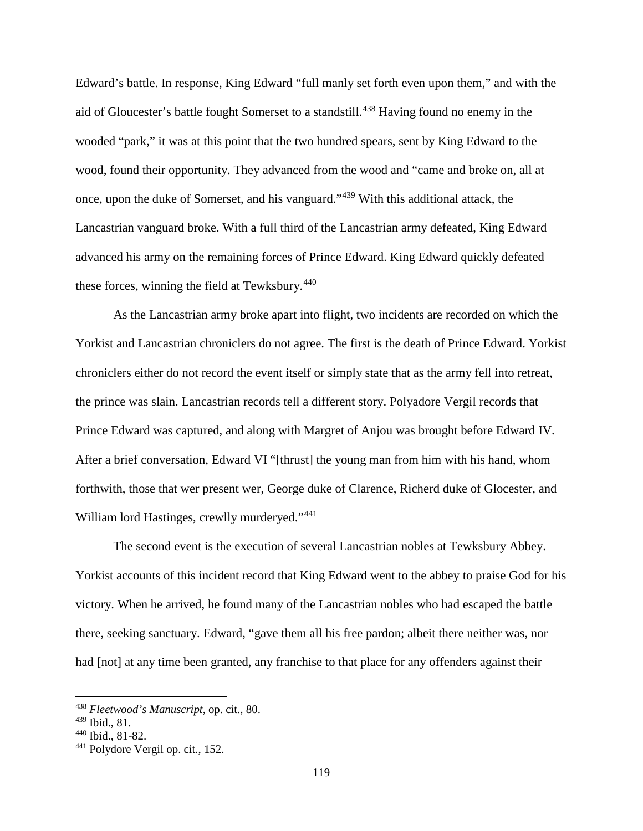Edward's battle. In response, King Edward "full manly set forth even upon them," and with the aid of Gloucester's battle fought Somerset to a standstill.<sup>[438](#page-124-0)</sup> Having found no enemy in the wooded "park," it was at this point that the two hundred spears, sent by King Edward to the wood, found their opportunity. They advanced from the wood and "came and broke on, all at once, upon the duke of Somerset, and his vanguard."[439](#page-124-1) With this additional attack, the Lancastrian vanguard broke. With a full third of the Lancastrian army defeated, King Edward advanced his army on the remaining forces of Prince Edward. King Edward quickly defeated these forces, winning the field at Tewksbury. $440$ 

As the Lancastrian army broke apart into flight, two incidents are recorded on which the Yorkist and Lancastrian chroniclers do not agree. The first is the death of Prince Edward. Yorkist chroniclers either do not record the event itself or simply state that as the army fell into retreat, the prince was slain. Lancastrian records tell a different story. Polyadore Vergil records that Prince Edward was captured, and along with Margret of Anjou was brought before Edward IV. After a brief conversation, Edward VI "[thrust] the young man from him with his hand, whom forthwith, those that wer present wer, George duke of Clarence, Richerd duke of Glocester, and William lord Hastinges, crewlly murderyed."<sup>[441](#page-124-3)</sup>

The second event is the execution of several Lancastrian nobles at Tewksbury Abbey. Yorkist accounts of this incident record that King Edward went to the abbey to praise God for his victory. When he arrived, he found many of the Lancastrian nobles who had escaped the battle there, seeking sanctuary. Edward, "gave them all his free pardon; albeit there neither was, nor had [not] at any time been granted, any franchise to that place for any offenders against their

 $\overline{a}$ 

<span id="page-124-0"></span><sup>438</sup> *Fleetwood's Manuscript*, op. cit*.*, 80.

<span id="page-124-1"></span><sup>439</sup> Ibid., 81.

<span id="page-124-2"></span><sup>440</sup> Ibid., 81-82.

<span id="page-124-3"></span><sup>441</sup> Polydore Vergil op. cit*.*, 152.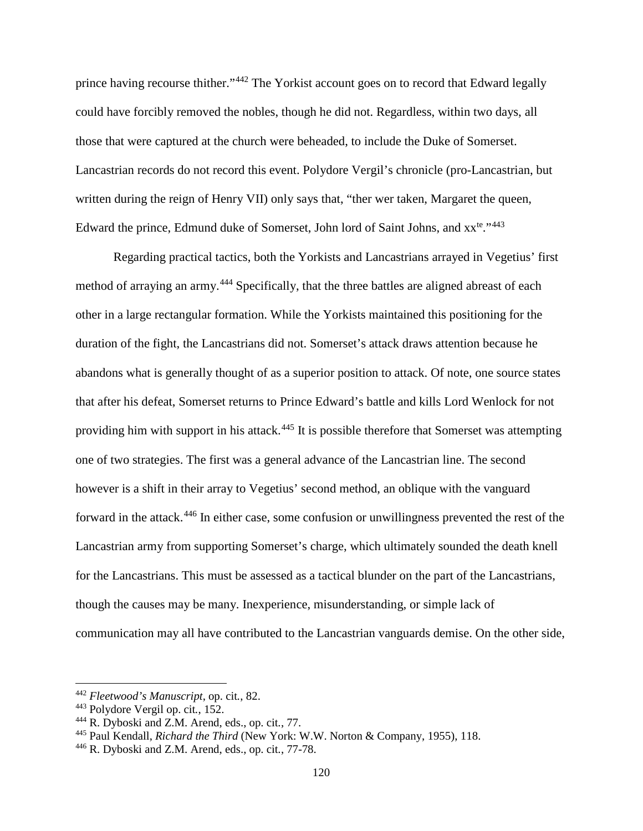prince having recourse thither."<sup>[442](#page-125-0)</sup> The Yorkist account goes on to record that Edward legally could have forcibly removed the nobles, though he did not. Regardless, within two days, all those that were captured at the church were beheaded, to include the Duke of Somerset. Lancastrian records do not record this event. Polydore Vergil's chronicle (pro-Lancastrian, but written during the reign of Henry VII) only says that, "ther wer taken, Margaret the queen, Edward the prince, Edmund duke of Somerset, John lord of Saint Johns, and  $xx^{te}$ ."<sup>[443](#page-125-1)</sup>

Regarding practical tactics, both the Yorkists and Lancastrians arrayed in Vegetius' first method of arraying an army.<sup>[444](#page-125-2)</sup> Specifically, that the three battles are aligned abreast of each other in a large rectangular formation. While the Yorkists maintained this positioning for the duration of the fight, the Lancastrians did not. Somerset's attack draws attention because he abandons what is generally thought of as a superior position to attack. Of note, one source states that after his defeat, Somerset returns to Prince Edward's battle and kills Lord Wenlock for not providing him with support in his attack.<sup>[445](#page-125-3)</sup> It is possible therefore that Somerset was attempting one of two strategies. The first was a general advance of the Lancastrian line. The second however is a shift in their array to Vegetius' second method, an oblique with the vanguard forward in the attack.[446](#page-125-4) In either case, some confusion or unwillingness prevented the rest of the Lancastrian army from supporting Somerset's charge, which ultimately sounded the death knell for the Lancastrians. This must be assessed as a tactical blunder on the part of the Lancastrians, though the causes may be many. Inexperience, misunderstanding, or simple lack of communication may all have contributed to the Lancastrian vanguards demise. On the other side,

<span id="page-125-0"></span><sup>442</sup> *Fleetwood's Manuscript*, op. cit*.*, 82.

<span id="page-125-1"></span><sup>443</sup> Polydore Vergil op. cit*.*, 152.

<span id="page-125-2"></span><sup>444</sup> R. Dyboski and Z.M. Arend, eds., op. cit*.*, 77.

<span id="page-125-3"></span><sup>445</sup> Paul Kendall, *Richard the Third* (New York: W.W. Norton & Company, 1955), 118.

<span id="page-125-4"></span><sup>446</sup> R. Dyboski and Z.M. Arend, eds., op. cit*.*, 77-78.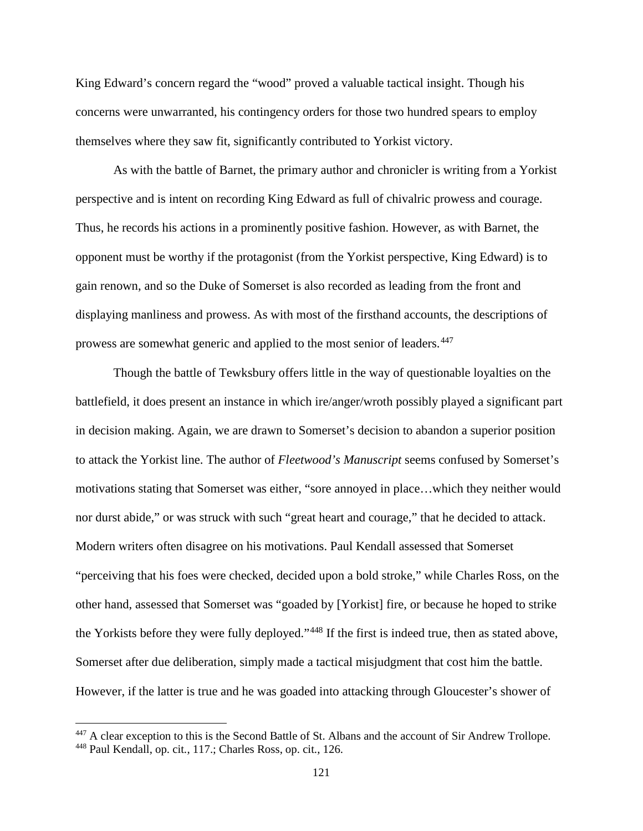King Edward's concern regard the "wood" proved a valuable tactical insight. Though his concerns were unwarranted, his contingency orders for those two hundred spears to employ themselves where they saw fit, significantly contributed to Yorkist victory.

As with the battle of Barnet, the primary author and chronicler is writing from a Yorkist perspective and is intent on recording King Edward as full of chivalric prowess and courage. Thus, he records his actions in a prominently positive fashion. However, as with Barnet, the opponent must be worthy if the protagonist (from the Yorkist perspective, King Edward) is to gain renown, and so the Duke of Somerset is also recorded as leading from the front and displaying manliness and prowess. As with most of the firsthand accounts, the descriptions of prowess are somewhat generic and applied to the most senior of leaders.<sup>[447](#page-126-0)</sup>

Though the battle of Tewksbury offers little in the way of questionable loyalties on the battlefield, it does present an instance in which ire/anger/wroth possibly played a significant part in decision making. Again, we are drawn to Somerset's decision to abandon a superior position to attack the Yorkist line. The author of *Fleetwood's Manuscript* seems confused by Somerset's motivations stating that Somerset was either, "sore annoyed in place…which they neither would nor durst abide," or was struck with such "great heart and courage," that he decided to attack. Modern writers often disagree on his motivations. Paul Kendall assessed that Somerset "perceiving that his foes were checked, decided upon a bold stroke," while Charles Ross, on the other hand, assessed that Somerset was "goaded by [Yorkist] fire, or because he hoped to strike the Yorkists before they were fully deployed."[448](#page-126-1) If the first is indeed true, then as stated above, Somerset after due deliberation, simply made a tactical misjudgment that cost him the battle. However, if the latter is true and he was goaded into attacking through Gloucester's shower of

<span id="page-126-1"></span><span id="page-126-0"></span><sup>&</sup>lt;sup>447</sup> A clear exception to this is the Second Battle of St. Albans and the account of Sir Andrew Trollope. <sup>448</sup> Paul Kendall, op. cit*.*, 117.; Charles Ross, op. cit*.*, 126.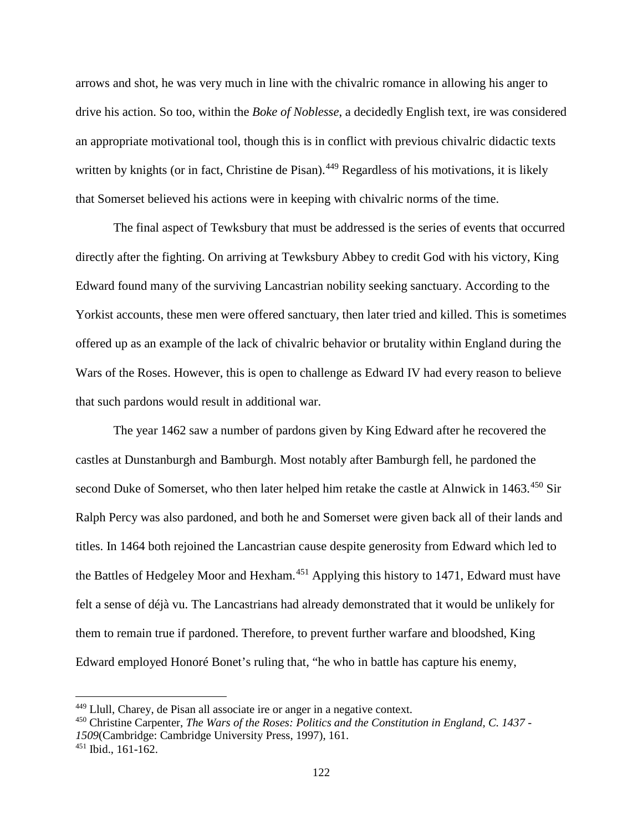arrows and shot, he was very much in line with the chivalric romance in allowing his anger to drive his action. So too, within the *Boke of Noblesse*, a decidedly English text, ire was considered an appropriate motivational tool, though this is in conflict with previous chivalric didactic texts written by knights (or in fact, Christine de Pisan).<sup>[449](#page-127-0)</sup> Regardless of his motivations, it is likely that Somerset believed his actions were in keeping with chivalric norms of the time.

The final aspect of Tewksbury that must be addressed is the series of events that occurred directly after the fighting. On arriving at Tewksbury Abbey to credit God with his victory, King Edward found many of the surviving Lancastrian nobility seeking sanctuary. According to the Yorkist accounts, these men were offered sanctuary, then later tried and killed. This is sometimes offered up as an example of the lack of chivalric behavior or brutality within England during the Wars of the Roses. However, this is open to challenge as Edward IV had every reason to believe that such pardons would result in additional war.

The year 1462 saw a number of pardons given by King Edward after he recovered the castles at Dunstanburgh and Bamburgh. Most notably after Bamburgh fell, he pardoned the second Duke of Somerset, who then later helped him retake the castle at Alnwick in 1463.<sup>[450](#page-127-1)</sup> Sir Ralph Percy was also pardoned, and both he and Somerset were given back all of their lands and titles. In 1464 both rejoined the Lancastrian cause despite generosity from Edward which led to the Battles of Hedgeley Moor and Hexham.<sup>[451](#page-127-2)</sup> Applying this history to 1471, Edward must have felt a sense of déjà vu. The Lancastrians had already demonstrated that it would be unlikely for them to remain true if pardoned. Therefore, to prevent further warfare and bloodshed, King Edward employed Honoré Bonet's ruling that, "he who in battle has capture his enemy,

 $\overline{a}$ 

<span id="page-127-0"></span><sup>449</sup> Llull, Charey, de Pisan all associate ire or anger in a negative context.

<span id="page-127-1"></span><sup>450</sup> Christine Carpenter, *The Wars of the Roses: Politics and the Constitution in England, C. 1437 - 1509*(Cambridge: Cambridge University Press, 1997), 161.

<span id="page-127-2"></span><sup>451</sup> Ibid., 161-162.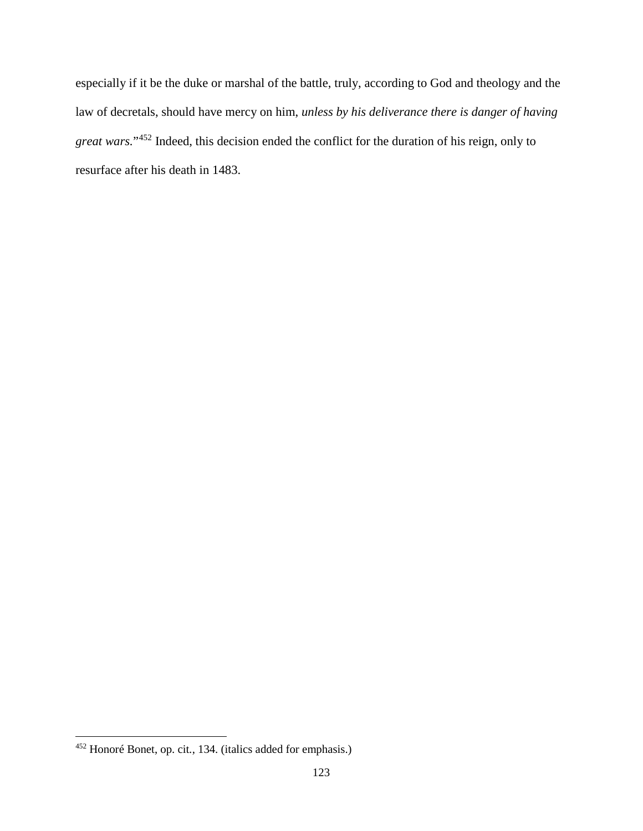especially if it be the duke or marshal of the battle, truly, according to God and theology and the law of decretals, should have mercy on him, *unless by his deliverance there is danger of having great wars.*"[452](#page-128-0) Indeed, this decision ended the conflict for the duration of his reign, only to resurface after his death in 1483.

<span id="page-128-0"></span><sup>452</sup> Honoré Bonet, op. cit*.*, 134. (italics added for emphasis.)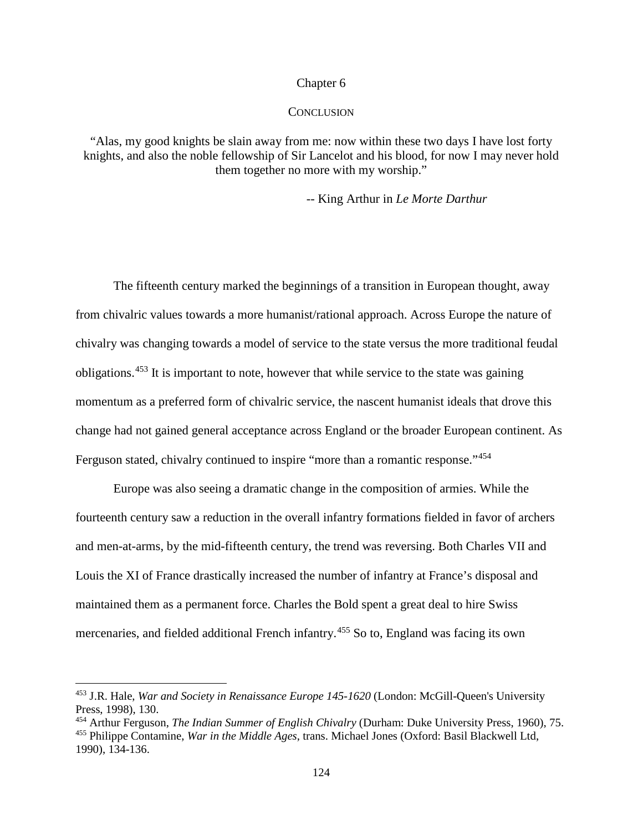#### Chapter 6

## **CONCLUSION**

"Alas, my good knights be slain away from me: now within these two days I have lost forty knights, and also the noble fellowship of Sir Lancelot and his blood, for now I may never hold them together no more with my worship."

-- King Arthur in *Le Morte Darthur*

The fifteenth century marked the beginnings of a transition in European thought, away from chivalric values towards a more humanist/rational approach. Across Europe the nature of chivalry was changing towards a model of service to the state versus the more traditional feudal obligations.[453](#page-129-0) It is important to note, however that while service to the state was gaining momentum as a preferred form of chivalric service, the nascent humanist ideals that drove this change had not gained general acceptance across England or the broader European continent. As Ferguson stated, chivalry continued to inspire "more than a romantic response."<sup>[454](#page-129-1)</sup>

Europe was also seeing a dramatic change in the composition of armies. While the fourteenth century saw a reduction in the overall infantry formations fielded in favor of archers and men-at-arms, by the mid-fifteenth century, the trend was reversing. Both Charles VII and Louis the XI of France drastically increased the number of infantry at France's disposal and maintained them as a permanent force. Charles the Bold spent a great deal to hire Swiss mercenaries, and fielded additional French infantry.<sup>[455](#page-129-2)</sup> So to, England was facing its own

<span id="page-129-0"></span><sup>453</sup> J.R. Hale, *War and Society in Renaissance Europe 145-1620* (London: McGill-Queen's University Press, 1998), 130.

<span id="page-129-2"></span><span id="page-129-1"></span><sup>454</sup> Arthur Ferguson, *The Indian Summer of English Chivalry* (Durham: Duke University Press, 1960), 75. <sup>455</sup> Philippe Contamine, *War in the Middle Ages*, trans. Michael Jones (Oxford: Basil Blackwell Ltd, 1990), 134-136.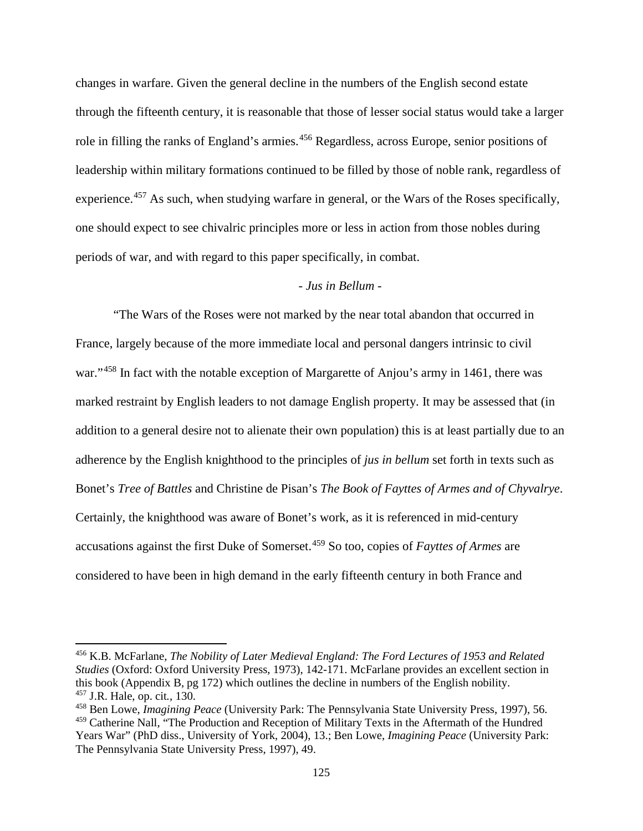changes in warfare. Given the general decline in the numbers of the English second estate through the fifteenth century, it is reasonable that those of lesser social status would take a larger role in filling the ranks of England's armies.<sup>[456](#page-130-0)</sup> Regardless, across Europe, senior positions of leadership within military formations continued to be filled by those of noble rank, regardless of experience.<sup>[457](#page-130-1)</sup> As such, when studying warfare in general, or the Wars of the Roses specifically, one should expect to see chivalric principles more or less in action from those nobles during periods of war, and with regard to this paper specifically, in combat.

# - *Jus in Bellum* -

"The Wars of the Roses were not marked by the near total abandon that occurred in France, largely because of the more immediate local and personal dangers intrinsic to civil war."<sup>[458](#page-130-2)</sup> In fact with the notable exception of Margarette of Anjou's army in 1461, there was marked restraint by English leaders to not damage English property. It may be assessed that (in addition to a general desire not to alienate their own population) this is at least partially due to an adherence by the English knighthood to the principles of *jus in bellum* set forth in texts such as Bonet's *Tree of Battles* and Christine de Pisan's *The Book of Fayttes of Armes and of Chyvalrye*. Certainly, the knighthood was aware of Bonet's work, as it is referenced in mid-century accusations against the first Duke of Somerset.[459](#page-130-3) So too, copies of *Fayttes of Armes* are considered to have been in high demand in the early fifteenth century in both France and

<span id="page-130-0"></span><sup>456</sup> K.B. McFarlane, *The Nobility of Later Medieval England: The Ford Lectures of 1953 and Related Studies* (Oxford: Oxford University Press, 1973), 142-171. McFarlane provides an excellent section in this book (Appendix B, pg 172) which outlines the decline in numbers of the English nobility. <sup>457</sup> J.R. Hale, op. cit*.*, 130.

<span id="page-130-2"></span><span id="page-130-1"></span><sup>458</sup> Ben Lowe, *Imagining Peace* (University Park: The Pennsylvania State University Press, 1997), 56.

<span id="page-130-3"></span><sup>459</sup> Catherine Nall, "The Production and Reception of Military Texts in the Aftermath of the Hundred Years War" (PhD diss., University of York, 2004), 13.; Ben Lowe, *Imagining Peace* (University Park: The Pennsylvania State University Press, 1997), 49.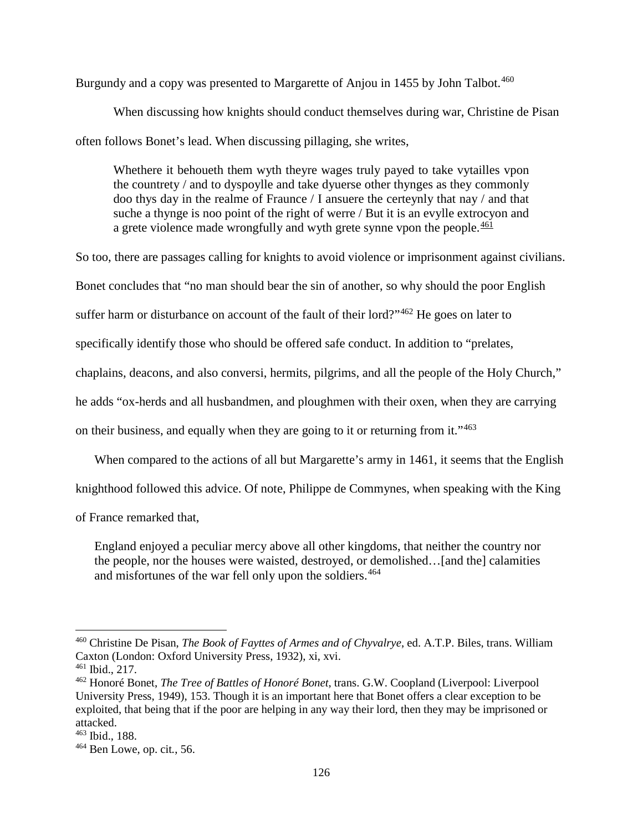Burgundy and a copy was presented to Margarette of Anjou in 1455 by John Talbot.<sup>[460](#page-131-0)</sup>

When discussing how knights should conduct themselves during war, Christine de Pisan often follows Bonet's lead. When discussing pillaging, she writes,

Whethere it behoueth them wyth theyre wages truly payed to take vytailles vpon the countrety / and to dyspoylle and take dyuerse other thynges as they commonly doo thys day in the realme of Fraunce / I ansuere the certeynly that nay / and that suche a thynge is noo point of the right of werre / But it is an evylle extrocyon and a grete violence made wrongfully and wyth grete synne vpon the people.<sup>[461](#page-131-1)</sup>

So too, there are passages calling for knights to avoid violence or imprisonment against civilians.

Bonet concludes that "no man should bear the sin of another, so why should the poor English

suffer harm or disturbance on account of the fault of their lord?"<sup>[462](#page-131-2)</sup> He goes on later to

specifically identify those who should be offered safe conduct. In addition to "prelates,

chaplains, deacons, and also conversi, hermits, pilgrims, and all the people of the Holy Church,"

he adds "ox-herds and all husbandmen, and ploughmen with their oxen, when they are carrying

on their business, and equally when they are going to it or returning from it."[463](#page-131-3)

When compared to the actions of all but Margarette's army in 1461, it seems that the English

knighthood followed this advice. Of note, Philippe de Commynes, when speaking with the King

of France remarked that,

England enjoyed a peculiar mercy above all other kingdoms, that neither the country nor the people, nor the houses were waisted, destroyed, or demolished…[and the] calamities and misfortunes of the war fell only upon the soldiers.<sup>[464](#page-131-4)</sup>

<span id="page-131-0"></span><sup>460</sup> Christine De Pisan, *The Book of Fayttes of Armes and of Chyvalrye*, ed. A.T.P. Biles, trans. William Caxton (London: Oxford University Press, 1932), xi, xvi.

<span id="page-131-1"></span><sup>461</sup> Ibid., 217.

<span id="page-131-2"></span><sup>462</sup> Honoré Bonet, *The Tree of Battles of Honoré Bonet*, trans. G.W. Coopland (Liverpool: Liverpool University Press, 1949), 153. Though it is an important here that Bonet offers a clear exception to be exploited, that being that if the poor are helping in any way their lord, then they may be imprisoned or attacked.

<span id="page-131-3"></span><sup>463</sup> Ibid., 188.

<span id="page-131-4"></span><sup>464</sup> Ben Lowe, op. cit*.*, 56.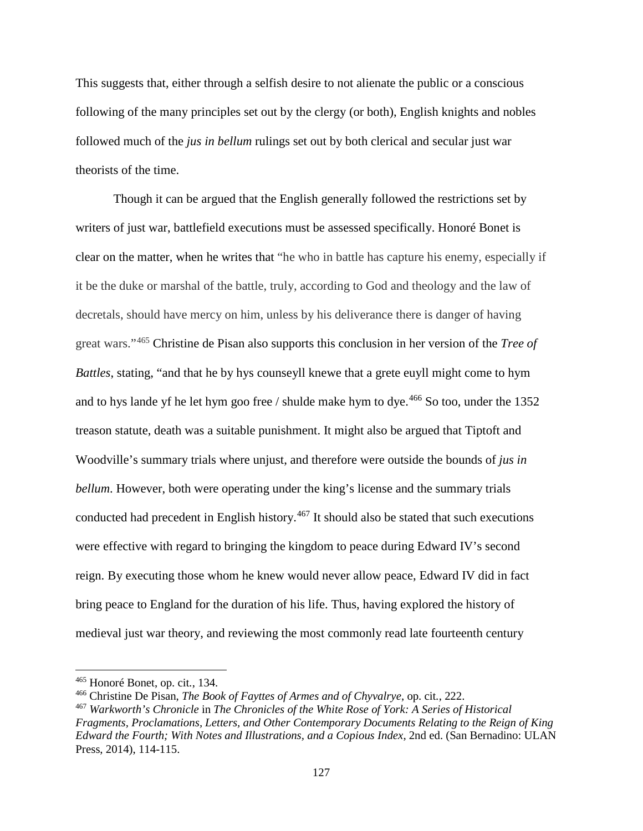This suggests that, either through a selfish desire to not alienate the public or a conscious following of the many principles set out by the clergy (or both), English knights and nobles followed much of the *jus in bellum* rulings set out by both clerical and secular just war theorists of the time.

Though it can be argued that the English generally followed the restrictions set by writers of just war, battlefield executions must be assessed specifically. Honoré Bonet is clear on the matter, when he writes that "he who in battle has capture his enemy, especially if it be the duke or marshal of the battle, truly, according to God and theology and the law of decretals, should have mercy on him, unless by his deliverance there is danger of having great wars."[465](#page-132-0) Christine de Pisan also supports this conclusion in her version of the *Tree of Battles*, stating, "and that he by hys counseyll knewe that a grete euyll might come to hym and to hys lande yf he let hym goo free / shulde make hym to dye.<sup>[466](#page-132-1)</sup> So too, under the 1352 treason statute, death was a suitable punishment. It might also be argued that Tiptoft and Woodville's summary trials where unjust, and therefore were outside the bounds of *jus in bellum*. However, both were operating under the king's license and the summary trials conducted had precedent in English history.<sup>[467](#page-132-2)</sup> It should also be stated that such executions were effective with regard to bringing the kingdom to peace during Edward IV's second reign. By executing those whom he knew would never allow peace, Edward IV did in fact bring peace to England for the duration of his life. Thus, having explored the history of medieval just war theory, and reviewing the most commonly read late fourteenth century

<span id="page-132-0"></span><sup>465</sup> Honoré Bonet, op. cit*.*, 134.

<span id="page-132-1"></span><sup>466</sup> Christine De Pisan, *The Book of Fayttes of Armes and of Chyvalrye*, op. cit*.*, 222.

<span id="page-132-2"></span><sup>467</sup> *Warkworth's Chronicle* in *The Chronicles of the White Rose of York: A Series of Historical Fragments, Proclamations, Letters, and Other Contemporary Documents Relating to the Reign of King Edward the Fourth; With Notes and Illustrations, and a Copious Index*, 2nd ed. (San Bernadino: ULAN Press, 2014), 114-115.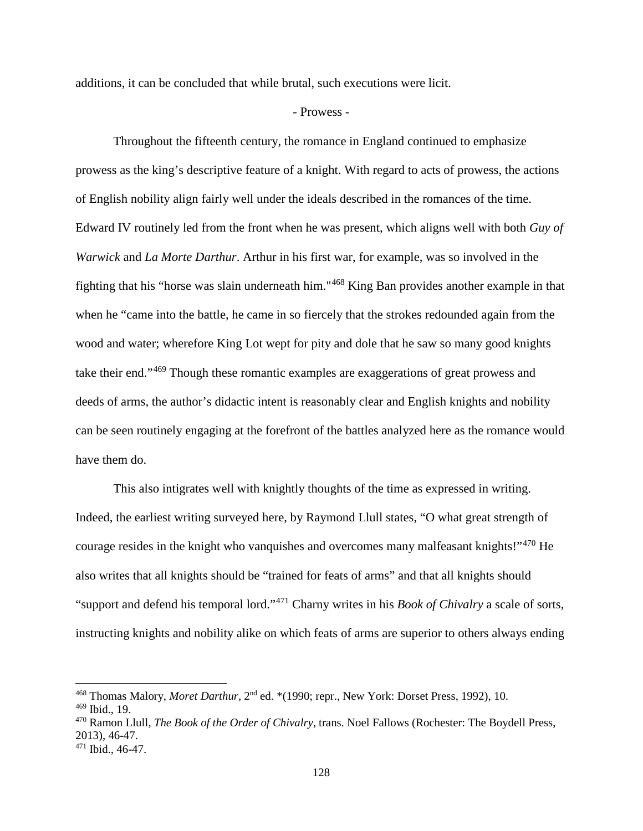additions, it can be concluded that while brutal, such executions were licit.

#### - Prowess -

Throughout the fifteenth century, the romance in England continued to emphasize prowess as the king's descriptive feature of a knight. With regard to acts of prowess, the actions of English nobility align fairly well under the ideals described in the romances of the time. Edward IV routinely led from the front when he was present, which aligns well with both *Guy of Warwick* and *La Morte Darthur*. Arthur in his first war, for example, was so involved in the fighting that his "horse was slain underneath him."[468](#page-133-0) King Ban provides another example in that when he "came into the battle, he came in so fiercely that the strokes redounded again from the wood and water; wherefore King Lot wept for pity and dole that he saw so many good knights take their end."[469](#page-133-1) Though these romantic examples are exaggerations of great prowess and deeds of arms, the author's didactic intent is reasonably clear and English knights and nobility can be seen routinely engaging at the forefront of the battles analyzed here as the romance would have them do.

This also intigrates well with knightly thoughts of the time as expressed in writing. Indeed, the earliest writing surveyed here, by Raymond Llull states, "O what great strength of courage resides in the knight who vanquishes and overcomes many malfeasant knights!"<sup>[470](#page-133-2)</sup> He also writes that all knights should be "trained for feats of arms" and that all knights should "support and defend his temporal lord."[471](#page-133-3) Charny writes in his *Book of Chivalry* a scale of sorts, instructing knights and nobility alike on which feats of arms are superior to others always ending

<span id="page-133-0"></span><sup>&</sup>lt;sup>468</sup> Thomas Malory, *Moret Darthur*, 2<sup>nd</sup> ed. \*(1990; repr., New York: Dorset Press, 1992), 10.

<span id="page-133-1"></span><sup>469</sup> Ibid., 19.

<span id="page-133-2"></span><sup>470</sup> Ramon Llull, *The Book of the Order of Chivalry*, trans. Noel Fallows (Rochester: The Boydell Press, 2013), 46-47.

<span id="page-133-3"></span><sup>471</sup> Ibid., 46-47.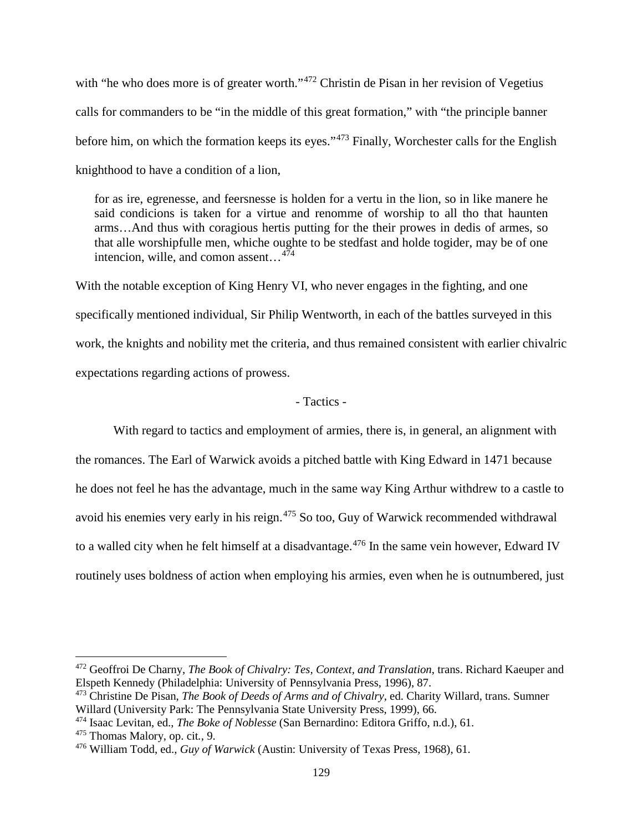with "he who does more is of greater worth."<sup>[472](#page-134-0)</sup> Christin de Pisan in her revision of Vegetius calls for commanders to be "in the middle of this great formation," with "the principle banner before him, on which the formation keeps its eyes."[473](#page-134-1) Finally, Worchester calls for the English knighthood to have a condition of a lion,

for as ire, egrenesse, and feersnesse is holden for a vertu in the lion, so in like manere he said condicions is taken for a virtue and renomme of worship to all tho that haunten arms…And thus with coragious hertis putting for the their prowes in dedis of armes, so that alle worshipfulle men, whiche oughte to be stedfast and holde togider, may be of one intencion, wille, and comon assent... $4\overline{7}4$ 

With the notable exception of King Henry VI, who never engages in the fighting, and one specifically mentioned individual, Sir Philip Wentworth, in each of the battles surveyed in this work, the knights and nobility met the criteria, and thus remained consistent with earlier chivalric expectations regarding actions of prowess.

# - Tactics -

With regard to tactics and employment of armies, there is, in general, an alignment with the romances. The Earl of Warwick avoids a pitched battle with King Edward in 1471 because he does not feel he has the advantage, much in the same way King Arthur withdrew to a castle to avoid his enemies very early in his reign.<sup>[475](#page-134-3)</sup> So too, Guy of Warwick recommended withdrawal to a walled city when he felt himself at a disadvantage.<sup>[476](#page-134-4)</sup> In the same vein however, Edward IV routinely uses boldness of action when employing his armies, even when he is outnumbered, just

<span id="page-134-0"></span><sup>472</sup> Geoffroi De Charny, *The Book of Chivalry: Tes, Context, and Translation*, trans. Richard Kaeuper and Elspeth Kennedy (Philadelphia: University of Pennsylvania Press, 1996), 87.

<span id="page-134-1"></span><sup>473</sup> Christine De Pisan, *The Book of Deeds of Arms and of Chivalry*, ed. Charity Willard, trans. Sumner Willard (University Park: The Pennsylvania State University Press, 1999), 66.

<span id="page-134-2"></span><sup>474</sup> Isaac Levitan, ed., *The Boke of Noblesse* (San Bernardino: Editora Griffo, n.d.), 61.

<span id="page-134-3"></span><sup>475</sup> Thomas Malory, op. cit*.*, 9.

<span id="page-134-4"></span><sup>476</sup> William Todd, ed., *Guy of Warwick* (Austin: University of Texas Press, 1968), 61.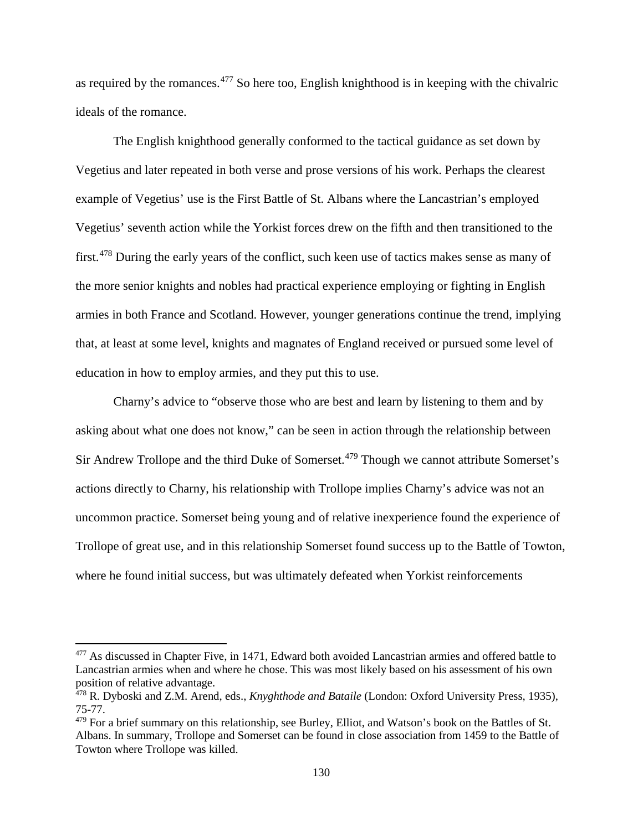as required by the romances.[477](#page-135-0) So here too, English knighthood is in keeping with the chivalric ideals of the romance.

The English knighthood generally conformed to the tactical guidance as set down by Vegetius and later repeated in both verse and prose versions of his work. Perhaps the clearest example of Vegetius' use is the First Battle of St. Albans where the Lancastrian's employed Vegetius' seventh action while the Yorkist forces drew on the fifth and then transitioned to the first.[478](#page-135-1) During the early years of the conflict, such keen use of tactics makes sense as many of the more senior knights and nobles had practical experience employing or fighting in English armies in both France and Scotland. However, younger generations continue the trend, implying that, at least at some level, knights and magnates of England received or pursued some level of education in how to employ armies, and they put this to use.

Charny's advice to "observe those who are best and learn by listening to them and by asking about what one does not know," can be seen in action through the relationship between Sir Andrew Trollope and the third Duke of Somerset.<sup>[479](#page-135-2)</sup> Though we cannot attribute Somerset's actions directly to Charny, his relationship with Trollope implies Charny's advice was not an uncommon practice. Somerset being young and of relative inexperience found the experience of Trollope of great use, and in this relationship Somerset found success up to the Battle of Towton, where he found initial success, but was ultimately defeated when Yorkist reinforcements

<span id="page-135-0"></span><sup>&</sup>lt;sup>477</sup> As discussed in Chapter Five, in 1471, Edward both avoided Lancastrian armies and offered battle to Lancastrian armies when and where he chose. This was most likely based on his assessment of his own position of relative advantage.

<span id="page-135-1"></span><sup>478</sup> R. Dyboski and Z.M. Arend, eds., *Knyghthode and Bataile* (London: Oxford University Press, 1935), 75-77.

<span id="page-135-2"></span><sup>&</sup>lt;sup>479</sup> For a brief summary on this relationship, see Burley, Elliot, and Watson's book on the Battles of St. Albans. In summary, Trollope and Somerset can be found in close association from 1459 to the Battle of Towton where Trollope was killed.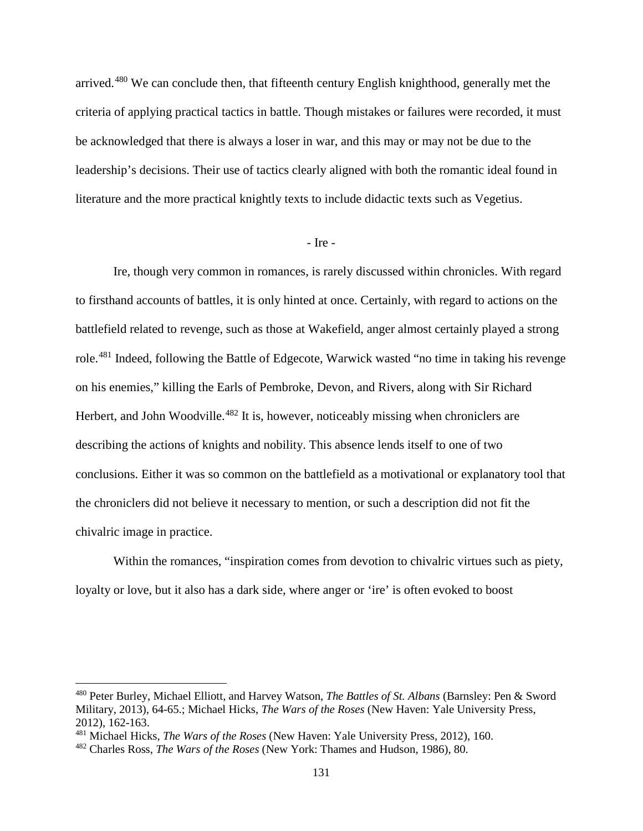arrived.[480](#page-136-0) We can conclude then, that fifteenth century English knighthood, generally met the criteria of applying practical tactics in battle. Though mistakes or failures were recorded, it must be acknowledged that there is always a loser in war, and this may or may not be due to the leadership's decisions. Their use of tactics clearly aligned with both the romantic ideal found in literature and the more practical knightly texts to include didactic texts such as Vegetius.

### - Ire -

Ire, though very common in romances, is rarely discussed within chronicles. With regard to firsthand accounts of battles, it is only hinted at once. Certainly, with regard to actions on the battlefield related to revenge, such as those at Wakefield, anger almost certainly played a strong role.[481](#page-136-1) Indeed, following the Battle of Edgecote, Warwick wasted "no time in taking his revenge on his enemies," killing the Earls of Pembroke, Devon, and Rivers, along with Sir Richard Herbert, and John Woodville.<sup>[482](#page-136-2)</sup> It is, however, noticeably missing when chroniclers are describing the actions of knights and nobility. This absence lends itself to one of two conclusions. Either it was so common on the battlefield as a motivational or explanatory tool that the chroniclers did not believe it necessary to mention, or such a description did not fit the chivalric image in practice.

Within the romances, "inspiration comes from devotion to chivalric virtues such as piety, loyalty or love, but it also has a dark side, where anger or 'ire' is often evoked to boost

<span id="page-136-0"></span><sup>480</sup> Peter Burley, Michael Elliott, and Harvey Watson, *The Battles of St. Albans* (Barnsley: Pen & Sword Military, 2013), 64-65.; Michael Hicks, *The Wars of the Roses* (New Haven: Yale University Press, 2012), 162-163.

<span id="page-136-1"></span><sup>481</sup> Michael Hicks, *The Wars of the Roses* (New Haven: Yale University Press, 2012), 160.

<span id="page-136-2"></span><sup>482</sup> Charles Ross, *The Wars of the Roses* (New York: Thames and Hudson, 1986), 80.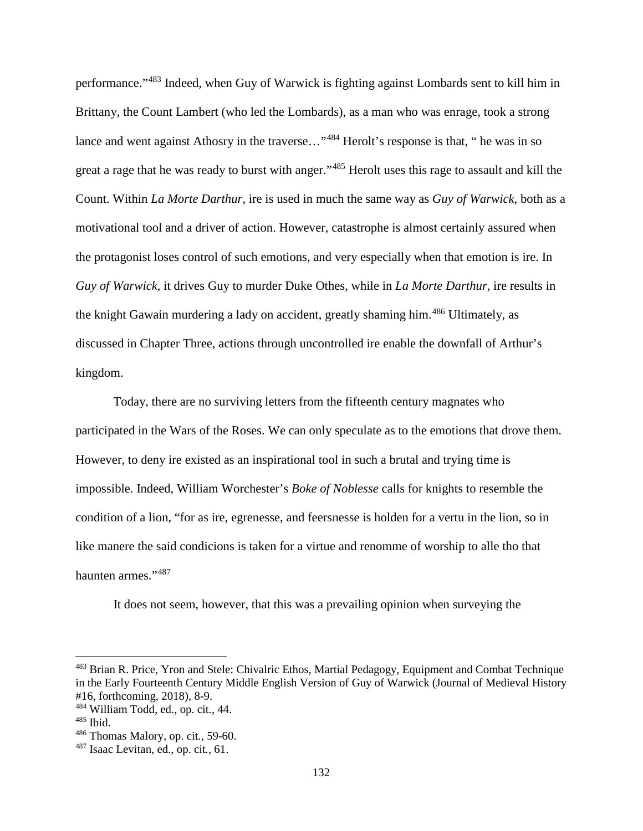performance."[483](#page-137-0) Indeed, when Guy of Warwick is fighting against Lombards sent to kill him in Brittany, the Count Lambert (who led the Lombards), as a man who was enrage, took a strong lance and went against Athosry in the traverse..."<sup>[484](#page-137-1)</sup> Herolt's response is that, " he was in so great a rage that he was ready to burst with anger."[485](#page-137-2) Herolt uses this rage to assault and kill the Count. Within *La Morte Darthur*, ire is used in much the same way as *Guy of Warwick*, both as a motivational tool and a driver of action. However, catastrophe is almost certainly assured when the protagonist loses control of such emotions, and very especially when that emotion is ire. In *Guy of Warwick*, it drives Guy to murder Duke Othes, while in *La Morte Darthur*, ire results in the knight Gawain murdering a lady on accident, greatly shaming him.<sup>[486](#page-137-3)</sup> Ultimately, as discussed in Chapter Three, actions through uncontrolled ire enable the downfall of Arthur's kingdom.

Today, there are no surviving letters from the fifteenth century magnates who participated in the Wars of the Roses. We can only speculate as to the emotions that drove them. However, to deny ire existed as an inspirational tool in such a brutal and trying time is impossible. Indeed, William Worchester's *Boke of Noblesse* calls for knights to resemble the condition of a lion, "for as ire, egrenesse, and feersnesse is holden for a vertu in the lion, so in like manere the said condicions is taken for a virtue and renomme of worship to alle tho that haunten armes."[487](#page-137-4)

It does not seem, however, that this was a prevailing opinion when surveying the

<span id="page-137-0"></span><sup>&</sup>lt;sup>483</sup> Brian R. Price, Yron and Stele: Chivalric Ethos, Martial Pedagogy, Equipment and Combat Technique in the Early Fourteenth Century Middle English Version of Guy of Warwick (Journal of Medieval History #16, forthcoming, 2018), 8-9.

<span id="page-137-1"></span><sup>484</sup> William Todd, ed., op. cit*.*, 44.

<span id="page-137-2"></span><sup>485</sup> Ibid.

<span id="page-137-3"></span><sup>486</sup> Thomas Malory, op. cit*.*, 59-60.

<span id="page-137-4"></span><sup>487</sup> Isaac Levitan, ed., op. cit*.*, 61.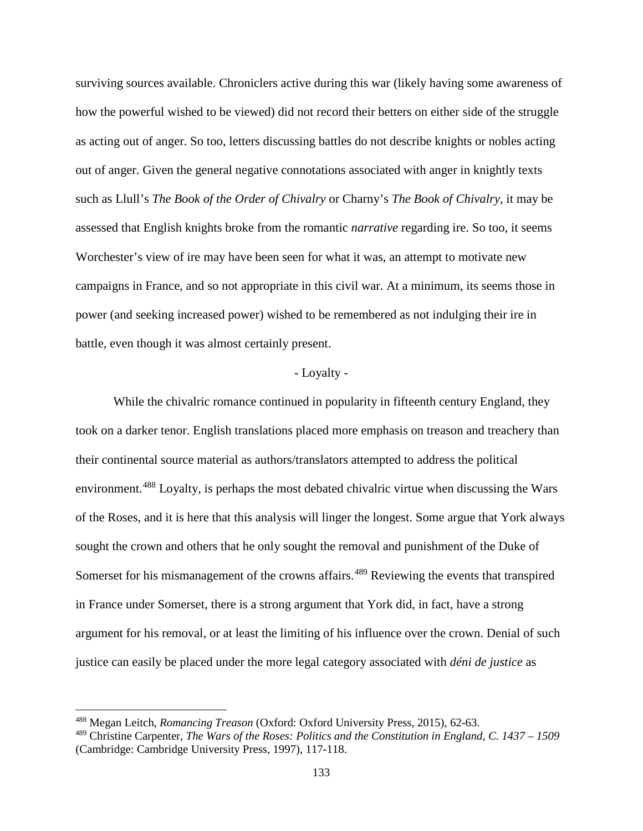surviving sources available. Chroniclers active during this war (likely having some awareness of how the powerful wished to be viewed) did not record their betters on either side of the struggle as acting out of anger. So too, letters discussing battles do not describe knights or nobles acting out of anger. Given the general negative connotations associated with anger in knightly texts such as Llull's *The Book of the Order of Chivalry* or Charny's *The Book of Chivalry*, it may be assessed that English knights broke from the romantic *narrative* regarding ire. So too, it seems Worchester's view of ire may have been seen for what it was, an attempt to motivate new campaigns in France, and so not appropriate in this civil war. At a minimum, its seems those in power (and seeking increased power) wished to be remembered as not indulging their ire in battle, even though it was almost certainly present.

#### - Loyalty -

While the chivalric romance continued in popularity in fifteenth century England, they took on a darker tenor. English translations placed more emphasis on treason and treachery than their continental source material as authors/translators attempted to address the political environment.<sup>[488](#page-138-0)</sup> Loyalty, is perhaps the most debated chivalric virtue when discussing the Wars of the Roses, and it is here that this analysis will linger the longest. Some argue that York always sought the crown and others that he only sought the removal and punishment of the Duke of Somerset for his mismanagement of the crowns affairs.<sup>[489](#page-138-1)</sup> Reviewing the events that transpired in France under Somerset, there is a strong argument that York did, in fact, have a strong argument for his removal, or at least the limiting of his influence over the crown. Denial of such justice can easily be placed under the more legal category associated with *déni de justice* as

<span id="page-138-0"></span><sup>488</sup> Megan Leitch, *Romancing Treason* (Oxford: Oxford University Press, 2015), 62-63.

<span id="page-138-1"></span><sup>489</sup> Christine Carpenter, *The Wars of the Roses: Politics and the Constitution in England, C. 1437 – 1509*  (Cambridge: Cambridge University Press, 1997), 117-118.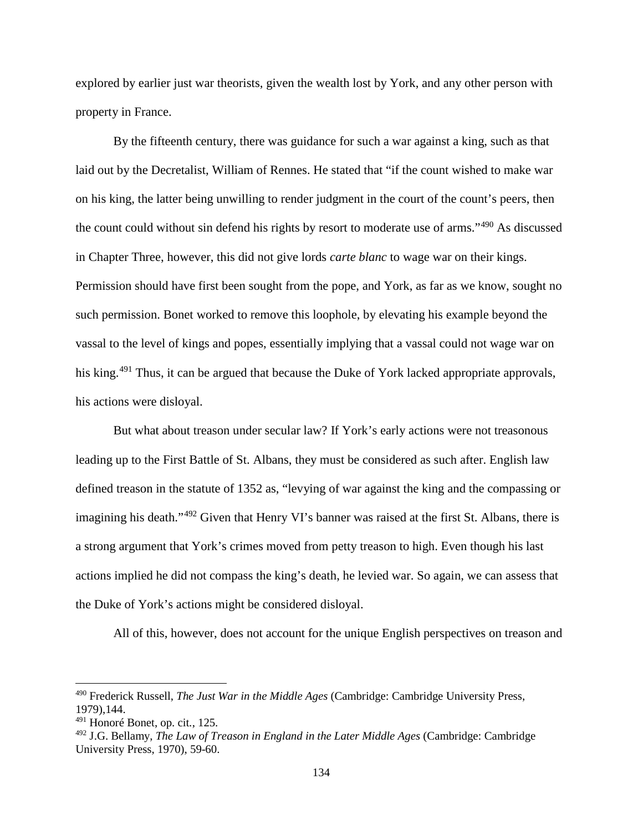explored by earlier just war theorists, given the wealth lost by York, and any other person with property in France.

By the fifteenth century, there was guidance for such a war against a king, such as that laid out by the Decretalist, William of Rennes. He stated that "if the count wished to make war on his king, the latter being unwilling to render judgment in the court of the count's peers, then the count could without sin defend his rights by resort to moderate use of arms."[490](#page-139-0) As discussed in Chapter Three, however, this did not give lords *carte blanc* to wage war on their kings. Permission should have first been sought from the pope, and York, as far as we know, sought no such permission. Bonet worked to remove this loophole, by elevating his example beyond the vassal to the level of kings and popes, essentially implying that a vassal could not wage war on his king.<sup>[491](#page-139-1)</sup> Thus, it can be argued that because the Duke of York lacked appropriate approvals, his actions were disloyal.

But what about treason under secular law? If York's early actions were not treasonous leading up to the First Battle of St. Albans, they must be considered as such after. English law defined treason in the statute of 1352 as, "levying of war against the king and the compassing or imagining his death."[492](#page-139-2) Given that Henry VI's banner was raised at the first St. Albans, there is a strong argument that York's crimes moved from petty treason to high. Even though his last actions implied he did not compass the king's death, he levied war. So again, we can assess that the Duke of York's actions might be considered disloyal.

All of this, however, does not account for the unique English perspectives on treason and

<span id="page-139-0"></span><sup>490</sup> Frederick Russell, *The Just War in the Middle Ages* (Cambridge: Cambridge University Press, 1979),144.

<span id="page-139-1"></span><sup>491</sup> Honoré Bonet, op. cit*.*, 125.

<span id="page-139-2"></span><sup>492</sup> J.G. Bellamy, *The Law of Treason in England in the Later Middle Ages* (Cambridge: Cambridge University Press, 1970), 59-60.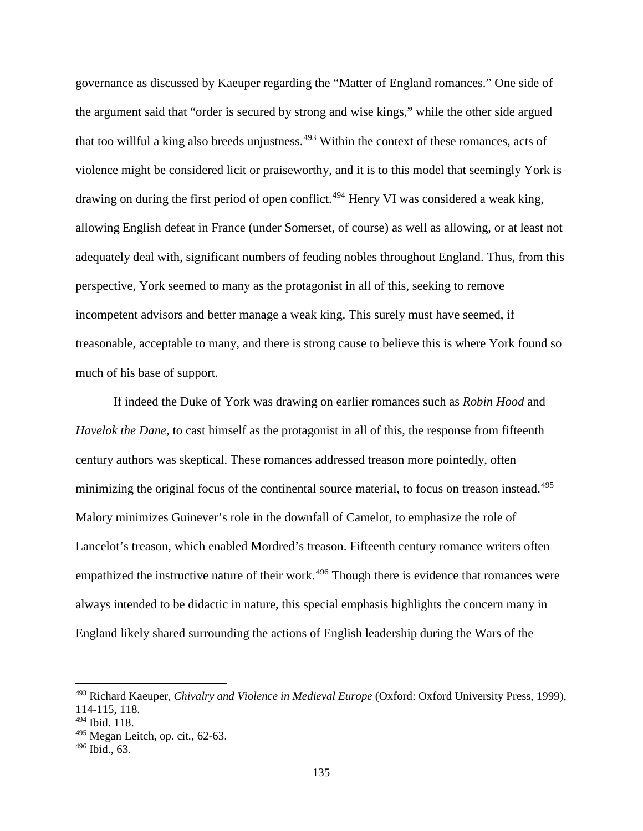governance as discussed by Kaeuper regarding the "Matter of England romances." One side of the argument said that "order is secured by strong and wise kings," while the other side argued that too willful a king also breeds unjustness.<sup>[493](#page-140-0)</sup> Within the context of these romances, acts of violence might be considered licit or praiseworthy, and it is to this model that seemingly York is drawing on during the first period of open conflict.<sup>[494](#page-140-1)</sup> Henry VI was considered a weak king, allowing English defeat in France (under Somerset, of course) as well as allowing, or at least not adequately deal with, significant numbers of feuding nobles throughout England. Thus, from this perspective, York seemed to many as the protagonist in all of this, seeking to remove incompetent advisors and better manage a weak king. This surely must have seemed, if treasonable, acceptable to many, and there is strong cause to believe this is where York found so much of his base of support.

If indeed the Duke of York was drawing on earlier romances such as *Robin Hood* and *Havelok the Dane*, to cast himself as the protagonist in all of this, the response from fifteenth century authors was skeptical. These romances addressed treason more pointedly, often minimizing the original focus of the continental source material, to focus on treason instead.<sup>[495](#page-140-2)</sup> Malory minimizes Guinever's role in the downfall of Camelot, to emphasize the role of Lancelot's treason, which enabled Mordred's treason. Fifteenth century romance writers often empathized the instructive nature of their work.<sup>[496](#page-140-3)</sup> Though there is evidence that romances were always intended to be didactic in nature, this special emphasis highlights the concern many in England likely shared surrounding the actions of English leadership during the Wars of the

<span id="page-140-0"></span><sup>493</sup> Richard Kaeuper, *Chivalry and Violence in Medieval Europe* (Oxford: Oxford University Press, 1999), 114-115, 118.

<span id="page-140-1"></span><sup>494</sup> Ibid. 118.

<span id="page-140-2"></span><sup>495</sup> Megan Leitch, op. cit*.*, 62-63.

<span id="page-140-3"></span> $496$  Ibid., 63.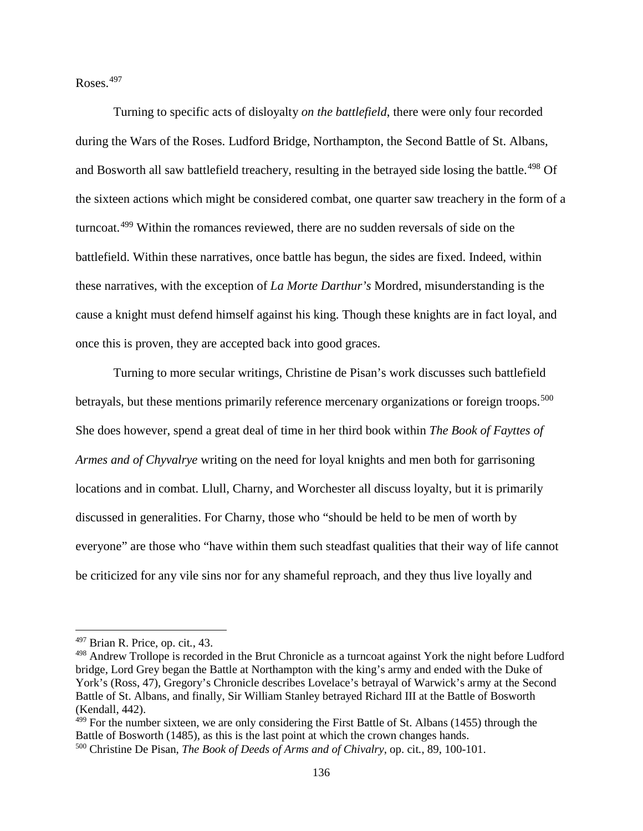Roses.[497](#page-141-0)

Turning to specific acts of disloyalty *on the battlefield*, there were only four recorded during the Wars of the Roses. Ludford Bridge, Northampton, the Second Battle of St. Albans, and Bosworth all saw battlefield treachery, resulting in the betrayed side losing the battle.<sup>[498](#page-141-1)</sup> Of the sixteen actions which might be considered combat, one quarter saw treachery in the form of a turncoat.[499](#page-141-2) Within the romances reviewed, there are no sudden reversals of side on the battlefield. Within these narratives, once battle has begun, the sides are fixed. Indeed, within these narratives, with the exception of *La Morte Darthur's* Mordred, misunderstanding is the cause a knight must defend himself against his king. Though these knights are in fact loyal, and once this is proven, they are accepted back into good graces.

Turning to more secular writings, Christine de Pisan's work discusses such battlefield betrayals, but these mentions primarily reference mercenary organizations or foreign troops.<sup>[500](#page-141-3)</sup> She does however, spend a great deal of time in her third book within *The Book of Fayttes of Armes and of Chyvalrye* writing on the need for loyal knights and men both for garrisoning locations and in combat. Llull, Charny, and Worchester all discuss loyalty, but it is primarily discussed in generalities. For Charny, those who "should be held to be men of worth by everyone" are those who "have within them such steadfast qualities that their way of life cannot be criticized for any vile sins nor for any shameful reproach, and they thus live loyally and

l

<span id="page-141-2"></span><sup>499</sup> For the number sixteen, we are only considering the First Battle of St. Albans (1455) through the Battle of Bosworth (1485), as this is the last point at which the crown changes hands.

<span id="page-141-0"></span><sup>497</sup> Brian R. Price, op. cit*.*, 43.

<span id="page-141-1"></span><sup>498</sup> Andrew Trollope is recorded in the Brut Chronicle as a turncoat against York the night before Ludford bridge, Lord Grey began the Battle at Northampton with the king's army and ended with the Duke of York's (Ross, 47), Gregory's Chronicle describes Lovelace's betrayal of Warwick's army at the Second Battle of St. Albans, and finally, Sir William Stanley betrayed Richard III at the Battle of Bosworth (Kendall, 442).

<span id="page-141-3"></span><sup>500</sup> Christine De Pisan, *The Book of Deeds of Arms and of Chivalry*, op. cit*.*, 89, 100-101.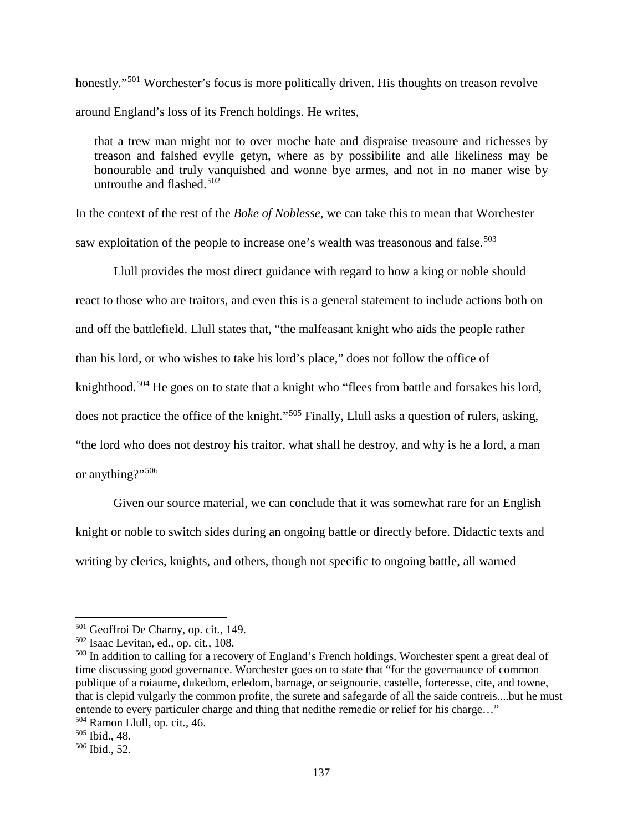honestly."<sup>[501](#page-142-0)</sup> Worchester's focus is more politically driven. His thoughts on treason revolve around England's loss of its French holdings. He writes,

that a trew man might not to over moche hate and dispraise treasoure and richesses by treason and falshed evylle getyn, where as by possibilite and alle likeliness may be honourable and truly vanquished and wonne bye armes, and not in no maner wise by untrouthe and flashed. $502$ 

In the context of the rest of the *Boke of Noblesse*, we can take this to mean that Worchester saw exploitation of the people to increase one's wealth was treasonous and false.<sup>[503](#page-142-2)</sup>

Llull provides the most direct guidance with regard to how a king or noble should react to those who are traitors, and even this is a general statement to include actions both on and off the battlefield. Llull states that, "the malfeasant knight who aids the people rather than his lord, or who wishes to take his lord's place," does not follow the office of knighthood.<sup>[504](#page-142-3)</sup> He goes on to state that a knight who "flees from battle and forsakes his lord, does not practice the office of the knight."[505](#page-142-4) Finally, Llull asks a question of rulers, asking, "the lord who does not destroy his traitor, what shall he destroy, and why is he a lord, a man or anything?"<sup>[506](#page-142-5)</sup>

Given our source material, we can conclude that it was somewhat rare for an English knight or noble to switch sides during an ongoing battle or directly before. Didactic texts and writing by clerics, knights, and others, though not specific to ongoing battle, all warned

<span id="page-142-0"></span><sup>501</sup> Geoffroi De Charny, op. cit*.*, 149.

<span id="page-142-1"></span><sup>502</sup> Isaac Levitan, ed., op. cit*.*, 108.

<span id="page-142-2"></span><sup>503</sup> In addition to calling for a recovery of England's French holdings, Worchester spent a great deal of time discussing good governance. Worchester goes on to state that "for the governaunce of common publique of a roiaume, dukedom, erledom, barnage, or seignourie, castelle, forteresse, cite, and towne, that is clepid vulgarly the common profite, the surete and safegarde of all the saide contreis....but he must entende to every particuler charge and thing that nedithe remedie or relief for his charge…" <sup>504</sup> Ramon Llull, op. cit*.*, 46.

<span id="page-142-4"></span><span id="page-142-3"></span><sup>505</sup> Ibid., 48.

<span id="page-142-5"></span><sup>506</sup> Ibid., 52.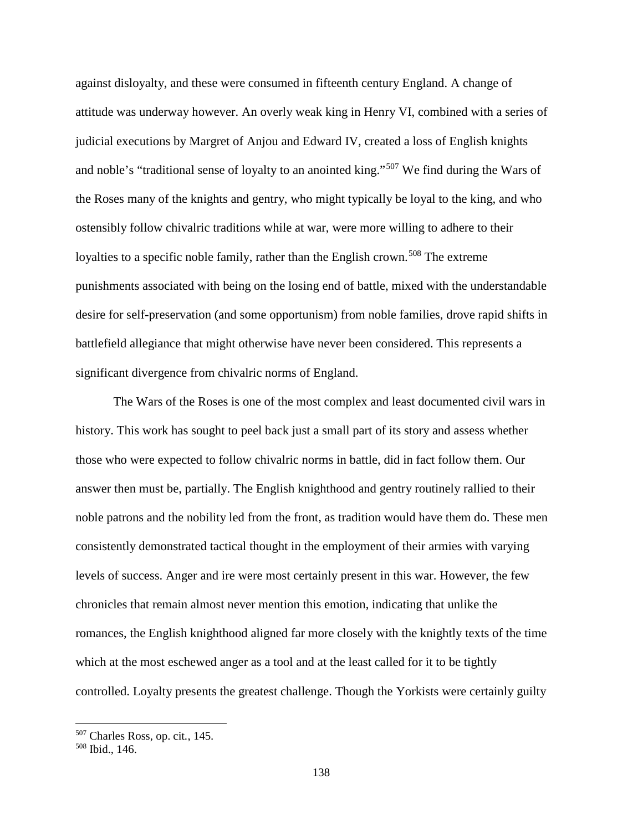against disloyalty, and these were consumed in fifteenth century England. A change of attitude was underway however. An overly weak king in Henry VI, combined with a series of judicial executions by Margret of Anjou and Edward IV, created a loss of English knights and noble's "traditional sense of loyalty to an anointed king."<sup>[507](#page-143-0)</sup> We find during the Wars of the Roses many of the knights and gentry, who might typically be loyal to the king, and who ostensibly follow chivalric traditions while at war, were more willing to adhere to their loyalties to a specific noble family, rather than the English crown.<sup>[508](#page-143-1)</sup> The extreme punishments associated with being on the losing end of battle, mixed with the understandable desire for self-preservation (and some opportunism) from noble families, drove rapid shifts in battlefield allegiance that might otherwise have never been considered. This represents a significant divergence from chivalric norms of England.

The Wars of the Roses is one of the most complex and least documented civil wars in history. This work has sought to peel back just a small part of its story and assess whether those who were expected to follow chivalric norms in battle, did in fact follow them. Our answer then must be, partially. The English knighthood and gentry routinely rallied to their noble patrons and the nobility led from the front, as tradition would have them do. These men consistently demonstrated tactical thought in the employment of their armies with varying levels of success. Anger and ire were most certainly present in this war. However, the few chronicles that remain almost never mention this emotion, indicating that unlike the romances, the English knighthood aligned far more closely with the knightly texts of the time which at the most eschewed anger as a tool and at the least called for it to be tightly controlled. Loyalty presents the greatest challenge. Though the Yorkists were certainly guilty

<span id="page-143-0"></span><sup>507</sup> Charles Ross, op. cit*.*, 145.

<span id="page-143-1"></span><sup>508</sup> Ibid., 146.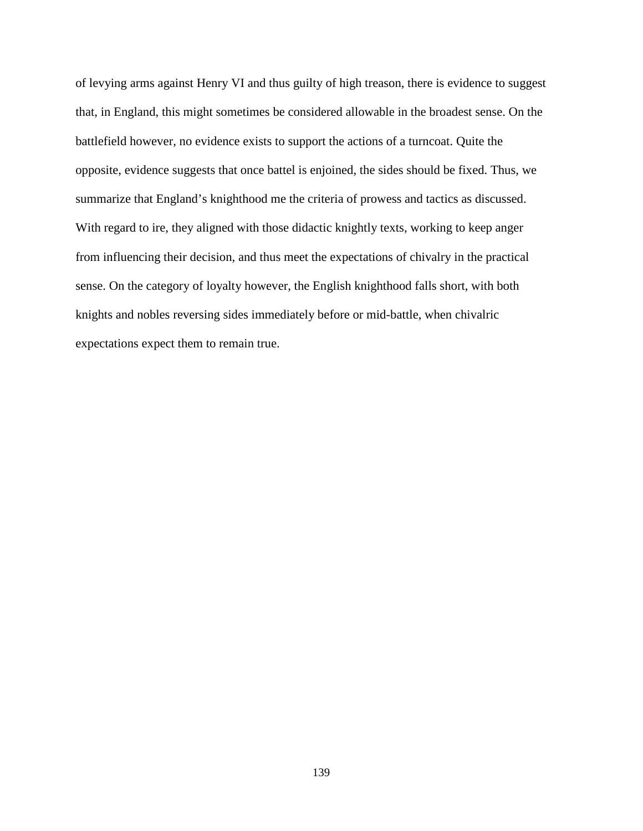of levying arms against Henry VI and thus guilty of high treason, there is evidence to suggest that, in England, this might sometimes be considered allowable in the broadest sense. On the battlefield however, no evidence exists to support the actions of a turncoat. Quite the opposite, evidence suggests that once battel is enjoined, the sides should be fixed. Thus, we summarize that England's knighthood me the criteria of prowess and tactics as discussed. With regard to ire, they aligned with those didactic knightly texts, working to keep anger from influencing their decision, and thus meet the expectations of chivalry in the practical sense. On the category of loyalty however, the English knighthood falls short, with both knights and nobles reversing sides immediately before or mid-battle, when chivalric expectations expect them to remain true.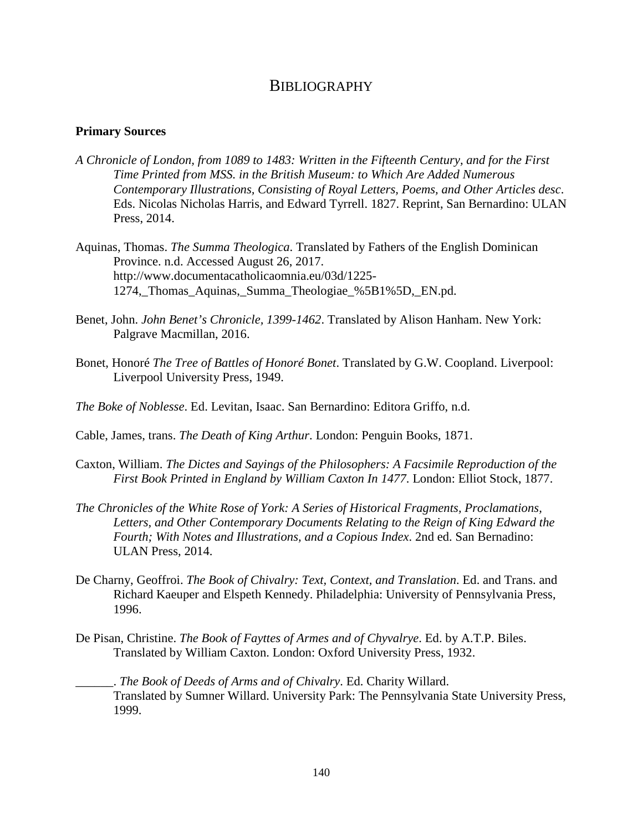## **BIBLIOGRAPHY**

## **Primary Sources**

- *A Chronicle of London, from 1089 to 1483: Written in the Fifteenth Century, and for the First Time Printed from MSS. in the British Museum: to Which Are Added Numerous Contemporary Illustrations, Consisting of Royal Letters, Poems, and Other Articles desc*. Eds. Nicolas Nicholas Harris, and Edward Tyrrell. 1827. Reprint, San Bernardino: ULAN Press, 2014.
- Aquinas, Thomas. *The Summa Theologica*. Translated by Fathers of the English Dominican Province. n.d. Accessed August 26, 2017. [http://www.documentacatholicaomnia.eu/03d/1225-](http://www.documentacatholicaomnia.eu/03d/1225-1274,_Thomas_Aquinas,_Summa_Theologiae_%5B1%5D,_EN.pd) [1274,\\_Thomas\\_Aquinas,\\_Summa\\_Theologiae\\_%5B1%5D,\\_EN.pd.](http://www.documentacatholicaomnia.eu/03d/1225-1274,_Thomas_Aquinas,_Summa_Theologiae_%5B1%5D,_EN.pd)
- Benet, John. *John Benet's Chronicle, 1399-1462*. Translated by Alison Hanham. New York: Palgrave Macmillan, 2016.
- Bonet, Honoré *The Tree of Battles of Honoré Bonet*. Translated by G.W. Coopland. Liverpool: Liverpool University Press, 1949.
- *The Boke of Noblesse*. Ed. Levitan, Isaac. San Bernardino: Editora Griffo, n.d.
- Cable, James, trans. *The Death of King Arthur*. London: Penguin Books, 1871.
- Caxton, William. *The Dictes and Sayings of the Philosophers: A Facsimile Reproduction of the First Book Printed in England by William Caxton In 1477*. London: Elliot Stock, 1877.
- *The Chronicles of the White Rose of York: A Series of Historical Fragments, Proclamations,*  Letters, and Other Contemporary Documents Relating to the Reign of King Edward the *Fourth; With Notes and Illustrations, and a Copious Index*. 2nd ed. San Bernadino: ULAN Press, 2014.
- De Charny, Geoffroi. *The Book of Chivalry: Text, Context, and Translation*. Ed. and Trans. and Richard Kaeuper and Elspeth Kennedy. Philadelphia: University of Pennsylvania Press, 1996.
- De Pisan, Christine. *The Book of Fayttes of Armes and of Chyvalrye*. Ed. by A.T.P. Biles. Translated by William Caxton. London: Oxford University Press, 1932.

\_\_\_\_\_\_. *The Book of Deeds of Arms and of Chivalry*. Ed. Charity Willard. Translated by Sumner Willard. University Park: The Pennsylvania State University Press, 1999.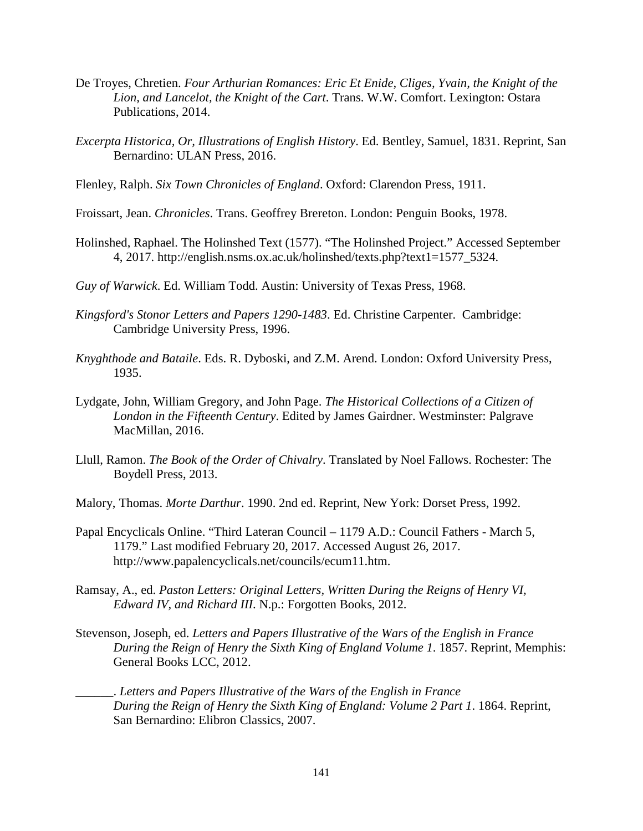- De Troyes, Chretien. *Four Arthurian Romances: Eric Et Enide, Cliges, Yvain, the Knight of the Lion, and Lancelot, the Knight of the Cart*. Trans. W.W. Comfort. Lexington: Ostara Publications, 2014.
- *Excerpta Historica, Or, Illustrations of English History*. Ed. Bentley, Samuel, 1831. Reprint, San Bernardino: ULAN Press, 2016.
- Flenley, Ralph. *Six Town Chronicles of England*. Oxford: Clarendon Press, 1911.
- Froissart, Jean. *Chronicles*. Trans. Geoffrey Brereton. London: Penguin Books, 1978.
- Holinshed, Raphael. The Holinshed Text (1577). "The Holinshed Project." Accessed September 4, 2017. [http://english.nsms.ox.ac.uk/holinshed/texts.php?text1=1577\\_5324.](http://english.nsms.ox.ac.uk/holinshed/texts.php?text1=1577_5324)
- *Guy of Warwick*. Ed. William Todd. Austin: University of Texas Press, 1968.
- *Kingsford's Stonor Letters and Papers 1290-1483*. Ed. Christine Carpenter. Cambridge: Cambridge University Press, 1996.
- *Knyghthode and Bataile*. Eds. R. Dyboski, and Z.M. Arend. London: Oxford University Press, 1935.
- Lydgate, John, William Gregory, and John Page. *The Historical Collections of a Citizen of London in the Fifteenth Century*. Edited by James Gairdner. Westminster: Palgrave MacMillan, 2016.
- Llull, Ramon. *The Book of the Order of Chivalry*. Translated by Noel Fallows. Rochester: The Boydell Press, 2013.
- Malory, Thomas. *Morte Darthur*. 1990. 2nd ed. Reprint, New York: Dorset Press, 1992.
- Papal Encyclicals Online. "Third Lateran Council 1179 A.D.: Council Fathers March 5, 1179." Last modified February 20, 2017. Accessed August 26, 2017. [http://www.papalencyclicals.net/councils/ecum11.htm.](http://www.papalencyclicals.net/councils/ecum11.htm)
- Ramsay, A., ed. *Paston Letters: Original Letters, Written During the Reigns of Henry VI, Edward IV, and Richard III*. N.p.: Forgotten Books, 2012.
- Stevenson, Joseph, ed. *Letters and Papers Illustrative of the Wars of the English in France During the Reign of Henry the Sixth King of England Volume 1*. 1857. Reprint, Memphis: General Books LCC, 2012.
	- \_\_\_\_\_\_. *Letters and Papers Illustrative of the Wars of the English in France During the Reign of Henry the Sixth King of England: Volume 2 Part 1*. 1864. Reprint, San Bernardino: Elibron Classics, 2007.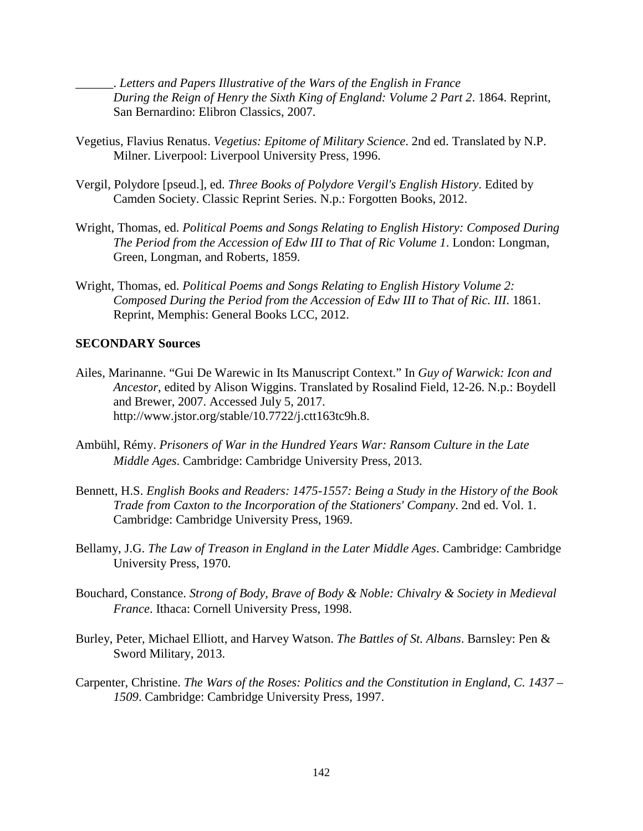\_\_\_\_\_\_. *Letters and Papers Illustrative of the Wars of the English in France During the Reign of Henry the Sixth King of England: Volume 2 Part 2*. 1864. Reprint, San Bernardino: Elibron Classics, 2007.

- Vegetius, Flavius Renatus. *Vegetius: Epitome of Military Science*. 2nd ed. Translated by N.P. Milner. Liverpool: Liverpool University Press, 1996.
- Vergil, Polydore [pseud.], ed. *Three Books of Polydore Vergil's English History*. Edited by Camden Society. Classic Reprint Series. N.p.: Forgotten Books, 2012.
- Wright, Thomas, ed. *Political Poems and Songs Relating to English History: Composed During The Period from the Accession of Edw III to That of Ric Volume 1*. London: Longman, Green, Longman, and Roberts, 1859.
- Wright, Thomas, ed. *Political Poems and Songs Relating to English History Volume 2: Composed During the Period from the Accession of Edw III to That of Ric. III*. 1861. Reprint, Memphis: General Books LCC, 2012.

## **SECONDARY Sources**

- Ailes, Marinanne. "Gui De Warewic in Its Manuscript Context." In *Guy of Warwick: Icon and Ancestor*, edited by Alison Wiggins. Translated by Rosalind Field, 12-26. N.p.: Boydell and Brewer, 2007. Accessed July 5, 2017. <http://www.jstor.org/stable/10.7722/j.ctt163tc9h.8.>
- Ambühl, Rémy. *Prisoners of War in the Hundred Years War: Ransom Culture in the Late Middle Ages*. Cambridge: Cambridge University Press, 2013.
- Bennett, H.S. *English Books and Readers: 1475-1557: Being a Study in the History of the Book Trade from Caxton to the Incorporation of the Stationers' Company*. 2nd ed. Vol. 1. Cambridge: Cambridge University Press, 1969.
- Bellamy, J.G. *The Law of Treason in England in the Later Middle Ages*. Cambridge: Cambridge University Press, 1970.
- Bouchard, Constance. *Strong of Body, Brave of Body & Noble: Chivalry & Society in Medieval France*. Ithaca: Cornell University Press, 1998.
- Burley, Peter, Michael Elliott, and Harvey Watson. *The Battles of St. Albans*. Barnsley: Pen & Sword Military, 2013.
- Carpenter, Christine. *The Wars of the Roses: Politics and the Constitution in England, C. 1437 – 1509*. Cambridge: Cambridge University Press, 1997.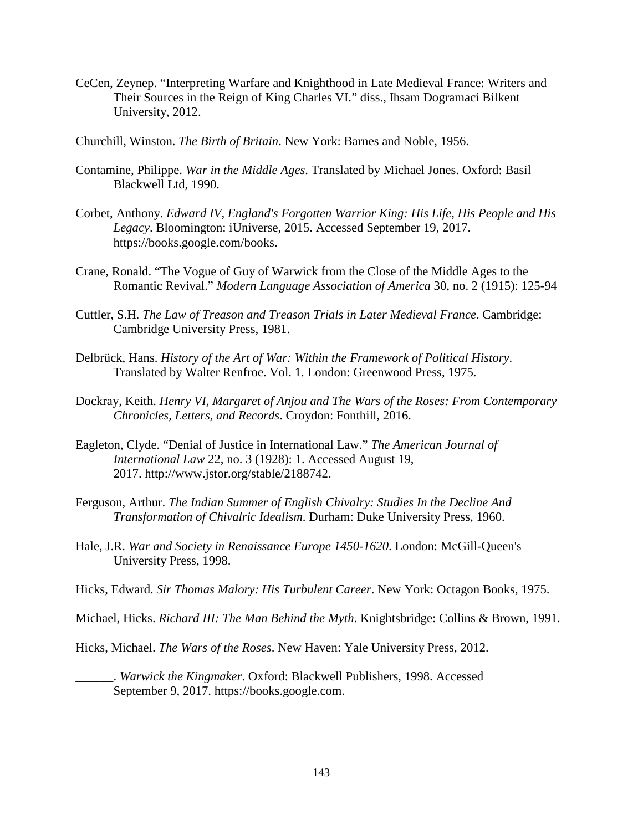- CeCen, Zeynep. "Interpreting Warfare and Knighthood in Late Medieval France: Writers and Their Sources in the Reign of King Charles VI." diss., Ihsam Dogramaci Bilkent University, 2012.
- Churchill, Winston. *The Birth of Britain*. New York: Barnes and Noble, 1956.
- Contamine, Philippe. *War in the Middle Ages*. Translated by Michael Jones. Oxford: Basil Blackwell Ltd, 1990.
- Corbet, Anthony. *Edward IV, England's Forgotten Warrior King: His Life, His People and His Legacy*. Bloomington: iUniverse, 2015. Accessed September 19, 2017. https://books.google.com/books.
- Crane, Ronald. "The Vogue of Guy of Warwick from the Close of the Middle Ages to the Romantic Revival." *Modern Language Association of America* 30, no. 2 (1915): 125-94
- Cuttler, S.H. *The Law of Treason and Treason Trials in Later Medieval France*. Cambridge: Cambridge University Press, 1981.
- Delbrück, Hans. *History of the Art of War: Within the Framework of Political History*. Translated by Walter Renfroe. Vol. 1. London: Greenwood Press, 1975.
- Dockray, Keith. *Henry VI, Margaret of Anjou and The Wars of the Roses: From Contemporary Chronicles, Letters, and Records*. Croydon: Fonthill, 2016.
- Eagleton, Clyde. "Denial of Justice in International Law." *The American Journal of International Law* 22, no. 3 (1928): 1. Accessed August 19, 2017. http://www.jstor.org/stable/2188742.
- Ferguson, Arthur. *The Indian Summer of English Chivalry: Studies In the Decline And Transformation of Chivalric Idealism*. Durham: Duke University Press, 1960.
- Hale, J.R. *War and Society in Renaissance Europe 1450-1620*. London: McGill-Queen's University Press, 1998.
- Hicks, Edward. *Sir Thomas Malory: His Turbulent Career*. New York: Octagon Books, 1975.
- Michael, Hicks. *Richard III: The Man Behind the Myth*. Knightsbridge: Collins & Brown, 1991.
- Hicks, Michael. *The Wars of the Roses*. New Haven: Yale University Press, 2012.
	- \_\_\_\_\_\_. *Warwick the Kingmaker*. Oxford: Blackwell Publishers, 1998. Accessed September 9, 2017. https://books.google.com.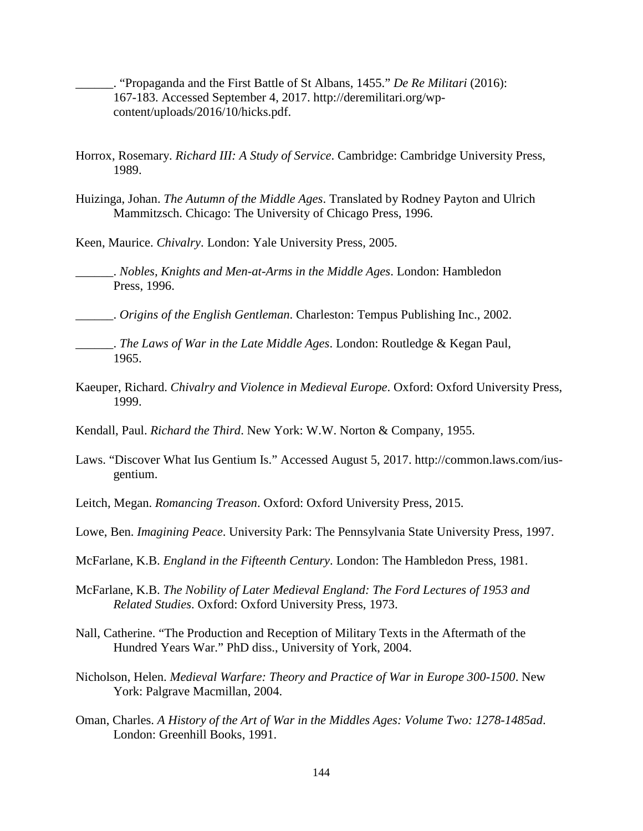\_\_\_\_\_\_. "Propaganda and the First Battle of St Albans, 1455." *De Re Militari* (2016): 167-183. Accessed September 4, 2017. http://deremilitari.org/wpcontent/uploads/2016/10/hicks.pdf.

- Horrox, Rosemary. *Richard III: A Study of Service*. Cambridge: Cambridge University Press, 1989.
- Huizinga, Johan. *The Autumn of the Middle Ages*. Translated by Rodney Payton and Ulrich Mammitzsch. Chicago: The University of Chicago Press, 1996.

Keen, Maurice. *Chivalry*. London: Yale University Press, 2005.

\_\_\_\_\_\_. *Nobles, Knights and Men-at-Arms in the Middle Ages*. London: Hambledon Press, 1996.

\_\_\_\_\_\_. *Origins of the English Gentleman*. Charleston: Tempus Publishing Inc., 2002.

- \_\_\_\_\_\_. *The Laws of War in the Late Middle Ages*. London: Routledge & Kegan Paul, 1965.
- Kaeuper, Richard. *Chivalry and Violence in Medieval Europe*. Oxford: Oxford University Press, 1999.
- Kendall, Paul. *Richard the Third*. New York: W.W. Norton & Company, 1955.
- Laws. "Discover What Ius Gentium Is." Accessed August 5, 2017. http://common.laws.com/iusgentium.
- Leitch, Megan. *Romancing Treason*. Oxford: Oxford University Press, 2015.
- Lowe, Ben. *Imagining Peace*. University Park: The Pennsylvania State University Press, 1997.
- McFarlane, K.B. *England in the Fifteenth Century*. London: The Hambledon Press, 1981.
- McFarlane, K.B. *The Nobility of Later Medieval England: The Ford Lectures of 1953 and Related Studies*. Oxford: Oxford University Press, 1973.
- Nall, Catherine. "The Production and Reception of Military Texts in the Aftermath of the Hundred Years War." PhD diss., University of York, 2004.
- Nicholson, Helen. *Medieval Warfare: Theory and Practice of War in Europe 300-1500*. New York: Palgrave Macmillan, 2004.
- Oman, Charles. *A History of the Art of War in the Middles Ages: Volume Two: 1278-1485ad*. London: Greenhill Books, 1991.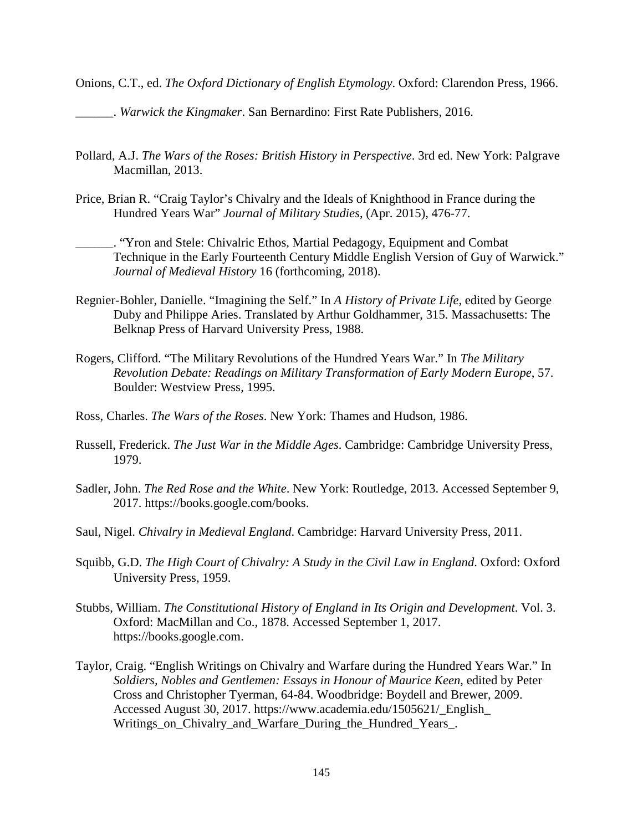Onions, C.T., ed. *The Oxford Dictionary of English Etymology*. Oxford: Clarendon Press, 1966.

\_\_\_\_\_\_. *Warwick the Kingmaker*. San Bernardino: First Rate Publishers, 2016.

- Pollard, A.J. *The Wars of the Roses: British History in Perspective*. 3rd ed. New York: Palgrave Macmillan, 2013.
- Price, Brian R. "Craig Taylor's Chivalry and the Ideals of Knighthood in France during the Hundred Years War" *Journal of Military Studies*, (Apr. 2015), 476-77.
	- \_\_\_\_\_\_. "Yron and Stele: Chivalric Ethos, Martial Pedagogy, Equipment and Combat Technique in the Early Fourteenth Century Middle English Version of Guy of Warwick." *Journal of Medieval History* 16 (forthcoming, 2018).
- Regnier-Bohler, Danielle. "Imagining the Self." In *A History of Private Life*, edited by George Duby and Philippe Aries. Translated by Arthur Goldhammer, 315. Massachusetts: The Belknap Press of Harvard University Press, 1988.
- Rogers, Clifford. "The Military Revolutions of the Hundred Years War." In *The Military Revolution Debate: Readings on Military Transformation of Early Modern Europe*, 57. Boulder: Westview Press, 1995.
- Ross, Charles. *The Wars of the Roses*. New York: Thames and Hudson, 1986.
- Russell, Frederick. *The Just War in the Middle Ages*. Cambridge: Cambridge University Press, 1979.
- Sadler, John. *The Red Rose and the White*. New York: Routledge, 2013. Accessed September 9, 2017. https://books.google.com/books.
- Saul, Nigel. *Chivalry in Medieval England*. Cambridge: Harvard University Press, 2011.
- Squibb, G.D. *The High Court of Chivalry: A Study in the Civil Law in England*. Oxford: Oxford University Press, 1959.
- Stubbs, William. *The Constitutional History of England in Its Origin and Development*. Vol. 3. Oxford: MacMillan and Co., 1878. Accessed September 1, 2017. https://books.google.com.
- Taylor, Craig. "English Writings on Chivalry and Warfare during the Hundred Years War." In *Soldiers, Nobles and Gentlemen: Essays in Honour of Maurice Keen*, edited by Peter Cross and Christopher Tyerman, 64-84. Woodbridge: Boydell and Brewer, 2009. Accessed August 30, 2017. https://www.academia.edu/1505621/\_English\_ Writings on Chivalry and Warfare During the Hundred Years.